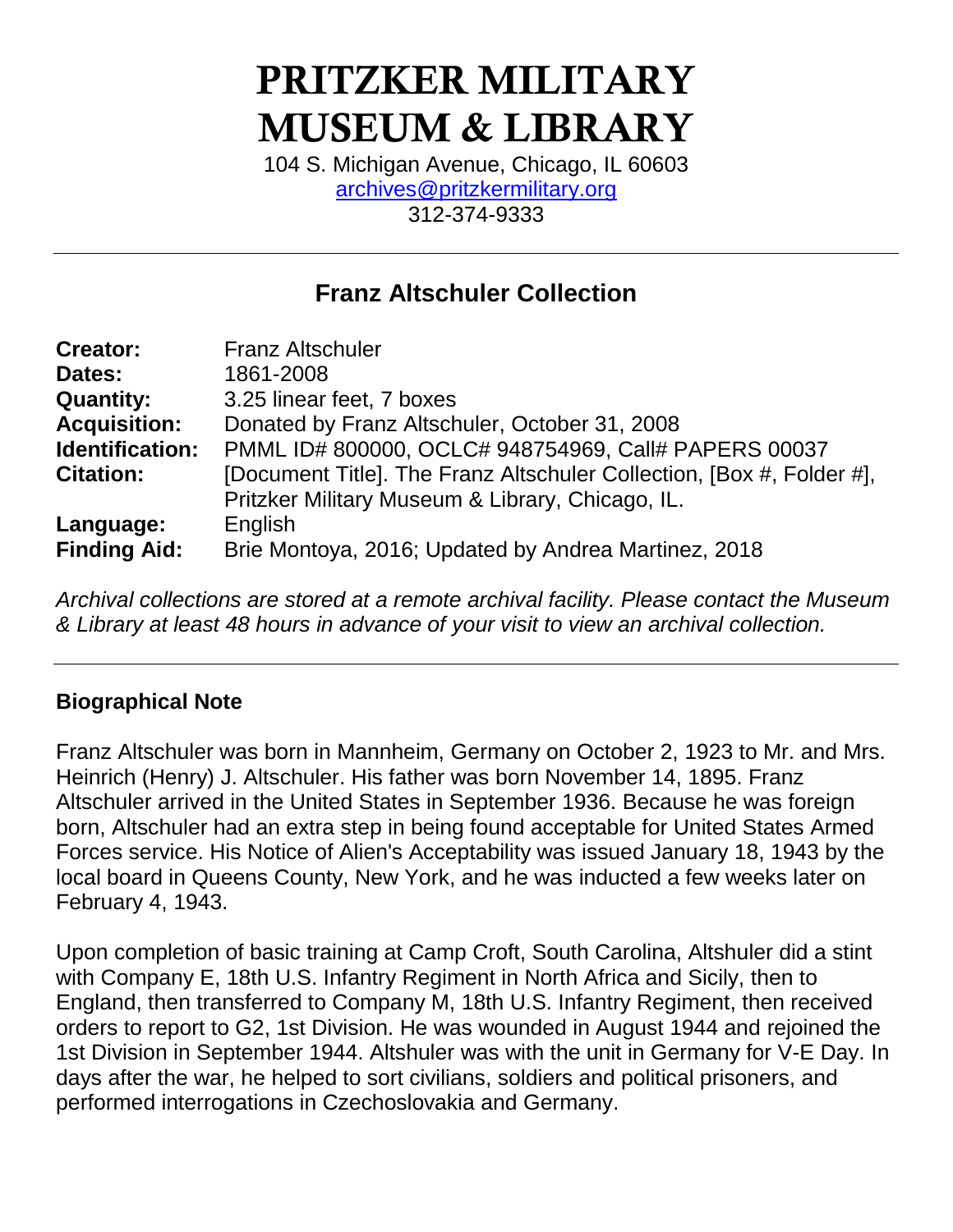# **PRITZKER MILITARY MUSEUM & LIBRARY**

104 S. Michigan Avenue, Chicago, IL 60603 [archives@pritzkermilitary.org](mailto:archives@pritzkermilitary.org)  312-374-9333

## **Franz Altschuler Collection**

| <b>Creator:</b>     | <b>Franz Altschuler</b>                                               |
|---------------------|-----------------------------------------------------------------------|
| Dates:              | 1861-2008                                                             |
| <b>Quantity:</b>    | 3.25 linear feet, 7 boxes                                             |
| <b>Acquisition:</b> | Donated by Franz Altschuler, October 31, 2008                         |
| Identification:     | PMML ID# 800000, OCLC# 948754969, Call# PAPERS 00037                  |
| <b>Citation:</b>    | [Document Title]. The Franz Altschuler Collection, [Box #, Folder #], |
|                     | Pritzker Military Museum & Library, Chicago, IL.                      |
| Language:           | English                                                               |
| <b>Finding Aid:</b> | Brie Montoya, 2016; Updated by Andrea Martinez, 2018                  |

*Archival collections are stored at a remote archival facility. Please contact the Museum & Library at least 48 hours in advance of your visit to view an archival collection.*

#### **Biographical Note**

Franz Altschuler was born in Mannheim, Germany on October 2, 1923 to Mr. and Mrs. Heinrich (Henry) J. Altschuler. His father was born November 14, 1895. Franz Altschuler arrived in the United States in September 1936. Because he was foreign born, Altschuler had an extra step in being found acceptable for United States Armed Forces service. His Notice of Alien's Acceptability was issued January 18, 1943 by the local board in Queens County, New York, and he was inducted a few weeks later on February 4, 1943.

Upon completion of basic training at Camp Croft, South Carolina, Altshuler did a stint with Company E, 18th U.S. Infantry Regiment in North Africa and Sicily, then to England, then transferred to Company M, 18th U.S. Infantry Regiment, then received orders to report to G2, 1st Division. He was wounded in August 1944 and rejoined the 1st Division in September 1944. Altshuler was with the unit in Germany for V-E Day. In days after the war, he helped to sort civilians, soldiers and political prisoners, and performed interrogations in Czechoslovakia and Germany.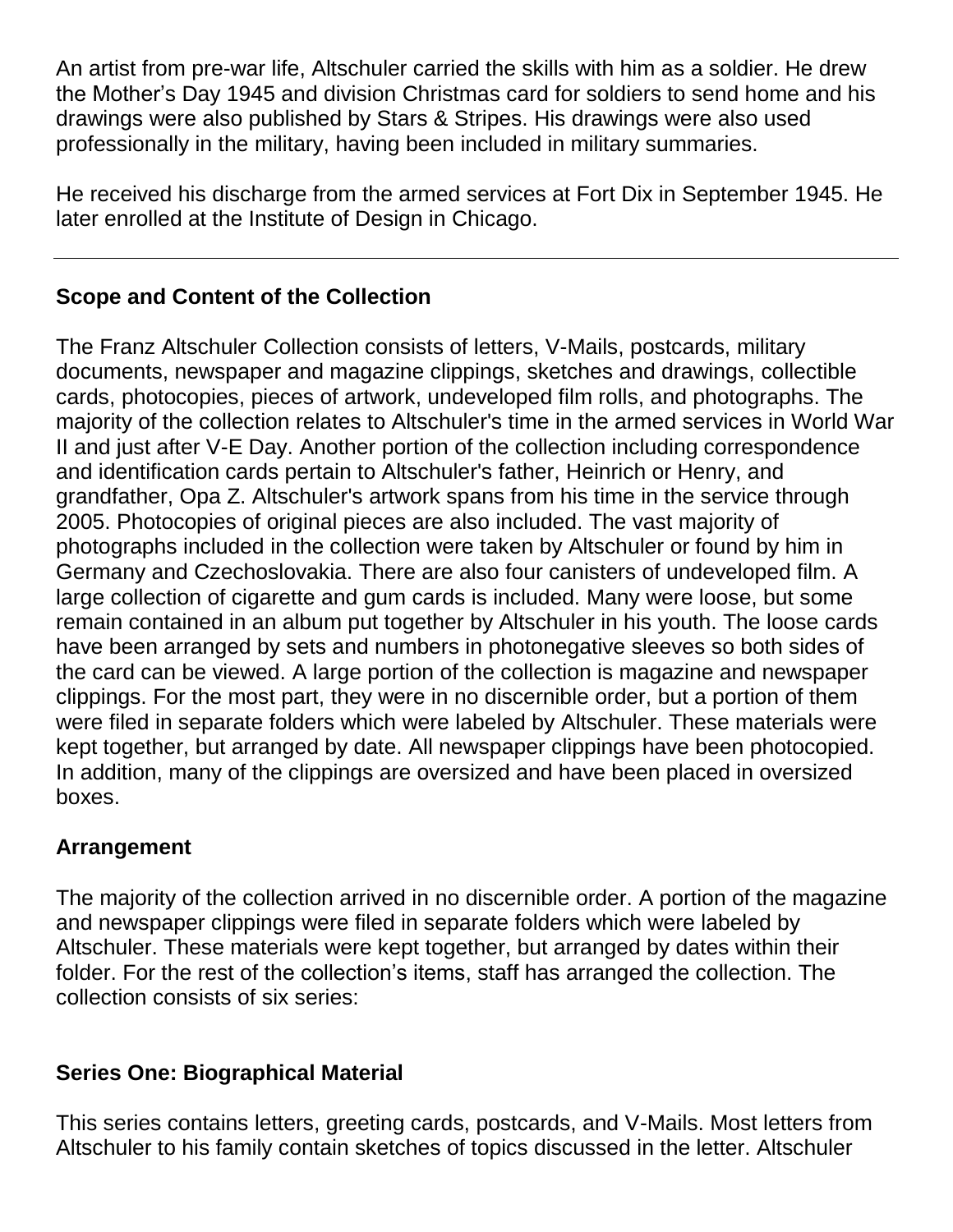An artist from pre-war life, Altschuler carried the skills with him as a soldier. He drew the Mother's Day 1945 and division Christmas card for soldiers to send home and his drawings were also published by Stars & Stripes. His drawings were also used professionally in the military, having been included in military summaries.

He received his discharge from the armed services at Fort Dix in September 1945. He later enrolled at the Institute of Design in Chicago.

## **Scope and Content of the Collection**

The Franz Altschuler Collection consists of letters, V-Mails, postcards, military documents, newspaper and magazine clippings, sketches and drawings, collectible cards, photocopies, pieces of artwork, undeveloped film rolls, and photographs. The majority of the collection relates to Altschuler's time in the armed services in World War II and just after V-E Day. Another portion of the collection including correspondence and identification cards pertain to Altschuler's father, Heinrich or Henry, and grandfather, Opa Z. Altschuler's artwork spans from his time in the service through 2005. Photocopies of original pieces are also included. The vast majority of photographs included in the collection were taken by Altschuler or found by him in Germany and Czechoslovakia. There are also four canisters of undeveloped film. A large collection of cigarette and gum cards is included. Many were loose, but some remain contained in an album put together by Altschuler in his youth. The loose cards have been arranged by sets and numbers in photonegative sleeves so both sides of the card can be viewed. A large portion of the collection is magazine and newspaper clippings. For the most part, they were in no discernible order, but a portion of them were filed in separate folders which were labeled by Altschuler. These materials were kept together, but arranged by date. All newspaper clippings have been photocopied. In addition, many of the clippings are oversized and have been placed in oversized boxes.

## **Arrangement**

The majority of the collection arrived in no discernible order. A portion of the magazine and newspaper clippings were filed in separate folders which were labeled by Altschuler. These materials were kept together, but arranged by dates within their folder. For the rest of the collection's items, staff has arranged the collection. The collection consists of six series:

## **Series One: Biographical Material**

This series contains letters, greeting cards, postcards, and V-Mails. Most letters from Altschuler to his family contain sketches of topics discussed in the letter. Altschuler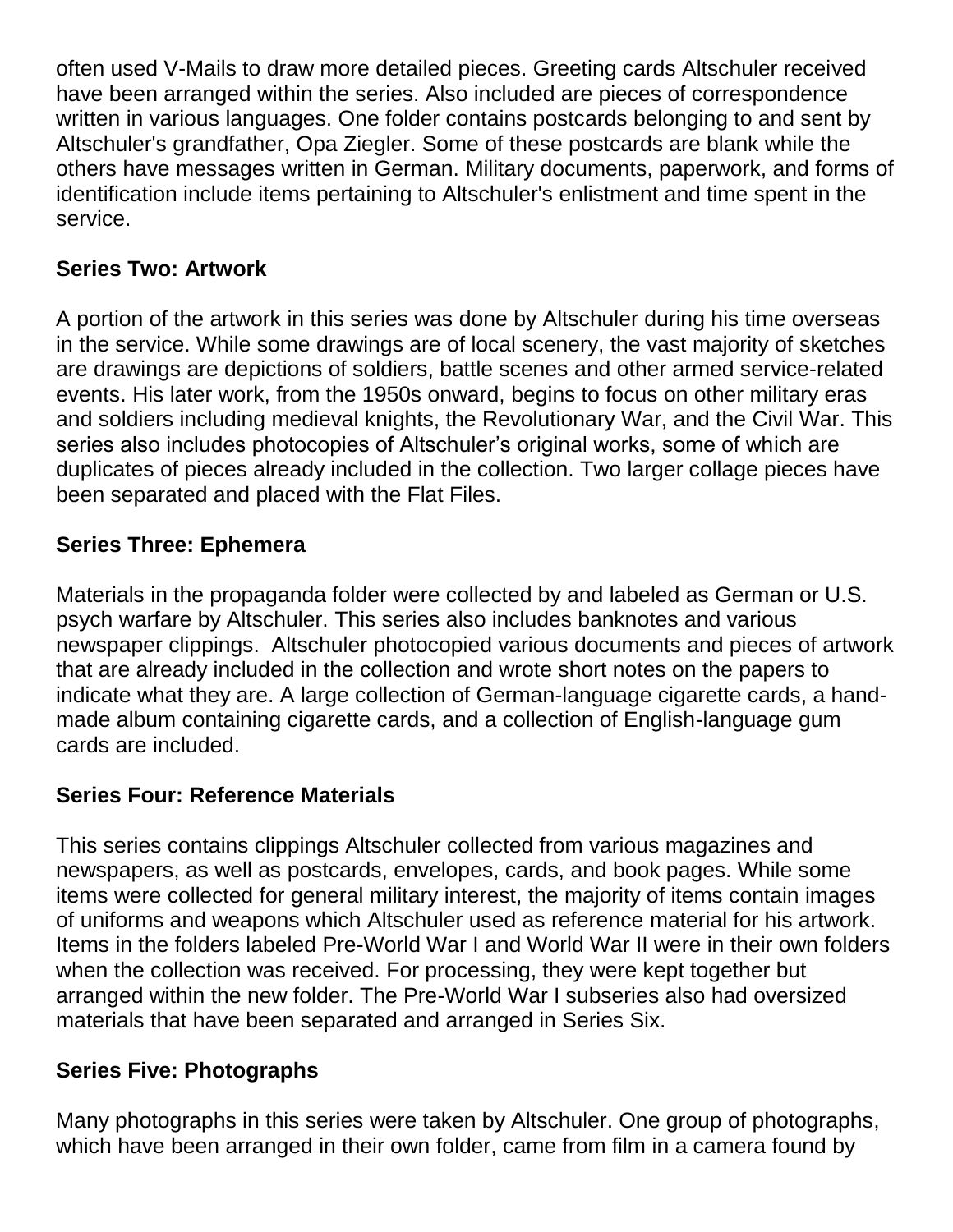often used V-Mails to draw more detailed pieces. Greeting cards Altschuler received have been arranged within the series. Also included are pieces of correspondence written in various languages. One folder contains postcards belonging to and sent by Altschuler's grandfather, Opa Ziegler. Some of these postcards are blank while the others have messages written in German. Military documents, paperwork, and forms of identification include items pertaining to Altschuler's enlistment and time spent in the service.

## **Series Two: Artwork**

A portion of the artwork in this series was done by Altschuler during his time overseas in the service. While some drawings are of local scenery, the vast majority of sketches are drawings are depictions of soldiers, battle scenes and other armed service-related events. His later work, from the 1950s onward, begins to focus on other military eras and soldiers including medieval knights, the Revolutionary War, and the Civil War. This series also includes photocopies of Altschuler's original works, some of which are duplicates of pieces already included in the collection. Two larger collage pieces have been separated and placed with the Flat Files.

## **Series Three: Ephemera**

Materials in the propaganda folder were collected by and labeled as German or U.S. psych warfare by Altschuler. This series also includes banknotes and various newspaper clippings. Altschuler photocopied various documents and pieces of artwork that are already included in the collection and wrote short notes on the papers to indicate what they are. A large collection of German-language cigarette cards, a handmade album containing cigarette cards, and a collection of English-language gum cards are included.

## **Series Four: Reference Materials**

This series contains clippings Altschuler collected from various magazines and newspapers, as well as postcards, envelopes, cards, and book pages. While some items were collected for general military interest, the majority of items contain images of uniforms and weapons which Altschuler used as reference material for his artwork. Items in the folders labeled Pre-World War I and World War II were in their own folders when the collection was received. For processing, they were kept together but arranged within the new folder. The Pre-World War I subseries also had oversized materials that have been separated and arranged in Series Six.

## **Series Five: Photographs**

Many photographs in this series were taken by Altschuler. One group of photographs, which have been arranged in their own folder, came from film in a camera found by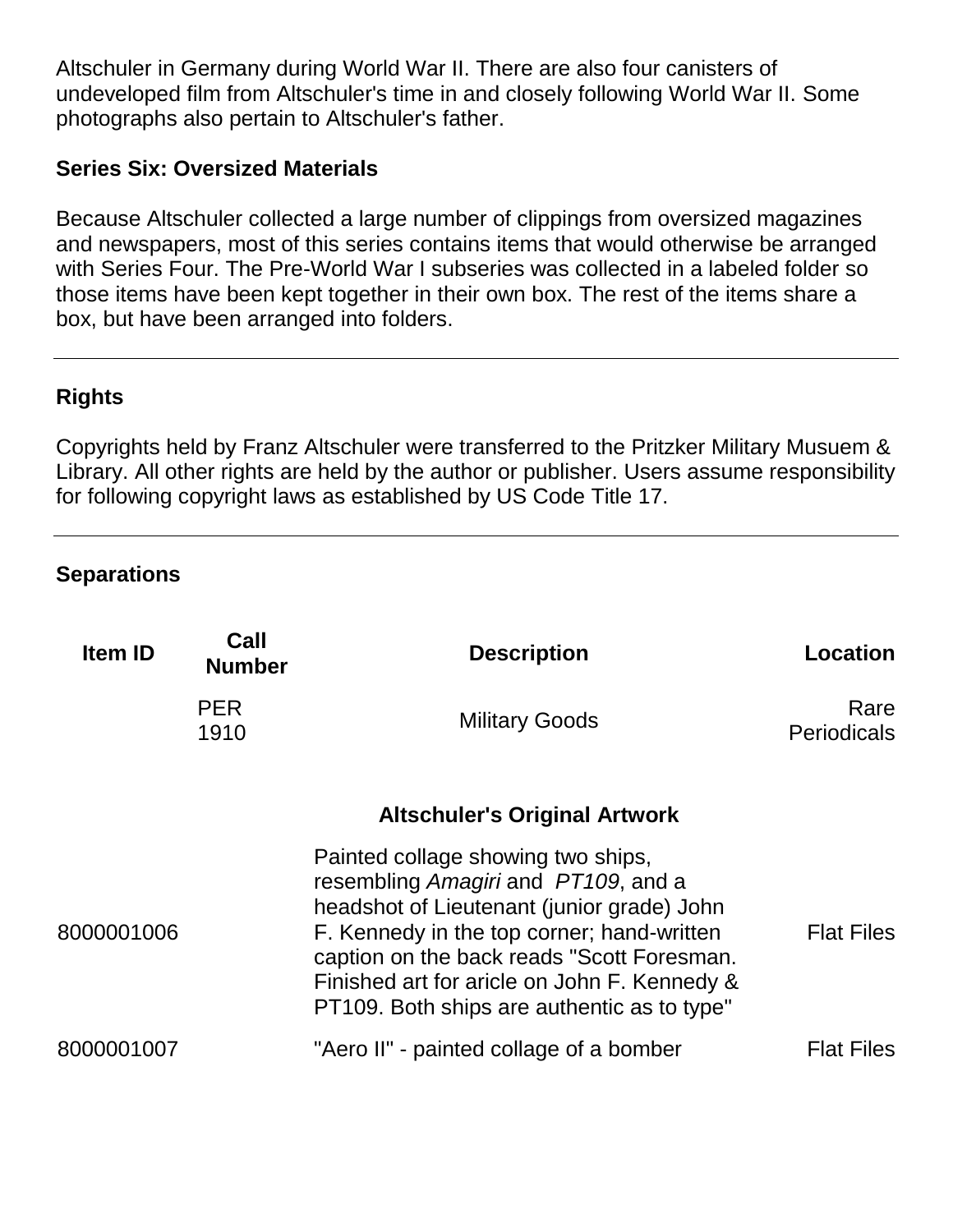Altschuler in Germany during World War II. There are also four canisters of undeveloped film from Altschuler's time in and closely following World War II. Some photographs also pertain to Altschuler's father.

#### **Series Six: Oversized Materials**

Because Altschuler collected a large number of clippings from oversized magazines and newspapers, most of this series contains items that would otherwise be arranged with Series Four. The Pre-World War I subseries was collected in a labeled folder so those items have been kept together in their own box. The rest of the items share a box, but have been arranged into folders.

## **Rights**

Copyrights held by Franz Altschuler were transferred to the Pritzker Military Musuem & Library. All other rights are held by the author or publisher. Users assume responsibility for following copyright laws as established by US Code Title 17.

#### **Separations**

| <b>Item ID</b> | Call<br><b>Number</b> | <b>Description</b>                                                                                                                                                                                                                                                                                                 | <b>Location</b>            |
|----------------|-----------------------|--------------------------------------------------------------------------------------------------------------------------------------------------------------------------------------------------------------------------------------------------------------------------------------------------------------------|----------------------------|
|                | <b>PER</b><br>1910    | <b>Military Goods</b>                                                                                                                                                                                                                                                                                              | Rare<br><b>Periodicals</b> |
|                |                       | <b>Altschuler's Original Artwork</b>                                                                                                                                                                                                                                                                               |                            |
| 8000001006     |                       | Painted collage showing two ships,<br>resembling Amagiri and PT109, and a<br>headshot of Lieutenant (junior grade) John<br>F. Kennedy in the top corner; hand-written<br>caption on the back reads "Scott Foresman.<br>Finished art for aricle on John F. Kennedy &<br>PT109. Both ships are authentic as to type" | <b>Flat Files</b>          |
| 8000001007     |                       | "Aero II" - painted collage of a bomber                                                                                                                                                                                                                                                                            | <b>Flat Files</b>          |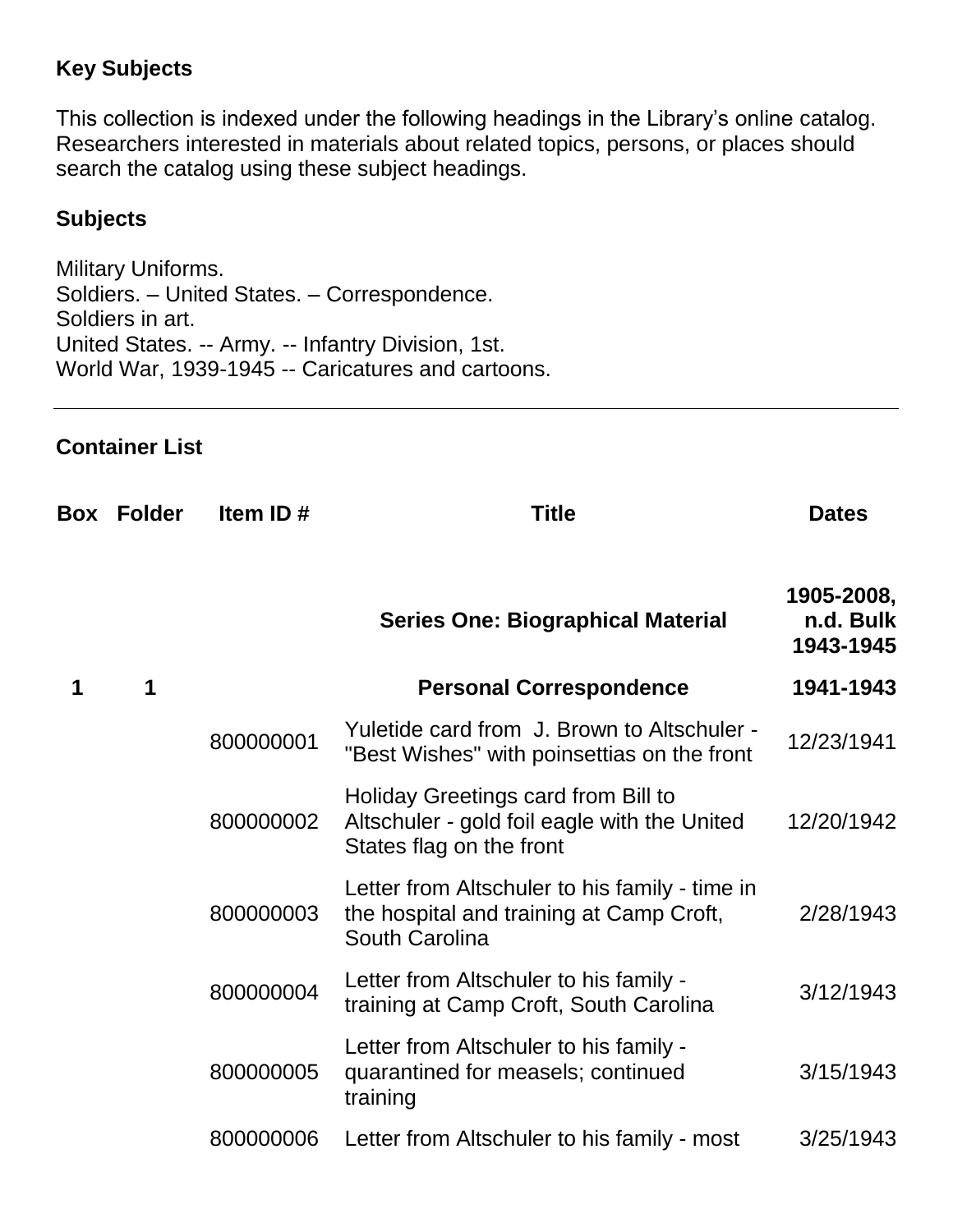## **Key Subjects**

This collection is indexed under the following headings in the Library's online catalog. Researchers interested in materials about related topics, persons, or places should search the catalog using these subject headings.

#### **Subjects**

Military Uniforms. Soldiers. – United States. – Correspondence. Soldiers in art. United States. -- Army. -- Infantry Division, 1st. World War, 1939-1945 -- Caricatures and cartoons.

#### **Container List**

| Box | <b>Folder</b> | Item ID#  | <b>Title</b>                                                                                                    | <b>Dates</b>                         |
|-----|---------------|-----------|-----------------------------------------------------------------------------------------------------------------|--------------------------------------|
|     |               |           | <b>Series One: Biographical Material</b>                                                                        | 1905-2008,<br>n.d. Bulk<br>1943-1945 |
| 1   | 1             |           | <b>Personal Correspondence</b>                                                                                  | 1941-1943                            |
|     |               | 800000001 | Yuletide card from J. Brown to Altschuler -<br>"Best Wishes" with poinsettias on the front                      | 12/23/1941                           |
|     |               | 800000002 | Holiday Greetings card from Bill to<br>Altschuler - gold foil eagle with the United<br>States flag on the front | 12/20/1942                           |
|     |               | 800000003 | Letter from Altschuler to his family - time in<br>the hospital and training at Camp Croft,<br>South Carolina    | 2/28/1943                            |
|     |               | 800000004 | Letter from Altschuler to his family -<br>training at Camp Croft, South Carolina                                | 3/12/1943                            |
|     |               | 800000005 | Letter from Altschuler to his family -<br>quarantined for measels; continued<br>training                        | 3/15/1943                            |
|     |               | 800000006 | Letter from Altschuler to his family - most                                                                     | 3/25/1943                            |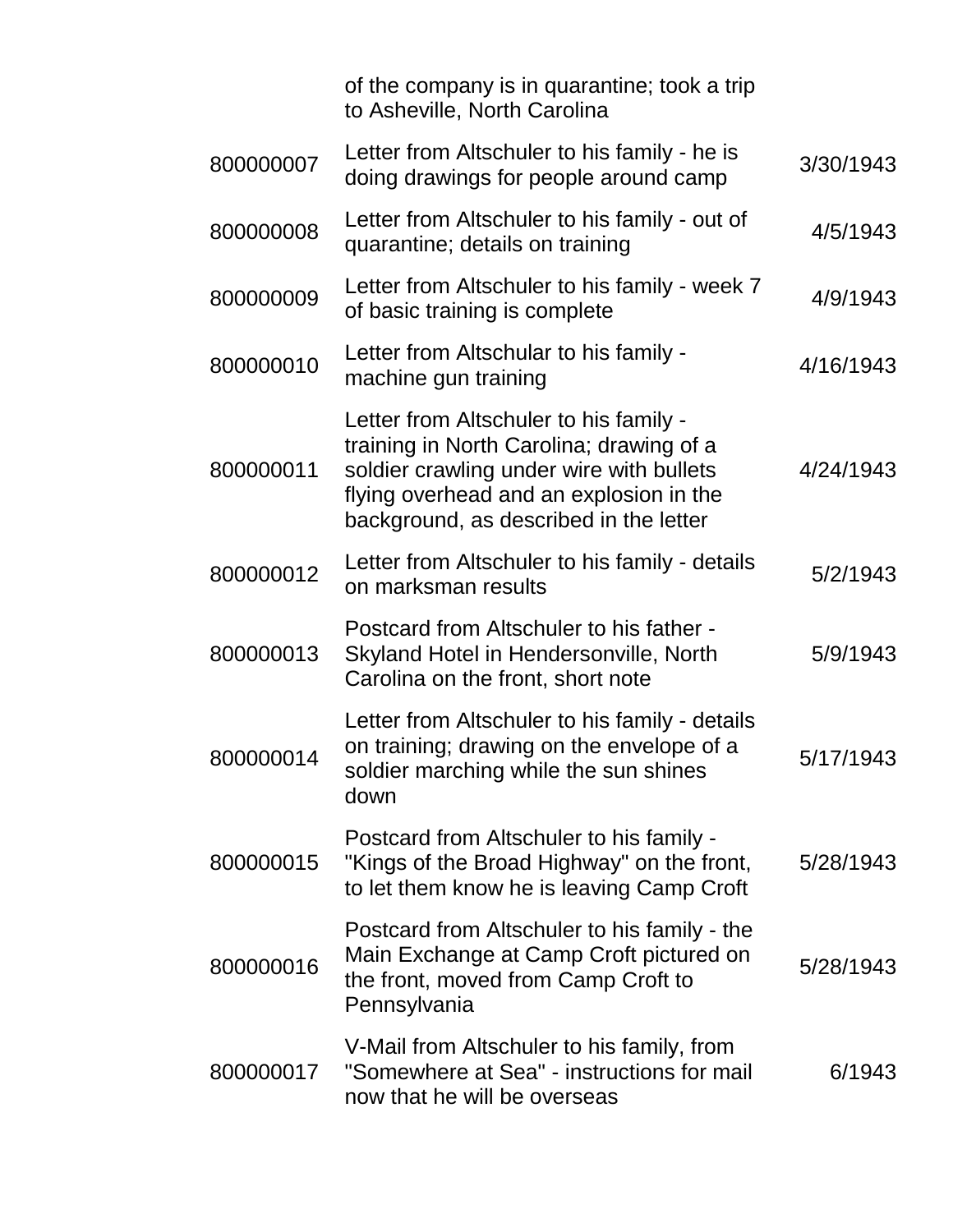|           | of the company is in quarantine; took a trip<br>to Asheville, North Carolina                                                                                                                                        |           |
|-----------|---------------------------------------------------------------------------------------------------------------------------------------------------------------------------------------------------------------------|-----------|
| 800000007 | Letter from Altschuler to his family - he is<br>doing drawings for people around camp                                                                                                                               | 3/30/1943 |
| 800000008 | Letter from Altschuler to his family - out of<br>quarantine; details on training                                                                                                                                    | 4/5/1943  |
| 800000009 | Letter from Altschuler to his family - week 7<br>of basic training is complete                                                                                                                                      | 4/9/1943  |
| 800000010 | Letter from Altschular to his family -<br>machine gun training                                                                                                                                                      | 4/16/1943 |
| 800000011 | Letter from Altschuler to his family -<br>training in North Carolina; drawing of a<br>soldier crawling under wire with bullets<br>flying overhead and an explosion in the<br>background, as described in the letter | 4/24/1943 |
| 800000012 | Letter from Altschuler to his family - details<br>on marksman results                                                                                                                                               | 5/2/1943  |
| 800000013 | Postcard from Altschuler to his father -<br>Skyland Hotel in Hendersonville, North<br>Carolina on the front, short note                                                                                             | 5/9/1943  |
| 800000014 | Letter from Altschuler to his family - details<br>on training; drawing on the envelope of a<br>soldier marching while the sun shines<br>down                                                                        | 5/17/1943 |
| 800000015 | Postcard from Altschuler to his family -<br>"Kings of the Broad Highway" on the front,<br>to let them know he is leaving Camp Croft                                                                                 | 5/28/1943 |
| 800000016 | Postcard from Altschuler to his family - the<br>Main Exchange at Camp Croft pictured on<br>the front, moved from Camp Croft to<br>Pennsylvania                                                                      | 5/28/1943 |
| 800000017 | V-Mail from Altschuler to his family, from<br>"Somewhere at Sea" - instructions for mail<br>now that he will be overseas                                                                                            | 6/1943    |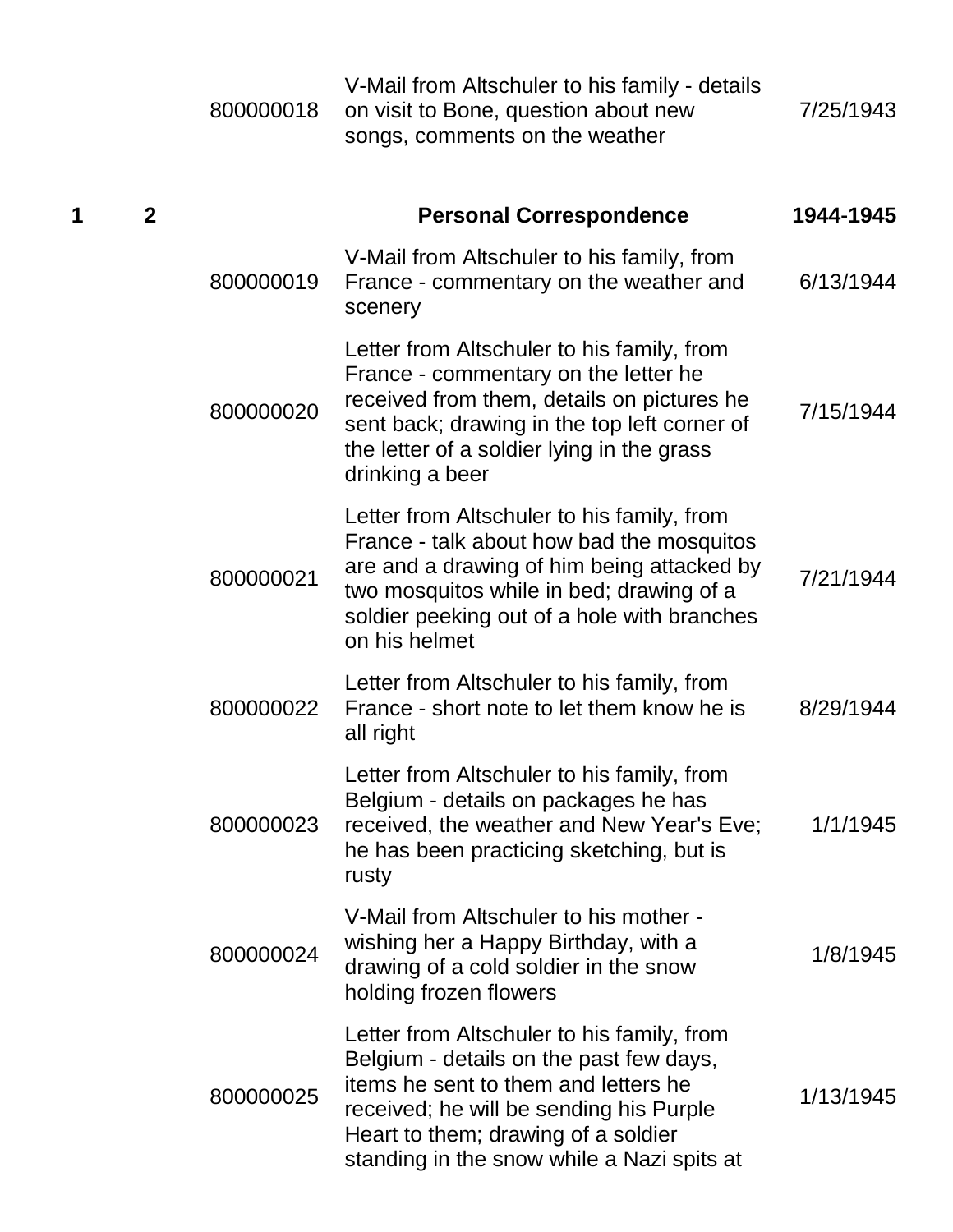|   |                | 800000018 | V-Mail from Altschuler to his family - details<br>on visit to Bone, question about new<br>songs, comments on the weather                                                                                                                                      | 7/25/1943 |
|---|----------------|-----------|---------------------------------------------------------------------------------------------------------------------------------------------------------------------------------------------------------------------------------------------------------------|-----------|
| 1 | $\overline{2}$ |           | <b>Personal Correspondence</b>                                                                                                                                                                                                                                | 1944-1945 |
|   |                | 800000019 | V-Mail from Altschuler to his family, from<br>France - commentary on the weather and<br>scenery                                                                                                                                                               | 6/13/1944 |
|   |                | 800000020 | Letter from Altschuler to his family, from<br>France - commentary on the letter he<br>received from them, details on pictures he<br>sent back; drawing in the top left corner of<br>the letter of a soldier lying in the grass<br>drinking a beer             | 7/15/1944 |
|   |                | 800000021 | Letter from Altschuler to his family, from<br>France - talk about how bad the mosquitos<br>are and a drawing of him being attacked by<br>two mosquitos while in bed; drawing of a<br>soldier peeking out of a hole with branches<br>on his helmet             | 7/21/1944 |
|   |                | 800000022 | Letter from Altschuler to his family, from<br>France - short note to let them know he is<br>all right                                                                                                                                                         | 8/29/1944 |
|   |                | 800000023 | Letter from Altschuler to his family, from<br>Belgium - details on packages he has<br>received, the weather and New Year's Eve;<br>he has been practicing sketching, but is<br>rusty                                                                          | 1/1/1945  |
|   |                | 800000024 | V-Mail from Altschuler to his mother -<br>wishing her a Happy Birthday, with a<br>drawing of a cold soldier in the snow<br>holding frozen flowers                                                                                                             | 1/8/1945  |
|   |                | 800000025 | Letter from Altschuler to his family, from<br>Belgium - details on the past few days,<br>items he sent to them and letters he<br>received; he will be sending his Purple<br>Heart to them; drawing of a soldier<br>standing in the snow while a Nazi spits at | 1/13/1945 |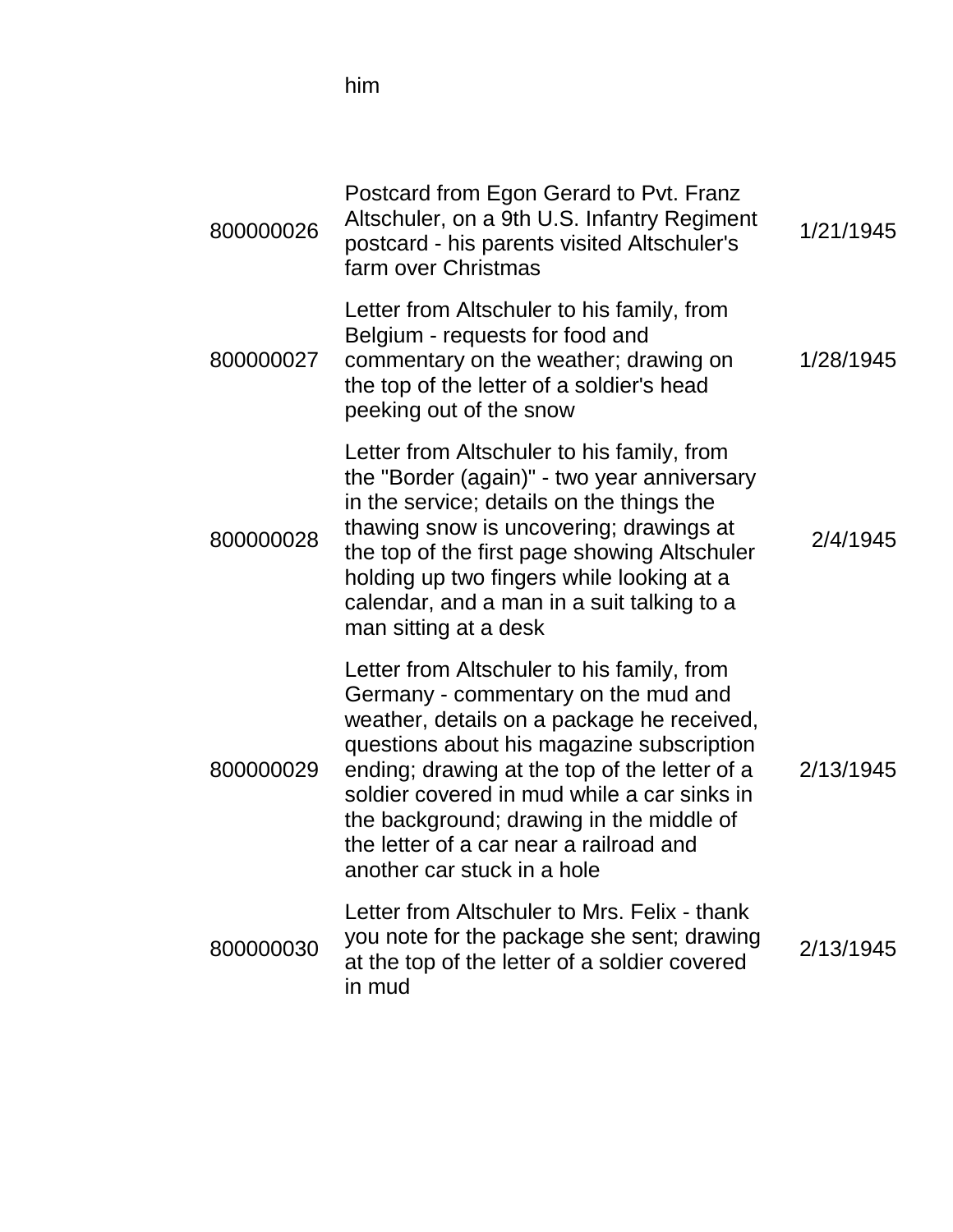him

| 800000026 | Postcard from Egon Gerard to Pvt. Franz<br>Altschuler, on a 9th U.S. Infantry Regiment<br>postcard - his parents visited Altschuler's<br>farm over Christmas                                                                                                                                                                                                                                       | 1/21/1945 |
|-----------|----------------------------------------------------------------------------------------------------------------------------------------------------------------------------------------------------------------------------------------------------------------------------------------------------------------------------------------------------------------------------------------------------|-----------|
| 800000027 | Letter from Altschuler to his family, from<br>Belgium - requests for food and<br>commentary on the weather; drawing on<br>the top of the letter of a soldier's head<br>peeking out of the snow                                                                                                                                                                                                     | 1/28/1945 |
| 800000028 | Letter from Altschuler to his family, from<br>the "Border (again)" - two year anniversary<br>in the service; details on the things the<br>thawing snow is uncovering; drawings at<br>the top of the first page showing Altschuler<br>holding up two fingers while looking at a<br>calendar, and a man in a suit talking to a<br>man sitting at a desk                                              | 2/4/1945  |
| 800000029 | Letter from Altschuler to his family, from<br>Germany - commentary on the mud and<br>weather, details on a package he received,<br>questions about his magazine subscription<br>ending; drawing at the top of the letter of a<br>soldier covered in mud while a car sinks in<br>the background; drawing in the middle of<br>the letter of a car near a railroad and<br>another car stuck in a hole | 2/13/1945 |
| 800000030 | Letter from Altschuler to Mrs. Felix - thank<br>you note for the package she sent; drawing<br>at the top of the letter of a soldier covered<br>in mud                                                                                                                                                                                                                                              | 2/13/1945 |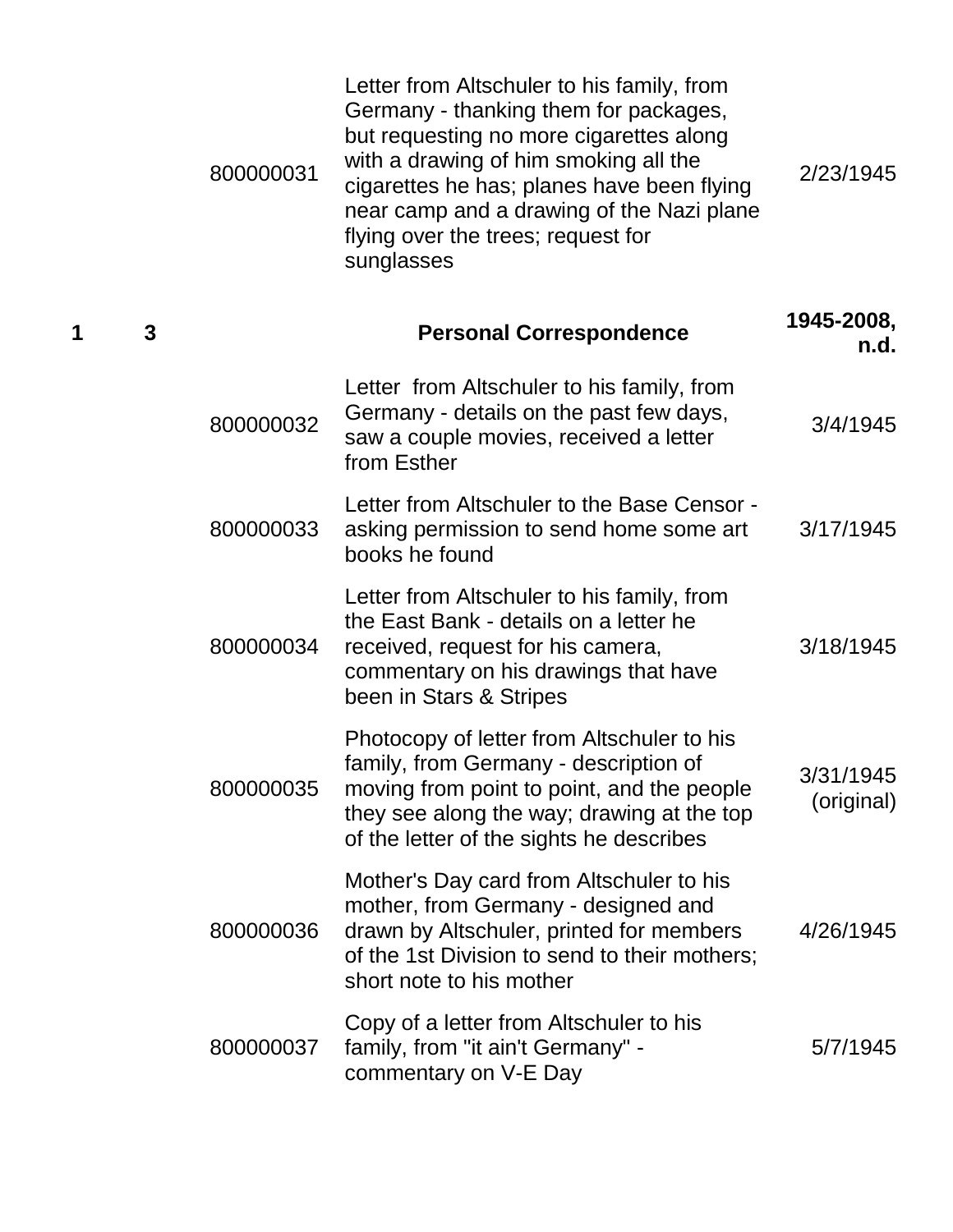|   |   | 800000031 | Letter from Altschuler to his family, from<br>Germany - thanking them for packages,<br>but requesting no more cigarettes along<br>with a drawing of him smoking all the<br>cigarettes he has; planes have been flying<br>near camp and a drawing of the Nazi plane<br>flying over the trees; request for<br>sunglasses | 2/23/1945               |
|---|---|-----------|------------------------------------------------------------------------------------------------------------------------------------------------------------------------------------------------------------------------------------------------------------------------------------------------------------------------|-------------------------|
| 1 | 3 |           | <b>Personal Correspondence</b>                                                                                                                                                                                                                                                                                         | 1945-2008,<br>n.d.      |
|   |   | 800000032 | Letter from Altschuler to his family, from<br>Germany - details on the past few days,<br>saw a couple movies, received a letter<br>from Esther                                                                                                                                                                         | 3/4/1945                |
|   |   | 800000033 | Letter from Altschuler to the Base Censor -<br>asking permission to send home some art<br>books he found                                                                                                                                                                                                               | 3/17/1945               |
|   |   | 800000034 | Letter from Altschuler to his family, from<br>the East Bank - details on a letter he<br>received, request for his camera,<br>commentary on his drawings that have<br>been in Stars & Stripes                                                                                                                           | 3/18/1945               |
|   |   | 800000035 | Photocopy of letter from Altschuler to his<br>family, from Germany - description of<br>moving from point to point, and the people<br>they see along the way; drawing at the top<br>of the letter of the sights he describes                                                                                            | 3/31/1945<br>(original) |
|   |   | 800000036 | Mother's Day card from Altschuler to his<br>mother, from Germany - designed and<br>drawn by Altschuler, printed for members<br>of the 1st Division to send to their mothers;<br>short note to his mother                                                                                                               | 4/26/1945               |
|   |   | 800000037 | Copy of a letter from Altschuler to his<br>family, from "it ain't Germany" -<br>commentary on V-E Day                                                                                                                                                                                                                  | 5/7/1945                |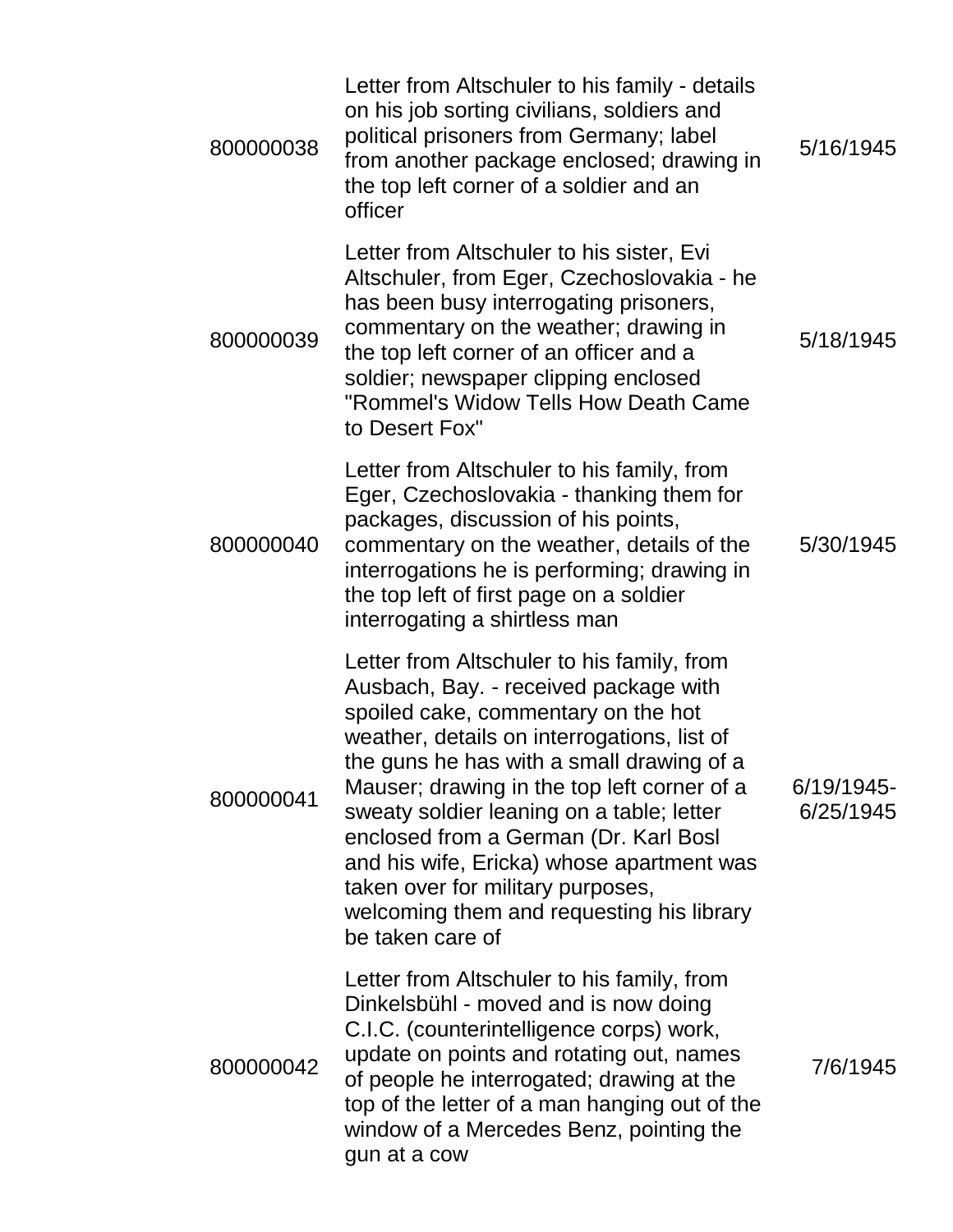| 800000038 | Letter from Altschuler to his family - details<br>on his job sorting civilians, soldiers and<br>political prisoners from Germany; label<br>from another package enclosed; drawing in<br>the top left corner of a soldier and an<br>officer                                                                                                                                                                                                                                                                     | 5/16/1945               |
|-----------|----------------------------------------------------------------------------------------------------------------------------------------------------------------------------------------------------------------------------------------------------------------------------------------------------------------------------------------------------------------------------------------------------------------------------------------------------------------------------------------------------------------|-------------------------|
| 800000039 | Letter from Altschuler to his sister, Evi<br>Altschuler, from Eger, Czechoslovakia - he<br>has been busy interrogating prisoners,<br>commentary on the weather; drawing in<br>the top left corner of an officer and a<br>soldier; newspaper clipping enclosed<br>"Rommel's Widow Tells How Death Came<br>to Desert Fox"                                                                                                                                                                                        | 5/18/1945               |
| 800000040 | Letter from Altschuler to his family, from<br>Eger, Czechoslovakia - thanking them for<br>packages, discussion of his points,<br>commentary on the weather, details of the<br>interrogations he is performing; drawing in<br>the top left of first page on a soldier<br>interrogating a shirtless man                                                                                                                                                                                                          | 5/30/1945               |
| 800000041 | Letter from Altschuler to his family, from<br>Ausbach, Bay. - received package with<br>spoiled cake, commentary on the hot<br>weather, details on interrogations, list of<br>the guns he has with a small drawing of a<br>Mauser; drawing in the top left corner of a<br>sweaty soldier leaning on a table; letter<br>enclosed from a German (Dr. Karl Bosl<br>and his wife, Ericka) whose apartment was<br>taken over for military purposes,<br>welcoming them and requesting his library<br>be taken care of | 6/19/1945-<br>6/25/1945 |
| 800000042 | Letter from Altschuler to his family, from<br>Dinkelsbühl - moved and is now doing<br>C.I.C. (counterintelligence corps) work,<br>update on points and rotating out, names<br>of people he interrogated; drawing at the<br>top of the letter of a man hanging out of the<br>window of a Mercedes Benz, pointing the<br>gun at a cow                                                                                                                                                                            | 7/6/1945                |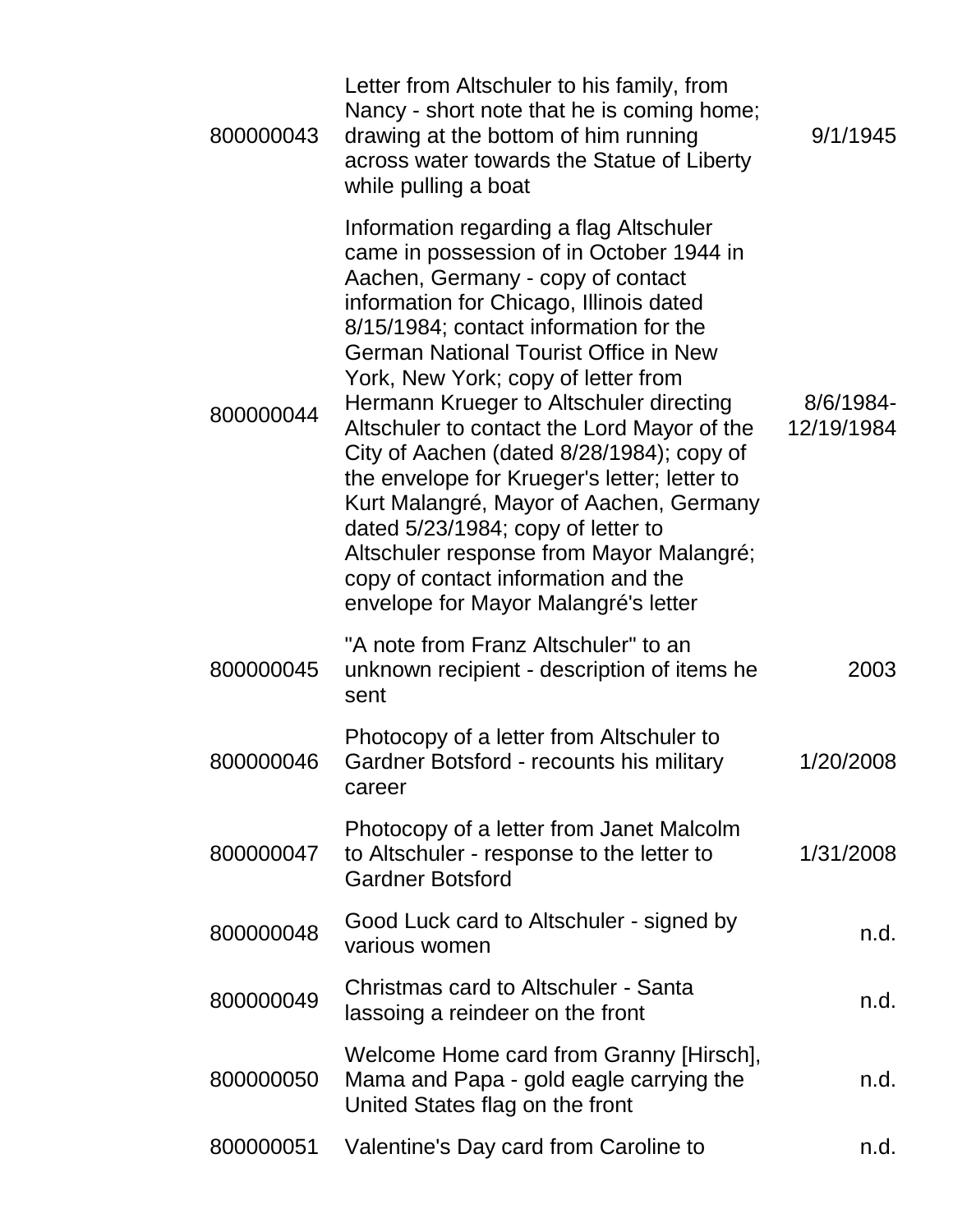| 800000043 | Letter from Altschuler to his family, from<br>Nancy - short note that he is coming home;<br>drawing at the bottom of him running<br>across water towards the Statue of Liberty<br>while pulling a boat                                                                                                                                                                                                                                                                                                                                                                                                                                                                                                  | 9/1/1945                |
|-----------|---------------------------------------------------------------------------------------------------------------------------------------------------------------------------------------------------------------------------------------------------------------------------------------------------------------------------------------------------------------------------------------------------------------------------------------------------------------------------------------------------------------------------------------------------------------------------------------------------------------------------------------------------------------------------------------------------------|-------------------------|
| 800000044 | Information regarding a flag Altschuler<br>came in possession of in October 1944 in<br>Aachen, Germany - copy of contact<br>information for Chicago, Illinois dated<br>8/15/1984; contact information for the<br><b>German National Tourist Office in New</b><br>York, New York; copy of letter from<br>Hermann Krueger to Altschuler directing<br>Altschuler to contact the Lord Mayor of the<br>City of Aachen (dated 8/28/1984); copy of<br>the envelope for Krueger's letter; letter to<br>Kurt Malangré, Mayor of Aachen, Germany<br>dated 5/23/1984; copy of letter to<br>Altschuler response from Mayor Malangré;<br>copy of contact information and the<br>envelope for Mayor Malangré's letter | 8/6/1984-<br>12/19/1984 |
| 800000045 | "A note from Franz Altschuler" to an<br>unknown recipient - description of items he<br>sent                                                                                                                                                                                                                                                                                                                                                                                                                                                                                                                                                                                                             | 2003                    |
| 800000046 | Photocopy of a letter from Altschuler to<br>Gardner Botsford - recounts his military<br>career                                                                                                                                                                                                                                                                                                                                                                                                                                                                                                                                                                                                          | 1/20/2008               |
| 800000047 | Photocopy of a letter from Janet Malcolm<br>to Altschuler - response to the letter to<br><b>Gardner Botsford</b>                                                                                                                                                                                                                                                                                                                                                                                                                                                                                                                                                                                        | 1/31/2008               |
| 800000048 | Good Luck card to Altschuler - signed by<br>various women                                                                                                                                                                                                                                                                                                                                                                                                                                                                                                                                                                                                                                               | n.d.                    |
| 800000049 | Christmas card to Altschuler - Santa<br>lassoing a reindeer on the front                                                                                                                                                                                                                                                                                                                                                                                                                                                                                                                                                                                                                                | n.d.                    |
| 800000050 | Welcome Home card from Granny [Hirsch],<br>Mama and Papa - gold eagle carrying the<br>United States flag on the front                                                                                                                                                                                                                                                                                                                                                                                                                                                                                                                                                                                   | n.d.                    |
| 800000051 | Valentine's Day card from Caroline to                                                                                                                                                                                                                                                                                                                                                                                                                                                                                                                                                                                                                                                                   | n.d.                    |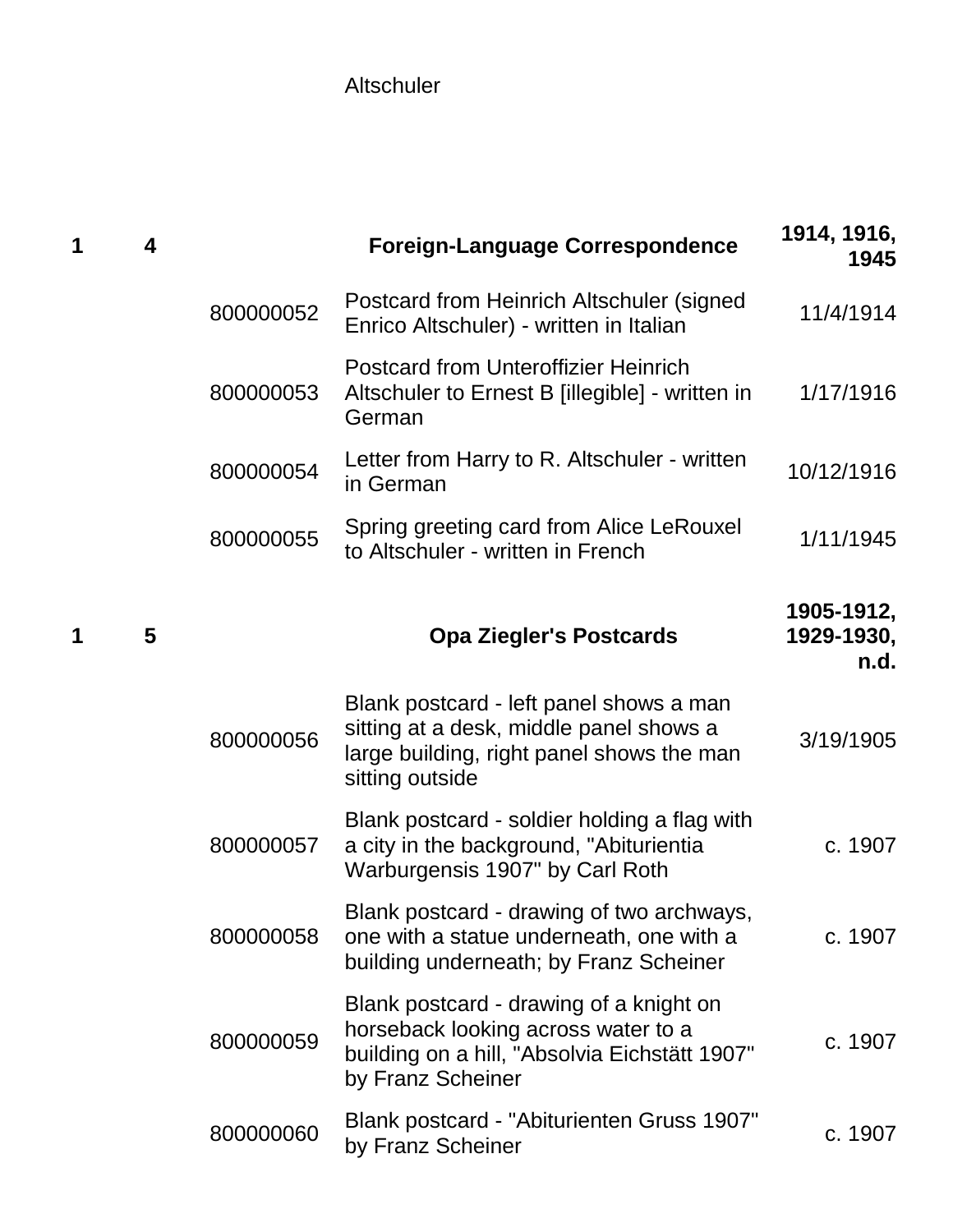Altschuler

| 1 | 4 |           | <b>Foreign-Language Correspondence</b>                                                                                                               | 1914, 1916,<br>1945              |
|---|---|-----------|------------------------------------------------------------------------------------------------------------------------------------------------------|----------------------------------|
|   |   | 800000052 | Postcard from Heinrich Altschuler (signed<br>Enrico Altschuler) - written in Italian                                                                 | 11/4/1914                        |
|   |   | 800000053 | <b>Postcard from Unteroffizier Heinrich</b><br>Altschuler to Ernest B [illegible] - written in<br>German                                             | 1/17/1916                        |
|   |   | 800000054 | Letter from Harry to R. Altschuler - written<br>in German                                                                                            | 10/12/1916                       |
|   |   | 800000055 | Spring greeting card from Alice LeRouxel<br>to Altschuler - written in French                                                                        | 1/11/1945                        |
| 1 | 5 |           | <b>Opa Ziegler's Postcards</b>                                                                                                                       | 1905-1912,<br>1929-1930,<br>n.d. |
|   |   | 800000056 | Blank postcard - left panel shows a man<br>sitting at a desk, middle panel shows a<br>large building, right panel shows the man<br>sitting outside   | 3/19/1905                        |
|   |   | 800000057 | Blank postcard - soldier holding a flag with<br>a city in the background, "Abiturientia<br>Warburgensis 1907" by Carl Roth                           | c. 1907                          |
|   |   | 800000058 | Blank postcard - drawing of two archways,<br>one with a statue underneath, one with a<br>building underneath; by Franz Scheiner                      | c. 1907                          |
|   |   | 800000059 | Blank postcard - drawing of a knight on<br>horseback looking across water to a<br>building on a hill, "Absolvia Eichstätt 1907"<br>by Franz Scheiner | c. 1907                          |
|   |   | 800000060 | Blank postcard - "Abiturienten Gruss 1907"<br>by Franz Scheiner                                                                                      | c. 1907                          |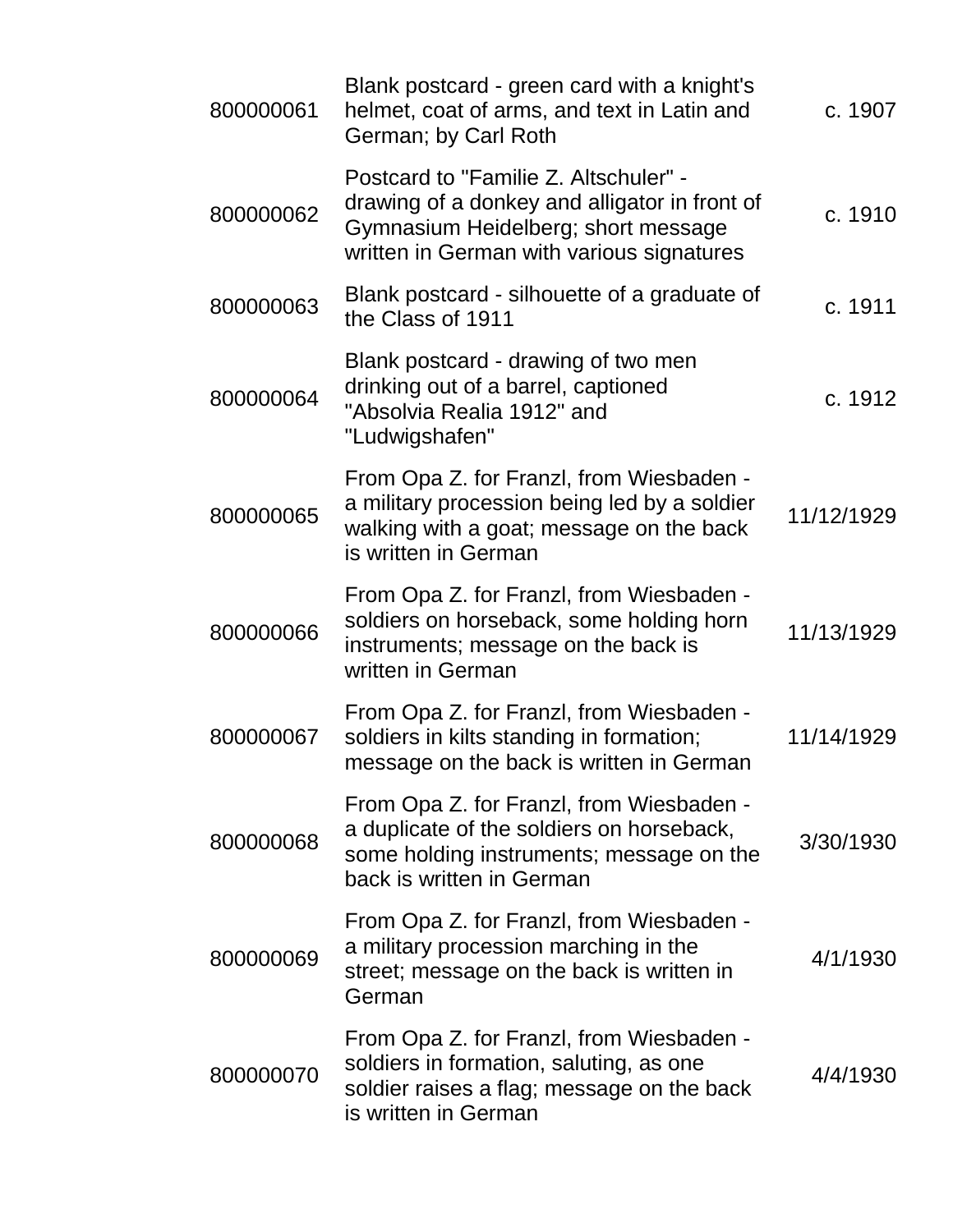| 800000061 | Blank postcard - green card with a knight's<br>helmet, coat of arms, and text in Latin and<br>German; by Carl Roth                                                         | c. 1907    |
|-----------|----------------------------------------------------------------------------------------------------------------------------------------------------------------------------|------------|
| 800000062 | Postcard to "Familie Z. Altschuler" -<br>drawing of a donkey and alligator in front of<br>Gymnasium Heidelberg; short message<br>written in German with various signatures | c. 1910    |
| 800000063 | Blank postcard - silhouette of a graduate of<br>the Class of 1911                                                                                                          | c. 1911    |
| 800000064 | Blank postcard - drawing of two men<br>drinking out of a barrel, captioned<br>"Absolvia Realia 1912" and<br>"Ludwigshafen"                                                 | c. 1912    |
| 800000065 | From Opa Z. for Franzl, from Wiesbaden -<br>a military procession being led by a soldier<br>walking with a goat; message on the back<br>is written in German               | 11/12/1929 |
| 800000066 | From Opa Z. for Franzl, from Wiesbaden -<br>soldiers on horseback, some holding horn<br>instruments; message on the back is<br>written in German                           | 11/13/1929 |
| 800000067 | From Opa Z. for Franzl, from Wiesbaden -<br>soldiers in kilts standing in formation;<br>message on the back is written in German                                           | 11/14/1929 |
| 800000068 | From Opa Z. for Franzl, from Wiesbaden -<br>a duplicate of the soldiers on horseback,<br>some holding instruments; message on the<br>back is written in German             | 3/30/1930  |
| 800000069 | From Opa Z. for Franzl, from Wiesbaden -<br>a military procession marching in the<br>street; message on the back is written in<br>German                                   | 4/1/1930   |
| 800000070 | From Opa Z. for Franzl, from Wiesbaden -<br>soldiers in formation, saluting, as one<br>soldier raises a flag; message on the back<br>is written in German                  | 4/4/1930   |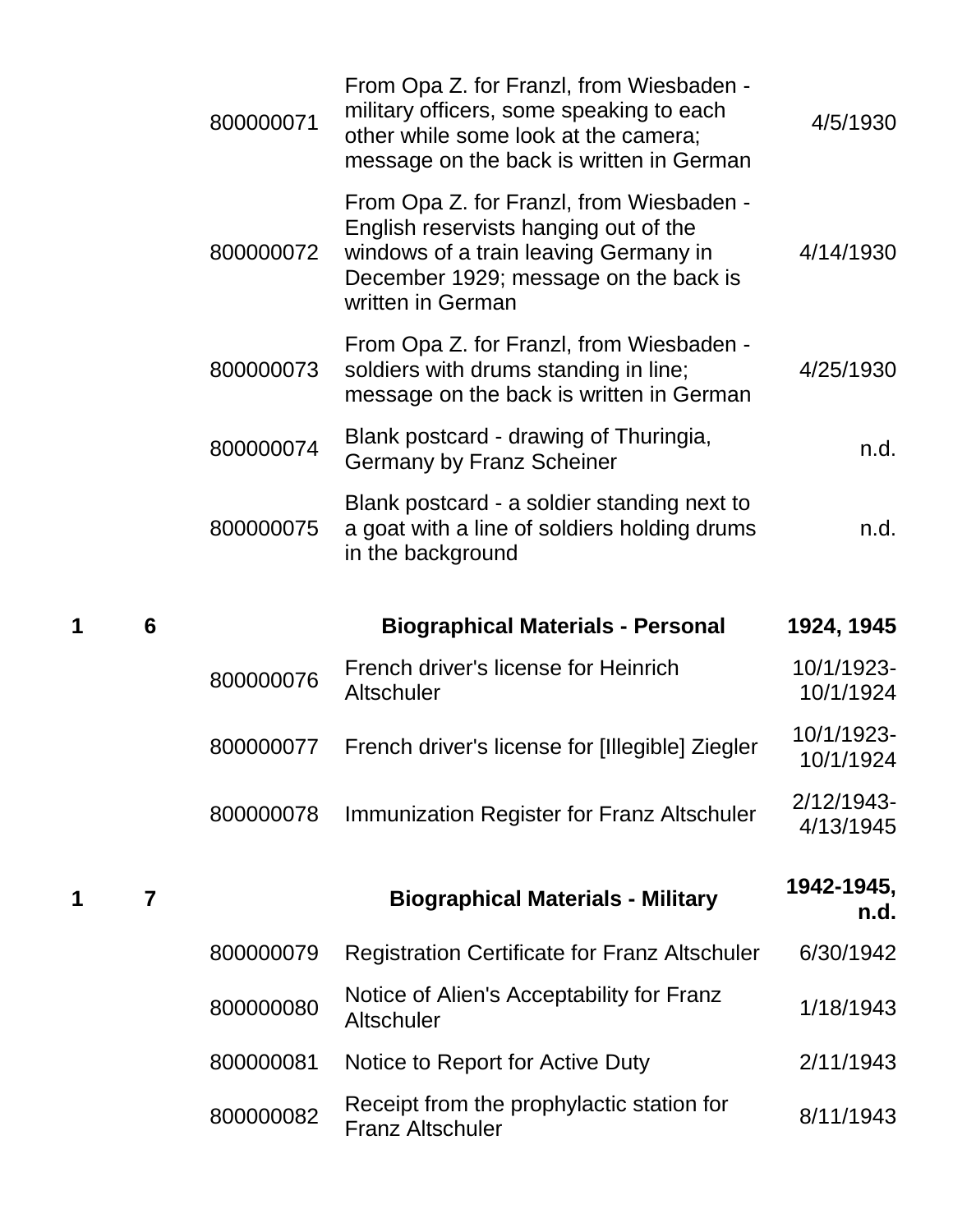|   |   | 800000071 | From Opa Z. for Franzl, from Wiesbaden -<br>military officers, some speaking to each<br>other while some look at the camera;<br>message on the back is written in German                 | 4/5/1930                |
|---|---|-----------|------------------------------------------------------------------------------------------------------------------------------------------------------------------------------------------|-------------------------|
|   |   | 800000072 | From Opa Z. for Franzl, from Wiesbaden -<br>English reservists hanging out of the<br>windows of a train leaving Germany in<br>December 1929; message on the back is<br>written in German | 4/14/1930               |
|   |   | 800000073 | From Opa Z. for Franzl, from Wiesbaden -<br>soldiers with drums standing in line;<br>message on the back is written in German                                                            | 4/25/1930               |
|   |   | 800000074 | Blank postcard - drawing of Thuringia,<br><b>Germany by Franz Scheiner</b>                                                                                                               | n.d.                    |
|   |   | 800000075 | Blank postcard - a soldier standing next to<br>a goat with a line of soldiers holding drums<br>in the background                                                                         | n.d.                    |
|   |   |           |                                                                                                                                                                                          |                         |
| 1 | 6 |           | <b>Biographical Materials - Personal</b>                                                                                                                                                 | 1924, 1945              |
|   |   | 800000076 | French driver's license for Heinrich<br>Altschuler                                                                                                                                       | 10/1/1923-<br>10/1/1924 |
|   |   | 800000077 | French driver's license for [Illegible] Ziegler                                                                                                                                          | 10/1/1923-<br>10/1/1924 |
|   |   | 800000078 | Immunization Register for Franz Altschuler                                                                                                                                               | 2/12/1943-<br>4/13/1945 |
|   | 7 |           | <b>Biographical Materials - Military</b>                                                                                                                                                 | 1942-1945,<br>n.d.      |
| 1 |   | 800000079 | <b>Registration Certificate for Franz Altschuler</b>                                                                                                                                     | 6/30/1942               |
|   |   | 800000080 | Notice of Alien's Acceptability for Franz<br>Altschuler                                                                                                                                  | 1/18/1943               |
|   |   | 800000081 | Notice to Report for Active Duty                                                                                                                                                         | 2/11/1943               |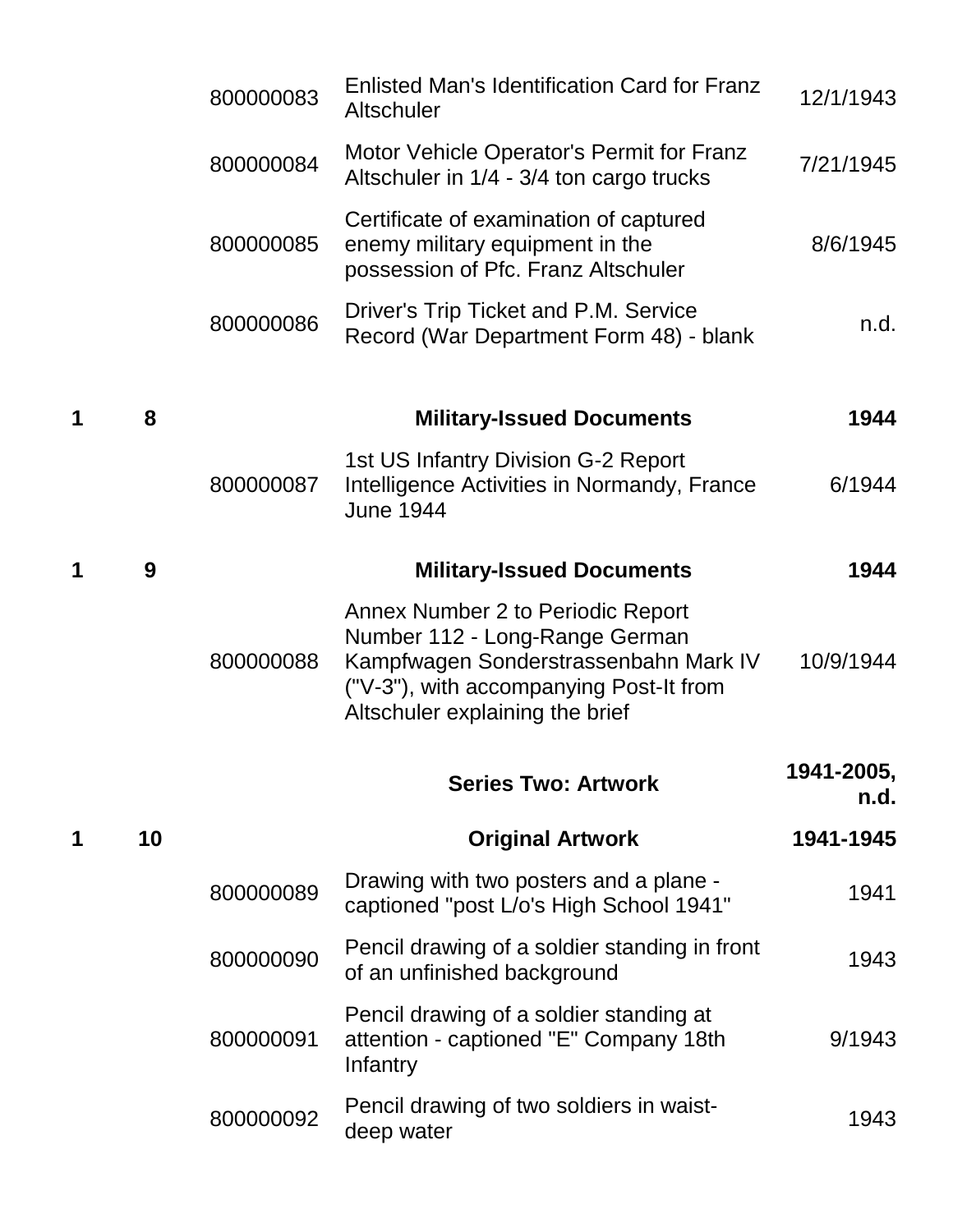|   |    | 800000083 | Enlisted Man's Identification Card for Franz<br>Altschuler                                                                                                                                 | 12/1/1943          |
|---|----|-----------|--------------------------------------------------------------------------------------------------------------------------------------------------------------------------------------------|--------------------|
|   |    | 800000084 | Motor Vehicle Operator's Permit for Franz<br>Altschuler in 1/4 - 3/4 ton cargo trucks                                                                                                      | 7/21/1945          |
|   |    | 800000085 | Certificate of examination of captured<br>enemy military equipment in the<br>possession of Pfc. Franz Altschuler                                                                           | 8/6/1945           |
|   |    | 800000086 | Driver's Trip Ticket and P.M. Service<br>Record (War Department Form 48) - blank                                                                                                           | n.d.               |
|   | 8  |           | <b>Military-Issued Documents</b>                                                                                                                                                           | 1944               |
|   |    | 800000087 | 1st US Infantry Division G-2 Report<br>Intelligence Activities in Normandy, France<br><b>June 1944</b>                                                                                     | 6/1944             |
|   | 9  |           | <b>Military-Issued Documents</b>                                                                                                                                                           | 1944               |
|   |    | 800000088 | Annex Number 2 to Periodic Report<br>Number 112 - Long-Range German<br>Kampfwagen Sonderstrassenbahn Mark IV<br>("V-3"), with accompanying Post-It from<br>Altschuler explaining the brief | 10/9/1944          |
|   |    |           | <b>Series Two: Artwork</b>                                                                                                                                                                 | 1941-2005,<br>n.d. |
| 1 | 10 |           | <b>Original Artwork</b>                                                                                                                                                                    | 1941-1945          |
|   |    | 800000089 | Drawing with two posters and a plane -<br>captioned "post L/o's High School 1941"                                                                                                          | 1941               |
|   |    | 800000090 | Pencil drawing of a soldier standing in front<br>of an unfinished background                                                                                                               | 1943               |
|   |    | 800000091 | Pencil drawing of a soldier standing at<br>attention - captioned "E" Company 18th<br>Infantry                                                                                              | 9/1943             |
|   |    | 800000092 | Pencil drawing of two soldiers in waist-<br>deep water                                                                                                                                     | 1943               |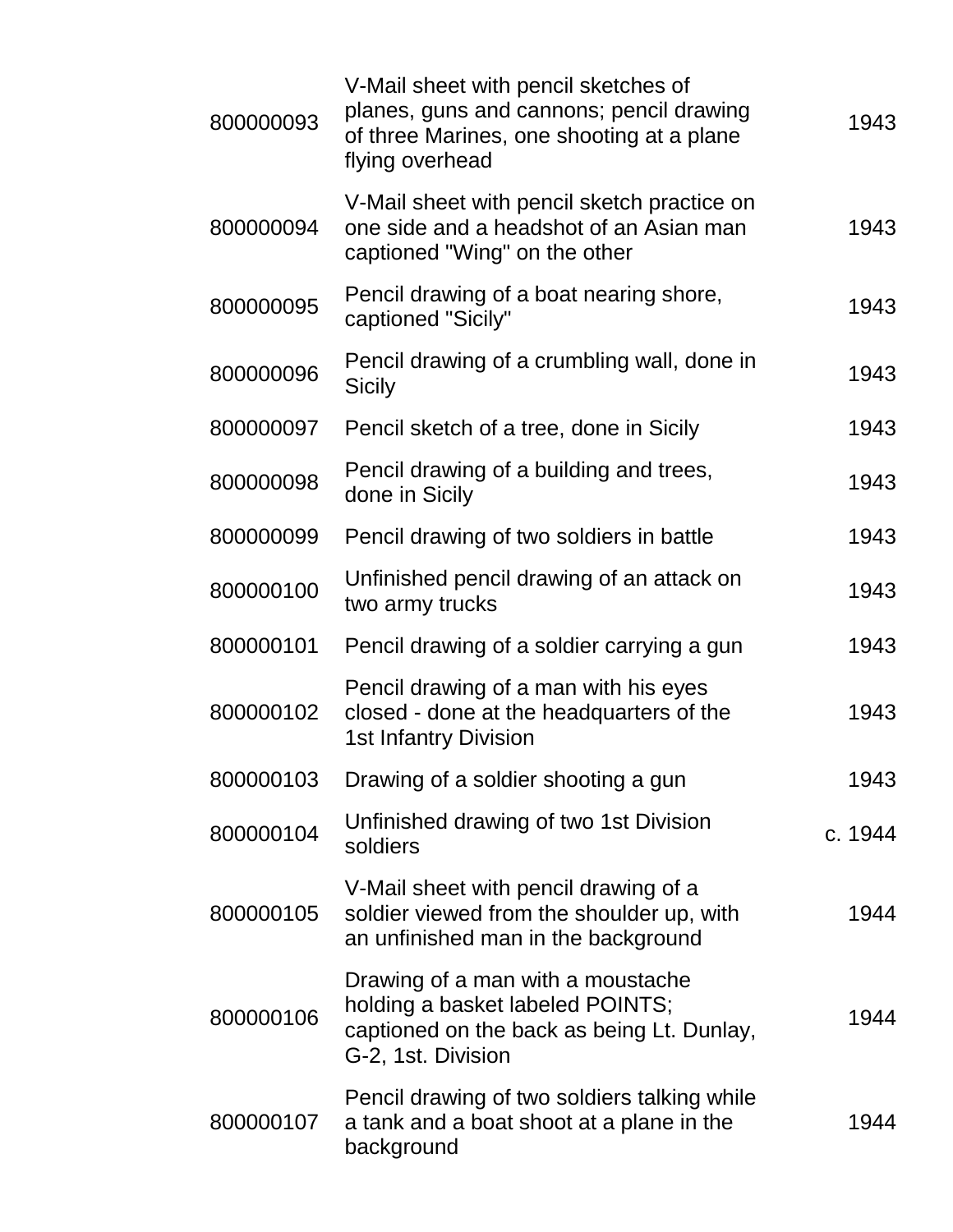| 800000093 | V-Mail sheet with pencil sketches of<br>planes, guns and cannons; pencil drawing<br>of three Marines, one shooting at a plane<br>flying overhead | 1943    |
|-----------|--------------------------------------------------------------------------------------------------------------------------------------------------|---------|
| 800000094 | V-Mail sheet with pencil sketch practice on<br>one side and a headshot of an Asian man<br>captioned "Wing" on the other                          | 1943    |
| 800000095 | Pencil drawing of a boat nearing shore,<br>captioned "Sicily"                                                                                    | 1943    |
| 800000096 | Pencil drawing of a crumbling wall, done in<br><b>Sicily</b>                                                                                     | 1943    |
| 800000097 | Pencil sketch of a tree, done in Sicily                                                                                                          | 1943    |
| 800000098 | Pencil drawing of a building and trees,<br>done in Sicily                                                                                        | 1943    |
| 800000099 | Pencil drawing of two soldiers in battle                                                                                                         | 1943    |
| 800000100 | Unfinished pencil drawing of an attack on<br>two army trucks                                                                                     | 1943    |
| 800000101 | Pencil drawing of a soldier carrying a gun                                                                                                       | 1943    |
| 800000102 | Pencil drawing of a man with his eyes<br>closed - done at the headquarters of the<br><b>1st Infantry Division</b>                                | 1943    |
| 800000103 | Drawing of a soldier shooting a gun                                                                                                              | 1943    |
| 800000104 | Unfinished drawing of two 1st Division<br>soldiers                                                                                               | c. 1944 |
| 800000105 | V-Mail sheet with pencil drawing of a<br>soldier viewed from the shoulder up, with<br>an unfinished man in the background                        | 1944    |
| 800000106 | Drawing of a man with a moustache<br>holding a basket labeled POINTS;<br>captioned on the back as being Lt. Dunlay,<br>G-2, 1st. Division        | 1944    |
| 800000107 | Pencil drawing of two soldiers talking while<br>a tank and a boat shoot at a plane in the<br>background                                          | 1944    |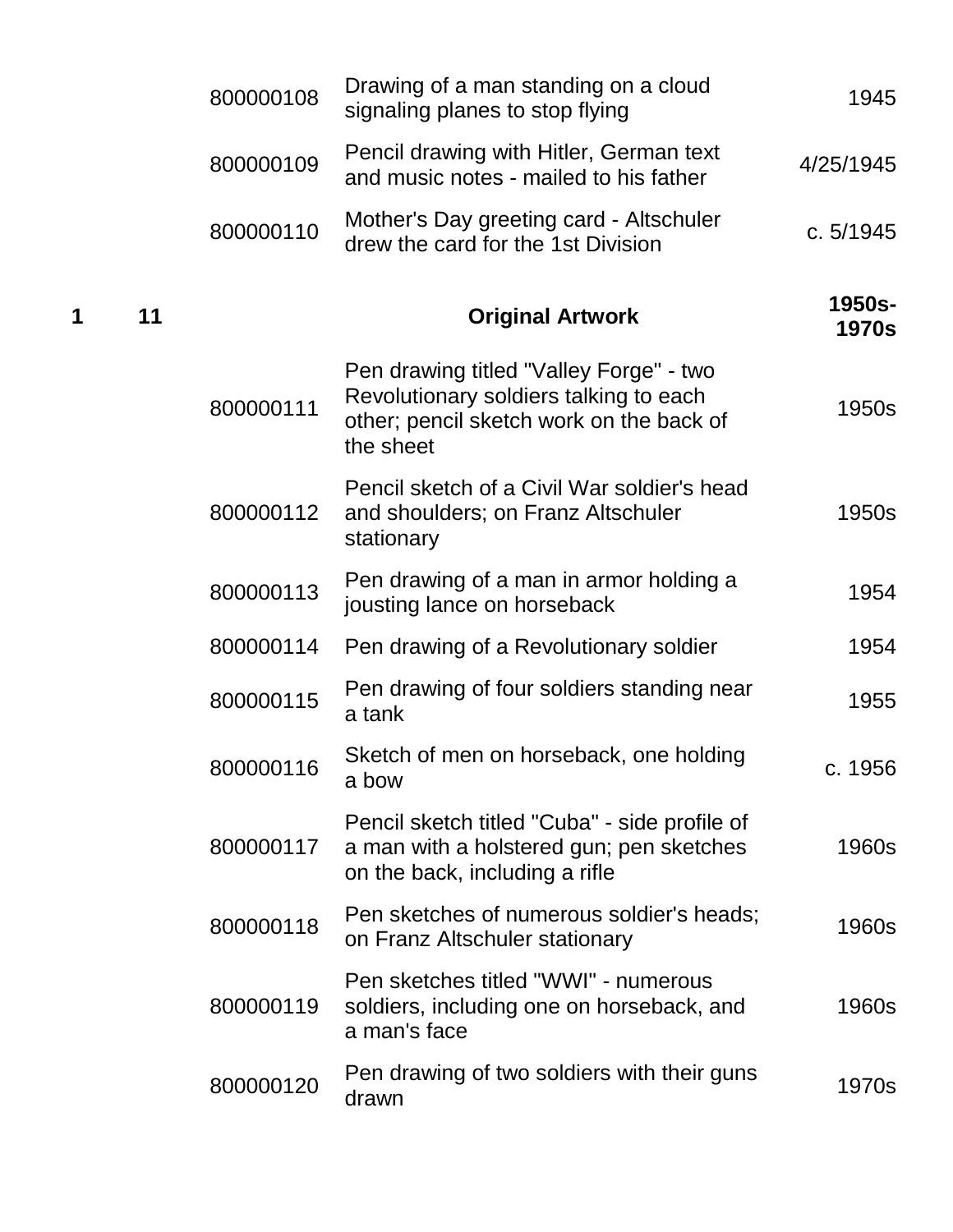|   |    | 800000108 | Drawing of a man standing on a cloud<br>signaling planes to stop flying                                                                    | 1945                   |
|---|----|-----------|--------------------------------------------------------------------------------------------------------------------------------------------|------------------------|
|   |    | 800000109 | Pencil drawing with Hitler, German text<br>and music notes - mailed to his father                                                          | 4/25/1945              |
|   |    | 800000110 | Mother's Day greeting card - Altschuler<br>drew the card for the 1st Division                                                              | c. 5/1945              |
| 1 | 11 |           | <b>Original Artwork</b>                                                                                                                    | 1950s-<br><b>1970s</b> |
|   |    | 800000111 | Pen drawing titled "Valley Forge" - two<br>Revolutionary soldiers talking to each<br>other; pencil sketch work on the back of<br>the sheet | 1950s                  |
|   |    | 800000112 | Pencil sketch of a Civil War soldier's head<br>and shoulders; on Franz Altschuler<br>stationary                                            | 1950s                  |
|   |    | 800000113 | Pen drawing of a man in armor holding a<br>jousting lance on horseback                                                                     | 1954                   |
|   |    | 800000114 | Pen drawing of a Revolutionary soldier                                                                                                     | 1954                   |
|   |    | 800000115 | Pen drawing of four soldiers standing near<br>a tank                                                                                       | 1955                   |
|   |    | 800000116 | Sketch of men on horseback, one holding<br>a bow                                                                                           | c. 1956                |
|   |    | 800000117 | Pencil sketch titled "Cuba" - side profile of<br>a man with a holstered gun; pen sketches<br>on the back, including a rifle                | 1960s                  |
|   |    | 800000118 | Pen sketches of numerous soldier's heads;<br>on Franz Altschuler stationary                                                                | 1960s                  |
|   |    | 800000119 | Pen sketches titled "WWI" - numerous<br>soldiers, including one on horseback, and<br>a man's face                                          | 1960s                  |
|   |    | 800000120 | Pen drawing of two soldiers with their guns<br>drawn                                                                                       | 1970s                  |
|   |    |           |                                                                                                                                            |                        |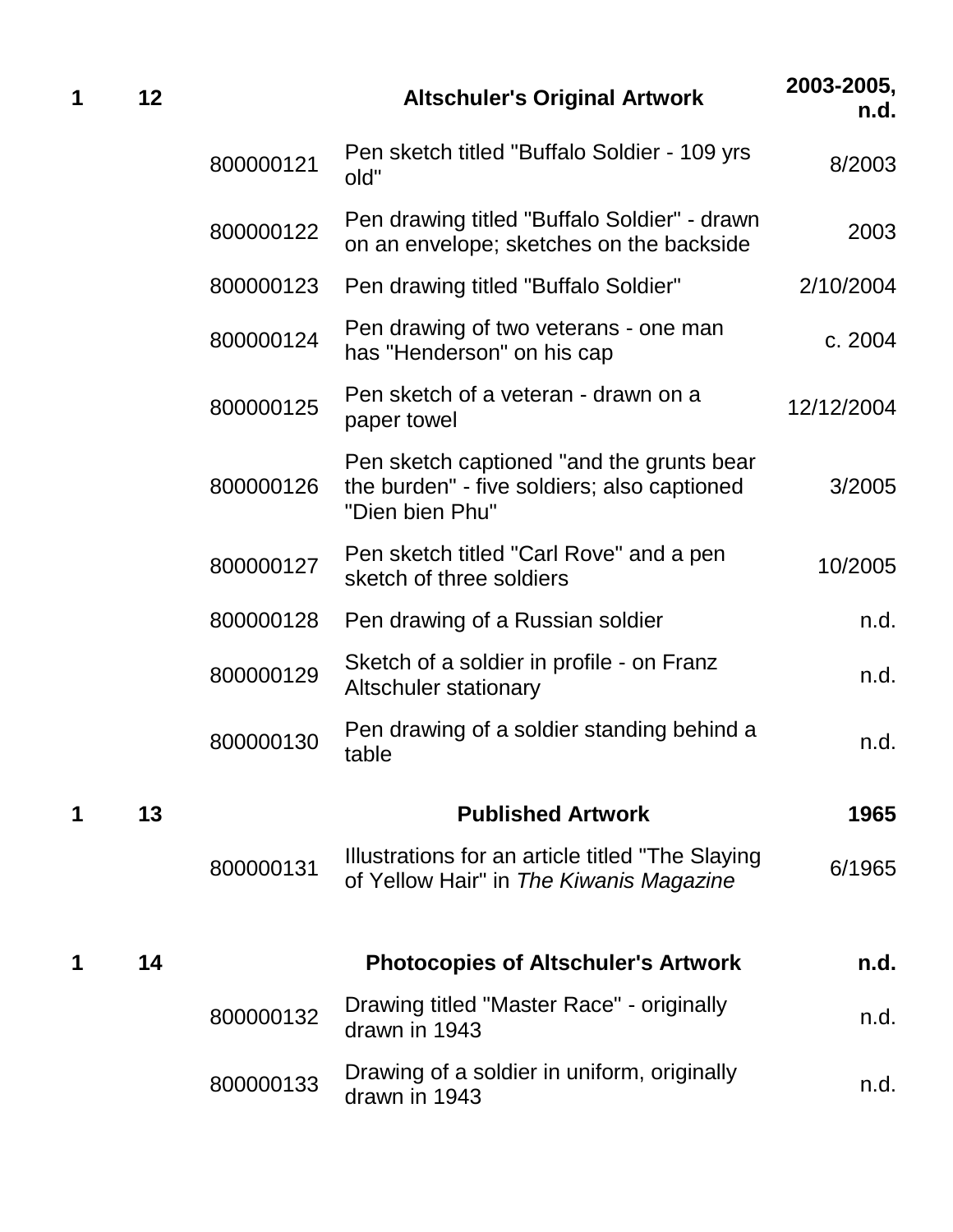| 1 | 12 |           | <b>Altschuler's Original Artwork</b>                                                                        | 2003-2005,<br>n.d. |
|---|----|-----------|-------------------------------------------------------------------------------------------------------------|--------------------|
|   |    | 800000121 | Pen sketch titled "Buffalo Soldier - 109 yrs<br>old"                                                        | 8/2003             |
|   |    | 800000122 | Pen drawing titled "Buffalo Soldier" - drawn<br>on an envelope; sketches on the backside                    | 2003               |
|   |    | 800000123 | Pen drawing titled "Buffalo Soldier"                                                                        | 2/10/2004          |
|   |    | 800000124 | Pen drawing of two veterans - one man<br>has "Henderson" on his cap                                         | c. 2004            |
|   |    | 800000125 | Pen sketch of a veteran - drawn on a<br>paper towel                                                         | 12/12/2004         |
|   |    | 800000126 | Pen sketch captioned "and the grunts bear<br>the burden" - five soldiers; also captioned<br>"Dien bien Phu" | 3/2005             |
|   |    | 800000127 | Pen sketch titled "Carl Rove" and a pen<br>sketch of three soldiers                                         | 10/2005            |
|   |    | 800000128 | Pen drawing of a Russian soldier                                                                            | n.d.               |
|   |    | 800000129 | Sketch of a soldier in profile - on Franz<br><b>Altschuler stationary</b>                                   | n.d.               |
|   |    | 800000130 | Pen drawing of a soldier standing behind a<br>table                                                         | n.d.               |
| 1 | 13 |           | <b>Published Artwork</b>                                                                                    | 1965               |
|   |    | 800000131 | Illustrations for an article titled "The Slaying"<br>of Yellow Hair" in The Kiwanis Magazine                | 6/1965             |
| 1 | 14 |           | <b>Photocopies of Altschuler's Artwork</b>                                                                  | n.d.               |
|   |    | 800000132 | Drawing titled "Master Race" - originally<br>drawn in 1943                                                  | n.d.               |
|   |    | 800000133 | Drawing of a soldier in uniform, originally<br>drawn in 1943                                                | n.d.               |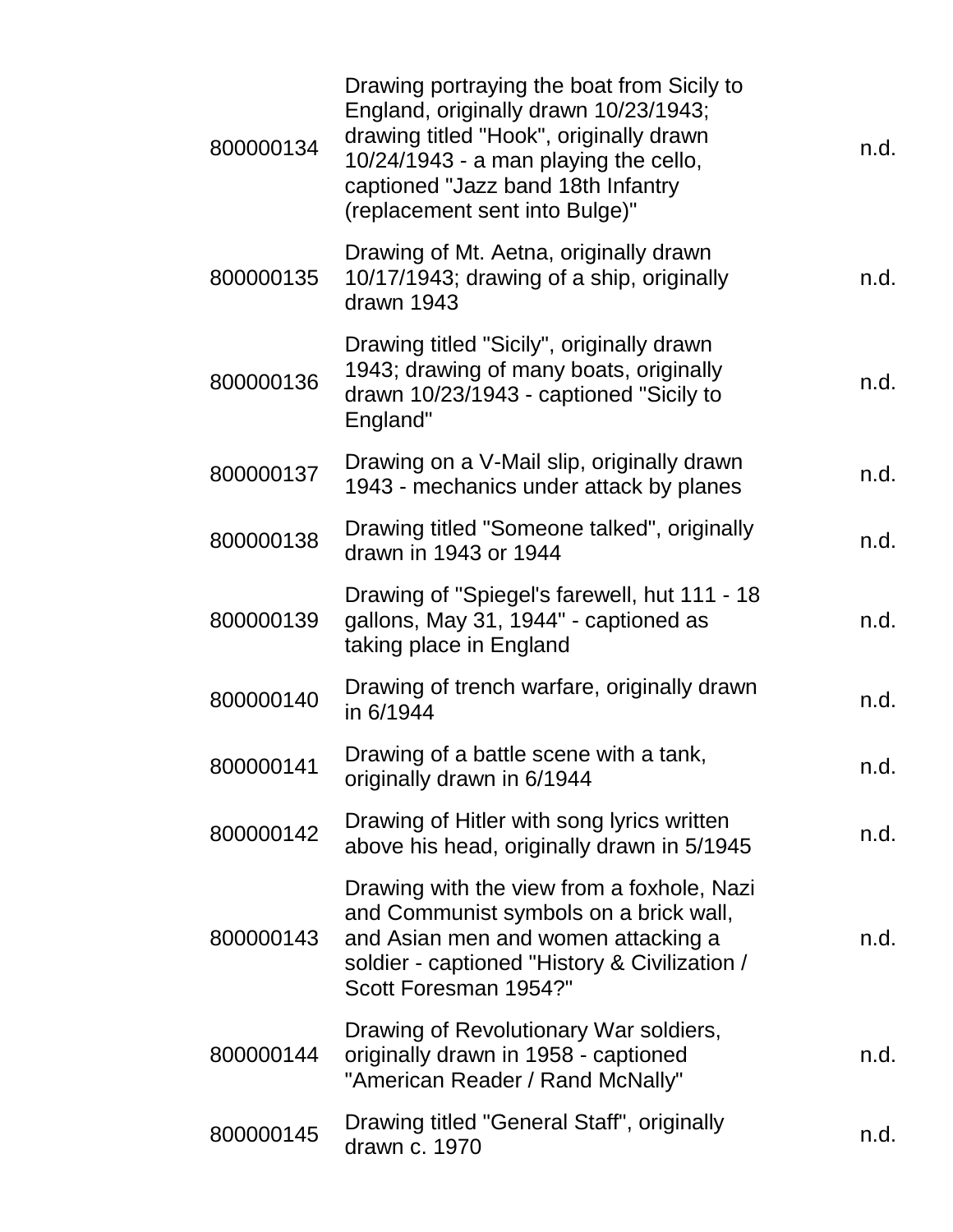| 800000134 | Drawing portraying the boat from Sicily to<br>England, originally drawn 10/23/1943;<br>drawing titled "Hook", originally drawn<br>10/24/1943 - a man playing the cello,<br>captioned "Jazz band 18th Infantry<br>(replacement sent into Bulge)" | n.d. |
|-----------|-------------------------------------------------------------------------------------------------------------------------------------------------------------------------------------------------------------------------------------------------|------|
| 800000135 | Drawing of Mt. Aetna, originally drawn<br>10/17/1943; drawing of a ship, originally<br>drawn 1943                                                                                                                                               | n.d. |
| 800000136 | Drawing titled "Sicily", originally drawn<br>1943; drawing of many boats, originally<br>drawn 10/23/1943 - captioned "Sicily to<br>England"                                                                                                     | n.d. |
| 800000137 | Drawing on a V-Mail slip, originally drawn<br>1943 - mechanics under attack by planes                                                                                                                                                           | n.d. |
| 800000138 | Drawing titled "Someone talked", originally<br>drawn in 1943 or 1944                                                                                                                                                                            | n.d. |
| 800000139 | Drawing of "Spiegel's farewell, hut 111 - 18<br>gallons, May 31, 1944" - captioned as<br>taking place in England                                                                                                                                | n.d. |
| 800000140 | Drawing of trench warfare, originally drawn<br>in 6/1944                                                                                                                                                                                        | n.d. |
| 800000141 | Drawing of a battle scene with a tank,<br>originally drawn in 6/1944                                                                                                                                                                            | n.d. |
| 800000142 | Drawing of Hitler with song lyrics written<br>above his head, originally drawn in 5/1945                                                                                                                                                        | n.d. |
| 800000143 | Drawing with the view from a foxhole, Nazi<br>and Communist symbols on a brick wall,<br>and Asian men and women attacking a<br>soldier - captioned "History & Civilization /<br>Scott Foresman 1954?"                                           | n.d. |
| 800000144 | Drawing of Revolutionary War soldiers,<br>originally drawn in 1958 - captioned<br>"American Reader / Rand McNally"                                                                                                                              | n.d. |
| 800000145 | Drawing titled "General Staff", originally<br>drawn c. 1970                                                                                                                                                                                     | n.d. |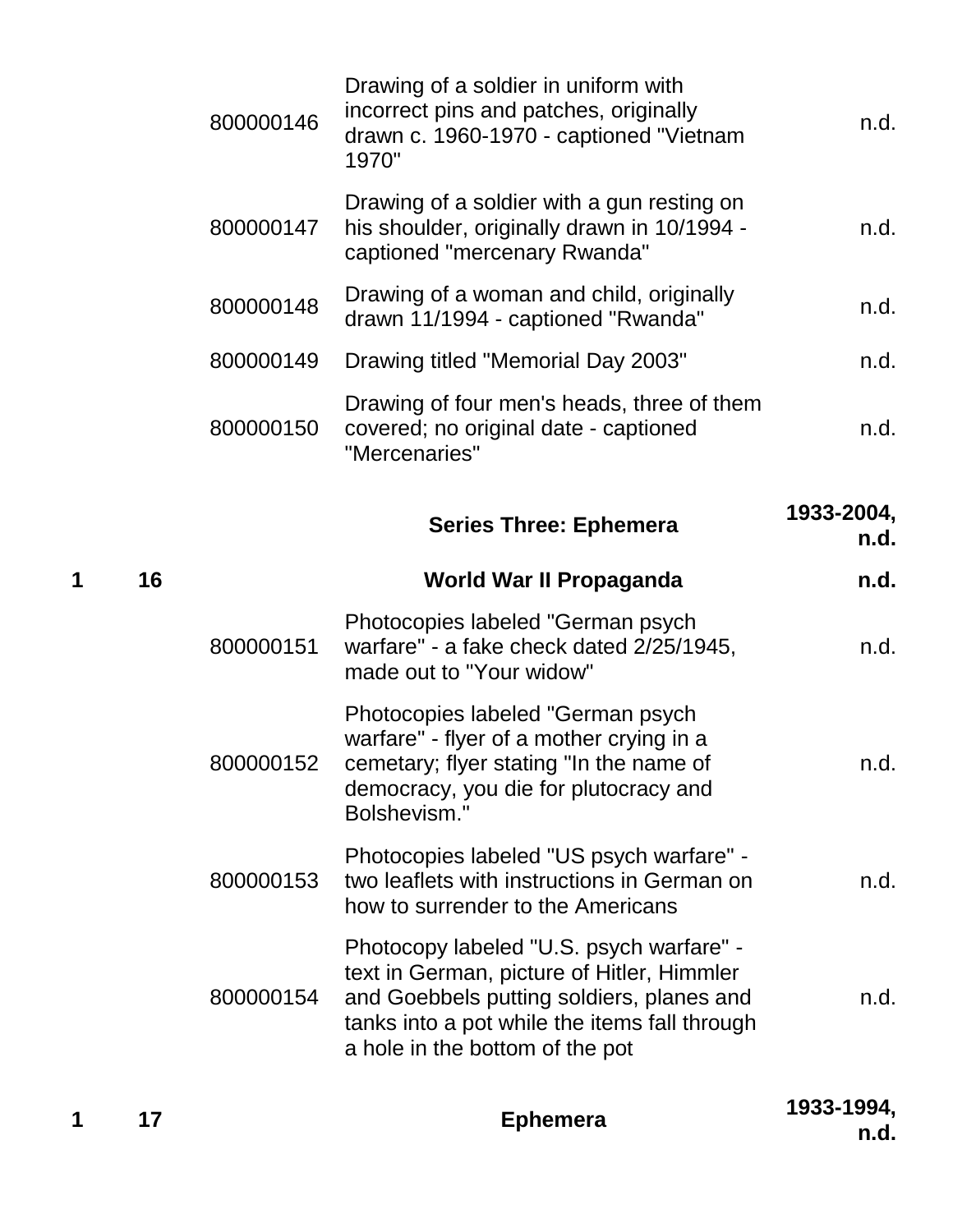|   |    | 800000146 | Drawing of a soldier in uniform with<br>incorrect pins and patches, originally<br>drawn c. 1960-1970 - captioned "Vietnam<br>1970"                                                | n.d.               |
|---|----|-----------|-----------------------------------------------------------------------------------------------------------------------------------------------------------------------------------|--------------------|
|   |    | 800000147 | Drawing of a soldier with a gun resting on<br>his shoulder, originally drawn in 10/1994 -<br>captioned "mercenary Rwanda"                                                         | n.d.               |
|   |    | 800000148 | Drawing of a woman and child, originally<br>drawn 11/1994 - captioned "Rwanda"                                                                                                    | n.d.               |
|   |    | 800000149 | Drawing titled "Memorial Day 2003"                                                                                                                                                | n.d.               |
|   |    | 800000150 | Drawing of four men's heads, three of them<br>covered; no original date - captioned<br>"Mercenaries"                                                                              | n.d.               |
|   |    |           | <b>Series Three: Ephemera</b>                                                                                                                                                     | 1933-2004,<br>n.d. |
| 1 | 16 |           | World War II Propaganda                                                                                                                                                           | n.d.               |
|   |    | 800000151 | Photocopies labeled "German psych<br>warfare" - a fake check dated 2/25/1945,<br>made out to "Your widow"                                                                         | n.d.               |
|   |    | 800000152 | Photocopies labeled "German psych<br>warfare" - flyer of a mother crying in a<br>cemetary; flyer stating "In the name of<br>democracy, you die for plutocracy and<br>Bolshevism." | n.d.               |
|   |    | 800000153 | Photocopies labeled "US psych warfare" -<br>two leaflets with instructions in German on<br>how to surrender to the Americans                                                      | n.d.               |
|   |    |           | Photocopy labeled "U.S. psych warfare" -<br>text in German, picture of Hitler, Himmler                                                                                            |                    |
|   |    | 800000154 | and Goebbels putting soldiers, planes and<br>tanks into a pot while the items fall through<br>a hole in the bottom of the pot                                                     | n.d.               |

**<sup>1</sup> <sup>17</sup> Ephemera 1933-1994,** 

**n.d.**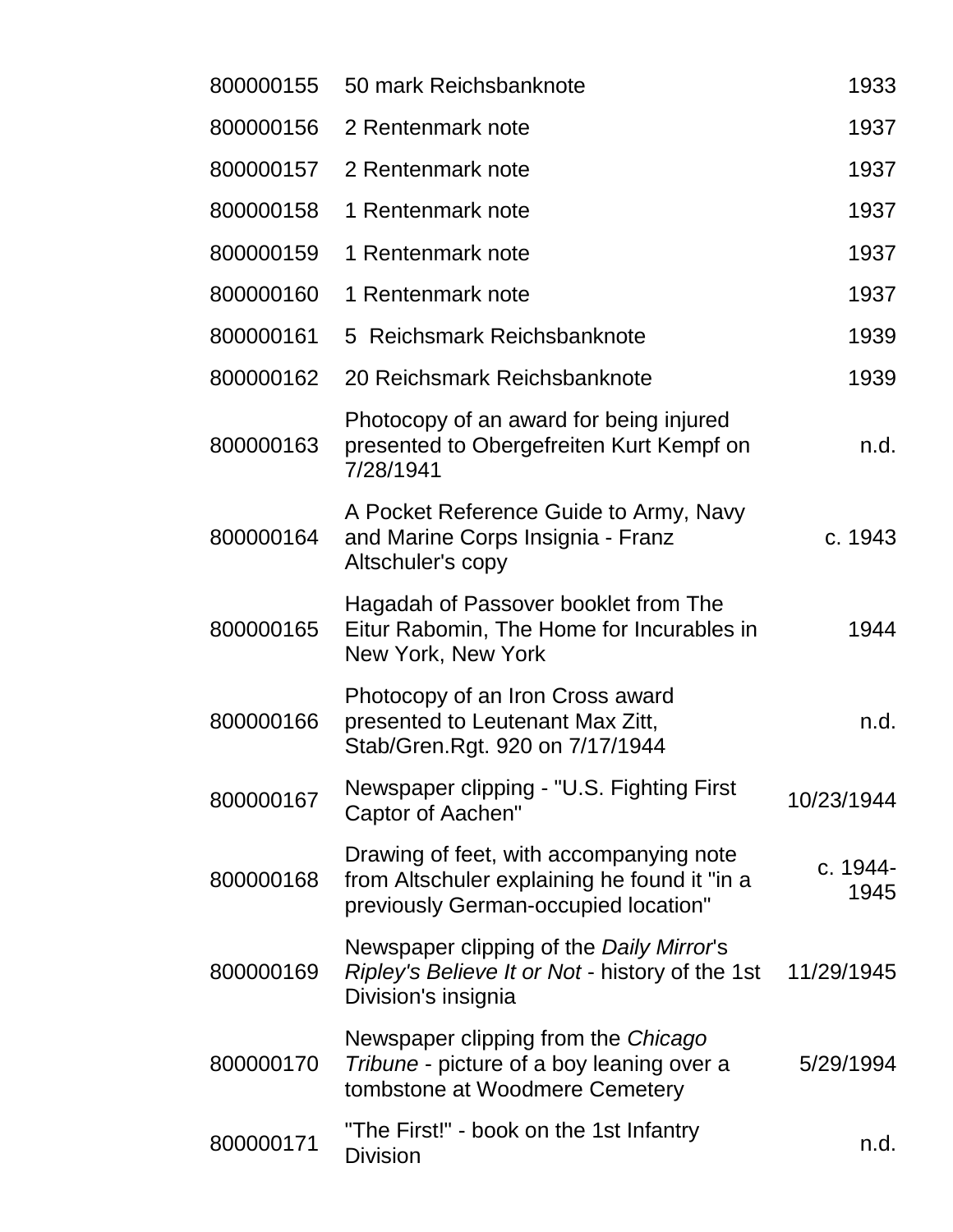| 800000155 | 50 mark Reichsbanknote                                                                                                          | 1933             |
|-----------|---------------------------------------------------------------------------------------------------------------------------------|------------------|
| 800000156 | 2 Rentenmark note                                                                                                               | 1937             |
| 800000157 | 2 Rentenmark note                                                                                                               | 1937             |
| 800000158 | 1 Rentenmark note                                                                                                               | 1937             |
| 800000159 | 1 Rentenmark note                                                                                                               | 1937             |
| 800000160 | 1 Rentenmark note                                                                                                               | 1937             |
| 800000161 | 5 Reichsmark Reichsbanknote                                                                                                     | 1939             |
| 800000162 | 20 Reichsmark Reichsbanknote                                                                                                    | 1939             |
| 800000163 | Photocopy of an award for being injured<br>presented to Obergefreiten Kurt Kempf on<br>7/28/1941                                | n.d.             |
| 800000164 | A Pocket Reference Guide to Army, Navy<br>and Marine Corps Insignia - Franz<br>Altschuler's copy                                | c. 1943          |
| 800000165 | Hagadah of Passover booklet from The<br>Eitur Rabomin, The Home for Incurables in<br>New York, New York                         | 1944             |
| 800000166 | Photocopy of an Iron Cross award<br>presented to Leutenant Max Zitt,<br>Stab/Gren.Rgt. 920 on 7/17/1944                         | n.d.             |
| 800000167 | Newspaper clipping - "U.S. Fighting First<br>Captor of Aachen"                                                                  | 10/23/1944       |
| 800000168 | Drawing of feet, with accompanying note<br>from Altschuler explaining he found it "in a<br>previously German-occupied location" | c. 1944-<br>1945 |
| 800000169 | Newspaper clipping of the Daily Mirror's<br>Ripley's Believe It or Not - history of the 1st<br>Division's insignia              | 11/29/1945       |
| 800000170 | Newspaper clipping from the Chicago<br>Tribune - picture of a boy leaning over a<br>tombstone at Woodmere Cemetery              | 5/29/1994        |
| 800000171 | "The First!" - book on the 1st Infantry<br><b>Division</b>                                                                      | n.d.             |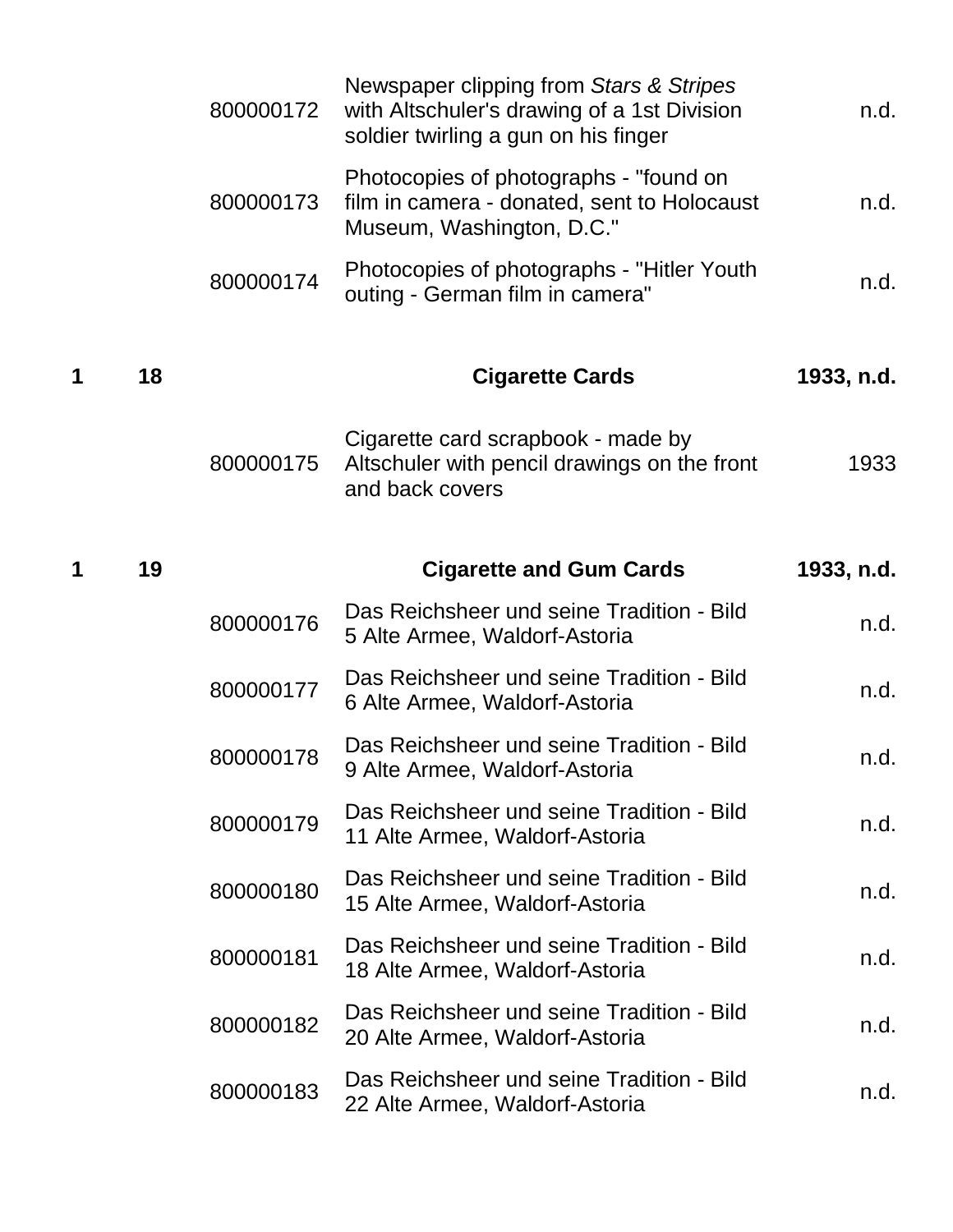|   |    | 800000172 | Newspaper clipping from Stars & Stripes<br>with Altschuler's drawing of a 1st Division<br>soldier twirling a gun on his finger | n.d.       |
|---|----|-----------|--------------------------------------------------------------------------------------------------------------------------------|------------|
|   |    | 800000173 | Photocopies of photographs - "found on<br>film in camera - donated, sent to Holocaust<br>Museum, Washington, D.C."             | n.d.       |
|   |    | 800000174 | Photocopies of photographs - "Hitler Youth"<br>outing - German film in camera"                                                 | n.d.       |
| 1 | 18 |           | <b>Cigarette Cards</b>                                                                                                         | 1933, n.d. |
|   |    | 800000175 | Cigarette card scrapbook - made by<br>Altschuler with pencil drawings on the front<br>and back covers                          | 1933       |
| 1 | 19 |           | <b>Cigarette and Gum Cards</b>                                                                                                 | 1933, n.d. |
|   |    | 800000176 | Das Reichsheer und seine Tradition - Bild<br>5 Alte Armee, Waldorf-Astoria                                                     | n.d.       |
|   |    | 800000177 | Das Reichsheer und seine Tradition - Bild<br>6 Alte Armee, Waldorf-Astoria                                                     | n.d.       |
|   |    | 800000178 | Das Reichsheer und seine Tradition - Bild<br>9 Alte Armee, Waldorf-Astoria                                                     | n.d.       |
|   |    | 800000179 | Das Reichsheer und seine Tradition - Bild<br>11 Alte Armee, Waldorf-Astoria                                                    | n.d.       |
|   |    | 800000180 | Das Reichsheer und seine Tradition - Bild<br>15 Alte Armee, Waldorf-Astoria                                                    | n.d.       |
|   |    | 800000181 | Das Reichsheer und seine Tradition - Bild<br>18 Alte Armee, Waldorf-Astoria                                                    | n.d.       |
|   |    | 800000182 | Das Reichsheer und seine Tradition - Bild<br>20 Alte Armee, Waldorf-Astoria                                                    | n.d.       |
|   |    | 800000183 | Das Reichsheer und seine Tradition - Bild<br>22 Alte Armee, Waldorf-Astoria                                                    | n.d.       |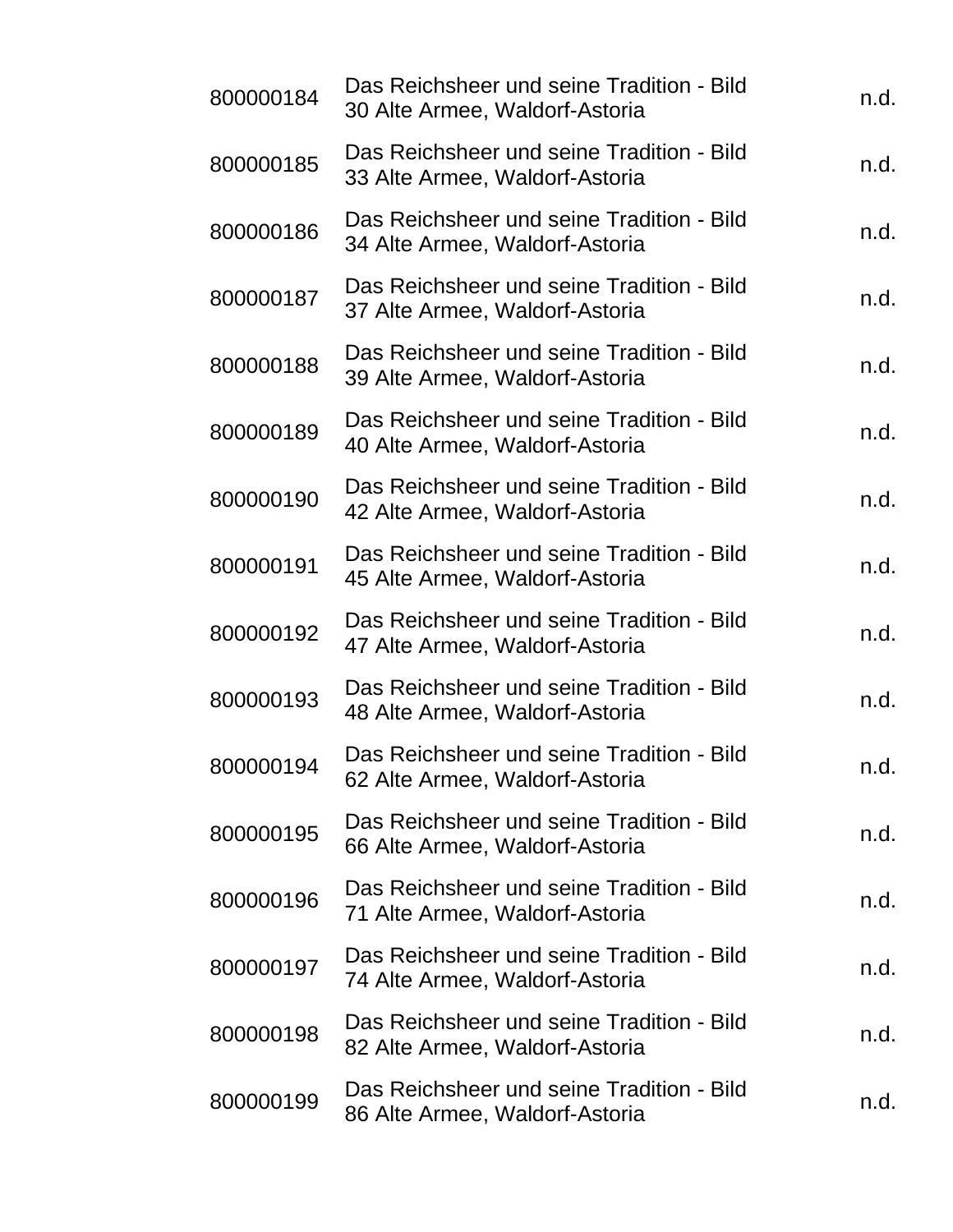| 800000184 | Das Reichsheer und seine Tradition - Bild<br>30 Alte Armee, Waldorf-Astoria | n.d. |
|-----------|-----------------------------------------------------------------------------|------|
| 800000185 | Das Reichsheer und seine Tradition - Bild<br>33 Alte Armee, Waldorf-Astoria | n.d. |
| 800000186 | Das Reichsheer und seine Tradition - Bild<br>34 Alte Armee, Waldorf-Astoria | n.d. |
| 800000187 | Das Reichsheer und seine Tradition - Bild<br>37 Alte Armee, Waldorf-Astoria | n.d. |
| 800000188 | Das Reichsheer und seine Tradition - Bild<br>39 Alte Armee, Waldorf-Astoria | n.d. |
| 800000189 | Das Reichsheer und seine Tradition - Bild<br>40 Alte Armee, Waldorf-Astoria | n.d. |
| 800000190 | Das Reichsheer und seine Tradition - Bild<br>42 Alte Armee, Waldorf-Astoria | n.d. |
| 800000191 | Das Reichsheer und seine Tradition - Bild<br>45 Alte Armee, Waldorf-Astoria | n.d. |
| 800000192 | Das Reichsheer und seine Tradition - Bild<br>47 Alte Armee, Waldorf-Astoria | n.d. |
| 800000193 | Das Reichsheer und seine Tradition - Bild<br>48 Alte Armee, Waldorf-Astoria | n.d. |
| 800000194 | Das Reichsheer und seine Tradition - Bild<br>62 Alte Armee, Waldorf-Astoria | n.d. |
| 800000195 | Das Reichsheer und seine Tradition - Bild<br>66 Alte Armee, Waldorf-Astoria | n.d. |
| 800000196 | Das Reichsheer und seine Tradition - Bild<br>71 Alte Armee, Waldorf-Astoria | n.d. |
| 800000197 | Das Reichsheer und seine Tradition - Bild<br>74 Alte Armee, Waldorf-Astoria | n.d. |
| 800000198 | Das Reichsheer und seine Tradition - Bild<br>82 Alte Armee, Waldorf-Astoria | n.d. |
| 800000199 | Das Reichsheer und seine Tradition - Bild<br>86 Alte Armee, Waldorf-Astoria | n.d. |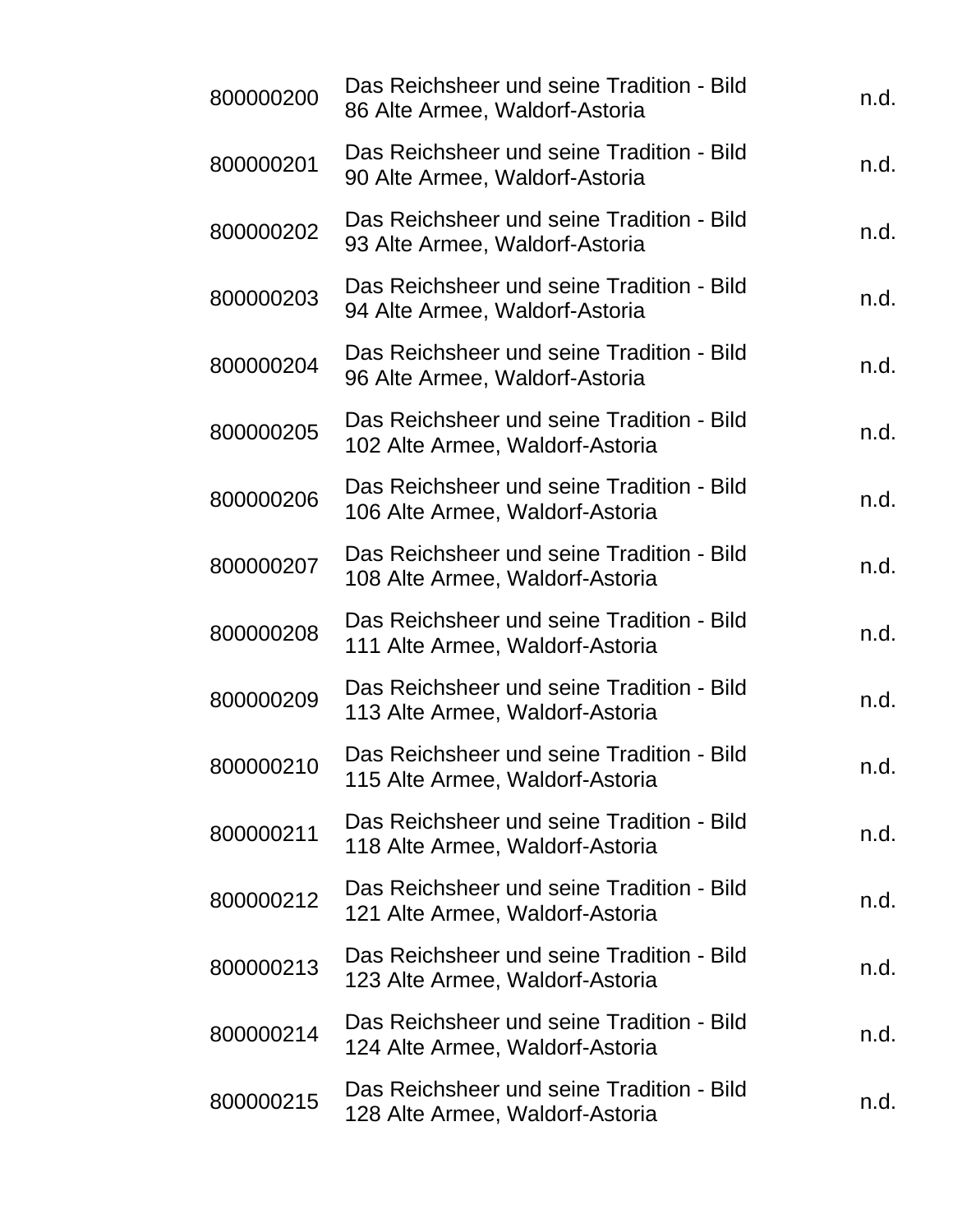| 800000200 | Das Reichsheer und seine Tradition - Bild<br>86 Alte Armee, Waldorf-Astoria  | n.d. |
|-----------|------------------------------------------------------------------------------|------|
| 800000201 | Das Reichsheer und seine Tradition - Bild<br>90 Alte Armee, Waldorf-Astoria  | n.d. |
| 800000202 | Das Reichsheer und seine Tradition - Bild<br>93 Alte Armee, Waldorf-Astoria  | n.d. |
| 800000203 | Das Reichsheer und seine Tradition - Bild<br>94 Alte Armee, Waldorf-Astoria  | n.d. |
| 800000204 | Das Reichsheer und seine Tradition - Bild<br>96 Alte Armee, Waldorf-Astoria  | n.d. |
| 800000205 | Das Reichsheer und seine Tradition - Bild<br>102 Alte Armee, Waldorf-Astoria | n.d. |
| 800000206 | Das Reichsheer und seine Tradition - Bild<br>106 Alte Armee, Waldorf-Astoria | n.d. |
| 800000207 | Das Reichsheer und seine Tradition - Bild<br>108 Alte Armee, Waldorf-Astoria | n.d. |
| 800000208 | Das Reichsheer und seine Tradition - Bild<br>111 Alte Armee, Waldorf-Astoria | n.d. |
| 800000209 | Das Reichsheer und seine Tradition - Bild<br>113 Alte Armee, Waldorf-Astoria | n.d. |
| 800000210 | Das Reichsheer und seine Tradition - Bild<br>115 Alte Armee, Waldorf-Astoria | n.d. |
| 800000211 | Das Reichsheer und seine Tradition - Bild<br>118 Alte Armee, Waldorf-Astoria | n.d. |
| 800000212 | Das Reichsheer und seine Tradition - Bild<br>121 Alte Armee, Waldorf-Astoria | n.d. |
| 800000213 | Das Reichsheer und seine Tradition - Bild<br>123 Alte Armee, Waldorf-Astoria | n.d. |
| 800000214 | Das Reichsheer und seine Tradition - Bild<br>124 Alte Armee, Waldorf-Astoria | n.d. |
| 800000215 | Das Reichsheer und seine Tradition - Bild<br>128 Alte Armee, Waldorf-Astoria | n.d. |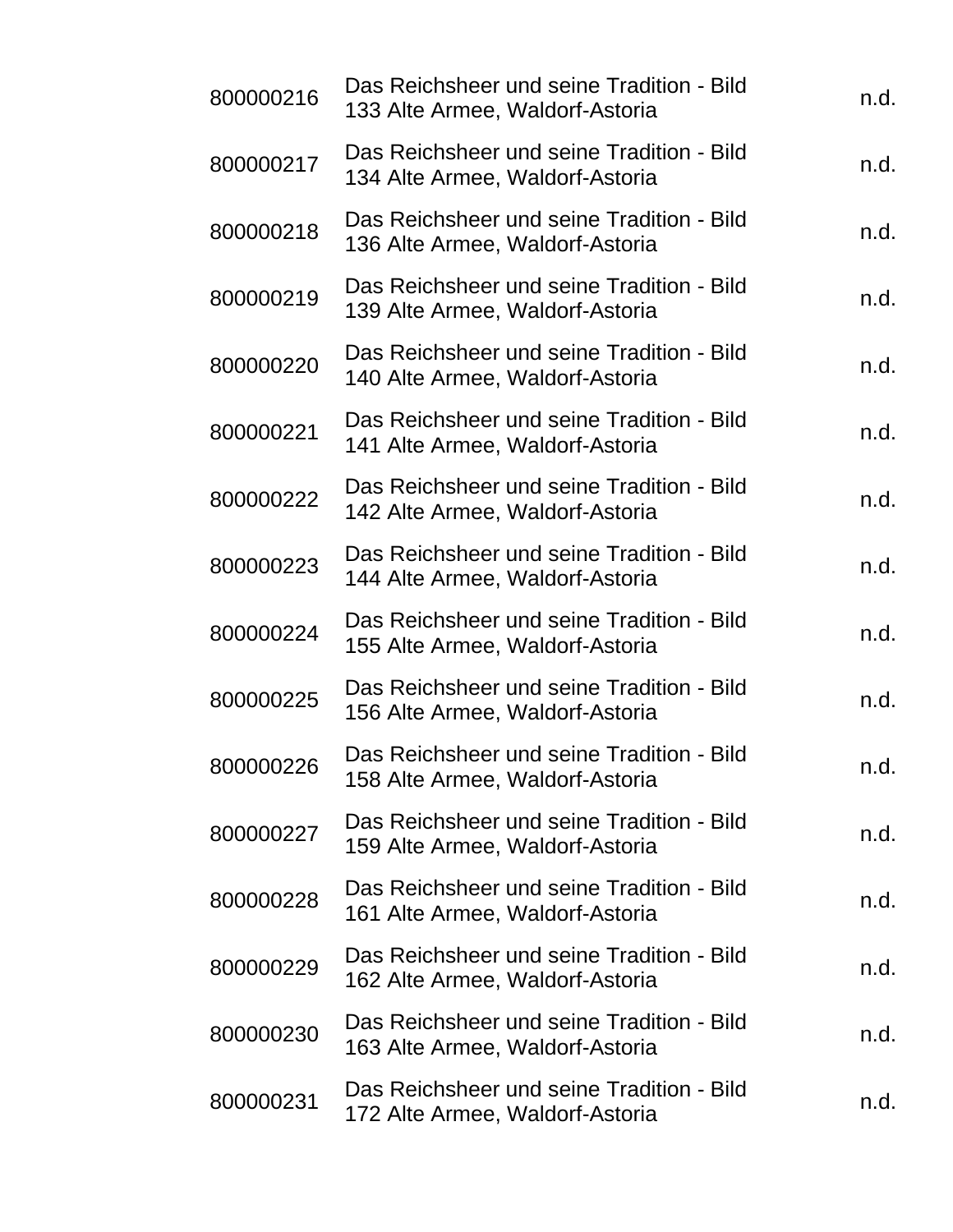| 800000216 | Das Reichsheer und seine Tradition - Bild<br>133 Alte Armee, Waldorf-Astoria | n.d. |
|-----------|------------------------------------------------------------------------------|------|
| 800000217 | Das Reichsheer und seine Tradition - Bild<br>134 Alte Armee, Waldorf-Astoria | n.d. |
| 800000218 | Das Reichsheer und seine Tradition - Bild<br>136 Alte Armee, Waldorf-Astoria | n.d. |
| 800000219 | Das Reichsheer und seine Tradition - Bild<br>139 Alte Armee, Waldorf-Astoria | n.d. |
| 800000220 | Das Reichsheer und seine Tradition - Bild<br>140 Alte Armee, Waldorf-Astoria | n.d. |
| 800000221 | Das Reichsheer und seine Tradition - Bild<br>141 Alte Armee, Waldorf-Astoria | n.d. |
| 800000222 | Das Reichsheer und seine Tradition - Bild<br>142 Alte Armee, Waldorf-Astoria | n.d. |
| 800000223 | Das Reichsheer und seine Tradition - Bild<br>144 Alte Armee, Waldorf-Astoria | n.d. |
| 800000224 | Das Reichsheer und seine Tradition - Bild<br>155 Alte Armee, Waldorf-Astoria | n.d. |
| 800000225 | Das Reichsheer und seine Tradition - Bild<br>156 Alte Armee, Waldorf-Astoria | n.d. |
| 800000226 | Das Reichsheer und seine Tradition - Bild<br>158 Alte Armee, Waldorf-Astoria | n.d. |
| 800000227 | Das Reichsheer und seine Tradition - Bild<br>159 Alte Armee, Waldorf-Astoria | n.d. |
| 800000228 | Das Reichsheer und seine Tradition - Bild<br>161 Alte Armee, Waldorf-Astoria | n.d. |
| 800000229 | Das Reichsheer und seine Tradition - Bild<br>162 Alte Armee, Waldorf-Astoria | n.d. |
| 800000230 | Das Reichsheer und seine Tradition - Bild<br>163 Alte Armee, Waldorf-Astoria | n.d. |
| 800000231 | Das Reichsheer und seine Tradition - Bild<br>172 Alte Armee, Waldorf-Astoria | n.d. |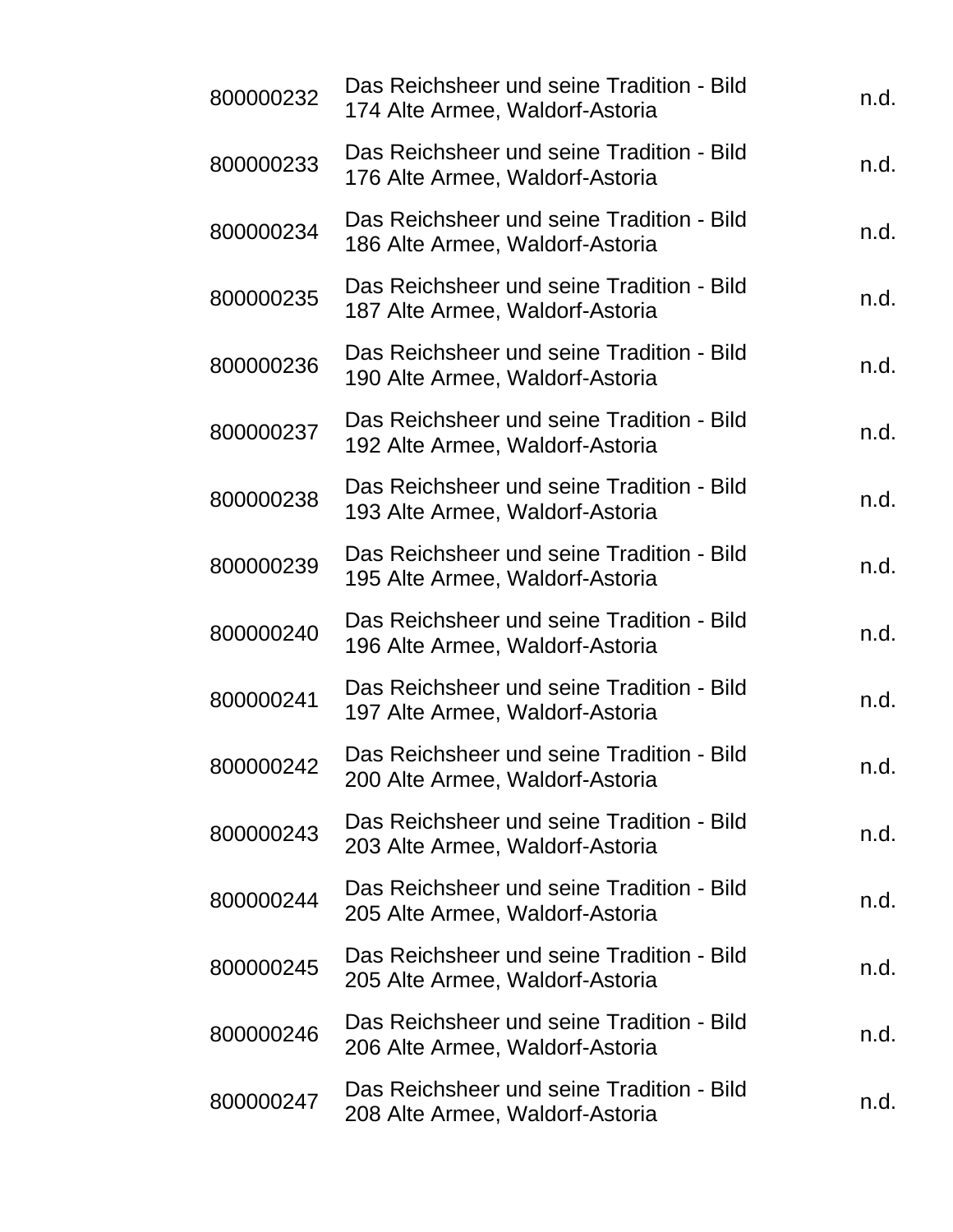| 800000232 | Das Reichsheer und seine Tradition - Bild<br>174 Alte Armee, Waldorf-Astoria | n.d. |
|-----------|------------------------------------------------------------------------------|------|
| 800000233 | Das Reichsheer und seine Tradition - Bild<br>176 Alte Armee, Waldorf-Astoria | n.d. |
| 800000234 | Das Reichsheer und seine Tradition - Bild<br>186 Alte Armee, Waldorf-Astoria | n.d. |
| 800000235 | Das Reichsheer und seine Tradition - Bild<br>187 Alte Armee, Waldorf-Astoria | n.d. |
| 800000236 | Das Reichsheer und seine Tradition - Bild<br>190 Alte Armee, Waldorf-Astoria | n.d. |
| 800000237 | Das Reichsheer und seine Tradition - Bild<br>192 Alte Armee, Waldorf-Astoria | n.d. |
| 800000238 | Das Reichsheer und seine Tradition - Bild<br>193 Alte Armee, Waldorf-Astoria | n.d. |
| 800000239 | Das Reichsheer und seine Tradition - Bild<br>195 Alte Armee, Waldorf-Astoria | n.d. |
| 800000240 | Das Reichsheer und seine Tradition - Bild<br>196 Alte Armee, Waldorf-Astoria | n.d. |
| 800000241 | Das Reichsheer und seine Tradition - Bild<br>197 Alte Armee, Waldorf-Astoria | n.d. |
| 800000242 | Das Reichsheer und seine Tradition - Bild<br>200 Alte Armee, Waldorf-Astoria | n.d. |
| 800000243 | Das Reichsheer und seine Tradition - Bild<br>203 Alte Armee, Waldorf-Astoria | n.d. |
| 800000244 | Das Reichsheer und seine Tradition - Bild<br>205 Alte Armee, Waldorf-Astoria | n.d. |
| 800000245 | Das Reichsheer und seine Tradition - Bild<br>205 Alte Armee, Waldorf-Astoria | n.d. |
| 800000246 | Das Reichsheer und seine Tradition - Bild<br>206 Alte Armee, Waldorf-Astoria | n.d. |
| 800000247 | Das Reichsheer und seine Tradition - Bild<br>208 Alte Armee, Waldorf-Astoria | n.d. |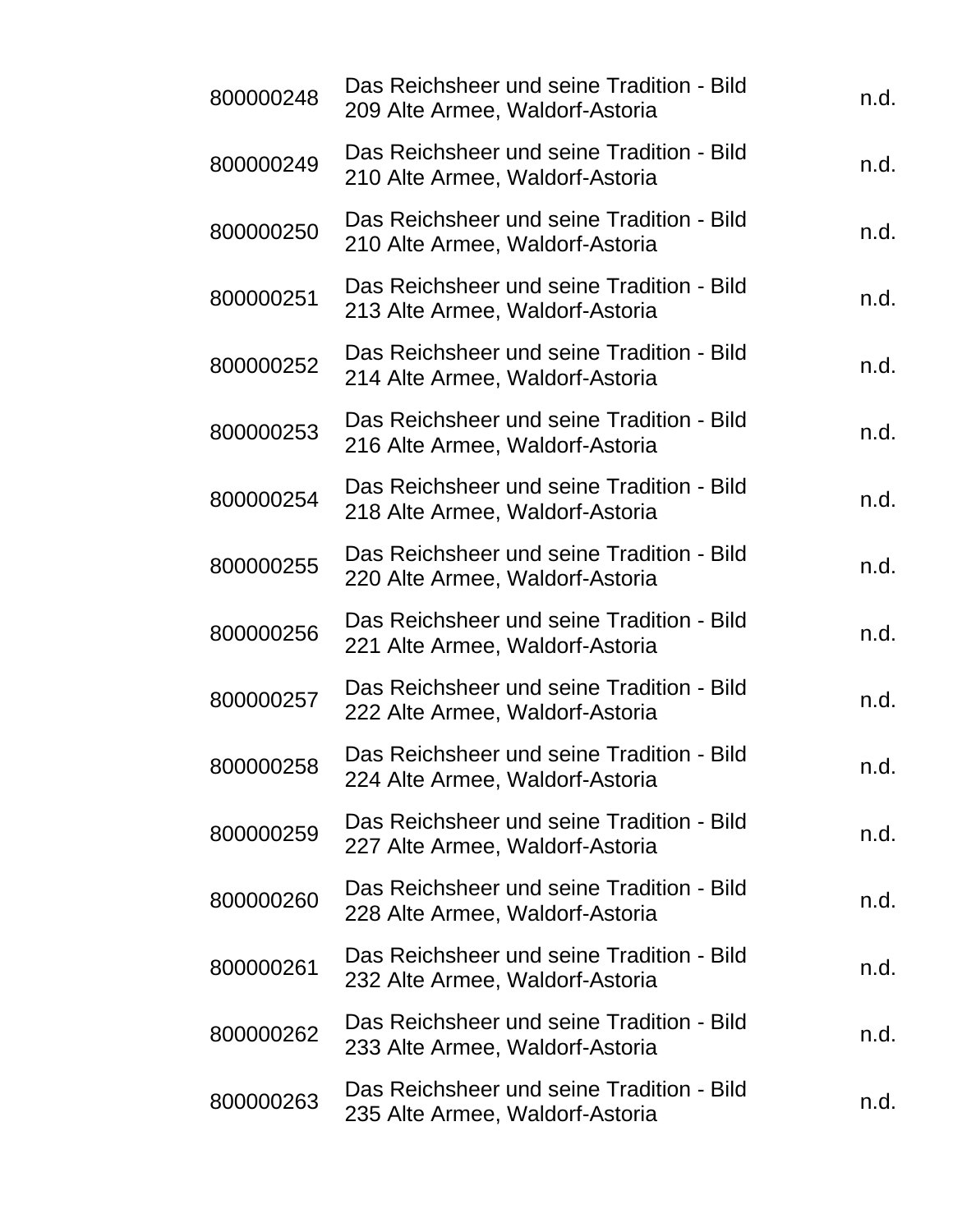| 800000248 | Das Reichsheer und seine Tradition - Bild<br>209 Alte Armee, Waldorf-Astoria | n.d. |
|-----------|------------------------------------------------------------------------------|------|
| 800000249 | Das Reichsheer und seine Tradition - Bild<br>210 Alte Armee, Waldorf-Astoria | n.d. |
| 800000250 | Das Reichsheer und seine Tradition - Bild<br>210 Alte Armee, Waldorf-Astoria | n.d. |
| 800000251 | Das Reichsheer und seine Tradition - Bild<br>213 Alte Armee, Waldorf-Astoria | n.d. |
| 800000252 | Das Reichsheer und seine Tradition - Bild<br>214 Alte Armee, Waldorf-Astoria | n.d. |
| 800000253 | Das Reichsheer und seine Tradition - Bild<br>216 Alte Armee, Waldorf-Astoria | n.d. |
| 800000254 | Das Reichsheer und seine Tradition - Bild<br>218 Alte Armee, Waldorf-Astoria | n.d. |
| 800000255 | Das Reichsheer und seine Tradition - Bild<br>220 Alte Armee, Waldorf-Astoria | n.d. |
| 800000256 | Das Reichsheer und seine Tradition - Bild<br>221 Alte Armee, Waldorf-Astoria | n.d. |
| 800000257 | Das Reichsheer und seine Tradition - Bild<br>222 Alte Armee, Waldorf-Astoria | n.d. |
| 800000258 | Das Reichsheer und seine Tradition - Bild<br>224 Alte Armee, Waldorf-Astoria | n.d. |
| 800000259 | Das Reichsheer und seine Tradition - Bild<br>227 Alte Armee, Waldorf-Astoria | n.d. |
| 800000260 | Das Reichsheer und seine Tradition - Bild<br>228 Alte Armee, Waldorf-Astoria | n.d. |
| 800000261 | Das Reichsheer und seine Tradition - Bild<br>232 Alte Armee, Waldorf-Astoria | n.d. |
| 800000262 | Das Reichsheer und seine Tradition - Bild<br>233 Alte Armee, Waldorf-Astoria | n.d. |
| 800000263 | Das Reichsheer und seine Tradition - Bild<br>235 Alte Armee, Waldorf-Astoria | n.d. |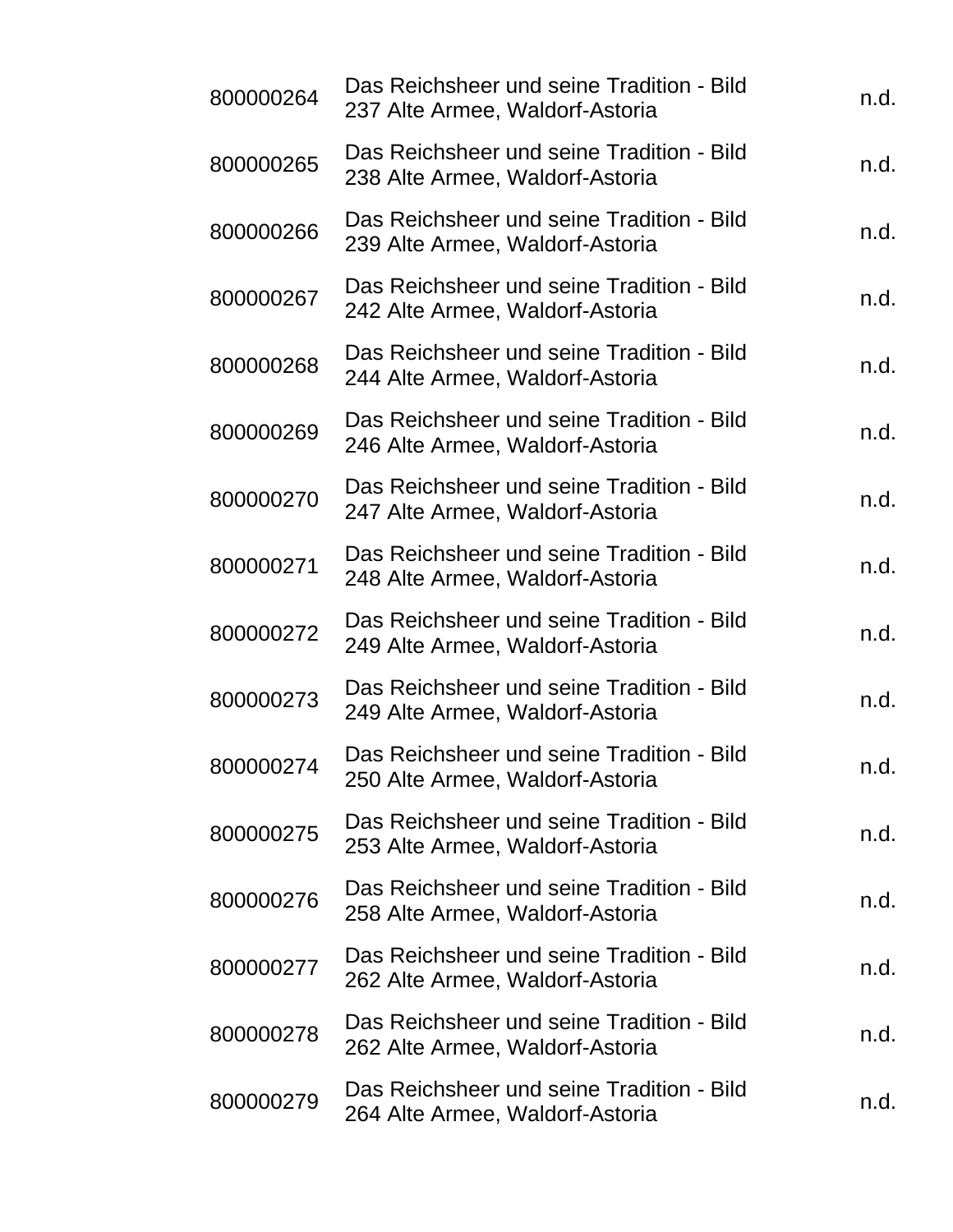| 800000264 | Das Reichsheer und seine Tradition - Bild<br>237 Alte Armee, Waldorf-Astoria | n.d. |
|-----------|------------------------------------------------------------------------------|------|
| 800000265 | Das Reichsheer und seine Tradition - Bild<br>238 Alte Armee, Waldorf-Astoria | n.d. |
| 800000266 | Das Reichsheer und seine Tradition - Bild<br>239 Alte Armee, Waldorf-Astoria | n.d. |
| 800000267 | Das Reichsheer und seine Tradition - Bild<br>242 Alte Armee, Waldorf-Astoria | n.d. |
| 800000268 | Das Reichsheer und seine Tradition - Bild<br>244 Alte Armee, Waldorf-Astoria | n.d. |
| 800000269 | Das Reichsheer und seine Tradition - Bild<br>246 Alte Armee, Waldorf-Astoria | n.d. |
| 800000270 | Das Reichsheer und seine Tradition - Bild<br>247 Alte Armee, Waldorf-Astoria | n.d. |
| 800000271 | Das Reichsheer und seine Tradition - Bild<br>248 Alte Armee, Waldorf-Astoria | n.d. |
| 800000272 | Das Reichsheer und seine Tradition - Bild<br>249 Alte Armee, Waldorf-Astoria | n.d. |
| 800000273 | Das Reichsheer und seine Tradition - Bild<br>249 Alte Armee, Waldorf-Astoria | n.d. |
| 800000274 | Das Reichsheer und seine Tradition - Bild<br>250 Alte Armee, Waldorf-Astoria | n.d. |
| 800000275 | Das Reichsheer und seine Tradition - Bild<br>253 Alte Armee, Waldorf-Astoria | n.d. |
| 800000276 | Das Reichsheer und seine Tradition - Bild<br>258 Alte Armee, Waldorf-Astoria | n.d. |
| 800000277 | Das Reichsheer und seine Tradition - Bild<br>262 Alte Armee, Waldorf-Astoria | n.d. |
| 800000278 | Das Reichsheer und seine Tradition - Bild<br>262 Alte Armee, Waldorf-Astoria | n.d. |
| 800000279 | Das Reichsheer und seine Tradition - Bild<br>264 Alte Armee, Waldorf-Astoria | n.d. |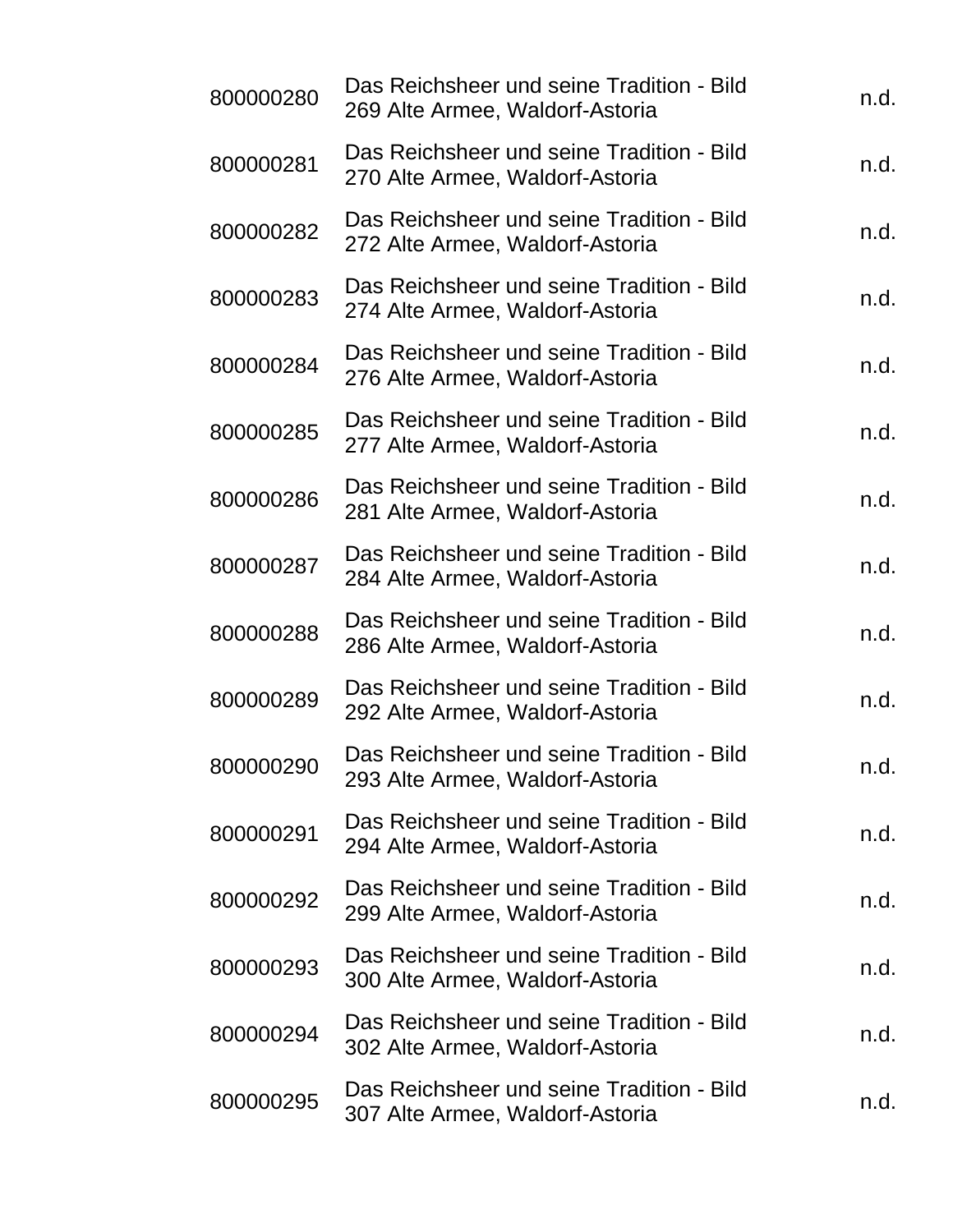| 800000280 | Das Reichsheer und seine Tradition - Bild<br>269 Alte Armee, Waldorf-Astoria | n.d. |
|-----------|------------------------------------------------------------------------------|------|
| 800000281 | Das Reichsheer und seine Tradition - Bild<br>270 Alte Armee, Waldorf-Astoria | n.d. |
| 800000282 | Das Reichsheer und seine Tradition - Bild<br>272 Alte Armee, Waldorf-Astoria | n.d. |
| 800000283 | Das Reichsheer und seine Tradition - Bild<br>274 Alte Armee, Waldorf-Astoria | n.d. |
| 800000284 | Das Reichsheer und seine Tradition - Bild<br>276 Alte Armee, Waldorf-Astoria | n.d. |
| 800000285 | Das Reichsheer und seine Tradition - Bild<br>277 Alte Armee, Waldorf-Astoria | n.d. |
| 800000286 | Das Reichsheer und seine Tradition - Bild<br>281 Alte Armee, Waldorf-Astoria | n.d. |
| 800000287 | Das Reichsheer und seine Tradition - Bild<br>284 Alte Armee, Waldorf-Astoria | n.d. |
| 800000288 | Das Reichsheer und seine Tradition - Bild<br>286 Alte Armee, Waldorf-Astoria | n.d. |
| 800000289 | Das Reichsheer und seine Tradition - Bild<br>292 Alte Armee, Waldorf-Astoria | n.d. |
| 800000290 | Das Reichsheer und seine Tradition - Bild<br>293 Alte Armee, Waldorf-Astoria | n.d. |
| 800000291 | Das Reichsheer und seine Tradition - Bild<br>294 Alte Armee, Waldorf-Astoria | n.d. |
| 800000292 | Das Reichsheer und seine Tradition - Bild<br>299 Alte Armee, Waldorf-Astoria | n.d. |
| 800000293 | Das Reichsheer und seine Tradition - Bild<br>300 Alte Armee, Waldorf-Astoria | n.d. |
| 800000294 | Das Reichsheer und seine Tradition - Bild<br>302 Alte Armee, Waldorf-Astoria | n.d. |
| 800000295 | Das Reichsheer und seine Tradition - Bild<br>307 Alte Armee, Waldorf-Astoria | n.d. |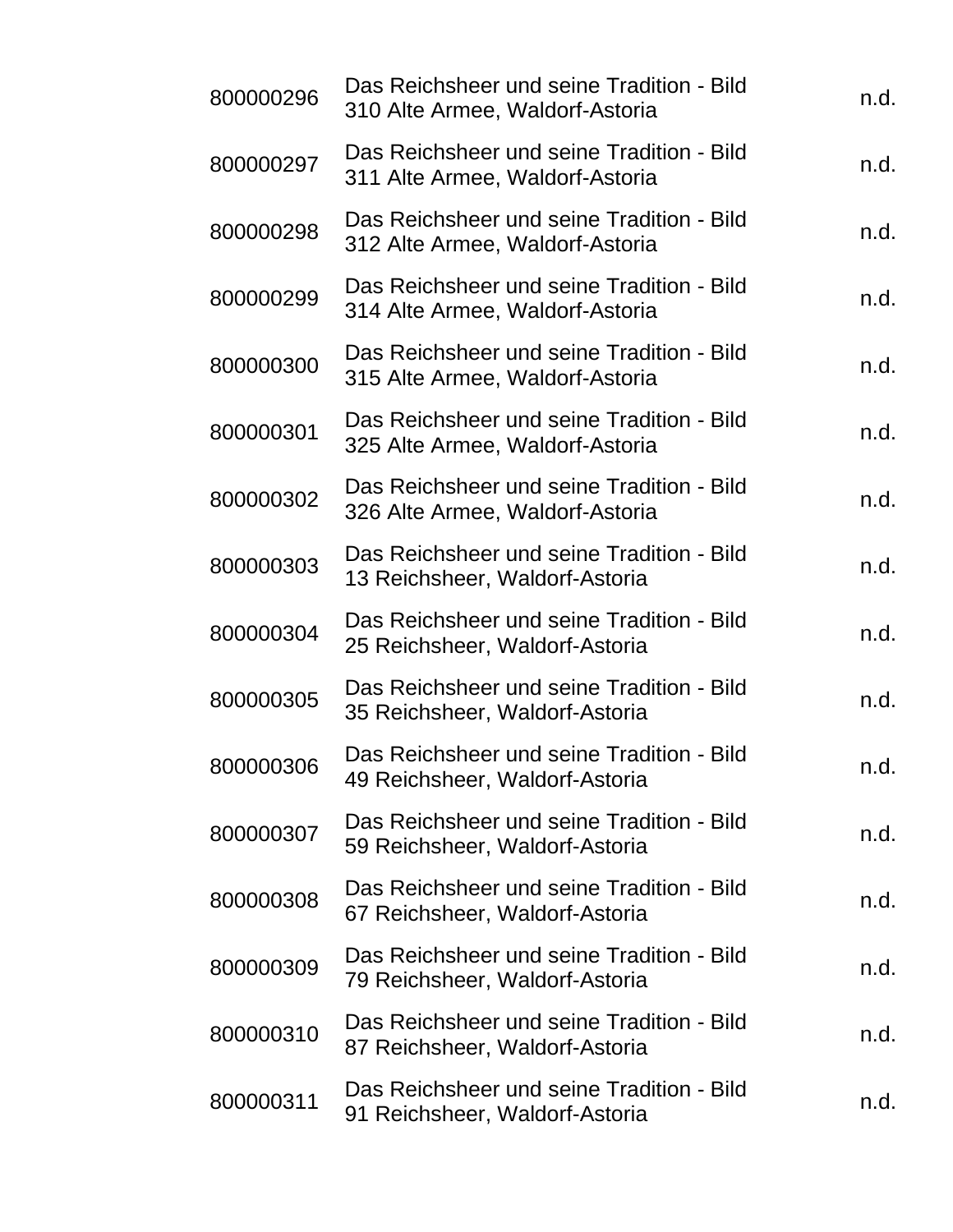| 800000296 | Das Reichsheer und seine Tradition - Bild<br>310 Alte Armee, Waldorf-Astoria | n.d. |
|-----------|------------------------------------------------------------------------------|------|
| 800000297 | Das Reichsheer und seine Tradition - Bild<br>311 Alte Armee, Waldorf-Astoria | n.d. |
| 800000298 | Das Reichsheer und seine Tradition - Bild<br>312 Alte Armee, Waldorf-Astoria | n.d. |
| 800000299 | Das Reichsheer und seine Tradition - Bild<br>314 Alte Armee, Waldorf-Astoria | n.d. |
| 800000300 | Das Reichsheer und seine Tradition - Bild<br>315 Alte Armee, Waldorf-Astoria | n.d. |
| 800000301 | Das Reichsheer und seine Tradition - Bild<br>325 Alte Armee, Waldorf-Astoria | n.d. |
| 800000302 | Das Reichsheer und seine Tradition - Bild<br>326 Alte Armee, Waldorf-Astoria | n.d. |
| 800000303 | Das Reichsheer und seine Tradition - Bild<br>13 Reichsheer, Waldorf-Astoria  | n.d. |
| 800000304 | Das Reichsheer und seine Tradition - Bild<br>25 Reichsheer, Waldorf-Astoria  | n.d. |
| 800000305 | Das Reichsheer und seine Tradition - Bild<br>35 Reichsheer, Waldorf-Astoria  | n.d. |
| 800000306 | Das Reichsheer und seine Tradition - Bild<br>49 Reichsheer, Waldorf-Astoria  | n.d. |
| 800000307 | Das Reichsheer und seine Tradition - Bild<br>59 Reichsheer, Waldorf-Astoria  | n.d. |
| 800000308 | Das Reichsheer und seine Tradition - Bild<br>67 Reichsheer, Waldorf-Astoria  | n.d. |
| 800000309 | Das Reichsheer und seine Tradition - Bild<br>79 Reichsheer, Waldorf-Astoria  | n.d. |
| 800000310 | Das Reichsheer und seine Tradition - Bild<br>87 Reichsheer, Waldorf-Astoria  | n.d. |
| 800000311 | Das Reichsheer und seine Tradition - Bild<br>91 Reichsheer, Waldorf-Astoria  | n.d. |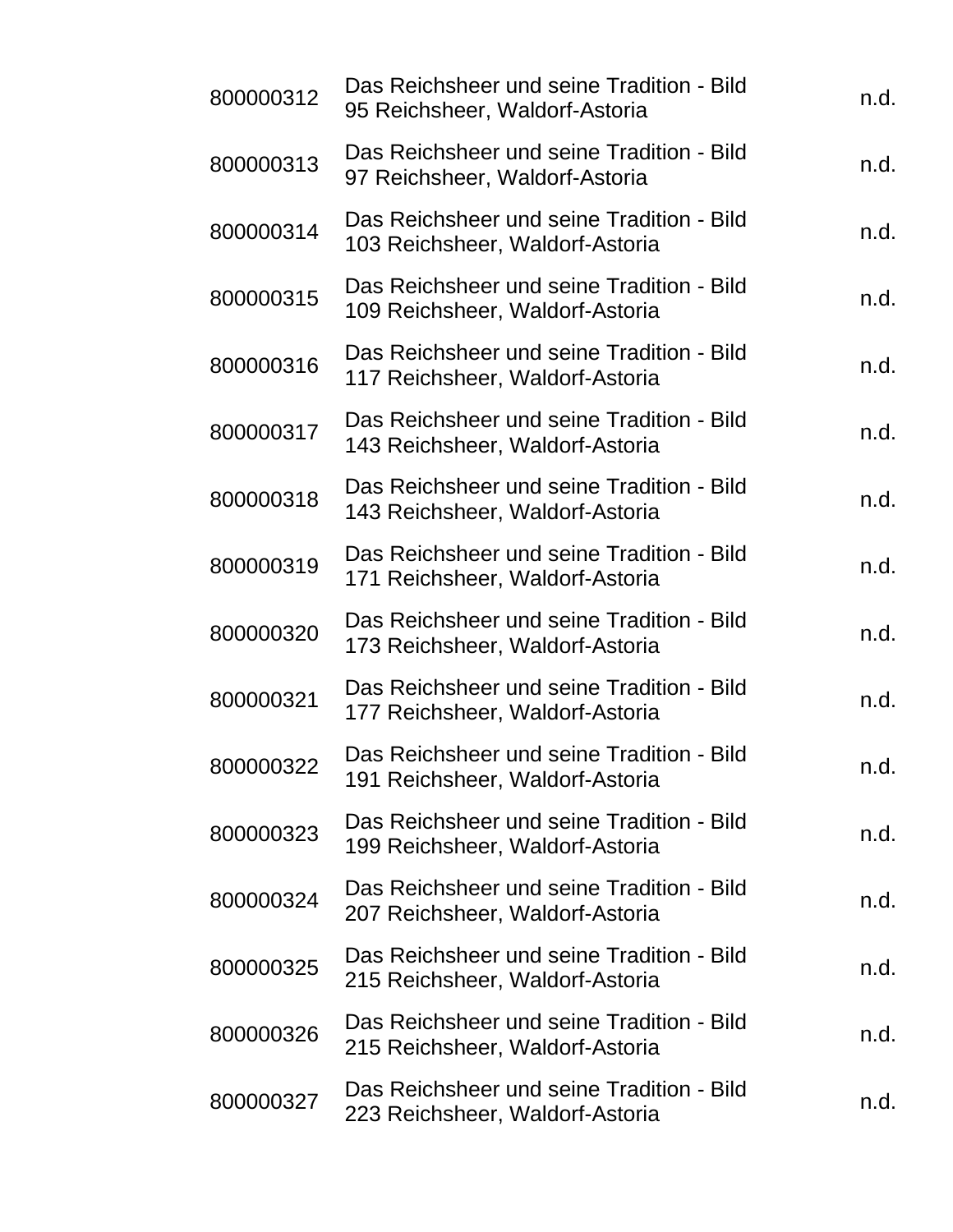| 800000312 | Das Reichsheer und seine Tradition - Bild<br>95 Reichsheer, Waldorf-Astoria  | n.d. |
|-----------|------------------------------------------------------------------------------|------|
| 800000313 | Das Reichsheer und seine Tradition - Bild<br>97 Reichsheer, Waldorf-Astoria  | n.d. |
| 800000314 | Das Reichsheer und seine Tradition - Bild<br>103 Reichsheer, Waldorf-Astoria | n.d. |
| 800000315 | Das Reichsheer und seine Tradition - Bild<br>109 Reichsheer, Waldorf-Astoria | n.d. |
| 800000316 | Das Reichsheer und seine Tradition - Bild<br>117 Reichsheer, Waldorf-Astoria | n.d. |
| 800000317 | Das Reichsheer und seine Tradition - Bild<br>143 Reichsheer, Waldorf-Astoria | n.d. |
| 800000318 | Das Reichsheer und seine Tradition - Bild<br>143 Reichsheer, Waldorf-Astoria | n.d. |
| 800000319 | Das Reichsheer und seine Tradition - Bild<br>171 Reichsheer, Waldorf-Astoria | n.d. |
| 800000320 | Das Reichsheer und seine Tradition - Bild<br>173 Reichsheer, Waldorf-Astoria | n.d. |
| 800000321 | Das Reichsheer und seine Tradition - Bild<br>177 Reichsheer, Waldorf-Astoria | n.d. |
| 800000322 | Das Reichsheer und seine Tradition - Bild<br>191 Reichsheer, Waldorf-Astoria | n.d. |
| 800000323 | Das Reichsheer und seine Tradition - Bild<br>199 Reichsheer, Waldorf-Astoria | n.d. |
| 800000324 | Das Reichsheer und seine Tradition - Bild<br>207 Reichsheer, Waldorf-Astoria | n.d. |
| 800000325 | Das Reichsheer und seine Tradition - Bild<br>215 Reichsheer, Waldorf-Astoria | n.d. |
| 800000326 | Das Reichsheer und seine Tradition - Bild<br>215 Reichsheer, Waldorf-Astoria | n.d. |
| 800000327 | Das Reichsheer und seine Tradition - Bild<br>223 Reichsheer, Waldorf-Astoria | n.d. |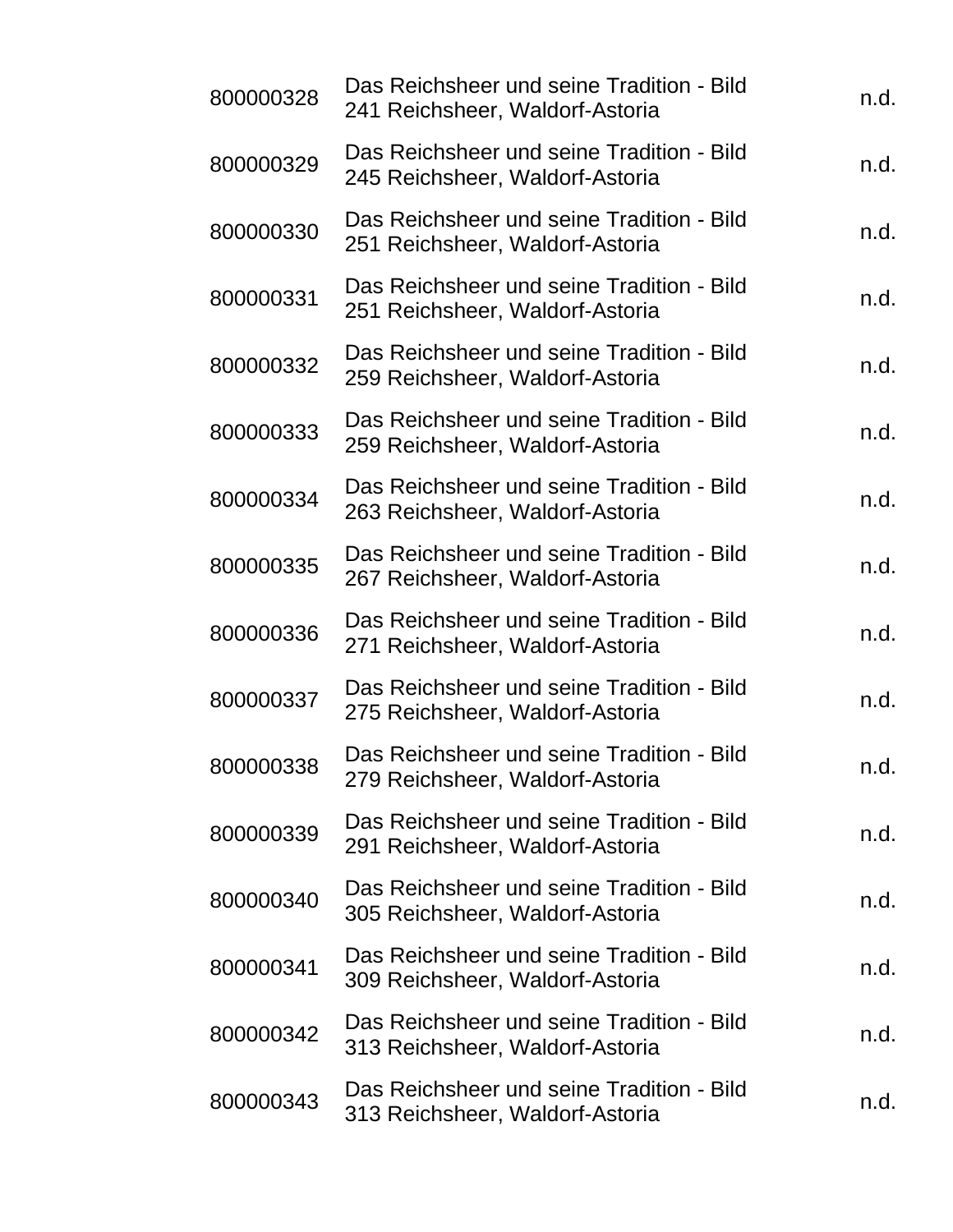| 800000328 | Das Reichsheer und seine Tradition - Bild<br>241 Reichsheer, Waldorf-Astoria | n.d. |
|-----------|------------------------------------------------------------------------------|------|
| 800000329 | Das Reichsheer und seine Tradition - Bild<br>245 Reichsheer, Waldorf-Astoria | n.d. |
| 800000330 | Das Reichsheer und seine Tradition - Bild<br>251 Reichsheer, Waldorf-Astoria | n.d. |
| 800000331 | Das Reichsheer und seine Tradition - Bild<br>251 Reichsheer, Waldorf-Astoria | n.d. |
| 800000332 | Das Reichsheer und seine Tradition - Bild<br>259 Reichsheer, Waldorf-Astoria | n.d. |
| 800000333 | Das Reichsheer und seine Tradition - Bild<br>259 Reichsheer, Waldorf-Astoria | n.d. |
| 800000334 | Das Reichsheer und seine Tradition - Bild<br>263 Reichsheer, Waldorf-Astoria | n.d. |
| 800000335 | Das Reichsheer und seine Tradition - Bild<br>267 Reichsheer, Waldorf-Astoria | n.d. |
| 800000336 | Das Reichsheer und seine Tradition - Bild<br>271 Reichsheer, Waldorf-Astoria | n.d. |
| 800000337 | Das Reichsheer und seine Tradition - Bild<br>275 Reichsheer, Waldorf-Astoria | n.d. |
| 800000338 | Das Reichsheer und seine Tradition - Bild<br>279 Reichsheer, Waldorf-Astoria | n.d. |
| 800000339 | Das Reichsheer und seine Tradition - Bild<br>291 Reichsheer, Waldorf-Astoria | n.d. |
| 800000340 | Das Reichsheer und seine Tradition - Bild<br>305 Reichsheer, Waldorf-Astoria | n.d. |
| 800000341 | Das Reichsheer und seine Tradition - Bild<br>309 Reichsheer, Waldorf-Astoria | n.d. |
| 800000342 | Das Reichsheer und seine Tradition - Bild<br>313 Reichsheer, Waldorf-Astoria | n.d. |
| 800000343 | Das Reichsheer und seine Tradition - Bild<br>313 Reichsheer, Waldorf-Astoria | n.d. |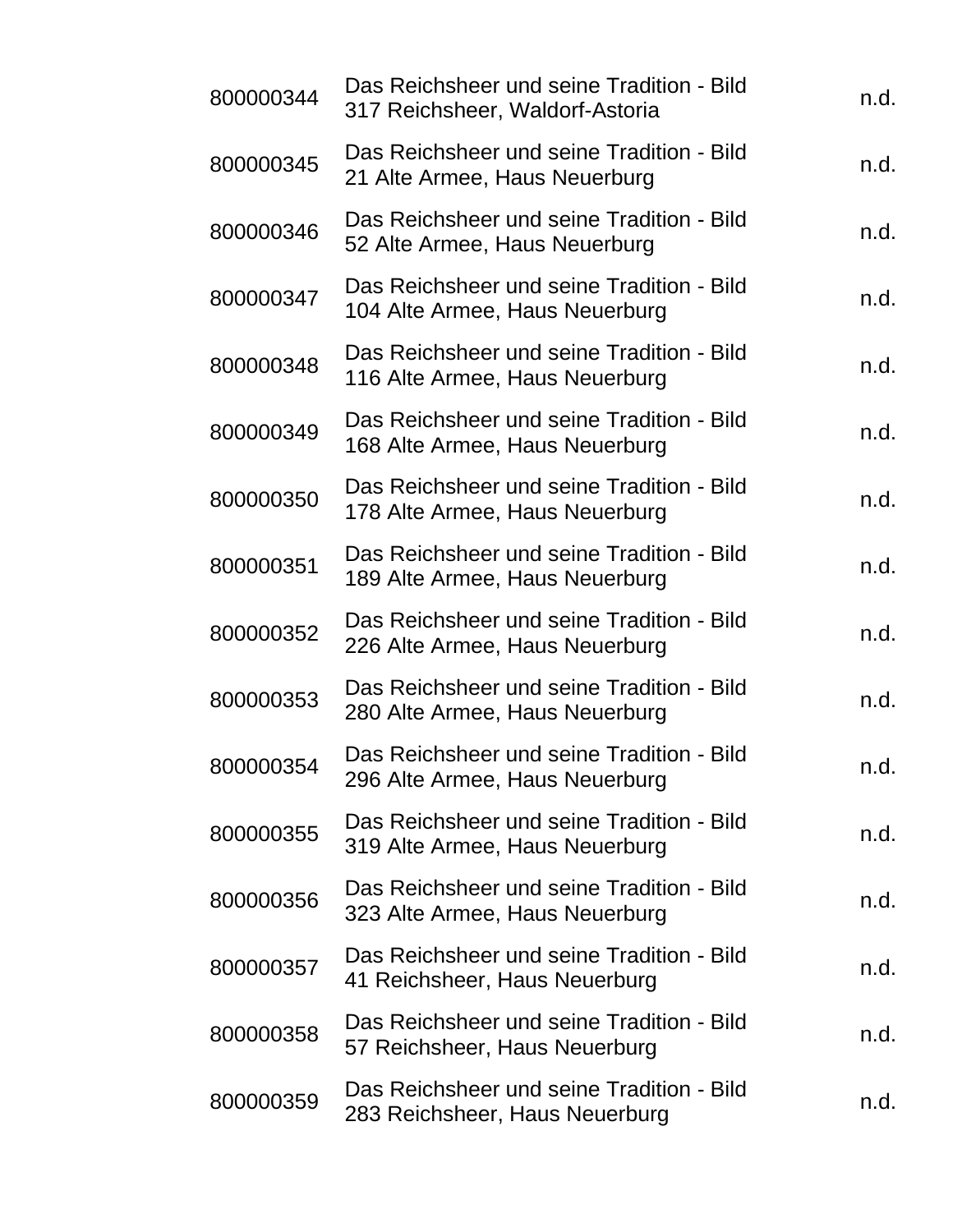| 800000344 | Das Reichsheer und seine Tradition - Bild<br>317 Reichsheer, Waldorf-Astoria | n.d. |
|-----------|------------------------------------------------------------------------------|------|
| 800000345 | Das Reichsheer und seine Tradition - Bild<br>21 Alte Armee, Haus Neuerburg   | n.d. |
| 800000346 | Das Reichsheer und seine Tradition - Bild<br>52 Alte Armee, Haus Neuerburg   | n.d. |
| 800000347 | Das Reichsheer und seine Tradition - Bild<br>104 Alte Armee, Haus Neuerburg  | n.d. |
| 800000348 | Das Reichsheer und seine Tradition - Bild<br>116 Alte Armee, Haus Neuerburg  | n.d. |
| 800000349 | Das Reichsheer und seine Tradition - Bild<br>168 Alte Armee, Haus Neuerburg  | n.d. |
| 800000350 | Das Reichsheer und seine Tradition - Bild<br>178 Alte Armee, Haus Neuerburg  | n.d. |
| 800000351 | Das Reichsheer und seine Tradition - Bild<br>189 Alte Armee, Haus Neuerburg  | n.d. |
| 800000352 | Das Reichsheer und seine Tradition - Bild<br>226 Alte Armee, Haus Neuerburg  | n.d. |
| 800000353 | Das Reichsheer und seine Tradition - Bild<br>280 Alte Armee, Haus Neuerburg  | n.d. |
| 800000354 | Das Reichsheer und seine Tradition - Bild<br>296 Alte Armee, Haus Neuerburg  | n.d. |
| 800000355 | Das Reichsheer und seine Tradition - Bild<br>319 Alte Armee, Haus Neuerburg  | n.d. |
| 800000356 | Das Reichsheer und seine Tradition - Bild<br>323 Alte Armee, Haus Neuerburg  | n.d. |
| 800000357 | Das Reichsheer und seine Tradition - Bild<br>41 Reichsheer, Haus Neuerburg   | n.d. |
| 800000358 | Das Reichsheer und seine Tradition - Bild<br>57 Reichsheer, Haus Neuerburg   | n.d. |
| 800000359 | Das Reichsheer und seine Tradition - Bild<br>283 Reichsheer, Haus Neuerburg  | n.d. |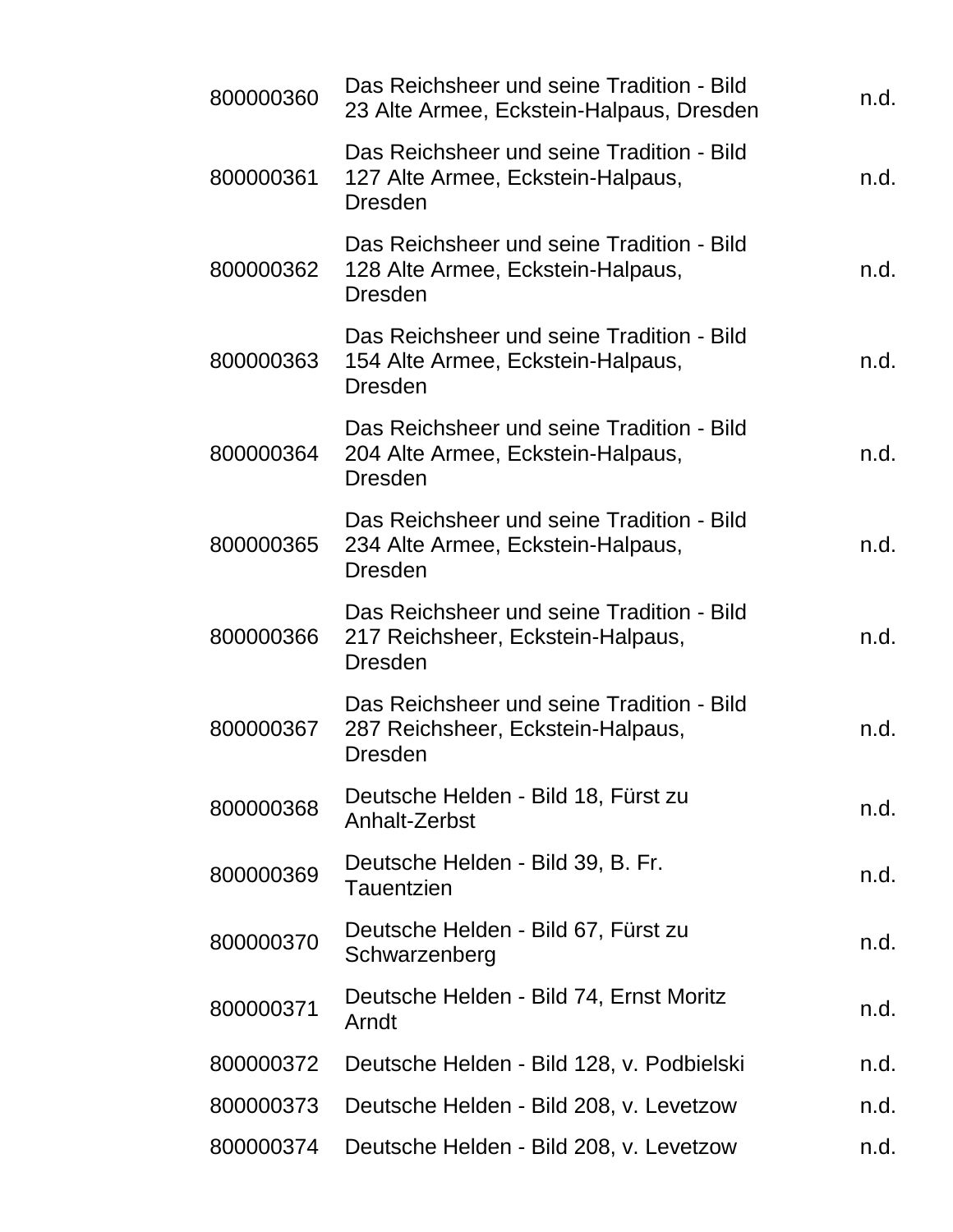| 800000360 | Das Reichsheer und seine Tradition - Bild<br>23 Alte Armee, Eckstein-Halpaus, Dresden            | n.d. |
|-----------|--------------------------------------------------------------------------------------------------|------|
| 800000361 | Das Reichsheer und seine Tradition - Bild<br>127 Alte Armee, Eckstein-Halpaus,<br><b>Dresden</b> | n.d. |
| 800000362 | Das Reichsheer und seine Tradition - Bild<br>128 Alte Armee, Eckstein-Halpaus,<br><b>Dresden</b> | n.d. |
| 800000363 | Das Reichsheer und seine Tradition - Bild<br>154 Alte Armee, Eckstein-Halpaus,<br><b>Dresden</b> | n.d. |
| 800000364 | Das Reichsheer und seine Tradition - Bild<br>204 Alte Armee, Eckstein-Halpaus,<br><b>Dresden</b> | n.d. |
| 800000365 | Das Reichsheer und seine Tradition - Bild<br>234 Alte Armee, Eckstein-Halpaus,<br><b>Dresden</b> | n.d. |
| 800000366 | Das Reichsheer und seine Tradition - Bild<br>217 Reichsheer, Eckstein-Halpaus,<br><b>Dresden</b> | n.d. |
| 800000367 | Das Reichsheer und seine Tradition - Bild<br>287 Reichsheer, Eckstein-Halpaus,<br><b>Dresden</b> | n.d. |
| 800000368 | Deutsche Helden - Bild 18, Fürst zu<br>Anhalt-Zerbst                                             | n.d. |
| 800000369 | Deutsche Helden - Bild 39, B. Fr.<br>Tauentzien                                                  | n.d. |
| 800000370 | Deutsche Helden - Bild 67, Fürst zu<br>Schwarzenberg                                             | n.d. |
| 800000371 | Deutsche Helden - Bild 74, Ernst Moritz<br>Arndt                                                 | n.d. |
| 800000372 | Deutsche Helden - Bild 128, v. Podbielski                                                        | n.d. |
| 800000373 | Deutsche Helden - Bild 208, v. Levetzow                                                          | n.d. |
| 800000374 | Deutsche Helden - Bild 208, v. Levetzow                                                          | n.d. |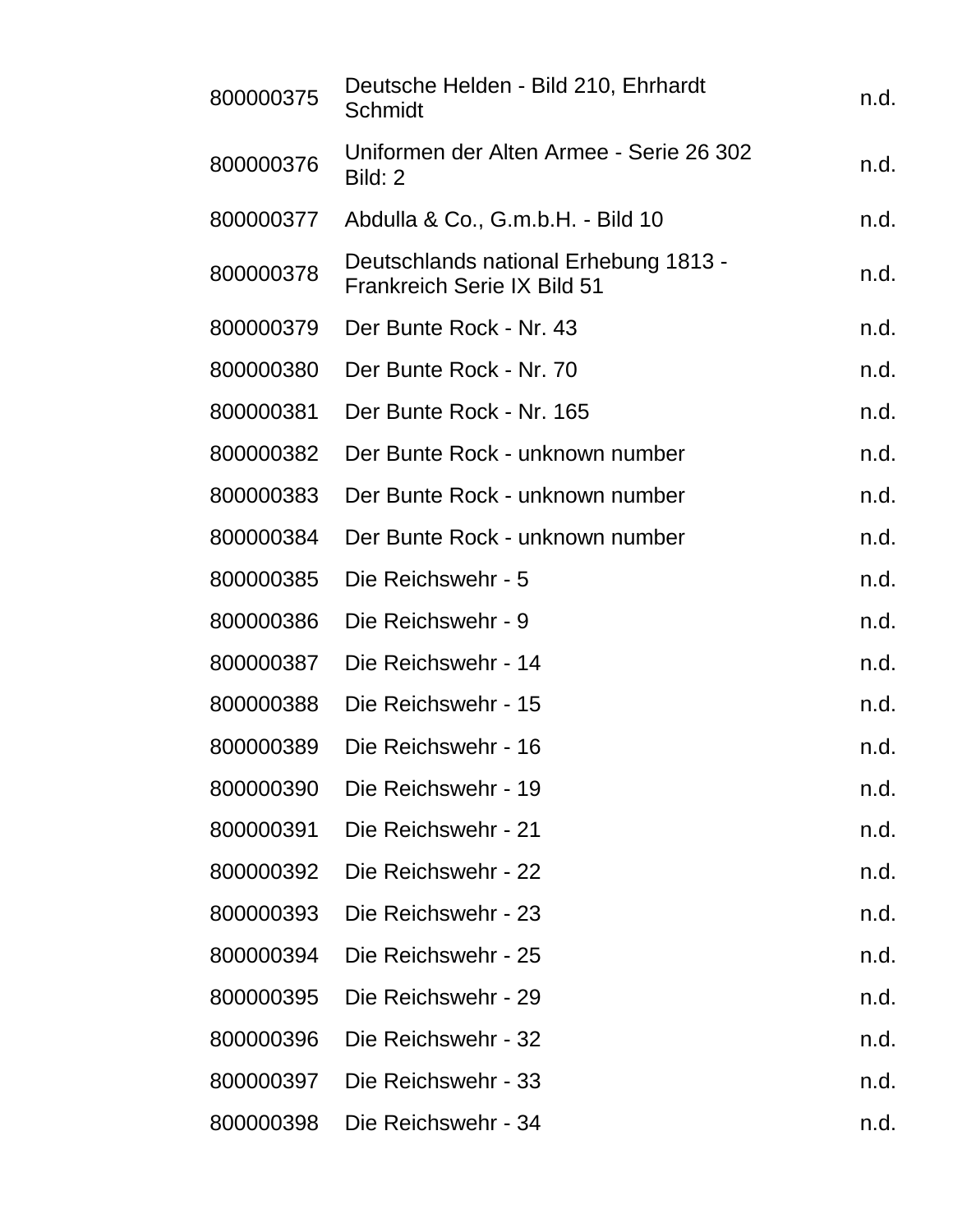| 800000375 | Deutsche Helden - Bild 210, Ehrhardt<br>Schmidt                      | n.d. |
|-----------|----------------------------------------------------------------------|------|
| 800000376 | Uniformen der Alten Armee - Serie 26 302<br>Bild: 2                  | n.d. |
| 800000377 | Abdulla & Co., G.m.b.H. - Bild 10                                    | n.d. |
| 800000378 | Deutschlands national Erhebung 1813 -<br>Frankreich Serie IX Bild 51 | n.d. |
| 800000379 | Der Bunte Rock - Nr. 43                                              | n.d. |
| 800000380 | Der Bunte Rock - Nr. 70                                              | n.d. |
| 800000381 | Der Bunte Rock - Nr. 165                                             | n.d. |
| 800000382 | Der Bunte Rock - unknown number                                      | n.d. |
| 800000383 | Der Bunte Rock - unknown number                                      | n.d. |
| 800000384 | Der Bunte Rock - unknown number                                      | n.d. |
| 800000385 | Die Reichswehr - 5                                                   | n.d. |
| 800000386 | Die Reichswehr - 9                                                   | n.d. |
| 800000387 | Die Reichswehr - 14                                                  | n.d. |
| 800000388 | Die Reichswehr - 15                                                  | n.d. |
| 800000389 | Die Reichswehr - 16                                                  | n.d. |
| 800000390 | Die Reichswehr - 19                                                  | n.d. |
| 800000391 | Die Reichswehr - 21                                                  | n.d. |
| 800000392 | Die Reichswehr - 22                                                  | n.d. |
| 800000393 | Die Reichswehr - 23                                                  | n.d. |
| 800000394 | Die Reichswehr - 25                                                  | n.d. |
| 800000395 | Die Reichswehr - 29                                                  | n.d. |
| 800000396 | Die Reichswehr - 32                                                  | n.d. |
| 800000397 | Die Reichswehr - 33                                                  | n.d. |
| 800000398 | Die Reichswehr - 34                                                  | n.d. |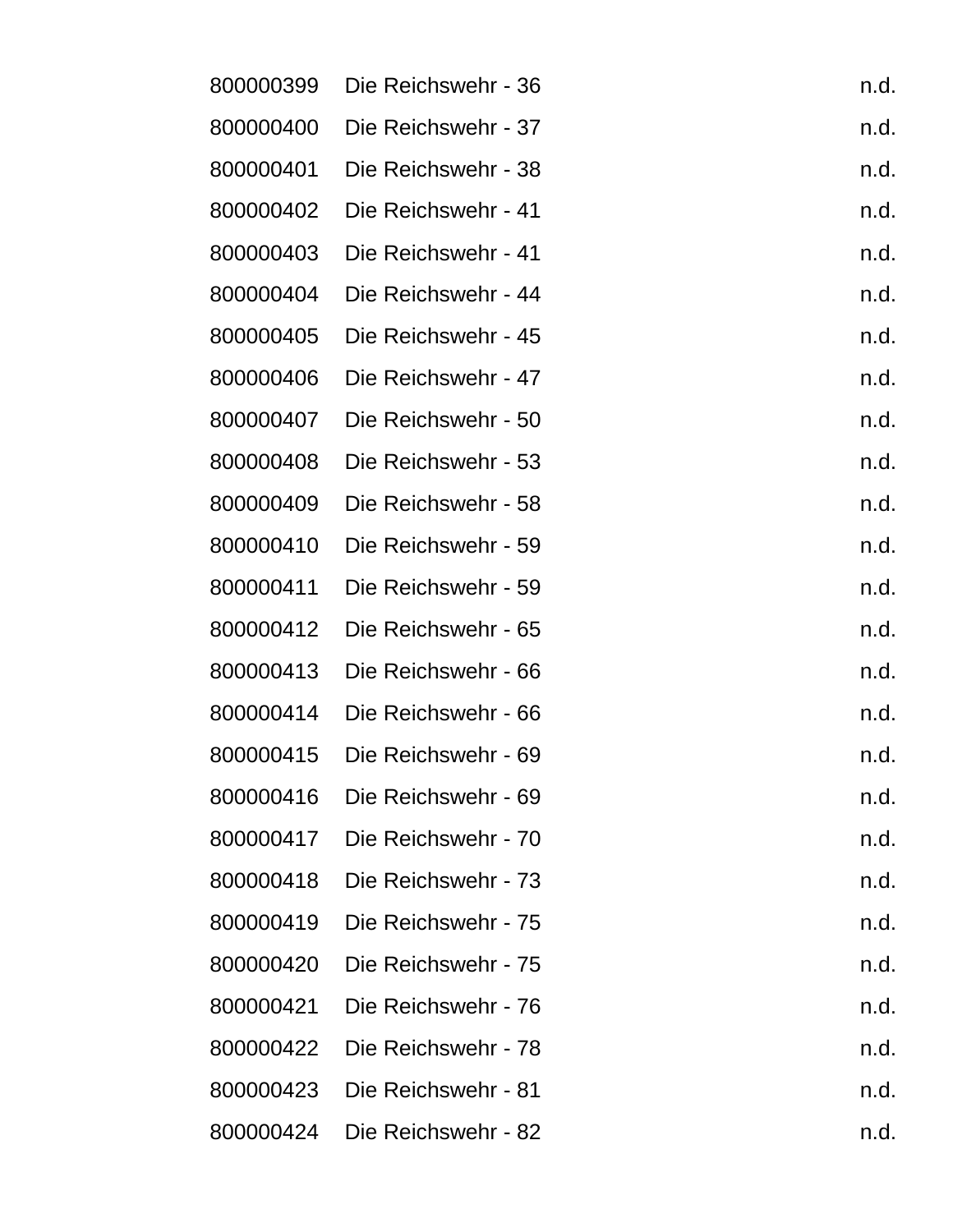| 800000399 | Die Reichswehr - 36 | n.d. |
|-----------|---------------------|------|
| 800000400 | Die Reichswehr - 37 | n.d. |
| 800000401 | Die Reichswehr - 38 | n.d. |
| 800000402 | Die Reichswehr - 41 | n.d. |
| 800000403 | Die Reichswehr - 41 | n.d. |
| 800000404 | Die Reichswehr - 44 | n.d. |
| 800000405 | Die Reichswehr - 45 | n.d. |
| 800000406 | Die Reichswehr - 47 | n.d. |
| 800000407 | Die Reichswehr - 50 | n.d. |
| 800000408 | Die Reichswehr - 53 | n.d. |
| 800000409 | Die Reichswehr - 58 | n.d. |
| 800000410 | Die Reichswehr - 59 | n.d. |
| 800000411 | Die Reichswehr - 59 | n.d. |
| 800000412 | Die Reichswehr - 65 | n.d. |
| 800000413 | Die Reichswehr - 66 | n.d. |
| 800000414 | Die Reichswehr - 66 | n.d. |
| 800000415 | Die Reichswehr - 69 | n.d. |
| 800000416 | Die Reichswehr - 69 | n.d. |
| 800000417 | Die Reichswehr - 70 | n.d. |
| 800000418 | Die Reichswehr - 73 | n.d. |
| 800000419 | Die Reichswehr - 75 | n.d. |
| 800000420 | Die Reichswehr - 75 | n.d. |
| 800000421 | Die Reichswehr - 76 | n.d. |
| 800000422 | Die Reichswehr - 78 | n.d. |
| 800000423 | Die Reichswehr - 81 | n.d. |
| 800000424 | Die Reichswehr - 82 | n.d. |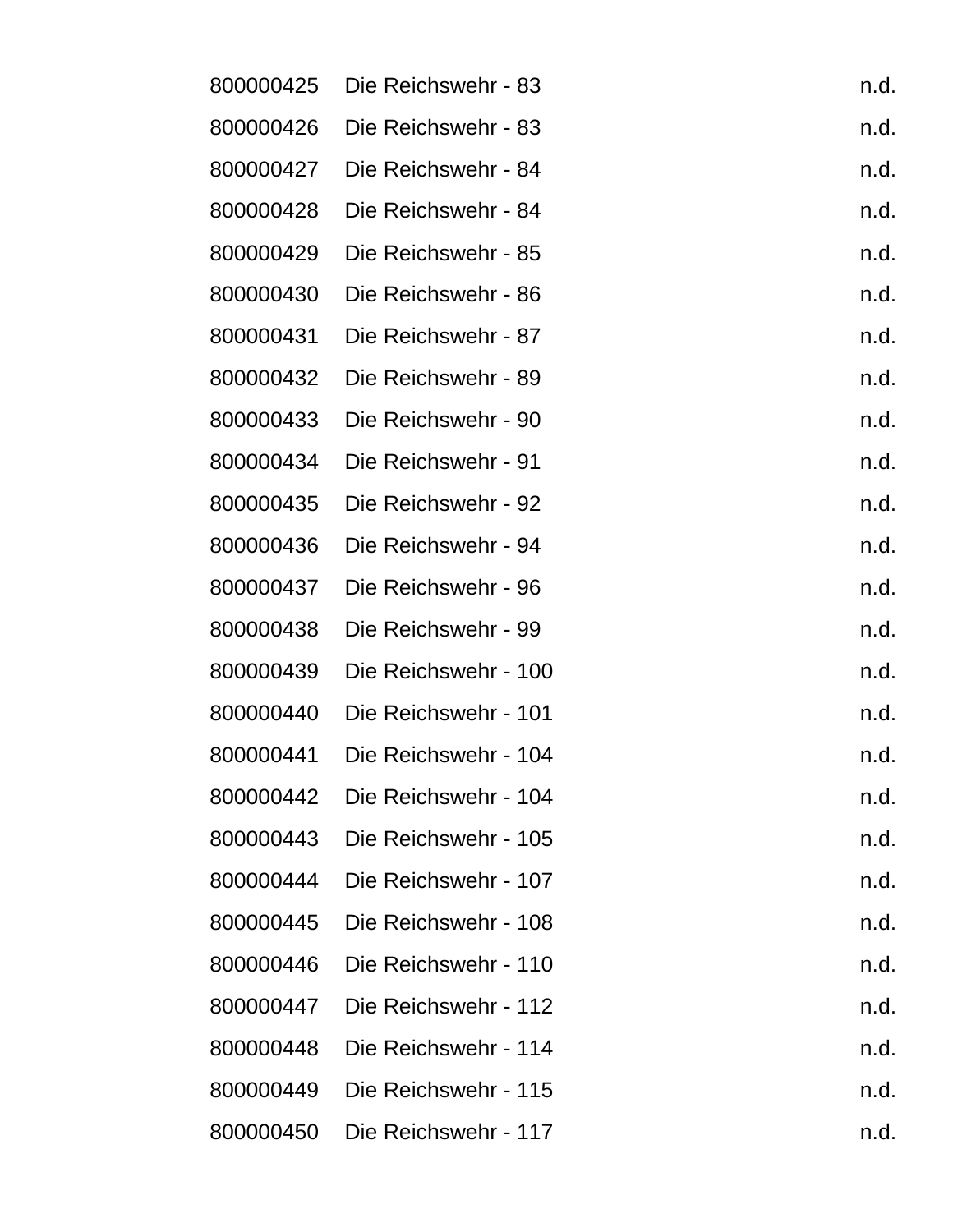| 800000425 | Die Reichswehr - 83  | n.d. |
|-----------|----------------------|------|
| 800000426 | Die Reichswehr - 83  | n.d. |
| 800000427 | Die Reichswehr - 84  | n.d. |
| 800000428 | Die Reichswehr - 84  | n.d. |
| 800000429 | Die Reichswehr - 85  | n.d. |
| 800000430 | Die Reichswehr - 86  | n.d. |
| 800000431 | Die Reichswehr - 87  | n.d. |
| 800000432 | Die Reichswehr - 89  | n.d. |
| 800000433 | Die Reichswehr - 90  | n.d. |
| 800000434 | Die Reichswehr - 91  | n.d. |
| 800000435 | Die Reichswehr - 92  | n.d. |
| 800000436 | Die Reichswehr - 94  | n.d. |
| 800000437 | Die Reichswehr - 96  | n.d. |
| 800000438 | Die Reichswehr - 99  | n.d. |
| 800000439 | Die Reichswehr - 100 | n.d. |
| 800000440 | Die Reichswehr - 101 | n.d. |
| 800000441 | Die Reichswehr - 104 | n.d. |
| 800000442 | Die Reichswehr - 104 | n.d. |
| 800000443 | Die Reichswehr - 105 | n.d. |
| 800000444 | Die Reichswehr - 107 | n.d. |
| 800000445 | Die Reichswehr - 108 | n.d. |
| 800000446 | Die Reichswehr - 110 | n.d. |
| 800000447 | Die Reichswehr - 112 | n.d. |
| 800000448 | Die Reichswehr - 114 | n.d. |
| 800000449 | Die Reichswehr - 115 | n.d. |
| 800000450 | Die Reichswehr - 117 | n.d. |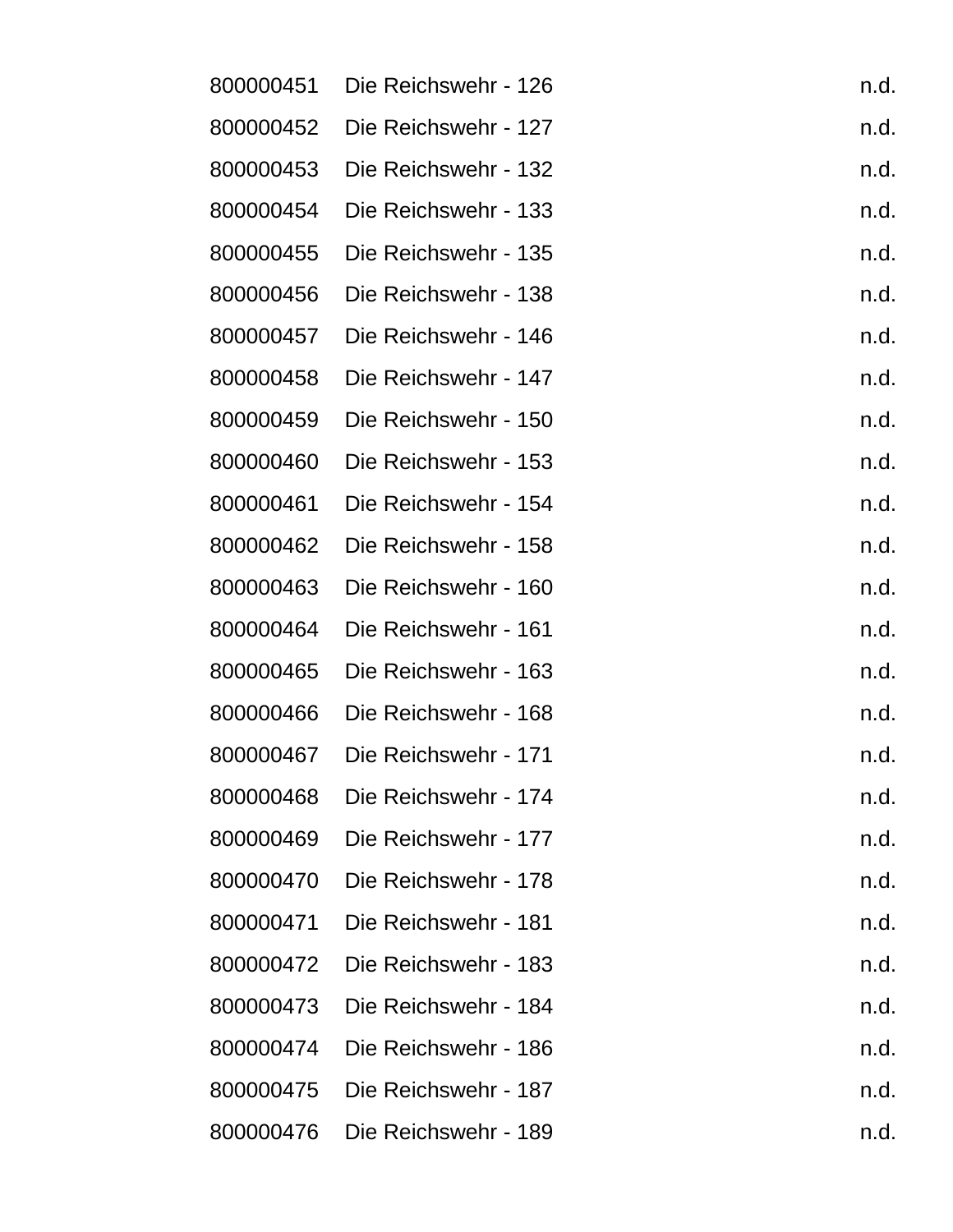| 800000451 | Die Reichswehr - 126 | n.d. |
|-----------|----------------------|------|
| 800000452 | Die Reichswehr - 127 | n.d. |
| 800000453 | Die Reichswehr - 132 | n.d. |
| 800000454 | Die Reichswehr - 133 | n.d. |
| 800000455 | Die Reichswehr - 135 | n.d. |
| 800000456 | Die Reichswehr - 138 | n.d. |
| 800000457 | Die Reichswehr - 146 | n.d. |
| 800000458 | Die Reichswehr - 147 | n.d. |
| 800000459 | Die Reichswehr - 150 | n.d. |
| 800000460 | Die Reichswehr - 153 | n.d. |
| 800000461 | Die Reichswehr - 154 | n.d. |
| 800000462 | Die Reichswehr - 158 | n.d. |
| 800000463 | Die Reichswehr - 160 | n.d. |
| 800000464 | Die Reichswehr - 161 | n.d. |
| 800000465 | Die Reichswehr - 163 | n.d. |
| 800000466 | Die Reichswehr - 168 | n.d. |
| 800000467 | Die Reichswehr - 171 | n.d. |
| 800000468 | Die Reichswehr - 174 | n.d. |
| 800000469 | Die Reichswehr - 177 | n.d. |
| 800000470 | Die Reichswehr - 178 | n.d. |
| 800000471 | Die Reichswehr - 181 | n.d. |
| 800000472 | Die Reichswehr - 183 | n.d. |
| 800000473 | Die Reichswehr - 184 | n.d. |
| 800000474 | Die Reichswehr - 186 | n.d. |
| 800000475 | Die Reichswehr - 187 | n.d. |
| 800000476 | Die Reichswehr - 189 | n.d. |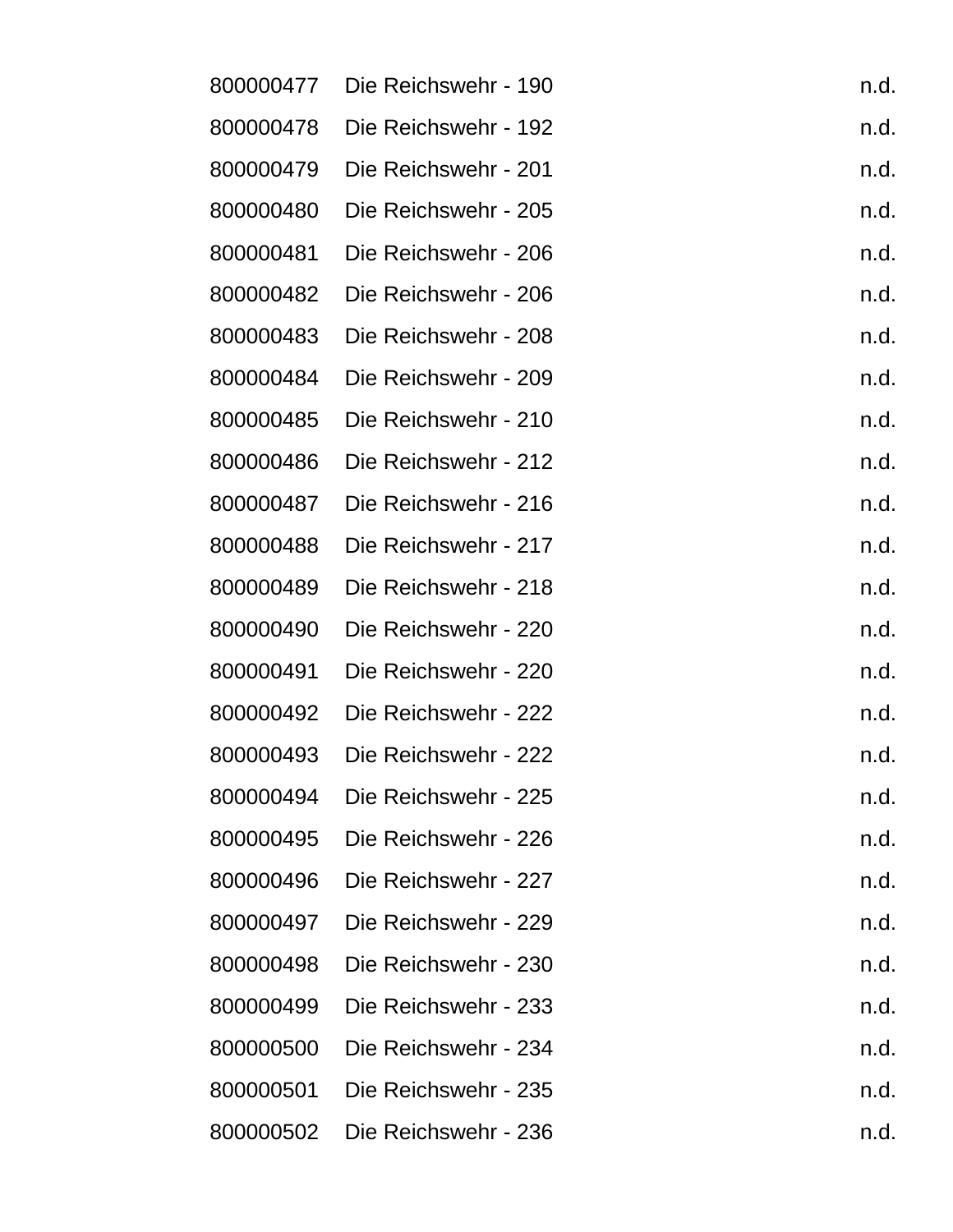| 800000477 | Die Reichswehr - 190 | n.d. |
|-----------|----------------------|------|
| 800000478 | Die Reichswehr - 192 | n.d. |
| 800000479 | Die Reichswehr - 201 | n.d. |
| 800000480 | Die Reichswehr - 205 | n.d. |
| 800000481 | Die Reichswehr - 206 | n.d. |
| 800000482 | Die Reichswehr - 206 | n.d. |
| 800000483 | Die Reichswehr - 208 | n.d. |
| 800000484 | Die Reichswehr - 209 | n.d. |
| 800000485 | Die Reichswehr - 210 | n.d. |
| 800000486 | Die Reichswehr - 212 | n.d. |
| 800000487 | Die Reichswehr - 216 | n.d. |
| 800000488 | Die Reichswehr - 217 | n.d. |
| 800000489 | Die Reichswehr - 218 | n.d. |
| 800000490 | Die Reichswehr - 220 | n.d. |
| 800000491 | Die Reichswehr - 220 | n.d. |
| 800000492 | Die Reichswehr - 222 | n.d. |
| 800000493 | Die Reichswehr - 222 | n.d. |
| 800000494 | Die Reichswehr - 225 | n.d. |
| 800000495 | Die Reichswehr - 226 | n.d. |
| 800000496 | Die Reichswehr - 227 | n.d. |
| 800000497 | Die Reichswehr - 229 | n.d. |
| 800000498 | Die Reichswehr - 230 | n.d. |
| 800000499 | Die Reichswehr - 233 | n.d. |
| 800000500 | Die Reichswehr - 234 | n.d. |
| 800000501 | Die Reichswehr - 235 | n.d. |
| 800000502 | Die Reichswehr - 236 | n.d. |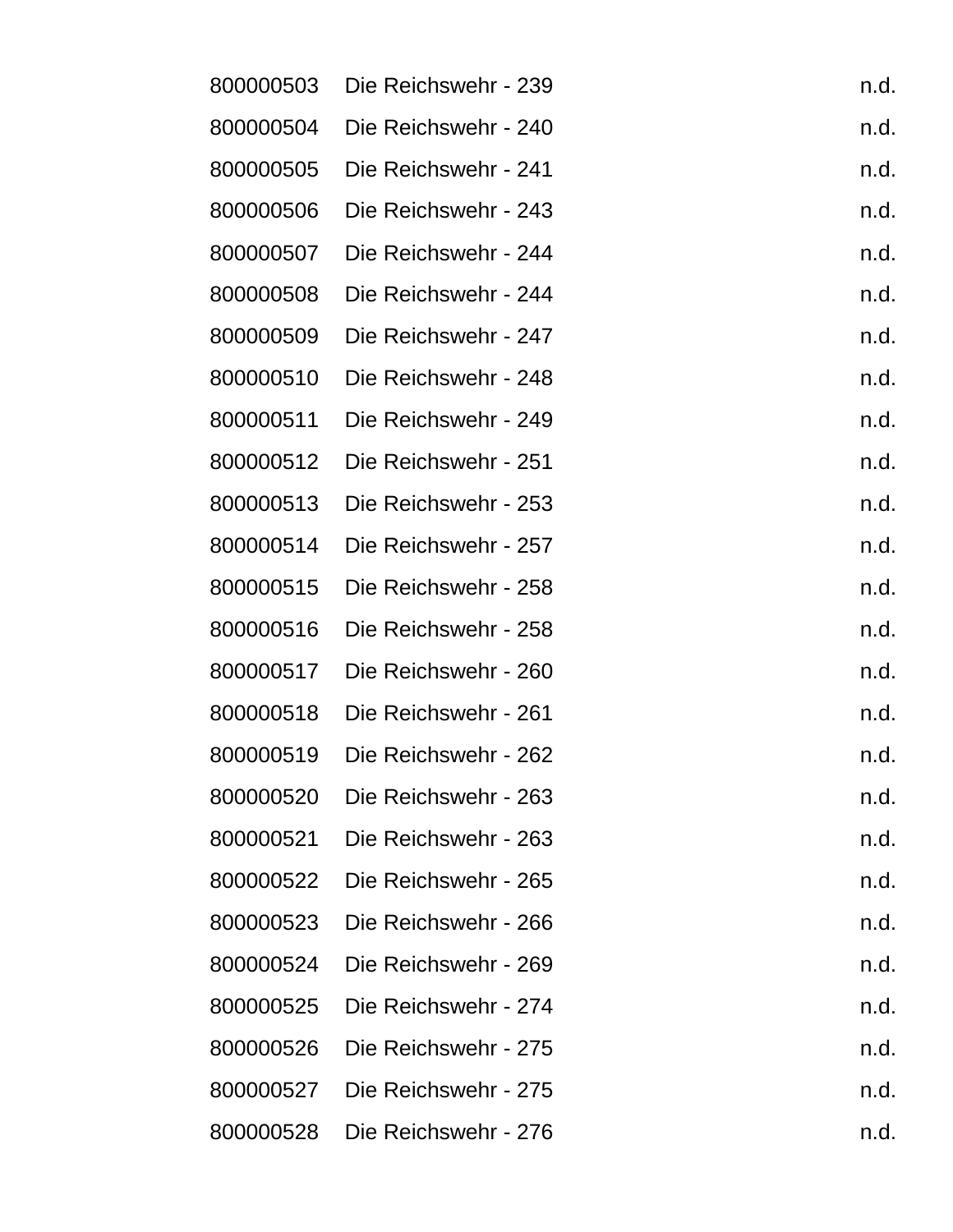| 800000503 | Die Reichswehr - 239 | n.d. |
|-----------|----------------------|------|
| 800000504 | Die Reichswehr - 240 | n.d. |
| 800000505 | Die Reichswehr - 241 | n.d. |
| 800000506 | Die Reichswehr - 243 | n.d. |
| 800000507 | Die Reichswehr - 244 | n.d. |
| 800000508 | Die Reichswehr - 244 | n.d. |
| 800000509 | Die Reichswehr - 247 | n.d. |
| 800000510 | Die Reichswehr - 248 | n.d. |
| 800000511 | Die Reichswehr - 249 | n.d. |
| 800000512 | Die Reichswehr - 251 | n.d. |
| 800000513 | Die Reichswehr - 253 | n.d. |
| 800000514 | Die Reichswehr - 257 | n.d. |
| 800000515 | Die Reichswehr - 258 | n.d. |
| 800000516 | Die Reichswehr - 258 | n.d. |
| 800000517 | Die Reichswehr - 260 | n.d. |
| 800000518 | Die Reichswehr - 261 | n.d. |
| 800000519 | Die Reichswehr - 262 | n.d. |
| 800000520 | Die Reichswehr - 263 | n.d. |
| 800000521 | Die Reichswehr - 263 | n.d. |
| 800000522 | Die Reichswehr - 265 | n.d. |
| 800000523 | Die Reichswehr - 266 | n.d. |
| 800000524 | Die Reichswehr - 269 | n.d. |
| 800000525 | Die Reichswehr - 274 | n.d. |
| 800000526 | Die Reichswehr - 275 | n.d. |
| 800000527 | Die Reichswehr - 275 | n.d. |
| 800000528 | Die Reichswehr - 276 | n.d. |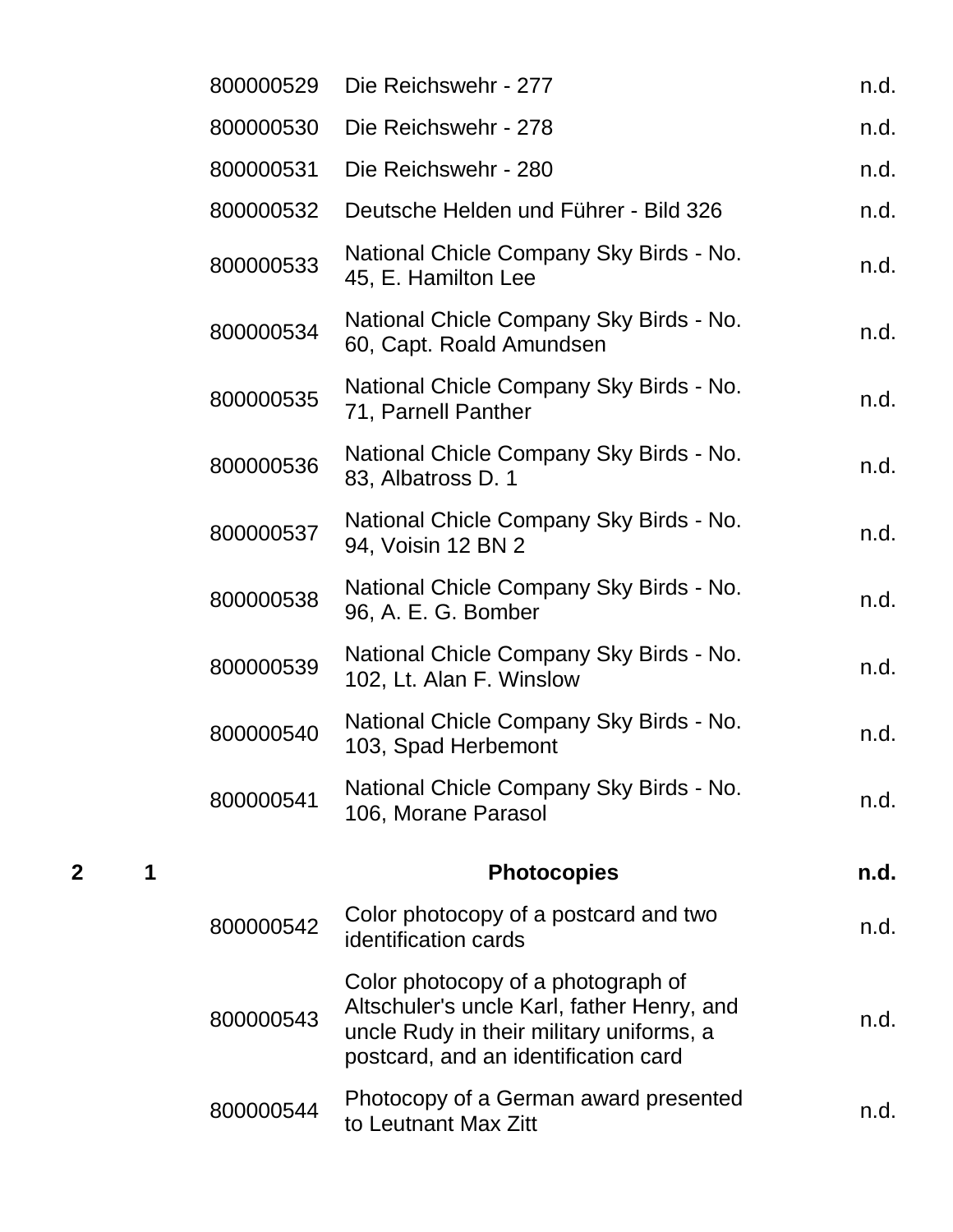| 800000529 | Die Reichswehr - 277                                                                                                                                                 | n.d. |
|-----------|----------------------------------------------------------------------------------------------------------------------------------------------------------------------|------|
| 800000530 | Die Reichswehr - 278                                                                                                                                                 | n.d. |
| 800000531 | Die Reichswehr - 280                                                                                                                                                 | n.d. |
| 800000532 | Deutsche Helden und Führer - Bild 326                                                                                                                                | n.d. |
| 800000533 | National Chicle Company Sky Birds - No.<br>45, E. Hamilton Lee                                                                                                       | n.d. |
| 800000534 | National Chicle Company Sky Birds - No.<br>60, Capt. Roald Amundsen                                                                                                  | n.d. |
| 800000535 | National Chicle Company Sky Birds - No.<br>71, Parnell Panther                                                                                                       | n.d. |
| 800000536 | National Chicle Company Sky Birds - No.<br>83, Albatross D. 1                                                                                                        | n.d. |
| 800000537 | National Chicle Company Sky Birds - No.<br>94, Voisin 12 BN 2                                                                                                        | n.d. |
| 800000538 | National Chicle Company Sky Birds - No.<br>96, A. E. G. Bomber                                                                                                       | n.d. |
| 800000539 | National Chicle Company Sky Birds - No.<br>102, Lt. Alan F. Winslow                                                                                                  | n.d. |
| 800000540 | National Chicle Company Sky Birds - No.<br>103, Spad Herbemont                                                                                                       | n.d. |
| 800000541 | National Chicle Company Sky Birds - No.<br>106, Morane Parasol                                                                                                       | n.d. |
|           | <b>Photocopies</b>                                                                                                                                                   | n.d. |
| 800000542 | Color photocopy of a postcard and two<br>identification cards                                                                                                        | n.d. |
| 800000543 | Color photocopy of a photograph of<br>Altschuler's uncle Karl, father Henry, and<br>uncle Rudy in their military uniforms, a<br>postcard, and an identification card | n.d. |
| 800000544 | Photocopy of a German award presented<br>to Leutnant Max Zitt                                                                                                        | n.d. |

**2 1 Photocopies n.d.**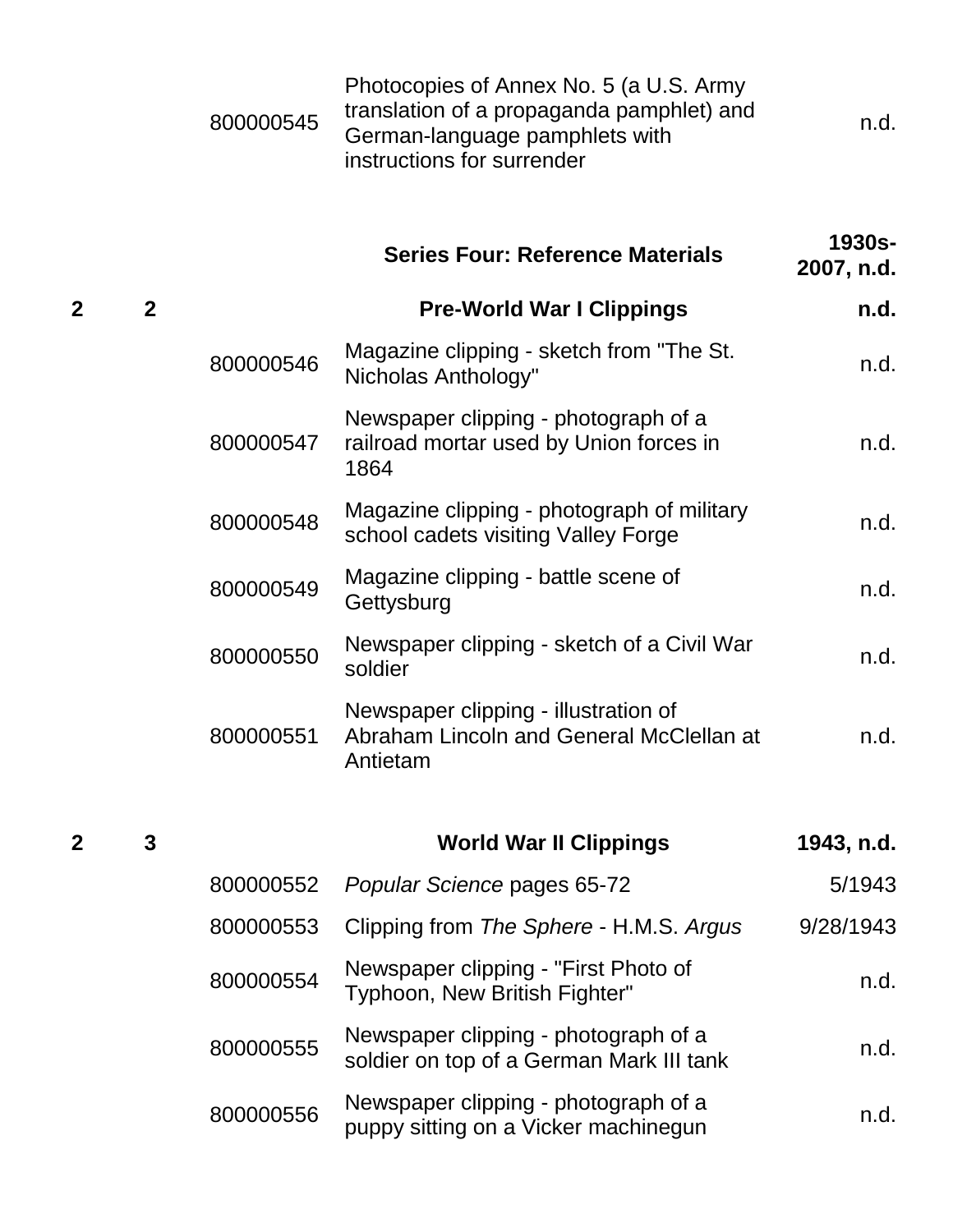|                |                | 800000545 | Photocopies of Annex No. 5 (a U.S. Army<br>translation of a propaganda pamphlet) and<br>German-language pamphlets with<br>instructions for surrender | n.d.                 |
|----------------|----------------|-----------|------------------------------------------------------------------------------------------------------------------------------------------------------|----------------------|
|                |                |           | <b>Series Four: Reference Materials</b>                                                                                                              | 1930s-<br>2007, n.d. |
| $\overline{2}$ | $\overline{2}$ |           | <b>Pre-World War I Clippings</b>                                                                                                                     | n.d.                 |
|                |                | 800000546 | Magazine clipping - sketch from "The St.<br>Nicholas Anthology"                                                                                      | n.d.                 |
|                |                | 800000547 | Newspaper clipping - photograph of a<br>railroad mortar used by Union forces in<br>1864                                                              | n.d.                 |
|                |                | 800000548 | Magazine clipping - photograph of military<br>school cadets visiting Valley Forge                                                                    | n.d.                 |
|                |                | 800000549 | Magazine clipping - battle scene of<br>Gettysburg                                                                                                    | n.d.                 |
|                |                | 800000550 | Newspaper clipping - sketch of a Civil War<br>soldier                                                                                                | n.d.                 |
|                |                | 800000551 | Newspaper clipping - illustration of<br>Abraham Lincoln and General McClellan at<br>Antietam                                                         | n.d.                 |
|                |                |           |                                                                                                                                                      |                      |
| 2              | 3              |           | <b>World War II Clippings</b>                                                                                                                        | 1943, n.d.           |
|                |                | 800000552 | Popular Science pages 65-72                                                                                                                          | 5/1943               |
|                |                | 800000553 | Clipping from The Sphere - H.M.S. Argus                                                                                                              | 9/28/1943            |
|                |                | 800000554 | Newspaper clipping - "First Photo of<br>Typhoon, New British Fighter"                                                                                | n.d.                 |
|                |                | 800000555 | Newspaper clipping - photograph of a<br>soldier on top of a German Mark III tank                                                                     | n.d.                 |
|                |                | 800000556 | Newspaper clipping - photograph of a<br>puppy sitting on a Vicker machinegun                                                                         | n.d.                 |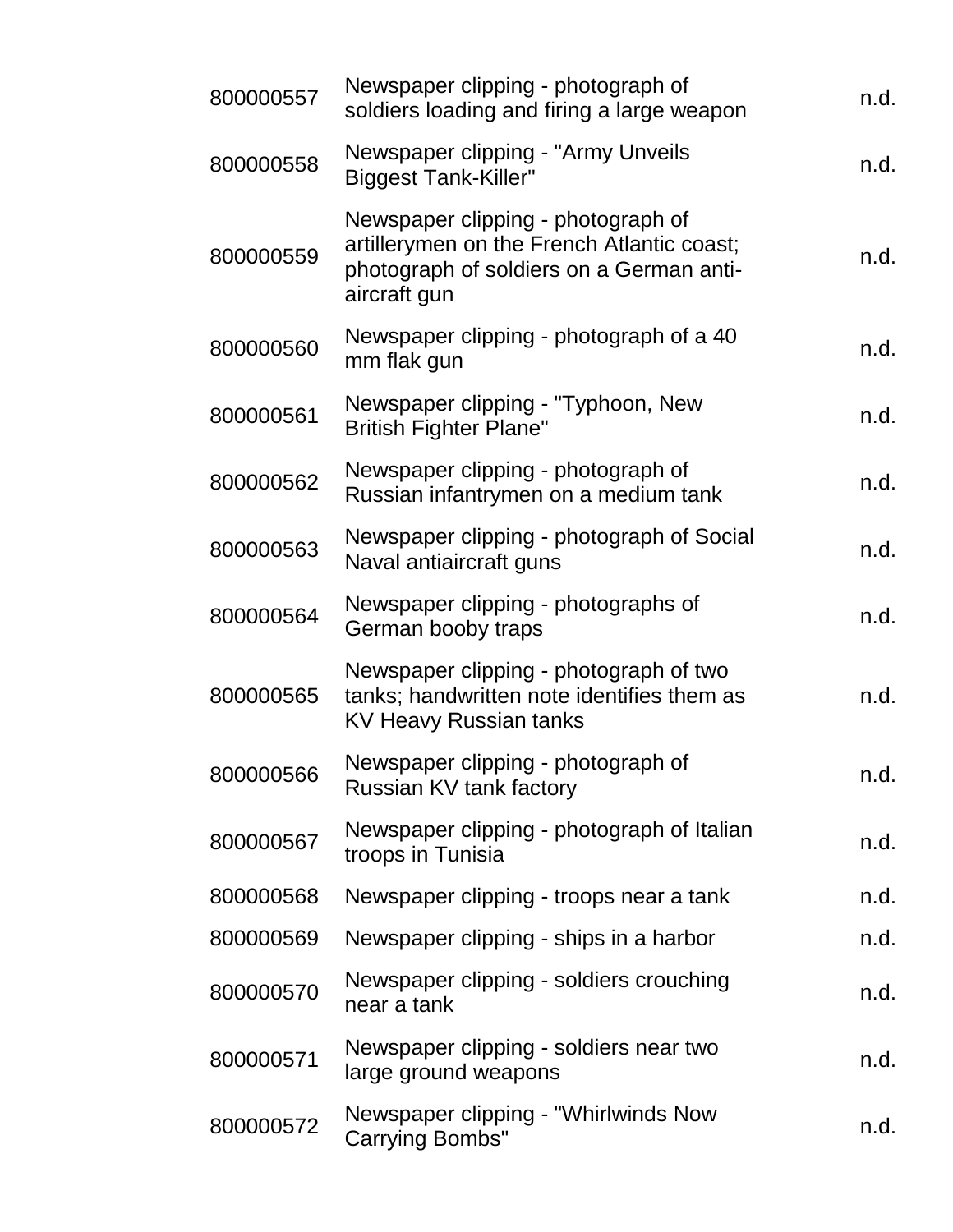| 800000557 | Newspaper clipping - photograph of<br>soldiers loading and firing a large weapon                                                             | n.d. |
|-----------|----------------------------------------------------------------------------------------------------------------------------------------------|------|
| 800000558 | Newspaper clipping - "Army Unveils<br><b>Biggest Tank-Killer"</b>                                                                            | n.d. |
| 800000559 | Newspaper clipping - photograph of<br>artillerymen on the French Atlantic coast;<br>photograph of soldiers on a German anti-<br>aircraft gun | n.d. |
| 800000560 | Newspaper clipping - photograph of a 40<br>mm flak gun                                                                                       | n.d. |
| 800000561 | Newspaper clipping - "Typhoon, New<br><b>British Fighter Plane"</b>                                                                          | n.d. |
| 800000562 | Newspaper clipping - photograph of<br>Russian infantrymen on a medium tank                                                                   | n.d. |
| 800000563 | Newspaper clipping - photograph of Social<br>Naval antiaircraft guns                                                                         | n.d. |
| 800000564 | Newspaper clipping - photographs of<br>German booby traps                                                                                    | n.d. |
| 800000565 | Newspaper clipping - photograph of two<br>tanks; handwritten note identifies them as<br><b>KV Heavy Russian tanks</b>                        | n.d. |
| 800000566 | Newspaper clipping - photograph of<br>Russian KV tank factory                                                                                | n.d. |
| 800000567 | Newspaper clipping - photograph of Italian<br>troops in Tunisia                                                                              | n.d. |
| 800000568 | Newspaper clipping - troops near a tank                                                                                                      | n.d. |
| 800000569 | Newspaper clipping - ships in a harbor                                                                                                       | n.d. |
| 800000570 | Newspaper clipping - soldiers crouching<br>near a tank                                                                                       | n.d. |
| 800000571 | Newspaper clipping - soldiers near two<br>large ground weapons                                                                               | n.d. |
| 800000572 | Newspaper clipping - "Whirlwinds Now<br><b>Carrying Bombs"</b>                                                                               | n.d. |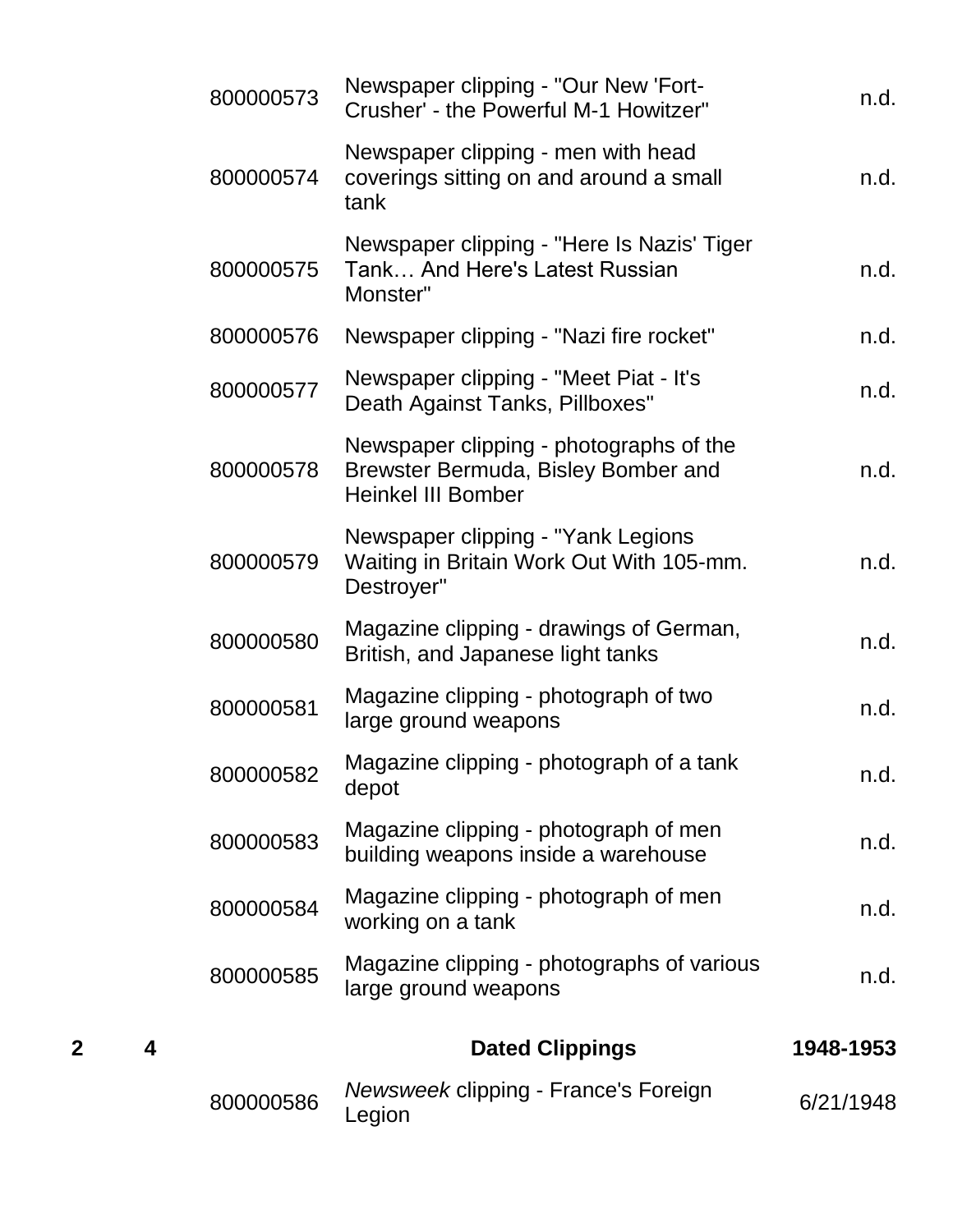|        | 800000573 | Newspaper clipping - "Our New 'Fort-<br>Crusher' - the Powerful M-1 Howitzer"                               | n.d.      |
|--------|-----------|-------------------------------------------------------------------------------------------------------------|-----------|
|        | 800000574 | Newspaper clipping - men with head<br>coverings sitting on and around a small<br>tank                       | n.d.      |
|        | 800000575 | Newspaper clipping - "Here Is Nazis' Tiger<br>Tank And Here's Latest Russian<br>Monster"                    | n.d.      |
|        | 800000576 | Newspaper clipping - "Nazi fire rocket"                                                                     | n.d.      |
|        | 800000577 | Newspaper clipping - "Meet Piat - It's<br>Death Against Tanks, Pillboxes"                                   | n.d.      |
|        | 800000578 | Newspaper clipping - photographs of the<br>Brewster Bermuda, Bisley Bomber and<br><b>Heinkel III Bomber</b> | n.d.      |
|        | 800000579 | Newspaper clipping - "Yank Legions"<br>Waiting in Britain Work Out With 105-mm.<br>Destroyer"               | n.d.      |
|        | 800000580 | Magazine clipping - drawings of German,<br>British, and Japanese light tanks                                | n.d.      |
|        | 800000581 | Magazine clipping - photograph of two<br>large ground weapons                                               | n.d.      |
|        | 800000582 | Magazine clipping - photograph of a tank<br>depot                                                           | n.d.      |
|        | 800000583 | Magazine clipping - photograph of men<br>building weapons inside a warehouse                                | n.d.      |
|        | 800000584 | Magazine clipping - photograph of men<br>working on a tank                                                  | n.d.      |
|        | 800000585 | Magazine clipping - photographs of various<br>large ground weapons                                          | n.d.      |
| 2<br>4 |           | <b>Dated Clippings</b>                                                                                      | 1948-1953 |
|        | 800000586 | Newsweek clipping - France's Foreign<br>Legion                                                              | 6/21/1948 |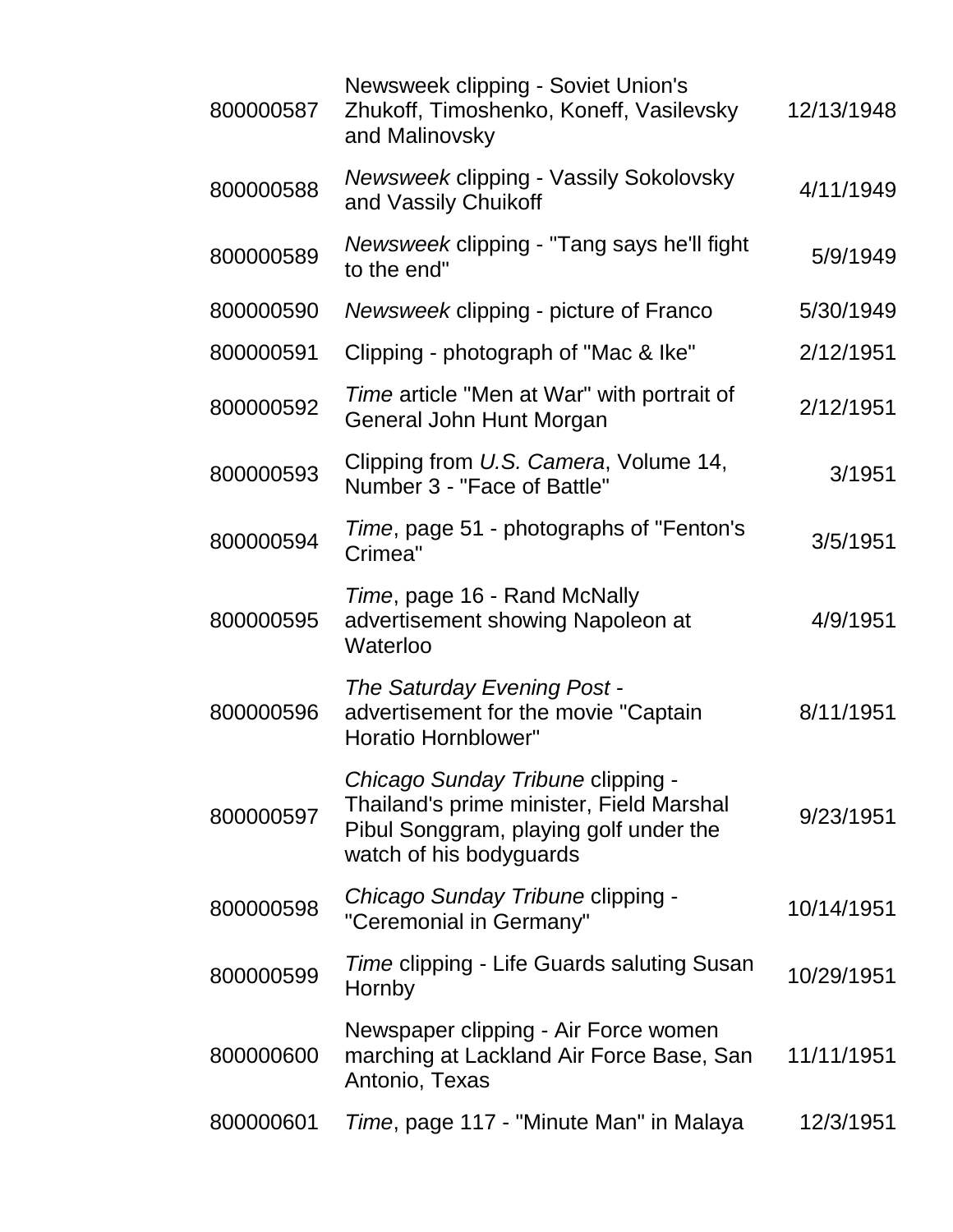| 800000587 | Newsweek clipping - Soviet Union's<br>Zhukoff, Timoshenko, Koneff, Vasilevsky<br>and Malinovsky                                                    | 12/13/1948 |
|-----------|----------------------------------------------------------------------------------------------------------------------------------------------------|------------|
| 800000588 | Newsweek clipping - Vassily Sokolovsky<br>and Vassily Chuikoff                                                                                     | 4/11/1949  |
| 800000589 | Newsweek clipping - "Tang says he'll fight<br>to the end"                                                                                          | 5/9/1949   |
| 800000590 | Newsweek clipping - picture of Franco                                                                                                              | 5/30/1949  |
| 800000591 | Clipping - photograph of "Mac & Ike"                                                                                                               | 2/12/1951  |
| 800000592 | <i>Time</i> article "Men at War" with portrait of<br>General John Hunt Morgan                                                                      | 2/12/1951  |
| 800000593 | Clipping from U.S. Camera, Volume 14,<br>Number 3 - "Face of Battle"                                                                               | 3/1951     |
| 800000594 | Time, page 51 - photographs of "Fenton's<br>Crimea"                                                                                                | 3/5/1951   |
| 800000595 | Time, page 16 - Rand McNally<br>advertisement showing Napoleon at<br>Waterloo                                                                      | 4/9/1951   |
| 800000596 | The Saturday Evening Post -<br>advertisement for the movie "Captain<br>Horatio Hornblower"                                                         | 8/11/1951  |
| 800000597 | Chicago Sunday Tribune clipping -<br>Thailand's prime minister, Field Marshal<br>Pibul Songgram, playing golf under the<br>watch of his bodyguards | 9/23/1951  |
| 800000598 | Chicago Sunday Tribune clipping -<br>"Ceremonial in Germany"                                                                                       | 10/14/1951 |
| 800000599 | Time clipping - Life Guards saluting Susan<br>Hornby                                                                                               | 10/29/1951 |
| 800000600 | Newspaper clipping - Air Force women<br>marching at Lackland Air Force Base, San<br>Antonio, Texas                                                 | 11/11/1951 |
| 800000601 | Time, page 117 - "Minute Man" in Malaya                                                                                                            | 12/3/1951  |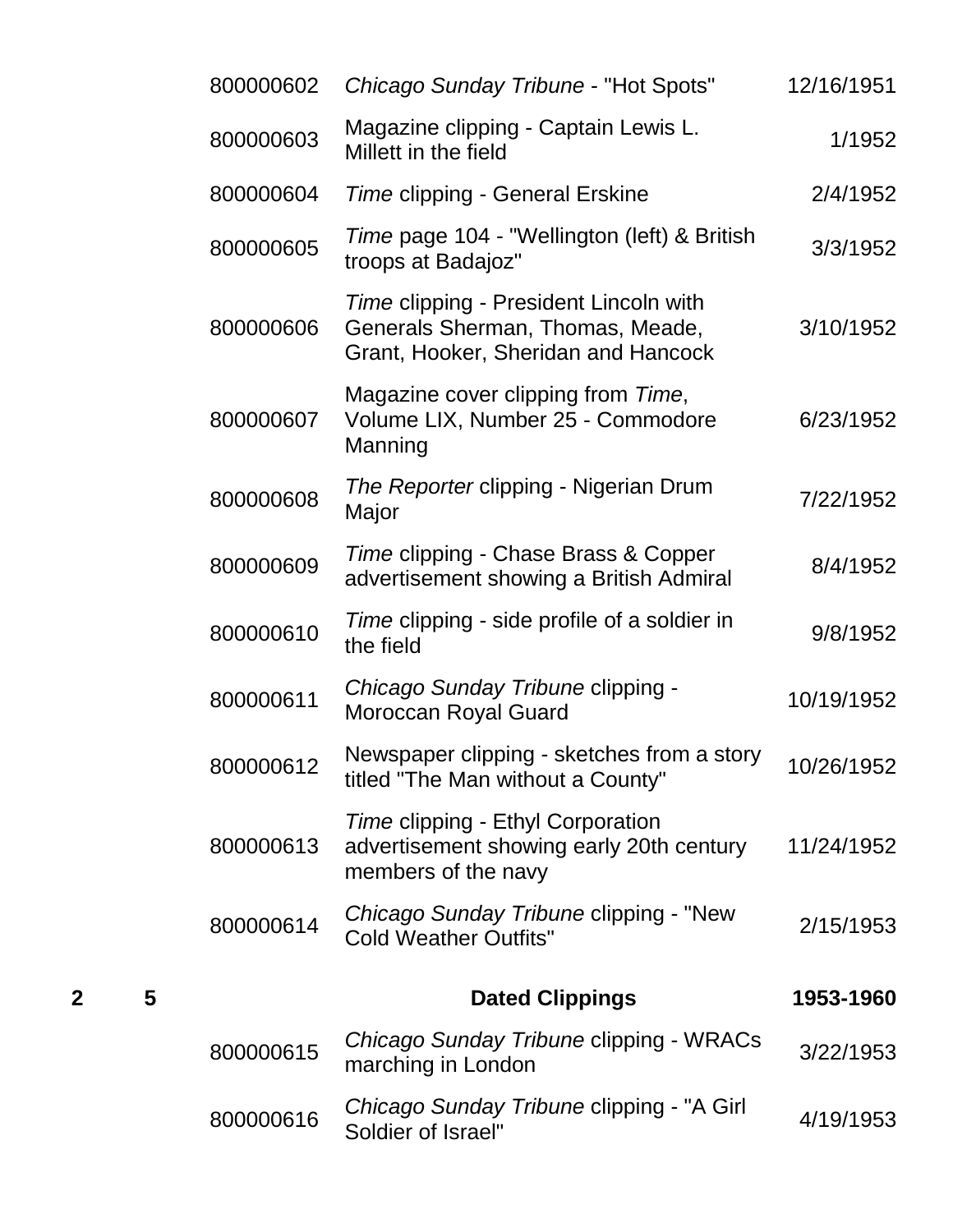|   |   | 800000602 | Chicago Sunday Tribune - "Hot Spots"                                                                              | 12/16/1951 |
|---|---|-----------|-------------------------------------------------------------------------------------------------------------------|------------|
|   |   | 800000603 | Magazine clipping - Captain Lewis L.<br>Millett in the field                                                      | 1/1952     |
|   |   | 800000604 | Time clipping - General Erskine                                                                                   | 2/4/1952   |
|   |   | 800000605 | Time page 104 - "Wellington (left) & British<br>troops at Badajoz"                                                | 3/3/1952   |
|   |   | 800000606 | Time clipping - President Lincoln with<br>Generals Sherman, Thomas, Meade,<br>Grant, Hooker, Sheridan and Hancock | 3/10/1952  |
|   |   | 800000607 | Magazine cover clipping from Time,<br>Volume LIX, Number 25 - Commodore<br>Manning                                | 6/23/1952  |
|   |   | 800000608 | The Reporter clipping - Nigerian Drum<br>Major                                                                    | 7/22/1952  |
|   |   | 800000609 | Time clipping - Chase Brass & Copper<br>advertisement showing a British Admiral                                   | 8/4/1952   |
|   |   | 800000610 | Time clipping - side profile of a soldier in<br>the field                                                         | 9/8/1952   |
|   |   | 800000611 | Chicago Sunday Tribune clipping -<br>Moroccan Royal Guard                                                         | 10/19/1952 |
|   |   | 800000612 | Newspaper clipping - sketches from a story<br>titled "The Man without a County"                                   | 10/26/1952 |
|   |   | 800000613 | Time clipping - Ethyl Corporation<br>advertisement showing early 20th century<br>members of the navy              | 11/24/1952 |
|   |   | 800000614 | Chicago Sunday Tribune clipping - "New<br><b>Cold Weather Outfits"</b>                                            | 2/15/1953  |
| 2 | 5 |           | <b>Dated Clippings</b>                                                                                            | 1953-1960  |
|   |   | 800000615 | Chicago Sunday Tribune clipping - WRACs<br>marching in London                                                     | 3/22/1953  |
|   |   | 800000616 | Chicago Sunday Tribune clipping - "A Girl<br>Soldier of Israel"                                                   | 4/19/1953  |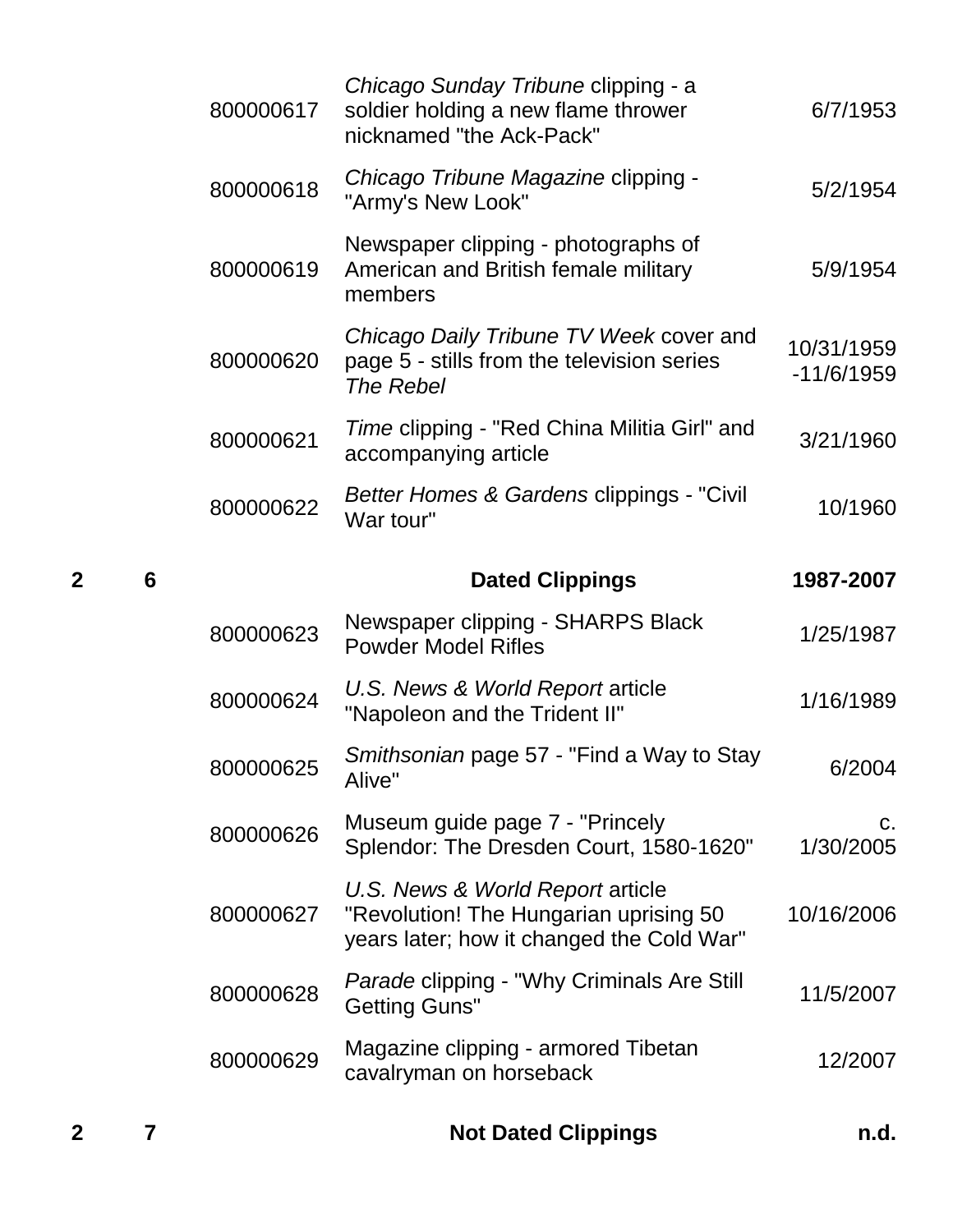| $\mathbf{2}$ | 7               |           | <b>Not Dated Clippings</b>                                                                                              | n.d.                       |
|--------------|-----------------|-----------|-------------------------------------------------------------------------------------------------------------------------|----------------------------|
|              |                 | 800000629 | Magazine clipping - armored Tibetan<br>cavalryman on horseback                                                          | 12/2007                    |
|              |                 | 800000628 | <i>Parade</i> clipping - "Why Criminals Are Still<br><b>Getting Guns"</b>                                               | 11/5/2007                  |
|              |                 | 800000627 | U.S. News & World Report article<br>"Revolution! The Hungarian uprising 50<br>years later; how it changed the Cold War" | 10/16/2006                 |
|              |                 | 800000626 | Museum guide page 7 - "Princely"<br>Splendor: The Dresden Court, 1580-1620"                                             | $C_{\cdot}$<br>1/30/2005   |
|              |                 | 800000625 | Smithsonian page 57 - "Find a Way to Stay<br>Alive"                                                                     | 6/2004                     |
|              |                 | 800000624 | U.S. News & World Report article<br>"Napoleon and the Trident II"                                                       | 1/16/1989                  |
|              |                 | 800000623 | Newspaper clipping - SHARPS Black<br><b>Powder Model Rifles</b>                                                         | 1/25/1987                  |
| $\mathbf{2}$ | $6\phantom{1}6$ |           | <b>Dated Clippings</b>                                                                                                  | 1987-2007                  |
|              |                 | 800000622 | Better Homes & Gardens clippings - "Civil<br>War tour"                                                                  | 10/1960                    |
|              |                 | 800000621 | Time clipping - "Red China Militia Girl" and<br>accompanying article                                                    | 3/21/1960                  |
|              |                 | 800000620 | Chicago Daily Tribune TV Week cover and<br>page 5 - stills from the television series<br><b>The Rebel</b>               | 10/31/1959<br>$-11/6/1959$ |
|              |                 | 800000619 | Newspaper clipping - photographs of<br>American and British female military<br>members                                  | 5/9/1954                   |
|              |                 | 800000618 | Chicago Tribune Magazine clipping -<br>"Army's New Look"                                                                | 5/2/1954                   |
|              |                 | 800000617 | Chicago Sunday Tribune clipping - a<br>soldier holding a new flame thrower<br>nicknamed "the Ack-Pack"                  | 6/7/1953                   |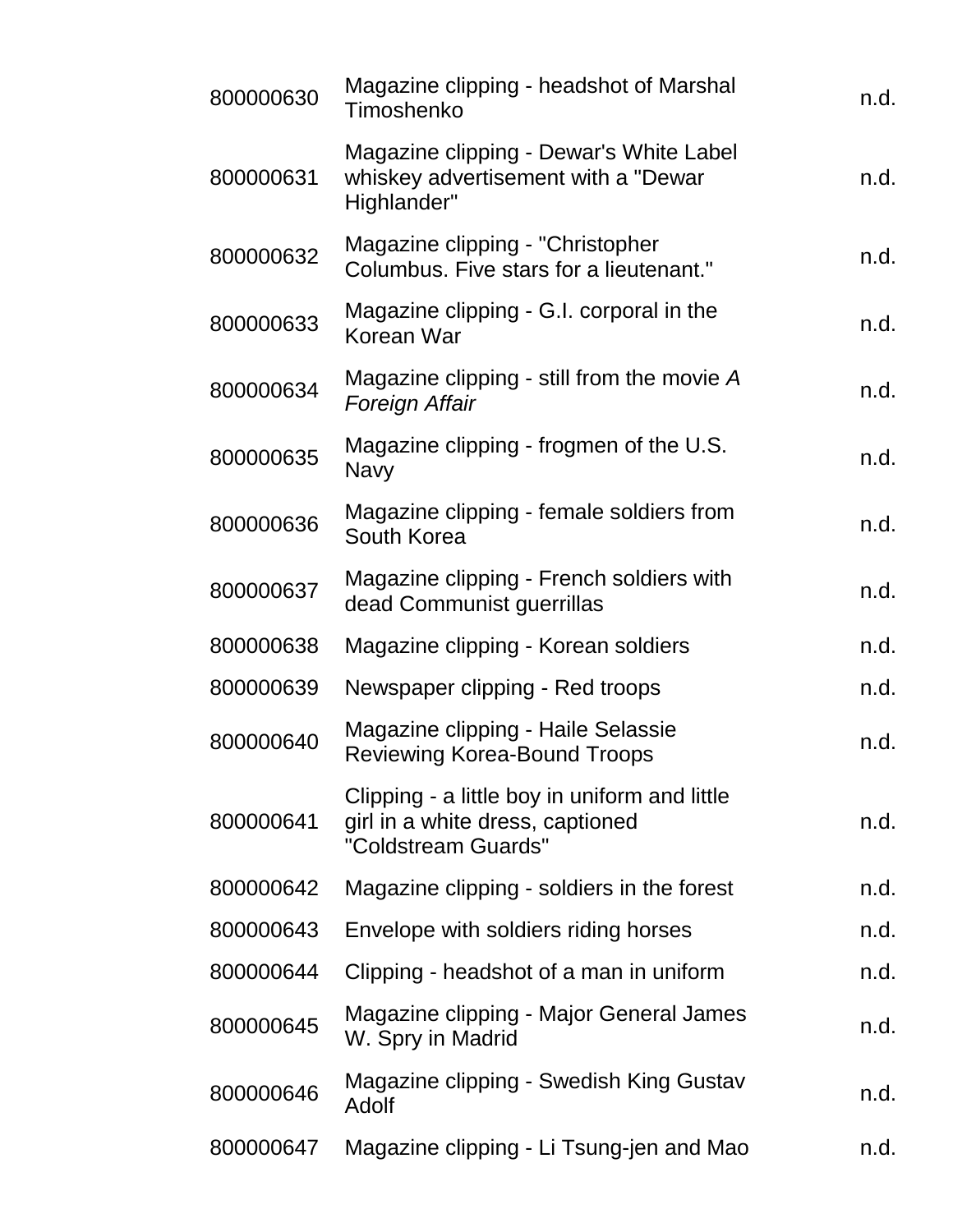| 800000630 | Magazine clipping - headshot of Marshal<br>Timoshenko                                                    | n.d. |
|-----------|----------------------------------------------------------------------------------------------------------|------|
| 800000631 | Magazine clipping - Dewar's White Label<br>whiskey advertisement with a "Dewar<br>Highlander"            | n.d. |
| 800000632 | Magazine clipping - "Christopher"<br>Columbus. Five stars for a lieutenant."                             | n.d. |
| 800000633 | Magazine clipping - G.I. corporal in the<br>Korean War                                                   | n.d. |
| 800000634 | Magazine clipping - still from the movie A<br>Foreign Affair                                             | n.d. |
| 800000635 | Magazine clipping - frogmen of the U.S.<br><b>Navy</b>                                                   | n.d. |
| 800000636 | Magazine clipping - female soldiers from<br>South Korea                                                  | n.d. |
| 800000637 | Magazine clipping - French soldiers with<br>dead Communist guerrillas                                    | n.d. |
| 800000638 | Magazine clipping - Korean soldiers                                                                      | n.d. |
| 800000639 | Newspaper clipping - Red troops                                                                          | n.d. |
| 800000640 | Magazine clipping - Haile Selassie<br><b>Reviewing Korea-Bound Troops</b>                                | n.d. |
| 800000641 | Clipping - a little boy in uniform and little<br>girl in a white dress, captioned<br>"Coldstream Guards" | n.d. |
| 800000642 | Magazine clipping - soldiers in the forest                                                               | n.d. |
| 800000643 | Envelope with soldiers riding horses                                                                     | n.d. |
| 800000644 | Clipping - headshot of a man in uniform                                                                  | n.d. |
| 800000645 | Magazine clipping - Major General James<br>W. Spry in Madrid                                             | n.d. |
| 800000646 | Magazine clipping - Swedish King Gustav<br>Adolf                                                         | n.d. |
| 800000647 | Magazine clipping - Li Tsung-jen and Mao                                                                 | n.d. |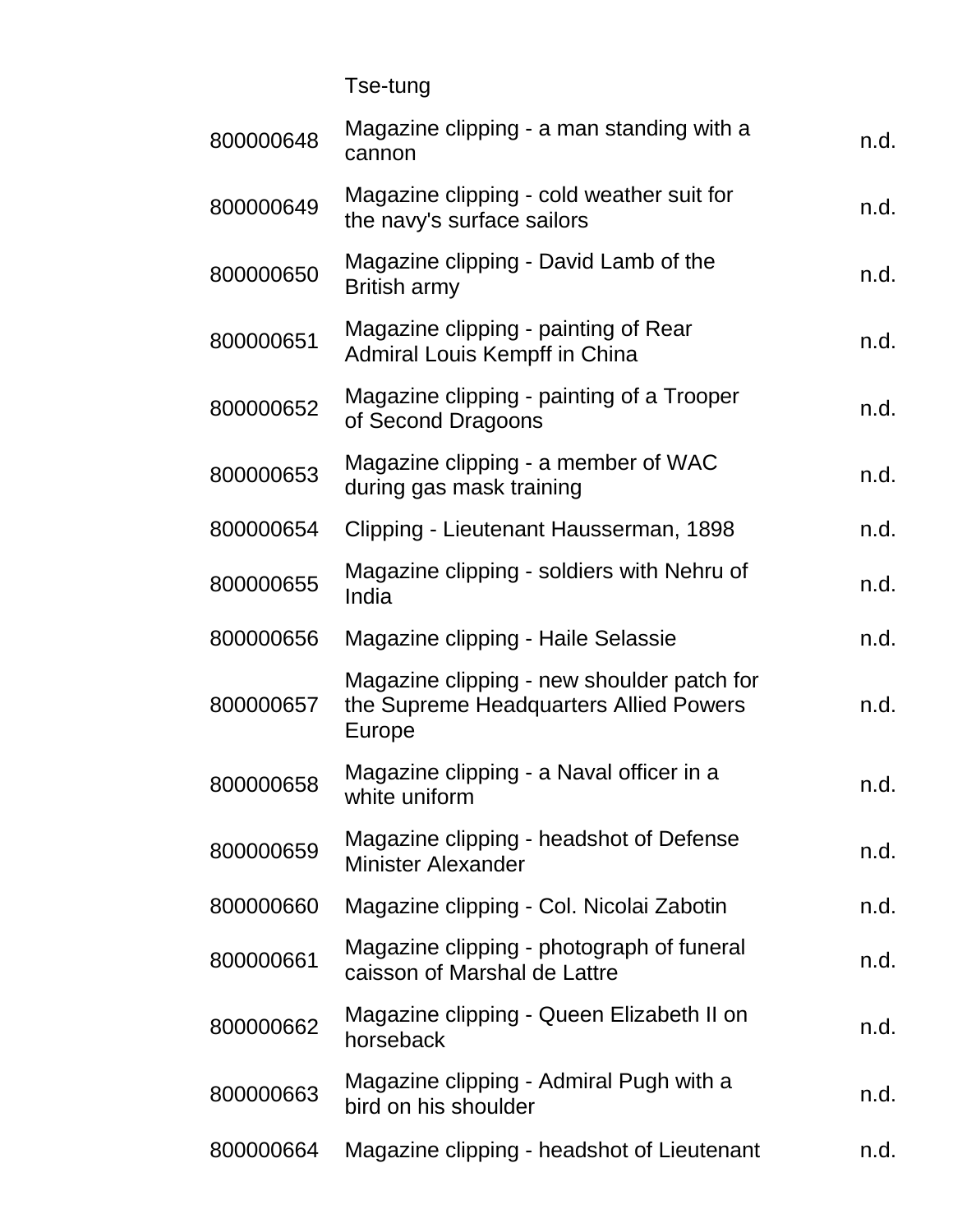| <b>Tse-tung</b> |
|-----------------|
|-----------------|

| 800000648 | Magazine clipping - a man standing with a<br>cannon                                            | n.d. |
|-----------|------------------------------------------------------------------------------------------------|------|
| 800000649 | Magazine clipping - cold weather suit for<br>the navy's surface sailors                        | n.d. |
| 800000650 | Magazine clipping - David Lamb of the<br><b>British army</b>                                   | n.d. |
| 800000651 | Magazine clipping - painting of Rear<br>Admiral Louis Kempff in China                          | n.d. |
| 800000652 | Magazine clipping - painting of a Trooper<br>of Second Dragoons                                | n.d. |
| 800000653 | Magazine clipping - a member of WAC<br>during gas mask training                                | n.d. |
| 800000654 | Clipping - Lieutenant Hausserman, 1898                                                         | n.d. |
| 800000655 | Magazine clipping - soldiers with Nehru of<br>India                                            | n.d. |
| 800000656 | Magazine clipping - Haile Selassie                                                             | n.d. |
| 800000657 | Magazine clipping - new shoulder patch for<br>the Supreme Headquarters Allied Powers<br>Europe | n.d. |
| 800000658 | Magazine clipping - a Naval officer in a<br>white uniform                                      | n.d. |
| 800000659 | Magazine clipping - headshot of Defense<br><b>Minister Alexander</b>                           | n.d. |
| 800000660 | Magazine clipping - Col. Nicolai Zabotin                                                       | n.d. |
| 800000661 | Magazine clipping - photograph of funeral<br>caisson of Marshal de Lattre                      | n.d. |
| 800000662 | Magazine clipping - Queen Elizabeth II on<br>horseback                                         | n.d. |
| 800000663 | Magazine clipping - Admiral Pugh with a<br>bird on his shoulder                                | n.d. |
| 800000664 | Magazine clipping - headshot of Lieutenant                                                     | n.d. |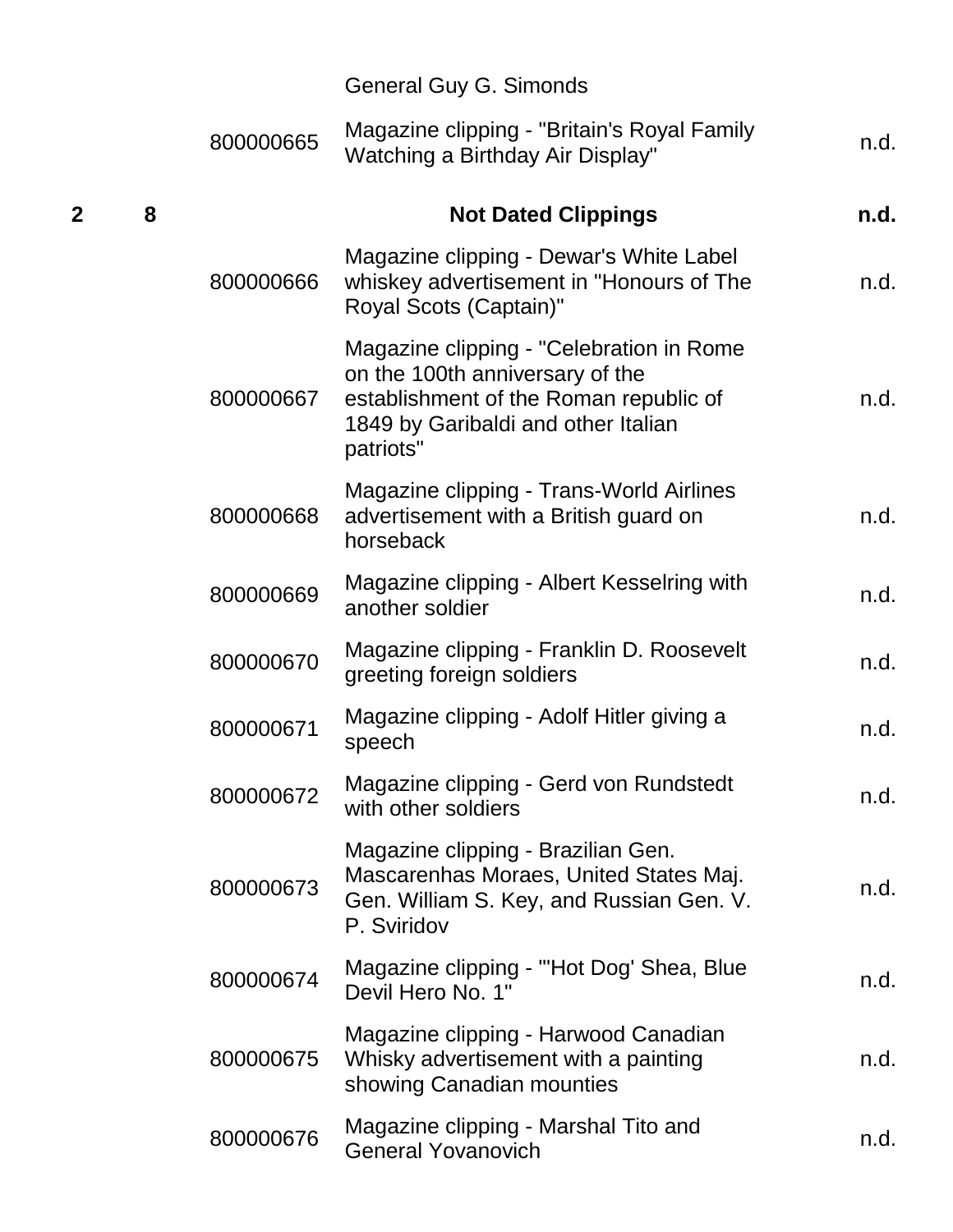|   |   |           | General Guy G. Simonds                                                                                                                                                    |      |
|---|---|-----------|---------------------------------------------------------------------------------------------------------------------------------------------------------------------------|------|
|   |   | 800000665 | Magazine clipping - "Britain's Royal Family<br>Watching a Birthday Air Display"                                                                                           | n.d. |
| 2 | 8 |           | <b>Not Dated Clippings</b>                                                                                                                                                | n.d. |
|   |   | 800000666 | Magazine clipping - Dewar's White Label<br>whiskey advertisement in "Honours of The<br>Royal Scots (Captain)"                                                             | n.d. |
|   |   | 800000667 | Magazine clipping - "Celebration in Rome<br>on the 100th anniversary of the<br>establishment of the Roman republic of<br>1849 by Garibaldi and other Italian<br>patriots" | n.d. |
|   |   | 800000668 | Magazine clipping - Trans-World Airlines<br>advertisement with a British guard on<br>horseback                                                                            | n.d. |
|   |   | 800000669 | Magazine clipping - Albert Kesselring with<br>another soldier                                                                                                             | n.d. |
|   |   | 800000670 | Magazine clipping - Franklin D. Roosevelt<br>greeting foreign soldiers                                                                                                    | n.d. |
|   |   | 800000671 | Magazine clipping - Adolf Hitler giving a<br>speech                                                                                                                       | n.d. |
|   |   | 800000672 | Magazine clipping - Gerd von Rundstedt<br>with other soldiers                                                                                                             | n.d. |
|   |   | 800000673 | Magazine clipping - Brazilian Gen.<br>Mascarenhas Moraes, United States Maj.<br>Gen. William S. Key, and Russian Gen. V.<br>P. Sviridov                                   | n.d. |
|   |   | 800000674 | Magazine clipping - "'Hot Dog' Shea, Blue<br>Devil Hero No. 1"                                                                                                            | n.d. |
|   |   | 800000675 | Magazine clipping - Harwood Canadian<br>Whisky advertisement with a painting<br>showing Canadian mounties                                                                 | n.d. |
|   |   | 800000676 | Magazine clipping - Marshal Tito and<br><b>General Yovanovich</b>                                                                                                         | n.d. |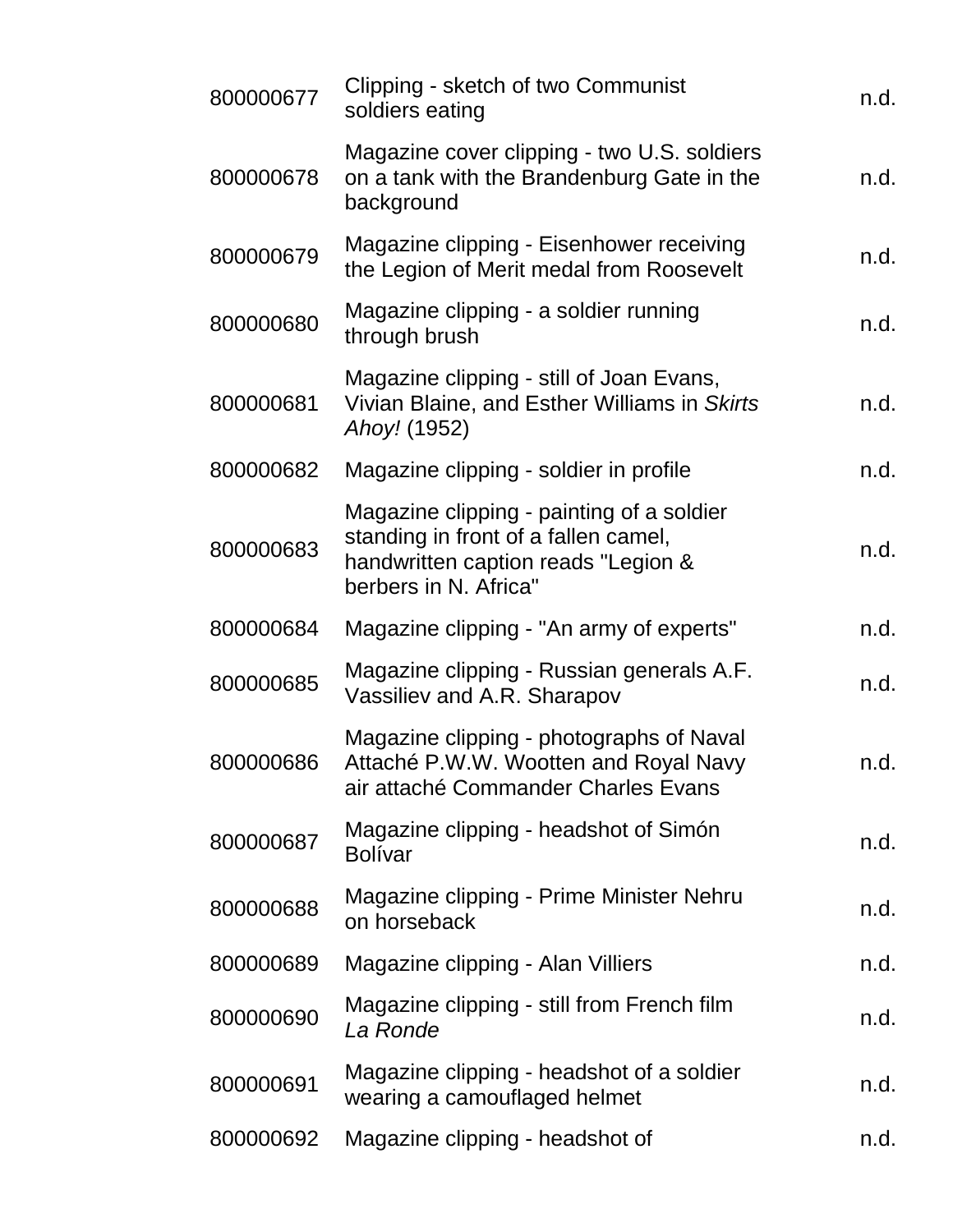| 800000677 | Clipping - sketch of two Communist<br>soldiers eating                                                                                             | n.d. |
|-----------|---------------------------------------------------------------------------------------------------------------------------------------------------|------|
| 800000678 | Magazine cover clipping - two U.S. soldiers<br>on a tank with the Brandenburg Gate in the<br>background                                           | n.d. |
| 800000679 | Magazine clipping - Eisenhower receiving<br>the Legion of Merit medal from Roosevelt                                                              | n.d. |
| 800000680 | Magazine clipping - a soldier running<br>through brush                                                                                            | n.d. |
| 800000681 | Magazine clipping - still of Joan Evans,<br>Vivian Blaine, and Esther Williams in Skirts<br>Ahoy! (1952)                                          | n.d. |
| 800000682 | Magazine clipping - soldier in profile                                                                                                            | n.d. |
| 800000683 | Magazine clipping - painting of a soldier<br>standing in front of a fallen camel,<br>handwritten caption reads "Legion &<br>berbers in N. Africa" | n.d. |
| 800000684 | Magazine clipping - "An army of experts"                                                                                                          | n.d. |
| 800000685 | Magazine clipping - Russian generals A.F.<br>Vassiliev and A.R. Sharapov                                                                          | n.d. |
| 800000686 | Magazine clipping - photographs of Naval<br>Attaché P.W.W. Wootten and Royal Navy<br>air attaché Commander Charles Evans                          | n.d. |
| 800000687 | Magazine clipping - headshot of Simón<br><b>Bolívar</b>                                                                                           | n.d. |
| 800000688 | Magazine clipping - Prime Minister Nehru<br>on horseback                                                                                          | n.d. |
| 800000689 | Magazine clipping - Alan Villiers                                                                                                                 | n.d. |
| 800000690 | Magazine clipping - still from French film<br>La Ronde                                                                                            | n.d. |
| 800000691 | Magazine clipping - headshot of a soldier<br>wearing a camouflaged helmet                                                                         | n.d. |
| 800000692 | Magazine clipping - headshot of                                                                                                                   | n.d. |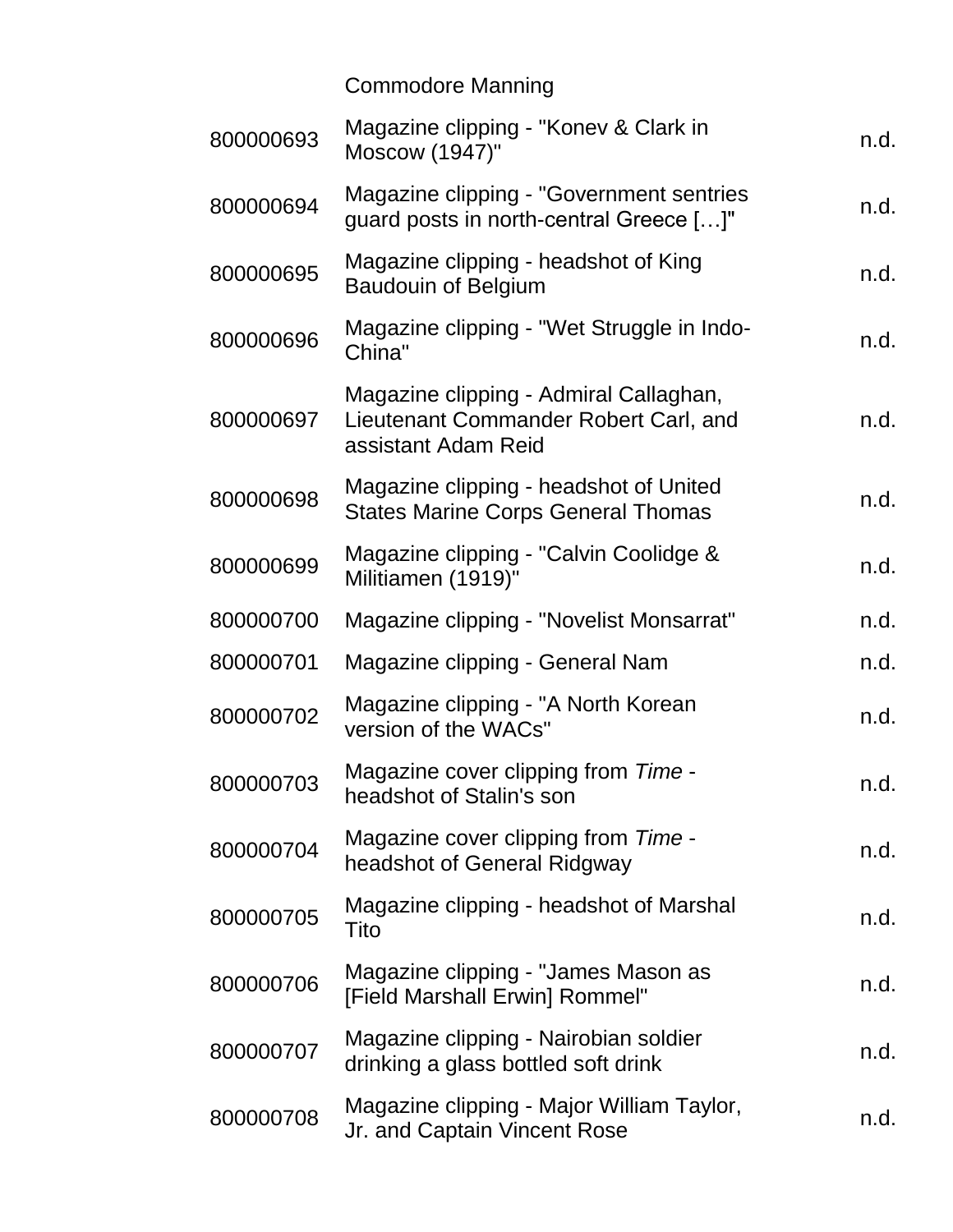## Commodore Manning

| 800000693 | Magazine clipping - "Konev & Clark in<br>Moscow (1947)"                                                | n.d. |
|-----------|--------------------------------------------------------------------------------------------------------|------|
| 800000694 | Magazine clipping - "Government sentries<br>guard posts in north-central Greece []"                    | n.d. |
| 800000695 | Magazine clipping - headshot of King<br><b>Baudouin of Belgium</b>                                     | n.d. |
| 800000696 | Magazine clipping - "Wet Struggle in Indo-<br>China"                                                   | n.d. |
| 800000697 | Magazine clipping - Admiral Callaghan,<br>Lieutenant Commander Robert Carl, and<br>assistant Adam Reid | n.d. |
| 800000698 | Magazine clipping - headshot of United<br><b>States Marine Corps General Thomas</b>                    | n.d. |
| 800000699 | Magazine clipping - "Calvin Coolidge &<br>Militiamen (1919)"                                           | n.d. |
| 800000700 | Magazine clipping - "Novelist Monsarrat"                                                               | n.d. |
| 800000701 | Magazine clipping - General Nam                                                                        | n.d. |
| 800000702 | Magazine clipping - "A North Korean<br>version of the WACs"                                            | n.d. |
| 800000703 | Magazine cover clipping from Time -<br>headshot of Stalin's son                                        | n.d. |
| 800000704 | Magazine cover clipping from Time -<br>headshot of General Ridgway                                     | n.d. |
| 800000705 | Magazine clipping - headshot of Marshal<br>Tito                                                        | n.d. |
| 800000706 | Magazine clipping - "James Mason as<br>[Field Marshall Erwin] Rommel"                                  | n.d. |
| 800000707 | Magazine clipping - Nairobian soldier<br>drinking a glass bottled soft drink                           | n.d. |
| 800000708 | Magazine clipping - Major William Taylor,<br>Jr. and Captain Vincent Rose                              | n.d. |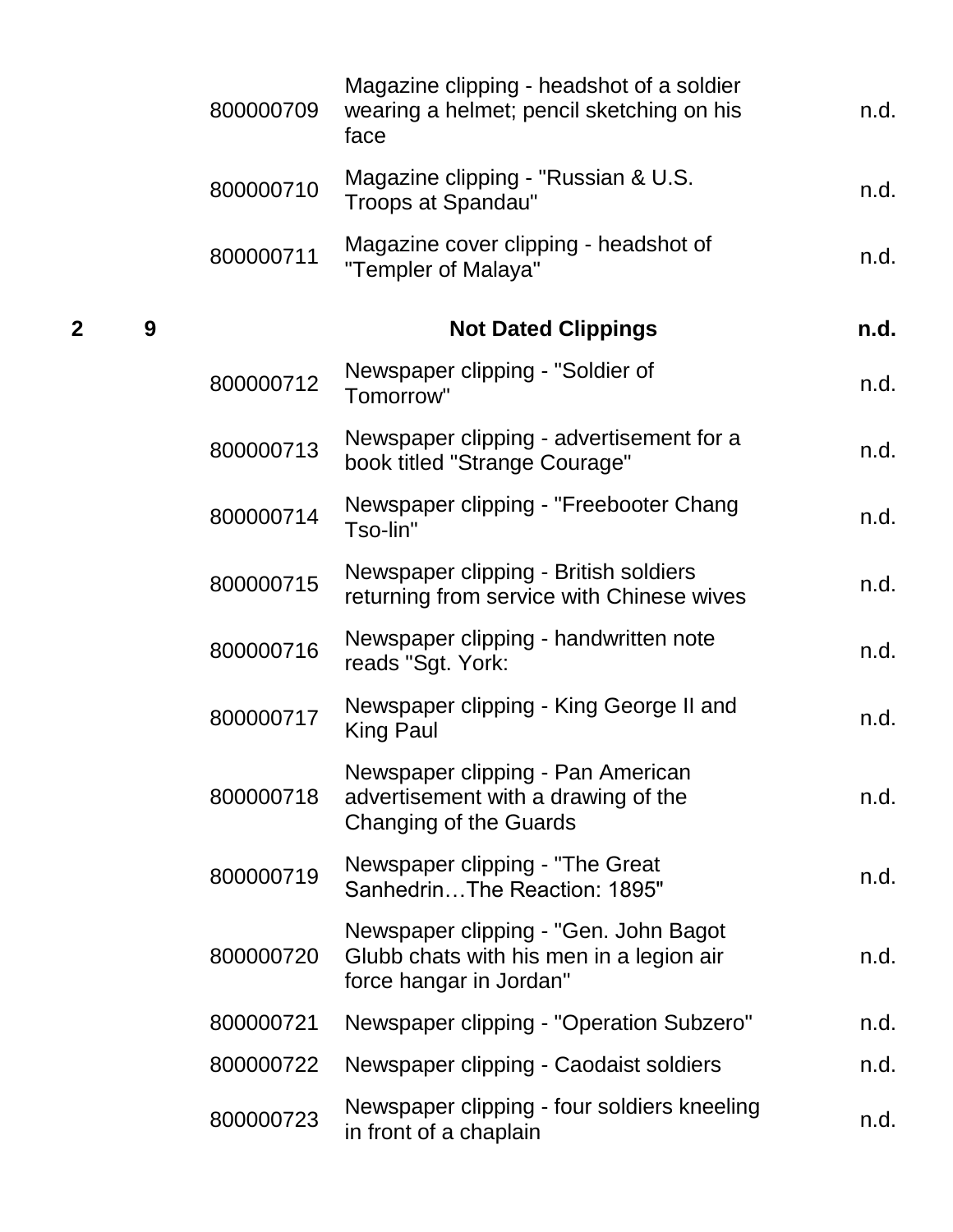|   |   | 800000709 | Magazine clipping - headshot of a soldier<br>wearing a helmet; pencil sketching on his<br>face               | n.d. |
|---|---|-----------|--------------------------------------------------------------------------------------------------------------|------|
|   |   | 800000710 | Magazine clipping - "Russian & U.S.<br><b>Troops at Spandau"</b>                                             | n.d. |
|   |   | 800000711 | Magazine cover clipping - headshot of<br>"Templer of Malaya"                                                 | n.d. |
| 2 | 9 |           | <b>Not Dated Clippings</b>                                                                                   | n.d. |
|   |   | 800000712 | Newspaper clipping - "Soldier of<br>Tomorrow"                                                                | n.d. |
|   |   | 800000713 | Newspaper clipping - advertisement for a<br>book titled "Strange Courage"                                    | n.d. |
|   |   | 800000714 | Newspaper clipping - "Freebooter Chang<br>Tso-lin"                                                           | n.d. |
|   |   | 800000715 | Newspaper clipping - British soldiers<br>returning from service with Chinese wives                           | n.d. |
|   |   | 800000716 | Newspaper clipping - handwritten note<br>reads "Sgt. York:                                                   | n.d. |
|   |   | 800000717 | Newspaper clipping - King George II and<br>King Paul                                                         | n.d. |
|   |   | 800000718 | Newspaper clipping - Pan American<br>advertisement with a drawing of the<br>Changing of the Guards           | n.d. |
|   |   | 800000719 | Newspaper clipping - "The Great<br>SanhedrinThe Reaction: 1895"                                              | n.d. |
|   |   | 800000720 | Newspaper clipping - "Gen. John Bagot<br>Glubb chats with his men in a legion air<br>force hangar in Jordan" | n.d. |
|   |   | 800000721 | Newspaper clipping - "Operation Subzero"                                                                     | n.d. |
|   |   | 800000722 | Newspaper clipping - Caodaist soldiers                                                                       | n.d. |
|   |   | 800000723 | Newspaper clipping - four soldiers kneeling<br>in front of a chaplain                                        | n.d. |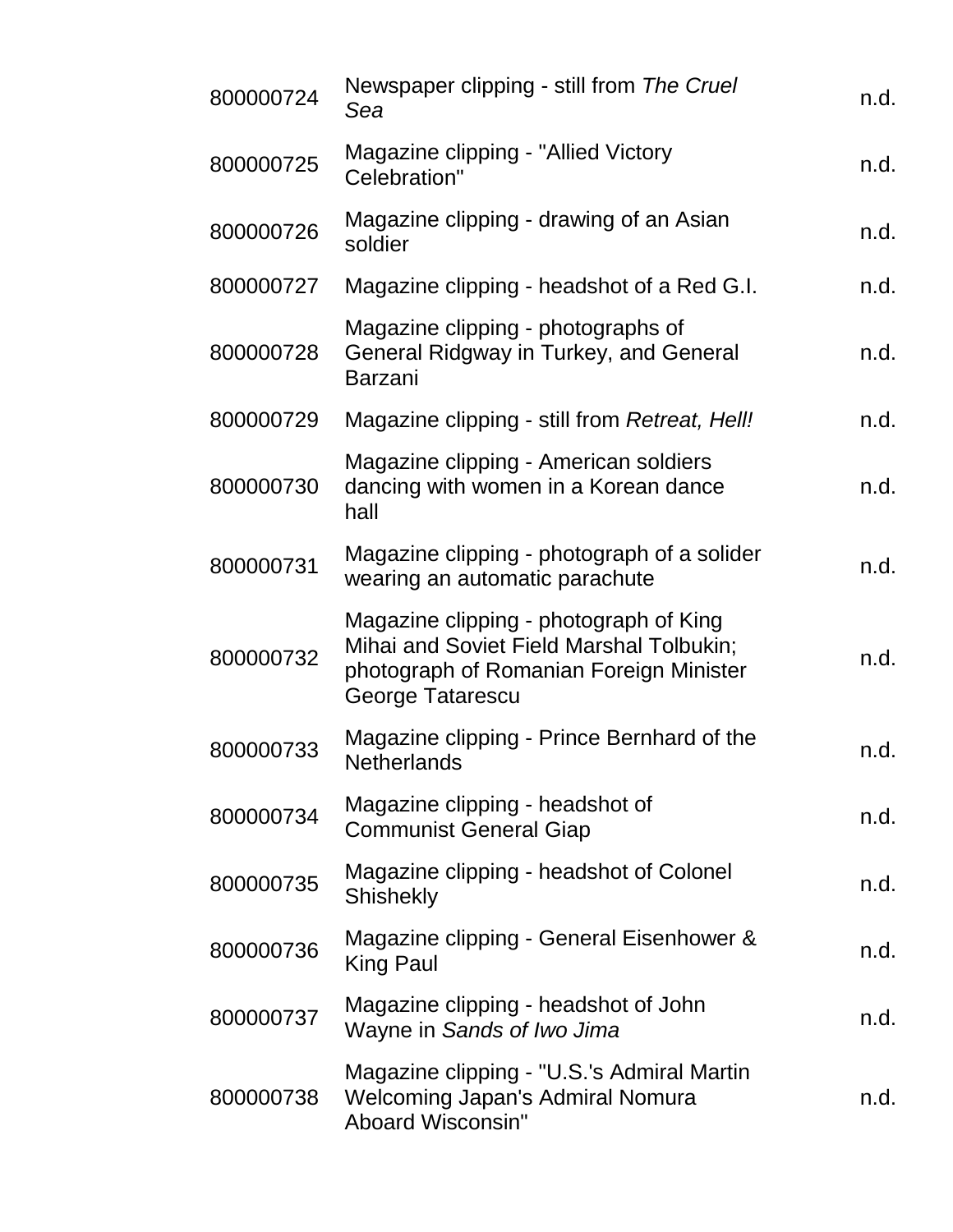| 800000724 | Newspaper clipping - still from The Cruel<br>Sea                                                                                                  | n.d. |
|-----------|---------------------------------------------------------------------------------------------------------------------------------------------------|------|
| 800000725 | Magazine clipping - "Allied Victory"<br>Celebration"                                                                                              | n.d. |
| 800000726 | Magazine clipping - drawing of an Asian<br>soldier                                                                                                | n.d. |
| 800000727 | Magazine clipping - headshot of a Red G.I.                                                                                                        | n.d. |
| 800000728 | Magazine clipping - photographs of<br>General Ridgway in Turkey, and General<br><b>Barzani</b>                                                    | n.d. |
| 800000729 | Magazine clipping - still from Retreat, Hell!                                                                                                     | n.d. |
| 800000730 | Magazine clipping - American soldiers<br>dancing with women in a Korean dance<br>hall                                                             | n.d. |
| 800000731 | Magazine clipping - photograph of a solider<br>wearing an automatic parachute                                                                     | n.d. |
| 800000732 | Magazine clipping - photograph of King<br>Mihai and Soviet Field Marshal Tolbukin;<br>photograph of Romanian Foreign Minister<br>George Tatarescu | n.d. |
| 800000733 | Magazine clipping - Prince Bernhard of the<br><b>Netherlands</b>                                                                                  | n.d. |
| 800000734 | Magazine clipping - headshot of<br><b>Communist General Giap</b>                                                                                  | n.d. |
| 800000735 | Magazine clipping - headshot of Colonel<br><b>Shishekly</b>                                                                                       | n.d. |
| 800000736 | Magazine clipping - General Eisenhower &<br><b>King Paul</b>                                                                                      | n.d. |
| 800000737 | Magazine clipping - headshot of John<br>Wayne in Sands of Iwo Jima                                                                                | n.d. |
| 800000738 | Magazine clipping - "U.S.'s Admiral Martin<br>Welcoming Japan's Admiral Nomura<br>Aboard Wisconsin"                                               | n.d. |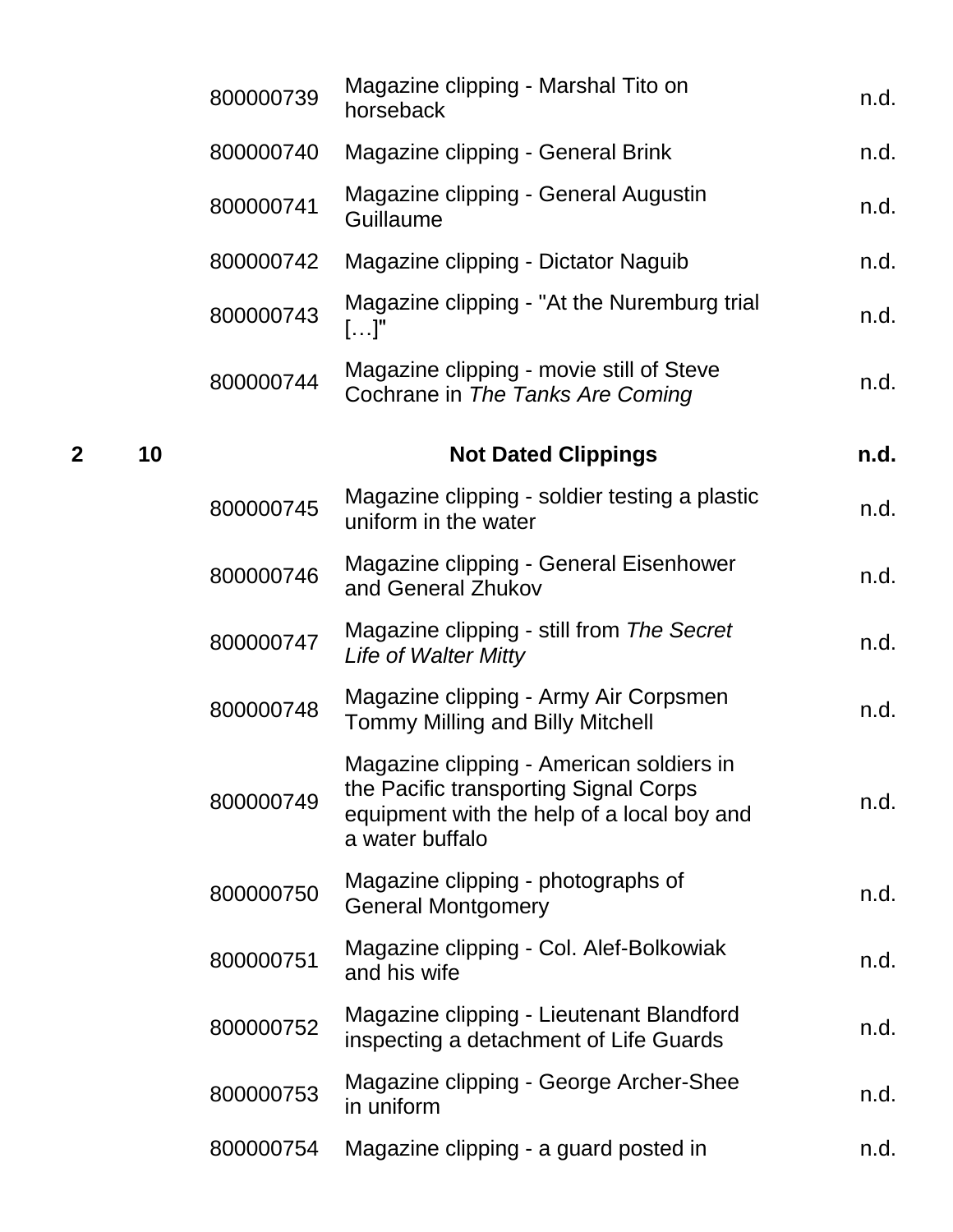|   |    | 800000739 | Magazine clipping - Marshal Tito on<br>horseback                                                                                                   | n.d. |
|---|----|-----------|----------------------------------------------------------------------------------------------------------------------------------------------------|------|
|   |    | 800000740 | Magazine clipping - General Brink                                                                                                                  | n.d. |
|   |    | 800000741 | Magazine clipping - General Augustin<br>Guillaume                                                                                                  | n.d. |
|   |    | 800000742 | Magazine clipping - Dictator Naguib                                                                                                                | n.d. |
|   |    | 800000743 | Magazine clipping - "At the Nuremburg trial<br>$[]$ "                                                                                              | n.d. |
|   |    | 800000744 | Magazine clipping - movie still of Steve<br>Cochrane in The Tanks Are Coming                                                                       | n.d. |
| 2 | 10 |           | <b>Not Dated Clippings</b>                                                                                                                         | n.d. |
|   |    | 800000745 | Magazine clipping - soldier testing a plastic<br>uniform in the water                                                                              | n.d. |
|   |    | 800000746 | Magazine clipping - General Eisenhower<br>and General Zhukov                                                                                       | n.d. |
|   |    | 800000747 | Magazine clipping - still from The Secret<br>Life of Walter Mitty                                                                                  | n.d. |
|   |    | 800000748 | Magazine clipping - Army Air Corpsmen<br><b>Tommy Milling and Billy Mitchell</b>                                                                   | n.d. |
|   |    | 800000749 | Magazine clipping - American soldiers in<br>the Pacific transporting Signal Corps<br>equipment with the help of a local boy and<br>a water buffalo | n.d. |
|   |    | 800000750 | Magazine clipping - photographs of<br><b>General Montgomery</b>                                                                                    | n.d. |
|   |    | 800000751 | Magazine clipping - Col. Alef-Bolkowiak<br>and his wife                                                                                            | n.d. |
|   |    | 800000752 | Magazine clipping - Lieutenant Blandford<br>inspecting a detachment of Life Guards                                                                 | n.d. |
|   |    | 800000753 | Magazine clipping - George Archer-Shee<br>in uniform                                                                                               | n.d. |
|   |    | 800000754 | Magazine clipping - a guard posted in                                                                                                              | n.d. |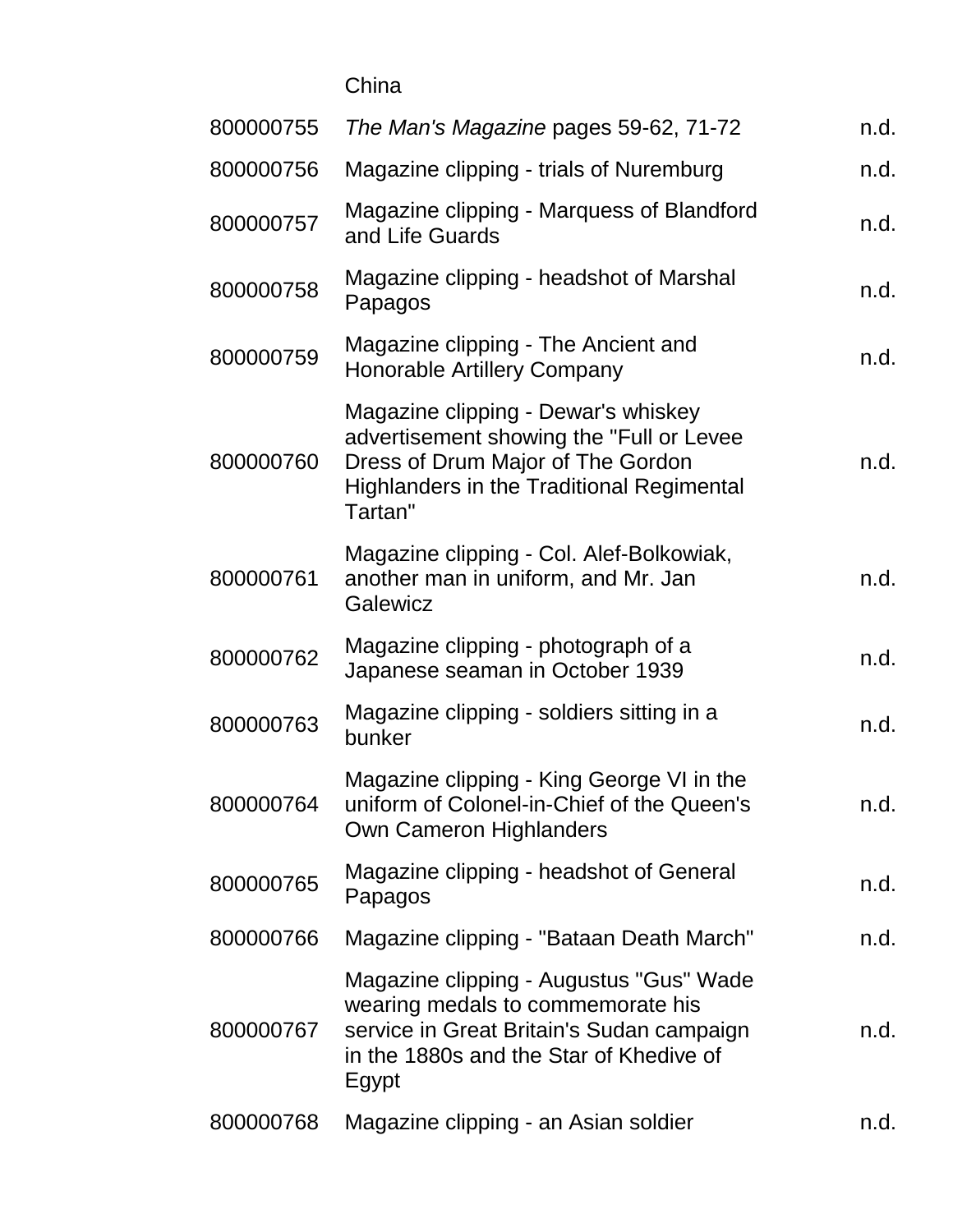China

| 800000755 | The Man's Magazine pages 59-62, 71-72                                                                                                                                               | n.d. |
|-----------|-------------------------------------------------------------------------------------------------------------------------------------------------------------------------------------|------|
| 800000756 | Magazine clipping - trials of Nuremburg                                                                                                                                             | n.d. |
| 800000757 | Magazine clipping - Marquess of Blandford<br>and Life Guards                                                                                                                        | n.d. |
| 800000758 | Magazine clipping - headshot of Marshal<br>Papagos                                                                                                                                  | n.d. |
| 800000759 | Magazine clipping - The Ancient and<br><b>Honorable Artillery Company</b>                                                                                                           | n.d. |
| 800000760 | Magazine clipping - Dewar's whiskey<br>advertisement showing the "Full or Levee<br>Dress of Drum Major of The Gordon<br><b>Highlanders in the Traditional Regimental</b><br>Tartan" | n.d. |
| 800000761 | Magazine clipping - Col. Alef-Bolkowiak,<br>another man in uniform, and Mr. Jan<br>Galewicz                                                                                         | n.d. |
| 800000762 | Magazine clipping - photograph of a<br>Japanese seaman in October 1939                                                                                                              | n.d. |
| 800000763 | Magazine clipping - soldiers sitting in a<br>bunker                                                                                                                                 | n.d. |
| 800000764 | Magazine clipping - King George VI in the<br>uniform of Colonel-in-Chief of the Queen's<br><b>Own Cameron Highlanders</b>                                                           | n.d. |
| 800000765 | Magazine clipping - headshot of General<br>Papagos                                                                                                                                  | n.d. |
| 800000766 | Magazine clipping - "Bataan Death March"                                                                                                                                            | n.d. |
| 800000767 | Magazine clipping - Augustus "Gus" Wade<br>wearing medals to commemorate his<br>service in Great Britain's Sudan campaign<br>in the 1880s and the Star of Khedive of<br>Egypt       | n.d. |
| 800000768 | Magazine clipping - an Asian soldier                                                                                                                                                | n.d. |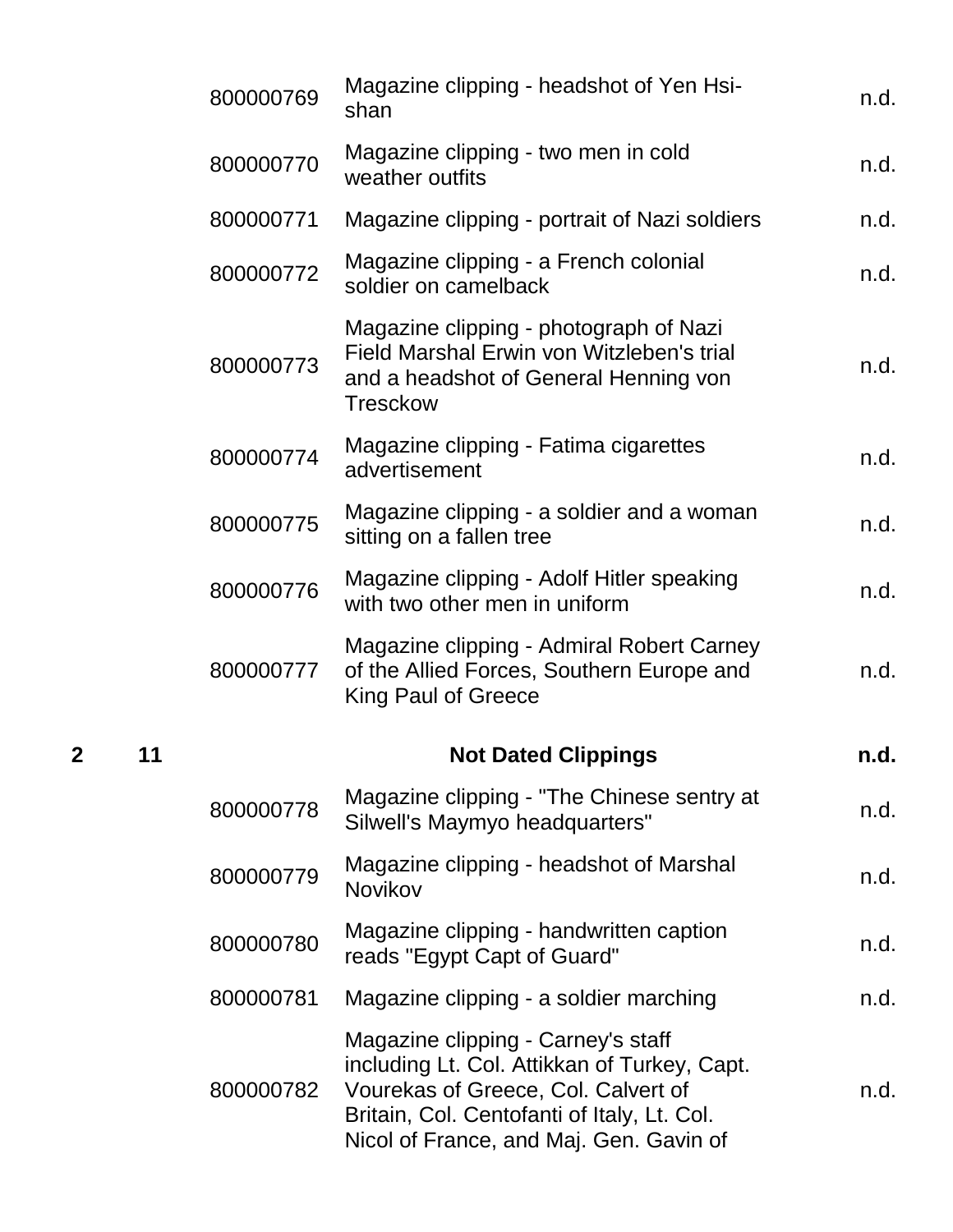|   |    | 800000769 | Magazine clipping - headshot of Yen Hsi-<br>shan                                                                                                                                                                    | n.d. |
|---|----|-----------|---------------------------------------------------------------------------------------------------------------------------------------------------------------------------------------------------------------------|------|
|   |    | 800000770 | Magazine clipping - two men in cold<br>weather outfits                                                                                                                                                              | n.d. |
|   |    | 800000771 | Magazine clipping - portrait of Nazi soldiers                                                                                                                                                                       | n.d. |
|   |    | 800000772 | Magazine clipping - a French colonial<br>soldier on camelback                                                                                                                                                       | n.d. |
|   |    | 800000773 | Magazine clipping - photograph of Nazi<br>Field Marshal Erwin von Witzleben's trial<br>and a headshot of General Henning von<br><b>Tresckow</b>                                                                     | n.d. |
|   |    | 800000774 | Magazine clipping - Fatima cigarettes<br>advertisement                                                                                                                                                              | n.d. |
|   |    | 800000775 | Magazine clipping - a soldier and a woman<br>sitting on a fallen tree                                                                                                                                               | n.d. |
|   |    | 800000776 | Magazine clipping - Adolf Hitler speaking<br>with two other men in uniform                                                                                                                                          | n.d. |
|   |    | 800000777 | Magazine clipping - Admiral Robert Carney<br>of the Allied Forces, Southern Europe and<br>King Paul of Greece                                                                                                       | n.d. |
| 2 | 11 |           | <b>Not Dated Clippings</b>                                                                                                                                                                                          | n.d. |
|   |    | 800000778 | Magazine clipping - "The Chinese sentry at<br>Silwell's Maymyo headquarters"                                                                                                                                        | n.d. |
|   |    | 800000779 | Magazine clipping - headshot of Marshal<br>Novikov                                                                                                                                                                  | n.d. |
|   |    | 800000780 | Magazine clipping - handwritten caption<br>reads "Egypt Capt of Guard"                                                                                                                                              | n.d. |
|   |    | 800000781 | Magazine clipping - a soldier marching                                                                                                                                                                              | n.d. |
|   |    | 800000782 | Magazine clipping - Carney's staff<br>including Lt. Col. Attikkan of Turkey, Capt.<br>Vourekas of Greece, Col. Calvert of<br>Britain, Col. Centofanti of Italy, Lt. Col.<br>Nicol of France, and Maj. Gen. Gavin of | n.d. |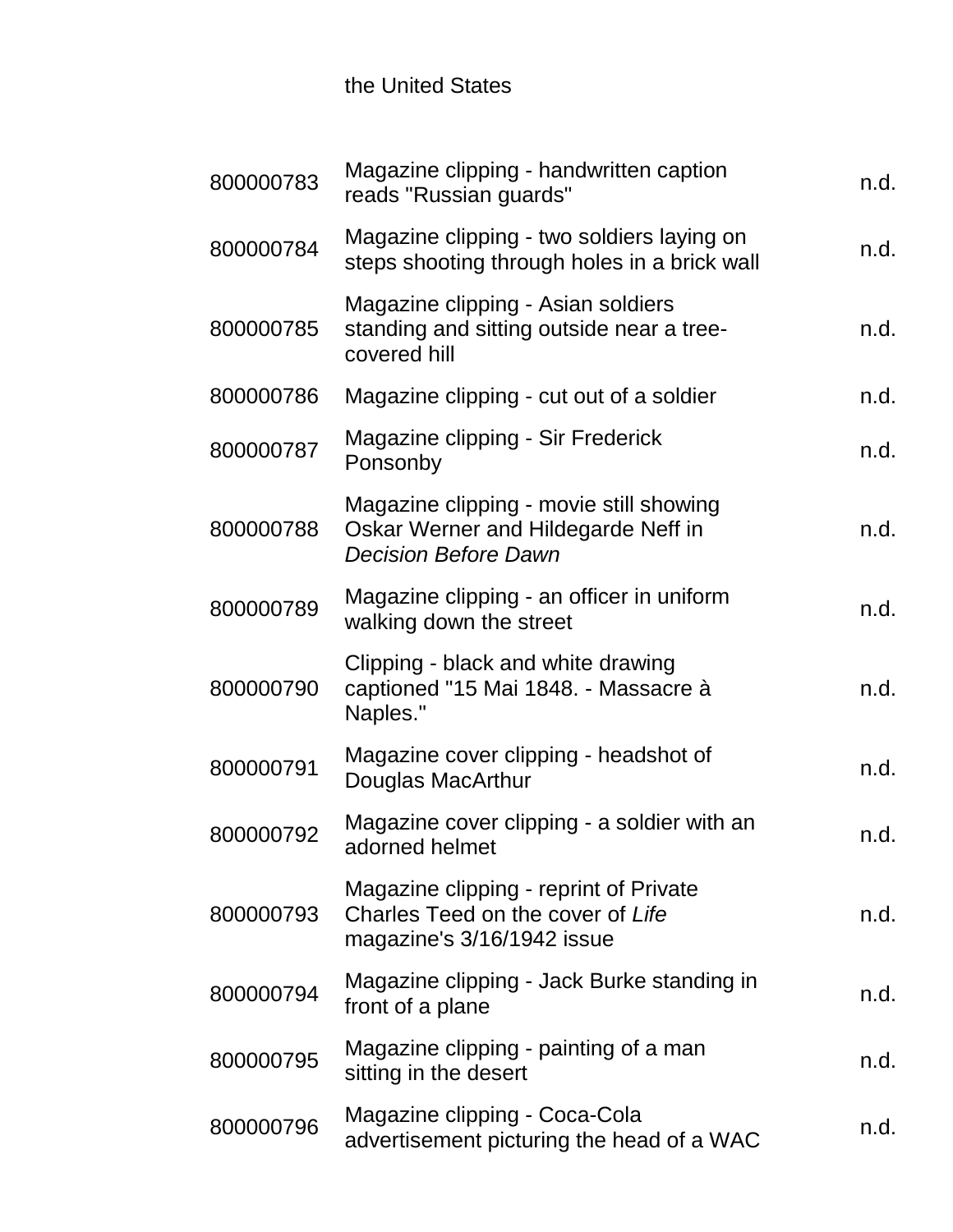## the United States

| 800000783 | Magazine clipping - handwritten caption<br>reads "Russian guards"                                             | n.d. |
|-----------|---------------------------------------------------------------------------------------------------------------|------|
| 800000784 | Magazine clipping - two soldiers laying on<br>steps shooting through holes in a brick wall                    | n.d. |
| 800000785 | Magazine clipping - Asian soldiers<br>standing and sitting outside near a tree-<br>covered hill               | n.d. |
| 800000786 | Magazine clipping - cut out of a soldier                                                                      | n.d. |
| 800000787 | Magazine clipping - Sir Frederick<br>Ponsonby                                                                 | n.d. |
| 800000788 | Magazine clipping - movie still showing<br>Oskar Werner and Hildegarde Neff in<br><b>Decision Before Dawn</b> | n.d. |
| 800000789 | Magazine clipping - an officer in uniform<br>walking down the street                                          | n.d. |
| 800000790 | Clipping - black and white drawing<br>captioned "15 Mai 1848. - Massacre à<br>Naples."                        | n.d. |
| 800000791 | Magazine cover clipping - headshot of<br>Douglas MacArthur                                                    | n.d. |
| 800000792 | Magazine cover clipping - a soldier with an<br>adorned helmet                                                 | n.d. |
| 800000793 | Magazine clipping - reprint of Private<br>Charles Teed on the cover of Life<br>magazine's 3/16/1942 issue     | n.d. |
| 800000794 | Magazine clipping - Jack Burke standing in<br>front of a plane                                                | n.d. |
| 800000795 | Magazine clipping - painting of a man<br>sitting in the desert                                                | n.d. |
| 800000796 | Magazine clipping - Coca-Cola<br>advertisement picturing the head of a WAC                                    | n.d. |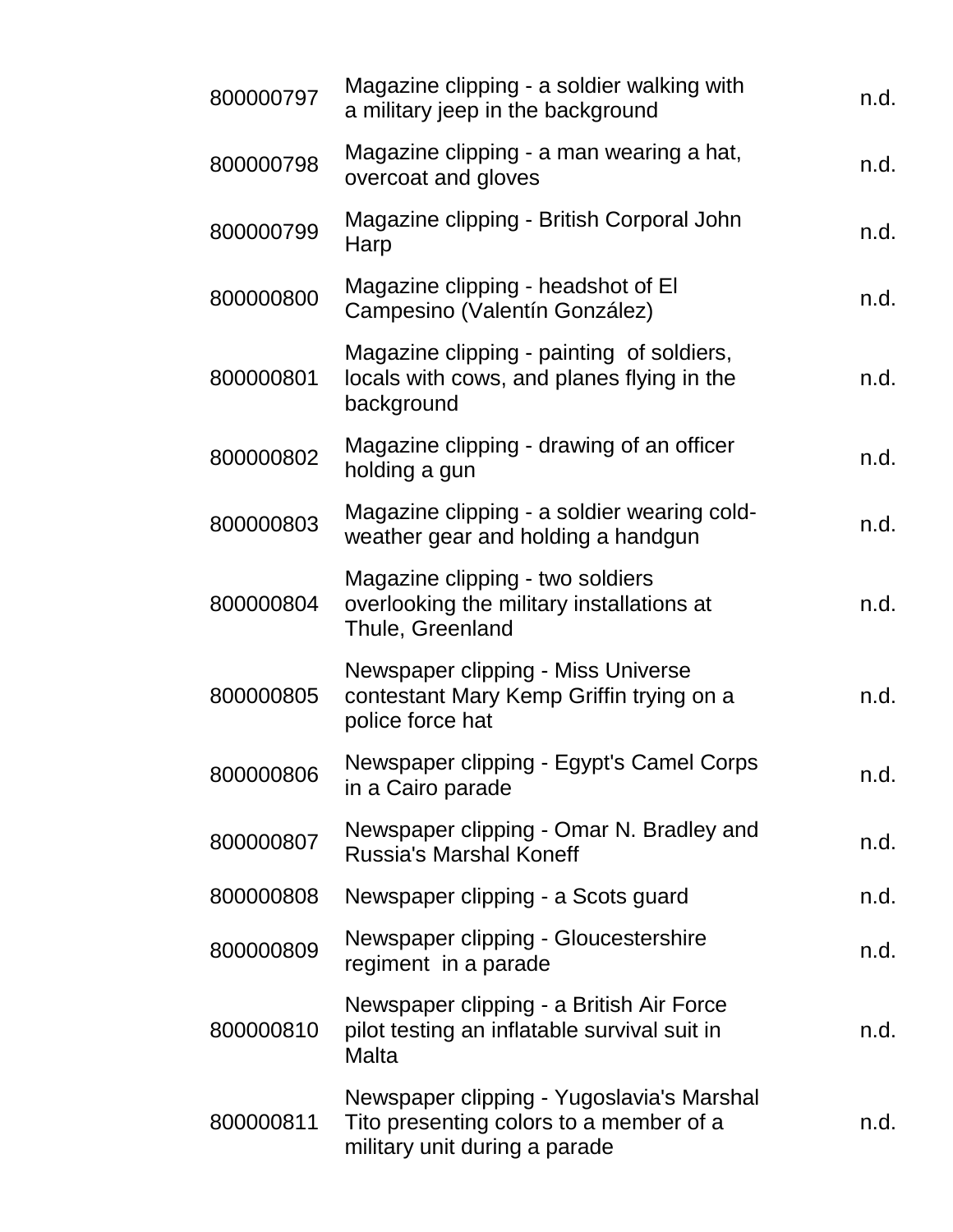| 800000797 | Magazine clipping - a soldier walking with<br>a military jeep in the background                                       | n.d. |
|-----------|-----------------------------------------------------------------------------------------------------------------------|------|
| 800000798 | Magazine clipping - a man wearing a hat,<br>overcoat and gloves                                                       | n.d. |
| 800000799 | Magazine clipping - British Corporal John<br>Harp                                                                     | n.d. |
| 800000800 | Magazine clipping - headshot of El<br>Campesino (Valentín González)                                                   | n.d. |
| 800000801 | Magazine clipping - painting of soldiers,<br>locals with cows, and planes flying in the<br>background                 | n.d. |
| 800000802 | Magazine clipping - drawing of an officer<br>holding a gun                                                            | n.d. |
| 800000803 | Magazine clipping - a soldier wearing cold-<br>weather gear and holding a handgun                                     | n.d. |
| 800000804 | Magazine clipping - two soldiers<br>overlooking the military installations at<br>Thule, Greenland                     | n.d. |
| 800000805 | Newspaper clipping - Miss Universe<br>contestant Mary Kemp Griffin trying on a<br>police force hat                    | n.d. |
| 800000806 | Newspaper clipping - Egypt's Camel Corps<br>in a Cairo parade                                                         | n.d. |
| 800000807 | Newspaper clipping - Omar N. Bradley and<br><b>Russia's Marshal Koneff</b>                                            | n.d. |
| 800000808 | Newspaper clipping - a Scots guard                                                                                    | n.d. |
| 800000809 | Newspaper clipping - Gloucestershire<br>regiment in a parade                                                          | n.d. |
| 800000810 | Newspaper clipping - a British Air Force<br>pilot testing an inflatable survival suit in<br><b>Malta</b>              | n.d. |
| 800000811 | Newspaper clipping - Yugoslavia's Marshal<br>Tito presenting colors to a member of a<br>military unit during a parade | n.d. |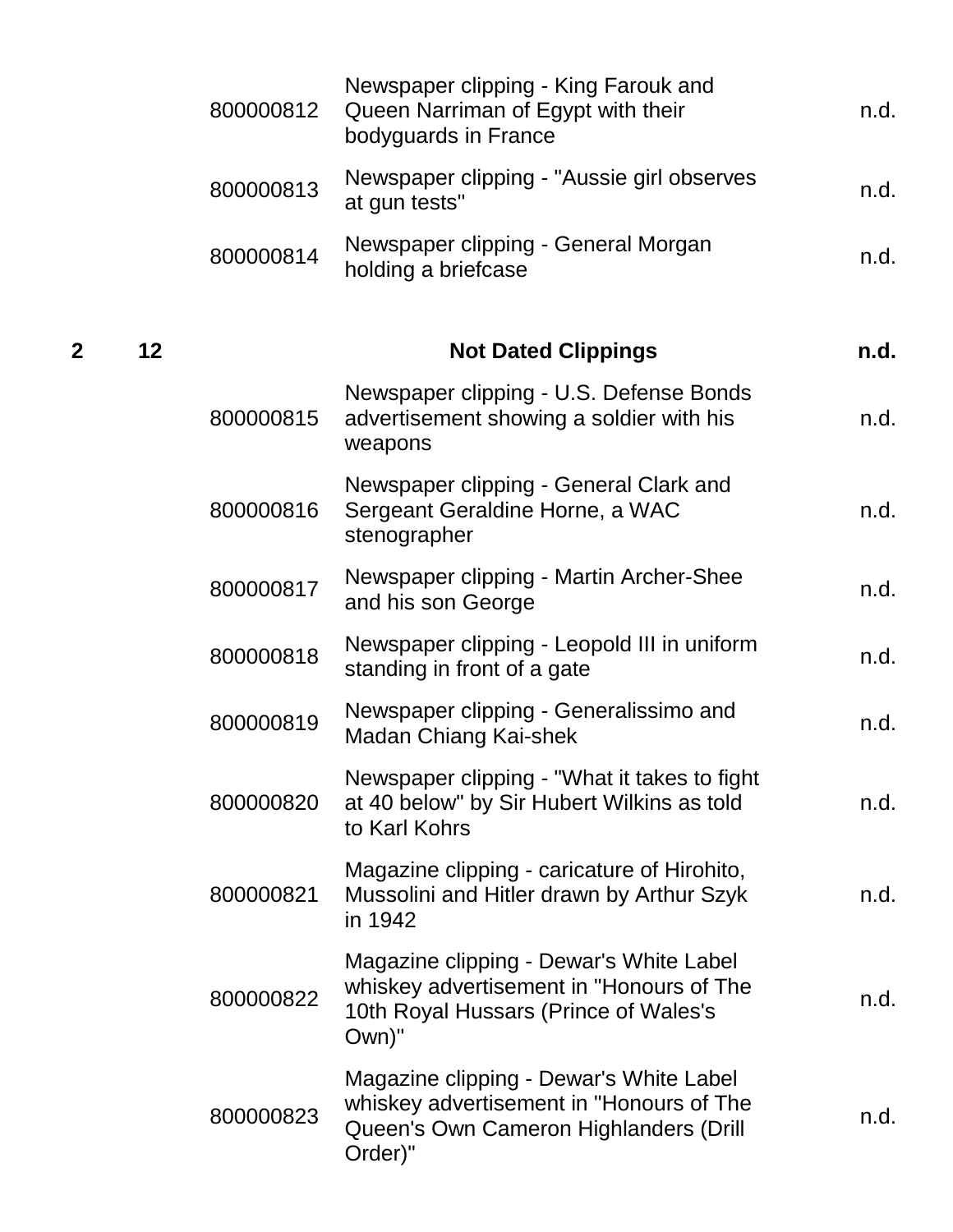|                |    | 800000812 | Newspaper clipping - King Farouk and<br>Queen Narriman of Egypt with their<br>bodyguards in France                                       | n.d. |
|----------------|----|-----------|------------------------------------------------------------------------------------------------------------------------------------------|------|
|                |    | 800000813 | Newspaper clipping - "Aussie girl observes<br>at gun tests"                                                                              | n.d. |
|                |    | 800000814 | Newspaper clipping - General Morgan<br>holding a briefcase                                                                               | n.d. |
| $\overline{2}$ | 12 |           | <b>Not Dated Clippings</b>                                                                                                               | n.d. |
|                |    | 800000815 | Newspaper clipping - U.S. Defense Bonds<br>advertisement showing a soldier with his<br>weapons                                           | n.d. |
|                |    | 800000816 | Newspaper clipping - General Clark and<br>Sergeant Geraldine Horne, a WAC<br>stenographer                                                | n.d. |
|                |    | 800000817 | Newspaper clipping - Martin Archer-Shee<br>and his son George                                                                            | n.d. |
|                |    | 800000818 | Newspaper clipping - Leopold III in uniform<br>standing in front of a gate                                                               | n.d. |
|                |    | 800000819 | Newspaper clipping - Generalissimo and<br>Madan Chiang Kai-shek                                                                          | n.d. |
|                |    | 800000820 | Newspaper clipping - "What it takes to fight<br>at 40 below" by Sir Hubert Wilkins as told<br>to Karl Kohrs                              | n.d. |
|                |    | 800000821 | Magazine clipping - caricature of Hirohito,<br>Mussolini and Hitler drawn by Arthur Szyk<br>in 1942                                      | n.d. |
|                |    | 800000822 | Magazine clipping - Dewar's White Label<br>whiskey advertisement in "Honours of The<br>10th Royal Hussars (Prince of Wales's<br>Own)"    | n.d. |
|                |    | 800000823 | Magazine clipping - Dewar's White Label<br>whiskey advertisement in "Honours of The<br>Queen's Own Cameron Highlanders (Drill<br>Order)" | n.d. |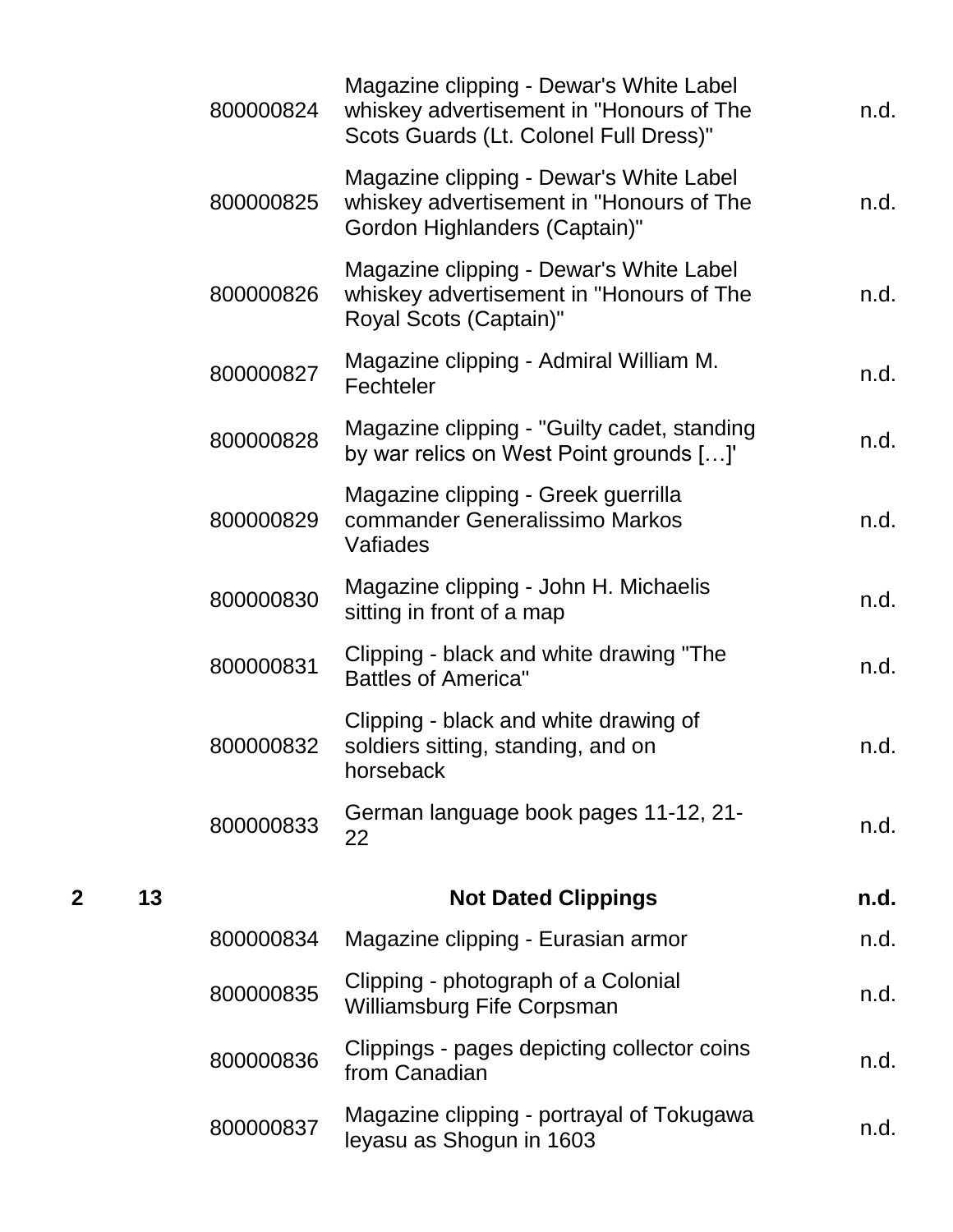|   |    | 800000824 | Magazine clipping - Dewar's White Label<br>whiskey advertisement in "Honours of The<br>Scots Guards (Lt. Colonel Full Dress)" | n.d. |
|---|----|-----------|-------------------------------------------------------------------------------------------------------------------------------|------|
|   |    | 800000825 | Magazine clipping - Dewar's White Label<br>whiskey advertisement in "Honours of The<br>Gordon Highlanders (Captain)"          | n.d. |
|   |    | 800000826 | Magazine clipping - Dewar's White Label<br>whiskey advertisement in "Honours of The<br>Royal Scots (Captain)"                 | n.d. |
|   |    | 800000827 | Magazine clipping - Admiral William M.<br>Fechteler                                                                           | n.d. |
|   |    | 800000828 | Magazine clipping - "Guilty cadet, standing<br>by war relics on West Point grounds []'                                        | n.d. |
|   |    | 800000829 | Magazine clipping - Greek guerrilla<br>commander Generalissimo Markos<br>Vafiades                                             | n.d. |
|   |    | 800000830 | Magazine clipping - John H. Michaelis<br>sitting in front of a map                                                            | n.d. |
|   |    | 800000831 | Clipping - black and white drawing "The<br><b>Battles of America"</b>                                                         | n.d. |
|   |    | 800000832 | Clipping - black and white drawing of<br>soldiers sitting, standing, and on<br>horseback                                      | n.d. |
|   |    | 800000833 | German language book pages 11-12, 21-<br>22                                                                                   | n.d. |
| 2 | 13 |           | <b>Not Dated Clippings</b>                                                                                                    | n.d. |
|   |    | 800000834 | Magazine clipping - Eurasian armor                                                                                            | n.d. |
|   |    | 800000835 | Clipping - photograph of a Colonial<br><b>Williamsburg Fife Corpsman</b>                                                      | n.d. |
|   |    | 800000836 | Clippings - pages depicting collector coins<br>from Canadian                                                                  | n.d. |
|   |    | 800000837 | Magazine clipping - portrayal of Tokugawa<br>leyasu as Shogun in 1603                                                         | n.d. |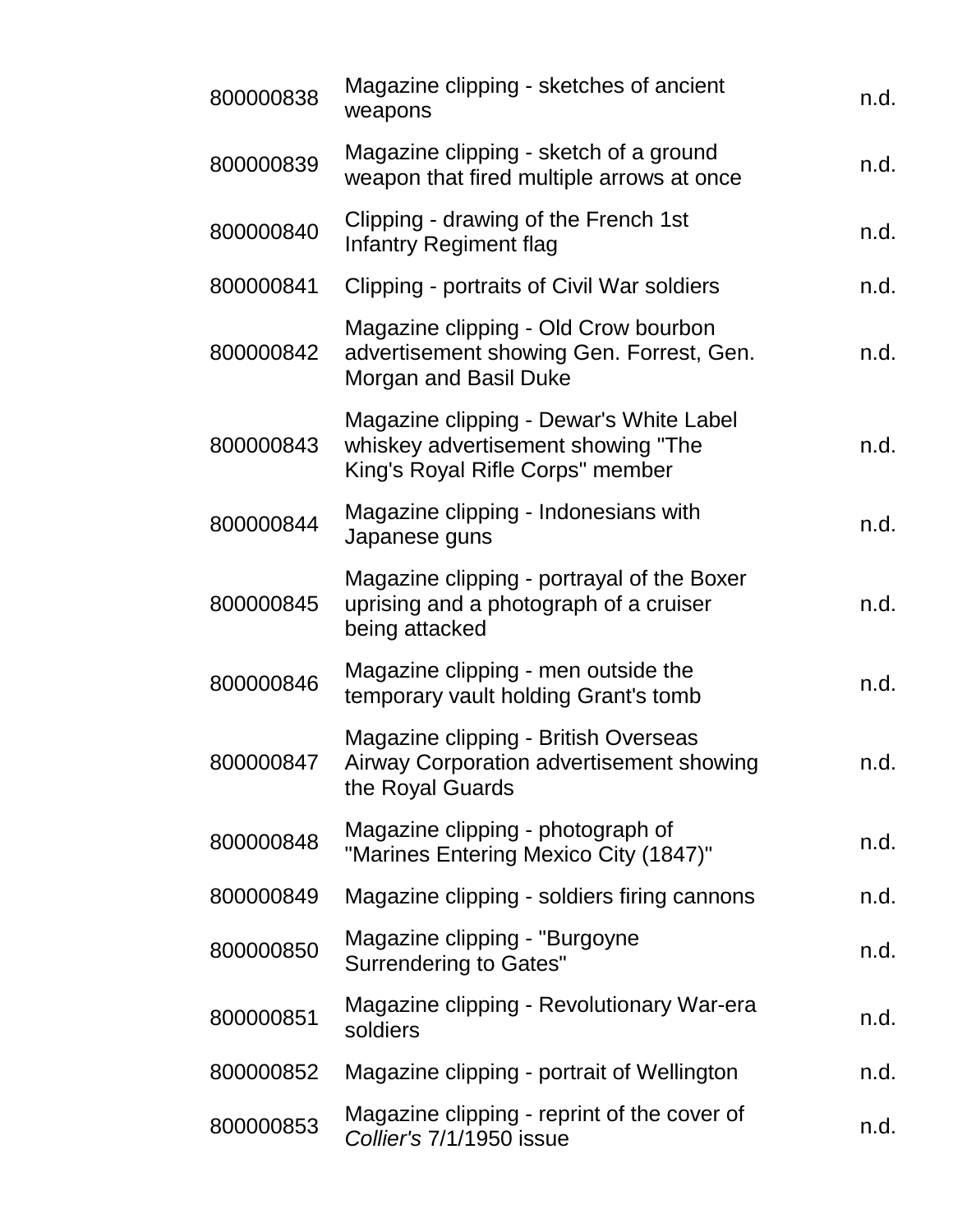| 800000838 | Magazine clipping - sketches of ancient<br>weapons                                                                | n.d. |
|-----------|-------------------------------------------------------------------------------------------------------------------|------|
| 800000839 | Magazine clipping - sketch of a ground<br>weapon that fired multiple arrows at once                               | n.d. |
| 800000840 | Clipping - drawing of the French 1st<br>Infantry Regiment flag                                                    | n.d. |
| 800000841 | Clipping - portraits of Civil War soldiers                                                                        | n.d. |
| 800000842 | Magazine clipping - Old Crow bourbon<br>advertisement showing Gen. Forrest, Gen.<br>Morgan and Basil Duke         | n.d. |
| 800000843 | Magazine clipping - Dewar's White Label<br>whiskey advertisement showing "The<br>King's Royal Rifle Corps" member | n.d. |
| 800000844 | Magazine clipping - Indonesians with<br>Japanese guns                                                             | n.d. |
| 800000845 | Magazine clipping - portrayal of the Boxer<br>uprising and a photograph of a cruiser<br>being attacked            | n.d. |
| 800000846 | Magazine clipping - men outside the<br>temporary vault holding Grant's tomb                                       | n.d. |
| 800000847 | <b>Magazine clipping - British Overseas</b><br>Airway Corporation advertisement showing<br>the Royal Guards       | n.d. |
| 800000848 | Magazine clipping - photograph of<br>"Marines Entering Mexico City (1847)"                                        | n.d. |
| 800000849 | Magazine clipping - soldiers firing cannons                                                                       | n.d. |
| 800000850 | Magazine clipping - "Burgoyne"<br><b>Surrendering to Gates"</b>                                                   | n.d. |
| 800000851 | Magazine clipping - Revolutionary War-era<br>soldiers                                                             | n.d. |
| 800000852 | Magazine clipping - portrait of Wellington                                                                        | n.d. |
| 800000853 | Magazine clipping - reprint of the cover of<br>Collier's 7/1/1950 issue                                           | n.d. |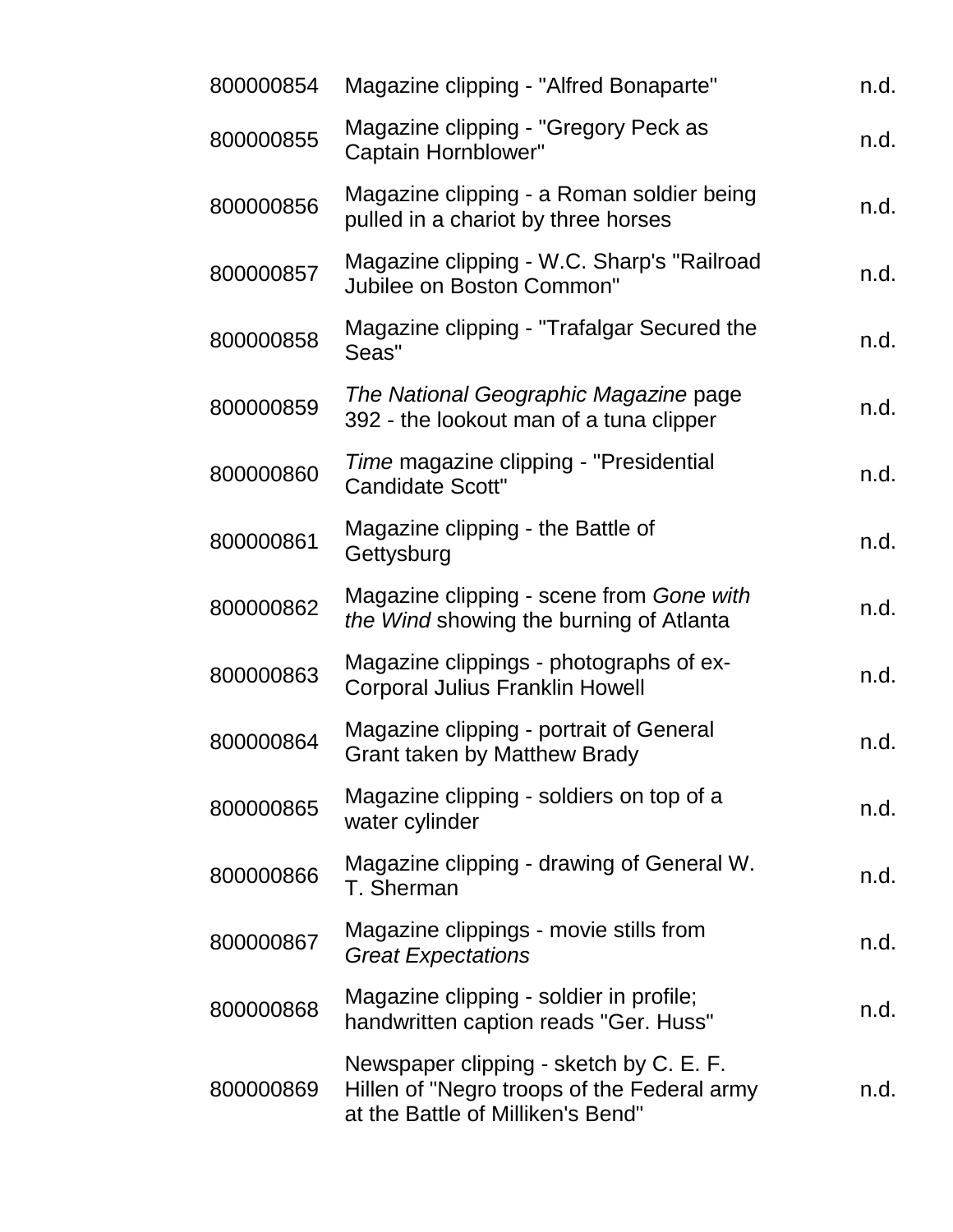| 800000854 | Magazine clipping - "Alfred Bonaparte"                                                                                      | n.d. |
|-----------|-----------------------------------------------------------------------------------------------------------------------------|------|
| 800000855 | Magazine clipping - "Gregory Peck as<br>Captain Hornblower"                                                                 | n.d. |
| 800000856 | Magazine clipping - a Roman soldier being<br>pulled in a chariot by three horses                                            | n.d. |
| 800000857 | Magazine clipping - W.C. Sharp's "Railroad<br>Jubilee on Boston Common"                                                     | n.d. |
| 800000858 | Magazine clipping - "Trafalgar Secured the<br>Seas"                                                                         | n.d. |
| 800000859 | The National Geographic Magazine page<br>392 - the lookout man of a tuna clipper                                            | n.d. |
| 800000860 | Time magazine clipping - "Presidential<br><b>Candidate Scott"</b>                                                           | n.d. |
| 800000861 | Magazine clipping - the Battle of<br>Gettysburg                                                                             | n.d. |
| 800000862 | Magazine clipping - scene from Gone with<br>the Wind showing the burning of Atlanta                                         | n.d. |
| 800000863 | Magazine clippings - photographs of ex-<br><b>Corporal Julius Franklin Howell</b>                                           | n.d. |
| 800000864 | Magazine clipping - portrait of General<br><b>Grant taken by Matthew Brady</b>                                              | n.d. |
| 800000865 | Magazine clipping - soldiers on top of a<br>water cylinder                                                                  | n.d. |
| 800000866 | Magazine clipping - drawing of General W.<br>T. Sherman                                                                     | n.d. |
| 800000867 | Magazine clippings - movie stills from<br><b>Great Expectations</b>                                                         | n.d. |
| 800000868 | Magazine clipping - soldier in profile;<br>handwritten caption reads "Ger. Huss"                                            | n.d. |
| 800000869 | Newspaper clipping - sketch by C. E. F.<br>Hillen of "Negro troops of the Federal army<br>at the Battle of Milliken's Bend" | n.d. |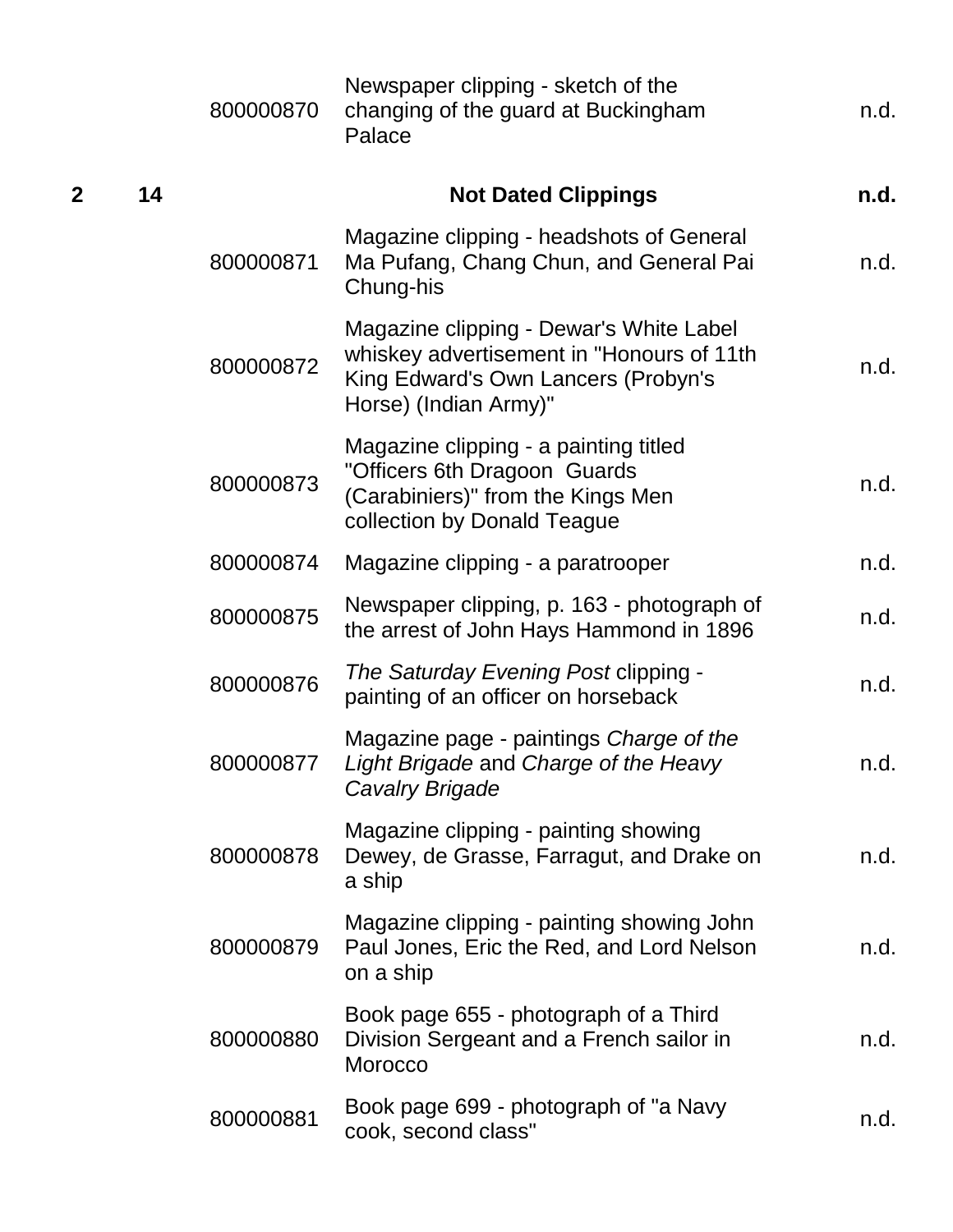|                |    | 800000870 | Newspaper clipping - sketch of the<br>changing of the guard at Buckingham<br>Palace                                                                  | n.d. |
|----------------|----|-----------|------------------------------------------------------------------------------------------------------------------------------------------------------|------|
| $\overline{2}$ | 14 |           | <b>Not Dated Clippings</b>                                                                                                                           | n.d. |
|                |    | 800000871 | Magazine clipping - headshots of General<br>Ma Pufang, Chang Chun, and General Pai<br>Chung-his                                                      | n.d. |
|                |    | 800000872 | Magazine clipping - Dewar's White Label<br>whiskey advertisement in "Honours of 11th<br>King Edward's Own Lancers (Probyn's<br>Horse) (Indian Army)" | n.d. |
|                |    | 800000873 | Magazine clipping - a painting titled<br>"Officers 6th Dragoon Guards<br>(Carabiniers)" from the Kings Men<br>collection by Donald Teague            | n.d. |
|                |    | 800000874 | Magazine clipping - a paratrooper                                                                                                                    | n.d. |
|                |    | 800000875 | Newspaper clipping, p. 163 - photograph of<br>the arrest of John Hays Hammond in 1896                                                                | n.d. |
|                |    | 800000876 | The Saturday Evening Post clipping -<br>painting of an officer on horseback                                                                          | n.d. |
|                |    | 800000877 | Magazine page - paintings Charge of the<br>Light Brigade and Charge of the Heavy<br><b>Cavalry Brigade</b>                                           | n.d. |
|                |    | 800000878 | Magazine clipping - painting showing<br>Dewey, de Grasse, Farragut, and Drake on<br>a ship                                                           | n.d. |
|                |    | 800000879 | Magazine clipping - painting showing John<br>Paul Jones, Eric the Red, and Lord Nelson<br>on a ship                                                  | n.d. |
|                |    | 800000880 | Book page 655 - photograph of a Third<br>Division Sergeant and a French sailor in<br>Morocco                                                         | n.d. |
|                |    | 800000881 | Book page 699 - photograph of "a Navy<br>cook, second class"                                                                                         | n.d. |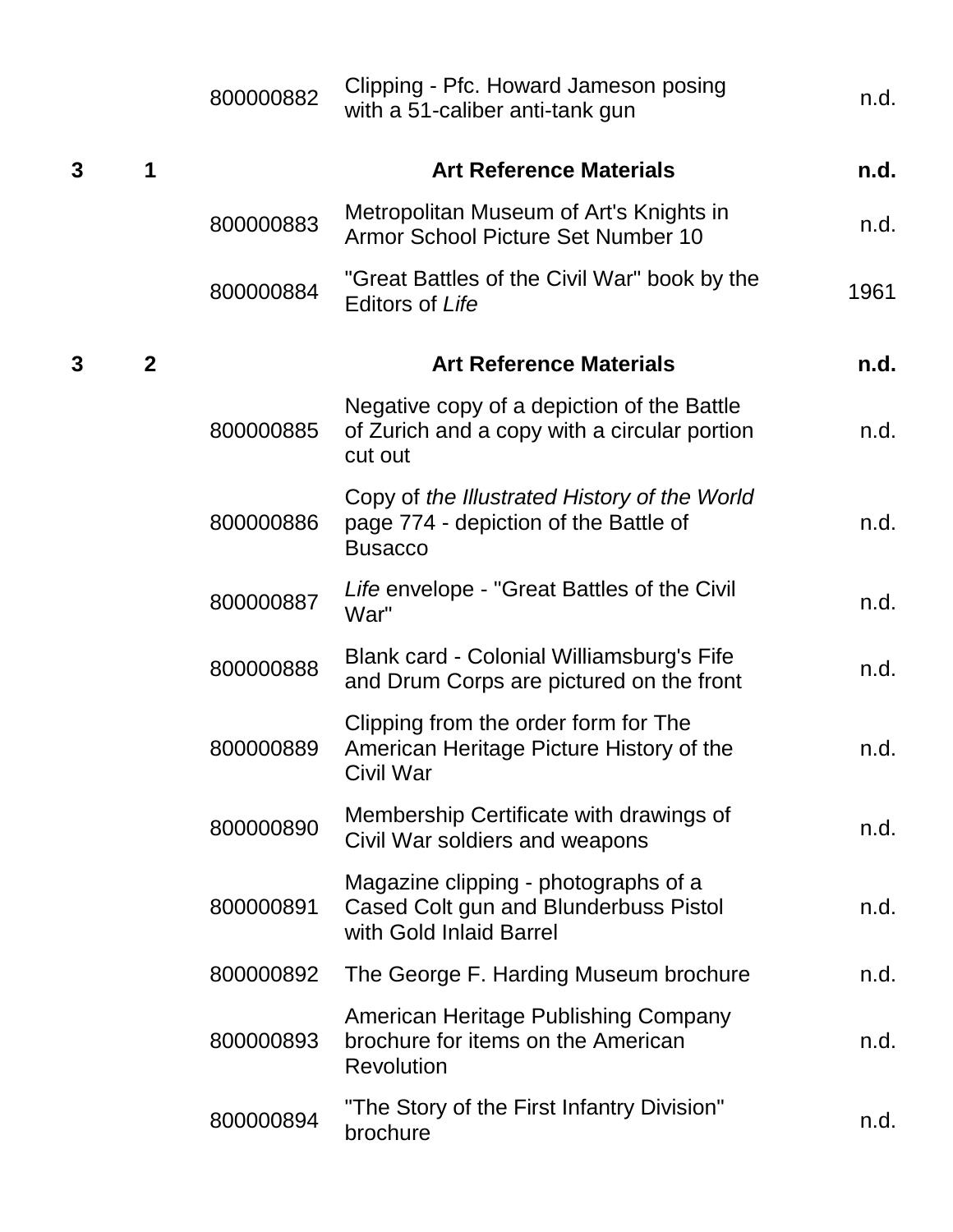|   |                | 800000882 | Clipping - Pfc. Howard Jameson posing<br>with a 51-caliber anti-tank gun                                 | n.d. |
|---|----------------|-----------|----------------------------------------------------------------------------------------------------------|------|
| 3 | 1              |           | <b>Art Reference Materials</b>                                                                           | n.d. |
|   |                | 800000883 | Metropolitan Museum of Art's Knights in<br>Armor School Picture Set Number 10                            | n.d. |
|   |                | 800000884 | "Great Battles of the Civil War" book by the<br><b>Editors of Life</b>                                   | 1961 |
| 3 | $\overline{2}$ |           | <b>Art Reference Materials</b>                                                                           | n.d. |
|   |                | 800000885 | Negative copy of a depiction of the Battle<br>of Zurich and a copy with a circular portion<br>cut out    | n.d. |
|   |                | 800000886 | Copy of the Illustrated History of the World<br>page 774 - depiction of the Battle of<br><b>Busacco</b>  | n.d. |
|   |                | 800000887 | Life envelope - "Great Battles of the Civil<br>War"                                                      | n.d. |
|   |                | 800000888 | Blank card - Colonial Williamsburg's Fife<br>and Drum Corps are pictured on the front                    | n.d. |
|   |                | 800000889 | Clipping from the order form for The<br>American Heritage Picture History of the<br>Civil War            | n.d. |
|   |                | 800000890 | Membership Certificate with drawings of<br>Civil War soldiers and weapons                                | n.d. |
|   |                | 800000891 | Magazine clipping - photographs of a<br>Cased Colt gun and Blunderbuss Pistol<br>with Gold Inlaid Barrel | n.d. |
|   |                | 800000892 | The George F. Harding Museum brochure                                                                    | n.d. |
|   |                | 800000893 | American Heritage Publishing Company<br>brochure for items on the American<br><b>Revolution</b>          | n.d. |
|   |                | 800000894 | "The Story of the First Infantry Division"<br>brochure                                                   | n.d. |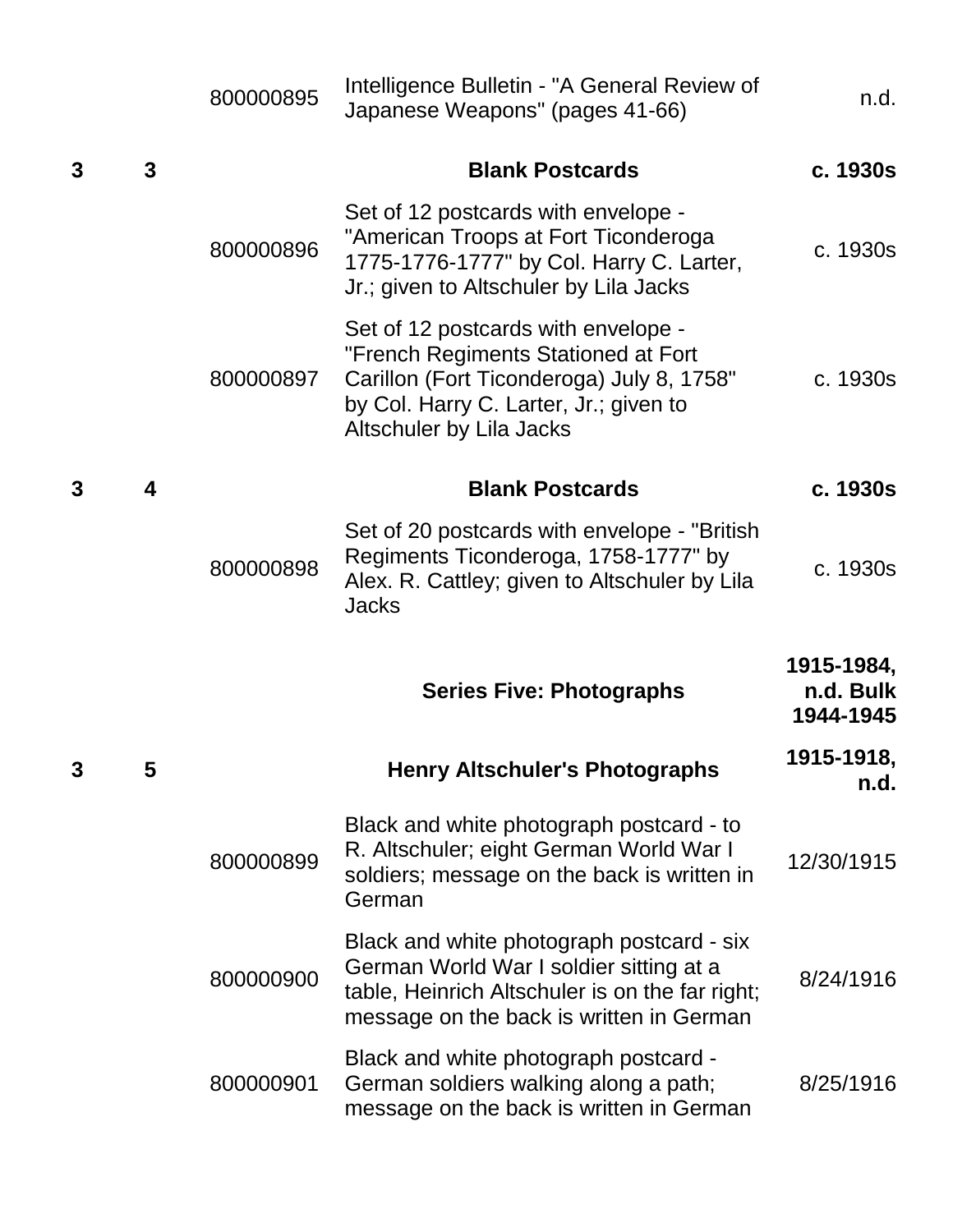|   |   | 800000895 | Intelligence Bulletin - "A General Review of<br>Japanese Weapons" (pages 41-66)                                                                                                               | n.d.                                 |
|---|---|-----------|-----------------------------------------------------------------------------------------------------------------------------------------------------------------------------------------------|--------------------------------------|
| 3 | 3 |           | <b>Blank Postcards</b>                                                                                                                                                                        | c. 1930s                             |
|   |   | 800000896 | Set of 12 postcards with envelope -<br>"American Troops at Fort Ticonderoga<br>1775-1776-1777" by Col. Harry C. Larter,<br>Jr.; given to Altschuler by Lila Jacks                             | c. 1930s                             |
|   |   | 800000897 | Set of 12 postcards with envelope -<br>"French Regiments Stationed at Fort<br>Carillon (Fort Ticonderoga) July 8, 1758"<br>by Col. Harry C. Larter, Jr.; given to<br>Altschuler by Lila Jacks | c. 1930s                             |
| 3 | 4 |           | <b>Blank Postcards</b>                                                                                                                                                                        | c. 1930s                             |
|   |   | 800000898 | Set of 20 postcards with envelope - "British"<br>Regiments Ticonderoga, 1758-1777" by<br>Alex. R. Cattley; given to Altschuler by Lila<br><b>Jacks</b>                                        | c. 1930s                             |
|   |   |           | <b>Series Five: Photographs</b>                                                                                                                                                               | 1915-1984,<br>n.d. Bulk<br>1944-1945 |
|   | 5 |           | <b>Henry Altschuler's Photographs</b>                                                                                                                                                         | 1915-1918,<br>n.d.                   |
|   |   | 800000899 | Black and white photograph postcard - to<br>R. Altschuler; eight German World War I<br>soldiers; message on the back is written in<br>German                                                  | 12/30/1915                           |
|   |   | 800000900 | Black and white photograph postcard - six<br>German World War I soldier sitting at a<br>table, Heinrich Altschuler is on the far right;<br>message on the back is written in German           | 8/24/1916                            |
|   |   | 800000901 | Black and white photograph postcard -<br>German soldiers walking along a path;<br>message on the back is written in German                                                                    | 8/25/1916                            |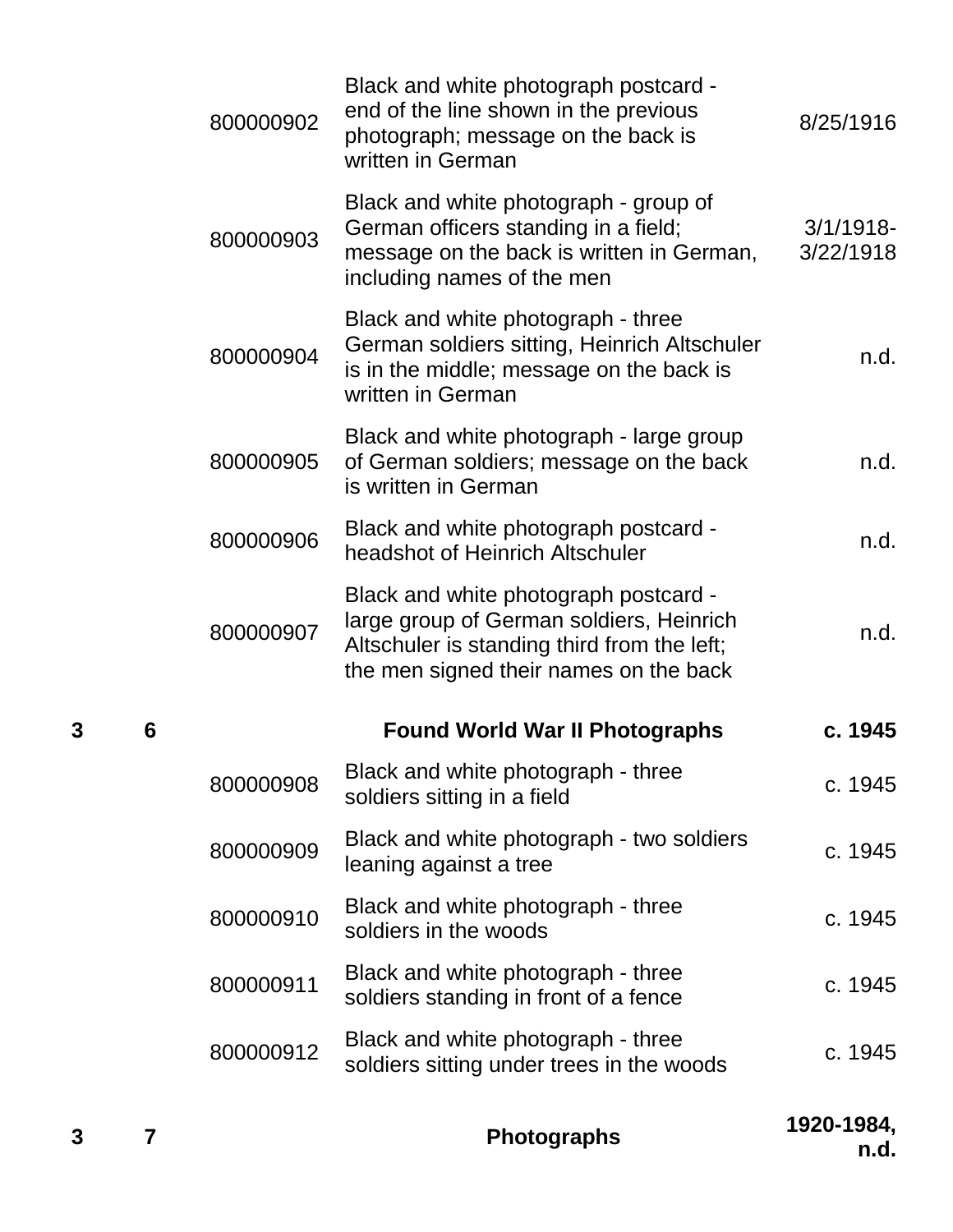| 3 | 7 |           | <b>Photographs</b>                                                                                                                                                         | 1920-1984,<br>n.d.        |
|---|---|-----------|----------------------------------------------------------------------------------------------------------------------------------------------------------------------------|---------------------------|
|   |   | 800000912 | Black and white photograph - three<br>soldiers sitting under trees in the woods                                                                                            | c. 1945                   |
|   |   | 800000911 | Black and white photograph - three<br>soldiers standing in front of a fence                                                                                                | c. 1945                   |
|   |   | 800000910 | Black and white photograph - three<br>soldiers in the woods                                                                                                                | c. 1945                   |
|   |   | 800000909 | Black and white photograph - two soldiers<br>leaning against a tree                                                                                                        | c. 1945                   |
|   |   | 800000908 | Black and white photograph - three<br>soldiers sitting in a field                                                                                                          | c. 1945                   |
| 3 | 6 |           | <b>Found World War II Photographs</b>                                                                                                                                      | c. 1945                   |
|   |   | 800000907 | Black and white photograph postcard -<br>large group of German soldiers, Heinrich<br>Altschuler is standing third from the left;<br>the men signed their names on the back | n.d.                      |
|   |   | 800000906 | Black and white photograph postcard -<br>headshot of Heinrich Altschuler                                                                                                   | n.d.                      |
|   |   | 800000905 | Black and white photograph - large group<br>of German soldiers; message on the back<br>is written in German                                                                | n.d.                      |
|   |   | 800000904 | Black and white photograph - three<br>German soldiers sitting, Heinrich Altschuler<br>is in the middle; message on the back is<br>written in German                        | n.d.                      |
|   |   | 800000903 | Black and white photograph - group of<br>German officers standing in a field;<br>message on the back is written in German,<br>including names of the men                   | $3/1/1918$ -<br>3/22/1918 |
|   |   | 800000902 | Black and white photograph postcard -<br>end of the line shown in the previous<br>photograph; message on the back is<br>written in German                                  | 8/25/1916                 |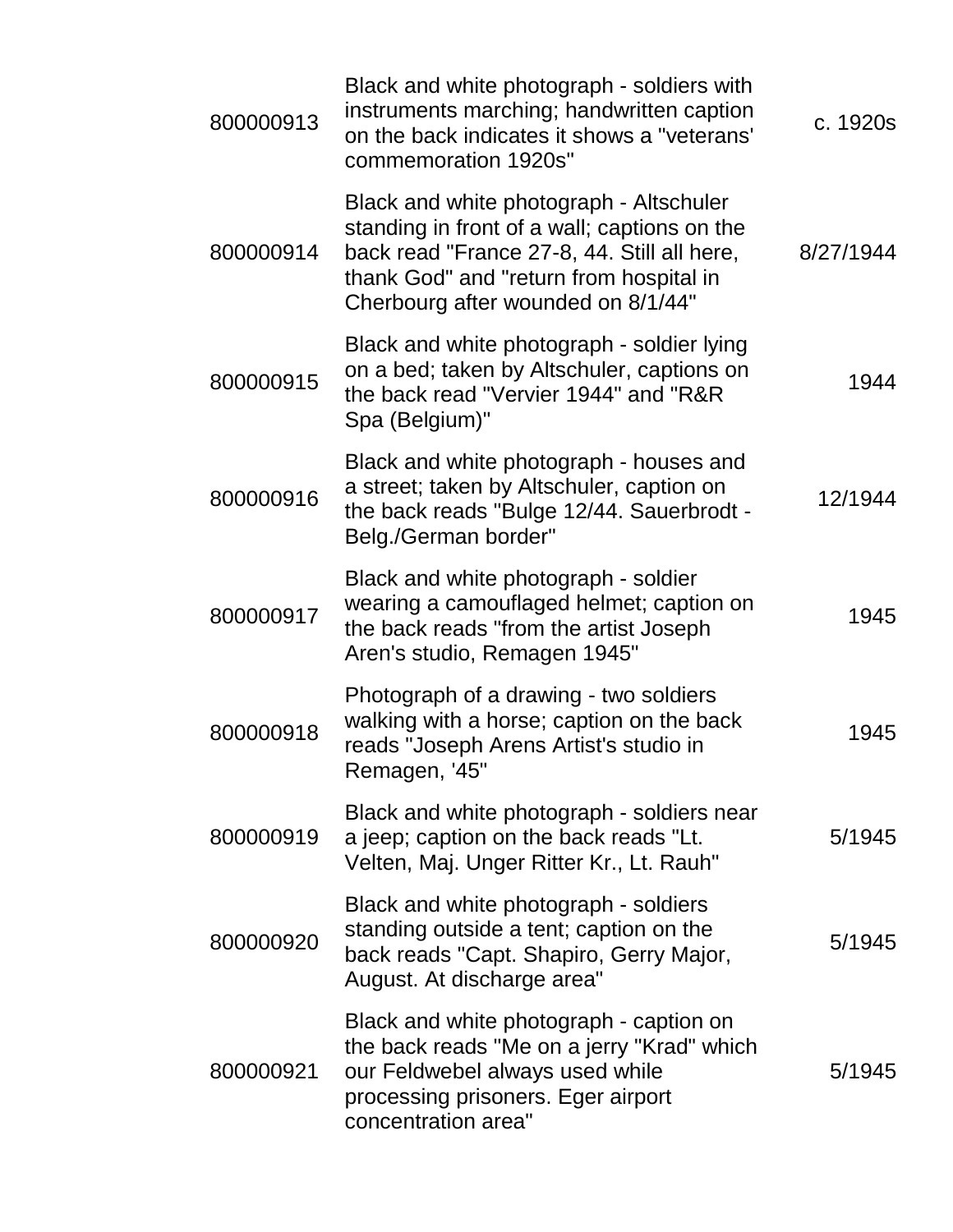| 800000913 | Black and white photograph - soldiers with<br>instruments marching; handwritten caption<br>on the back indicates it shows a "veterans'<br>commemoration 1920s"                                                          | c. 1920s  |
|-----------|-------------------------------------------------------------------------------------------------------------------------------------------------------------------------------------------------------------------------|-----------|
| 800000914 | Black and white photograph - Altschuler<br>standing in front of a wall; captions on the<br>back read "France 27-8, 44. Still all here,<br>thank God" and "return from hospital in<br>Cherbourg after wounded on 8/1/44" | 8/27/1944 |
| 800000915 | Black and white photograph - soldier lying<br>on a bed; taken by Altschuler, captions on<br>the back read "Vervier 1944" and "R&R<br>Spa (Belgium)"                                                                     | 1944      |
| 800000916 | Black and white photograph - houses and<br>a street; taken by Altschuler, caption on<br>the back reads "Bulge 12/44. Sauerbrodt -<br>Belg./German border"                                                               | 12/1944   |
| 800000917 | Black and white photograph - soldier<br>wearing a camouflaged helmet; caption on<br>the back reads "from the artist Joseph<br>Aren's studio, Remagen 1945"                                                              | 1945      |
| 800000918 | Photograph of a drawing - two soldiers<br>walking with a horse; caption on the back<br>reads "Joseph Arens Artist's studio in<br>Remagen, '45"                                                                          | 1945      |
| 800000919 | Black and white photograph - soldiers near<br>a jeep; caption on the back reads "Lt.<br>Velten, Maj. Unger Ritter Kr., Lt. Rauh"                                                                                        | 5/1945    |
| 800000920 | Black and white photograph - soldiers<br>standing outside a tent; caption on the<br>back reads "Capt. Shapiro, Gerry Major,<br>August. At discharge area"                                                               | 5/1945    |
| 800000921 | Black and white photograph - caption on<br>the back reads "Me on a jerry "Krad" which<br>our Feldwebel always used while<br>processing prisoners. Eger airport<br>concentration area"                                   | 5/1945    |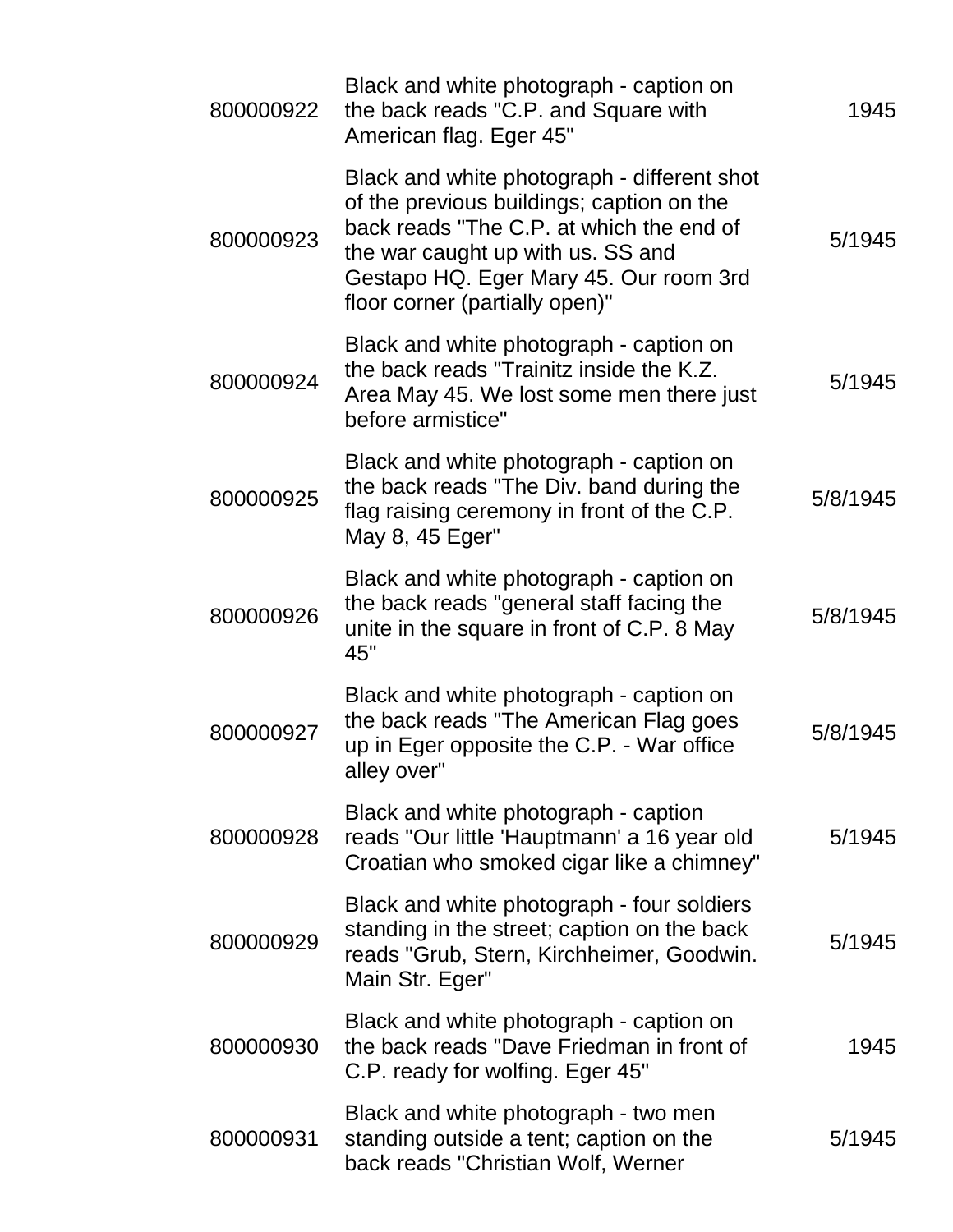| 800000922 | Black and white photograph - caption on<br>the back reads "C.P. and Square with<br>American flag. Eger 45"                                                                                                                                            | 1945     |
|-----------|-------------------------------------------------------------------------------------------------------------------------------------------------------------------------------------------------------------------------------------------------------|----------|
| 800000923 | Black and white photograph - different shot<br>of the previous buildings; caption on the<br>back reads "The C.P. at which the end of<br>the war caught up with us. SS and<br>Gestapo HQ. Eger Mary 45. Our room 3rd<br>floor corner (partially open)" | 5/1945   |
| 800000924 | Black and white photograph - caption on<br>the back reads "Trainitz inside the K.Z.<br>Area May 45. We lost some men there just<br>before armistice"                                                                                                  | 5/1945   |
| 800000925 | Black and white photograph - caption on<br>the back reads "The Div. band during the<br>flag raising ceremony in front of the C.P.<br>May 8, 45 Eger"                                                                                                  | 5/8/1945 |
| 800000926 | Black and white photograph - caption on<br>the back reads "general staff facing the<br>unite in the square in front of C.P. 8 May<br>45"                                                                                                              | 5/8/1945 |
| 800000927 | Black and white photograph - caption on<br>the back reads "The American Flag goes<br>up in Eger opposite the C.P. - War office<br>alley over"                                                                                                         | 5/8/1945 |
| 800000928 | Black and white photograph - caption<br>reads "Our little 'Hauptmann' a 16 year old<br>Croatian who smoked cigar like a chimney"                                                                                                                      | 5/1945   |
| 800000929 | Black and white photograph - four soldiers<br>standing in the street; caption on the back<br>reads "Grub, Stern, Kirchheimer, Goodwin.<br>Main Str. Eger"                                                                                             | 5/1945   |
| 800000930 | Black and white photograph - caption on<br>the back reads "Dave Friedman in front of<br>C.P. ready for wolfing. Eger 45"                                                                                                                              | 1945     |
| 800000931 | Black and white photograph - two men<br>standing outside a tent; caption on the<br>back reads "Christian Wolf, Werner                                                                                                                                 | 5/1945   |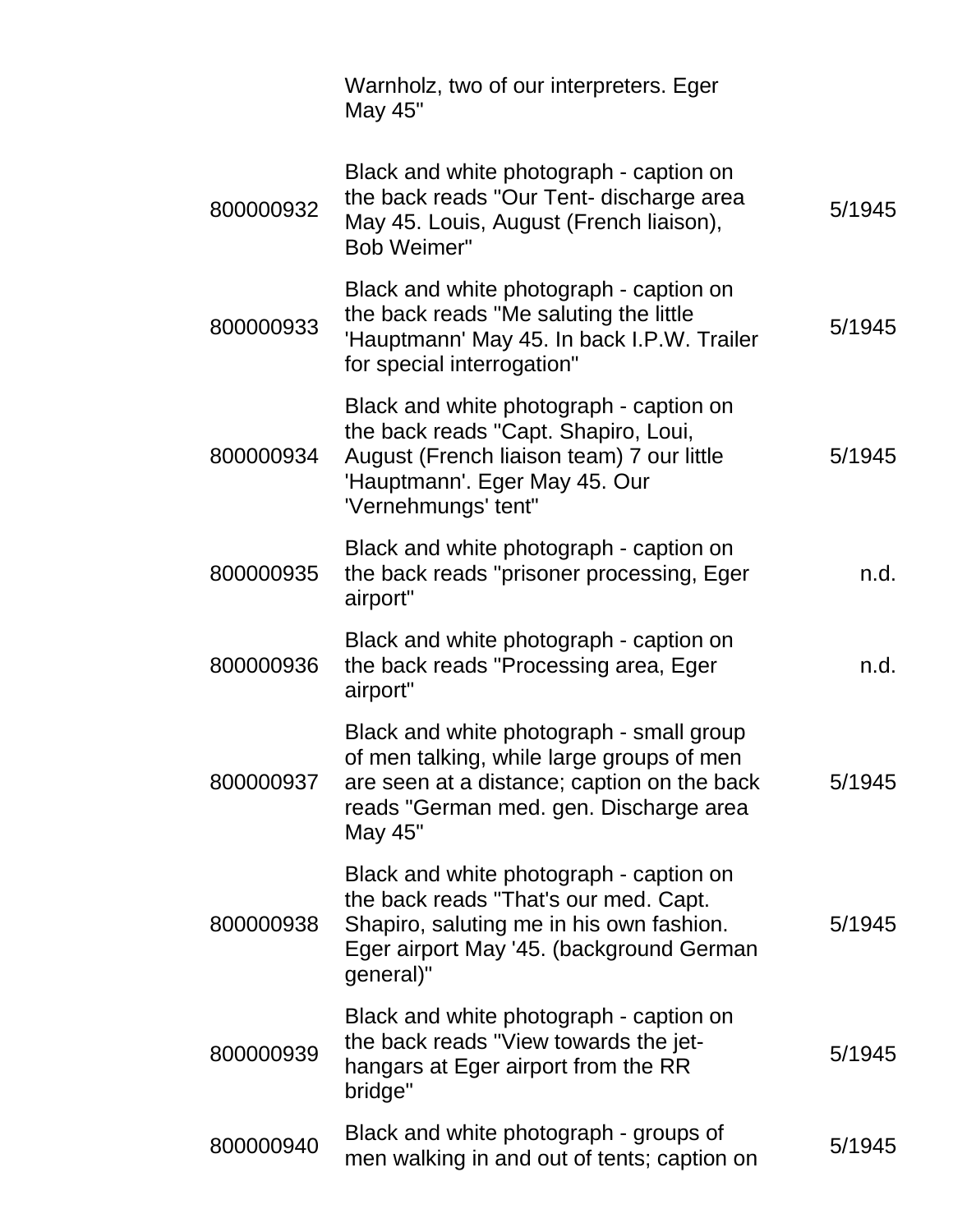|           | Warnholz, two of our interpreters. Eger<br>May 45"                                                                                                                                        |        |
|-----------|-------------------------------------------------------------------------------------------------------------------------------------------------------------------------------------------|--------|
| 800000932 | Black and white photograph - caption on<br>the back reads "Our Tent- discharge area<br>May 45. Louis, August (French liaison),<br><b>Bob Weimer"</b>                                      | 5/1945 |
| 800000933 | Black and white photograph - caption on<br>the back reads "Me saluting the little<br>'Hauptmann' May 45. In back I.P.W. Trailer<br>for special interrogation"                             | 5/1945 |
| 800000934 | Black and white photograph - caption on<br>the back reads "Capt. Shapiro, Loui,<br>August (French liaison team) 7 our little<br>'Hauptmann'. Eger May 45. Our<br>'Vernehmungs' tent"      | 5/1945 |
| 800000935 | Black and white photograph - caption on<br>the back reads "prisoner processing, Eger<br>airport"                                                                                          | n.d.   |
| 800000936 | Black and white photograph - caption on<br>the back reads "Processing area, Eger<br>airport"                                                                                              | n.d.   |
| 800000937 | Black and white photograph - small group<br>of men talking, while large groups of men<br>are seen at a distance; caption on the back<br>reads "German med. gen. Discharge area<br>May 45" | 5/1945 |
| 800000938 | Black and white photograph - caption on<br>the back reads "That's our med. Capt.<br>Shapiro, saluting me in his own fashion.<br>Eger airport May '45. (background German<br>general)"     | 5/1945 |
| 800000939 | Black and white photograph - caption on<br>the back reads "View towards the jet-<br>hangars at Eger airport from the RR<br>bridge"                                                        | 5/1945 |
| 800000940 | Black and white photograph - groups of<br>men walking in and out of tents; caption on                                                                                                     | 5/1945 |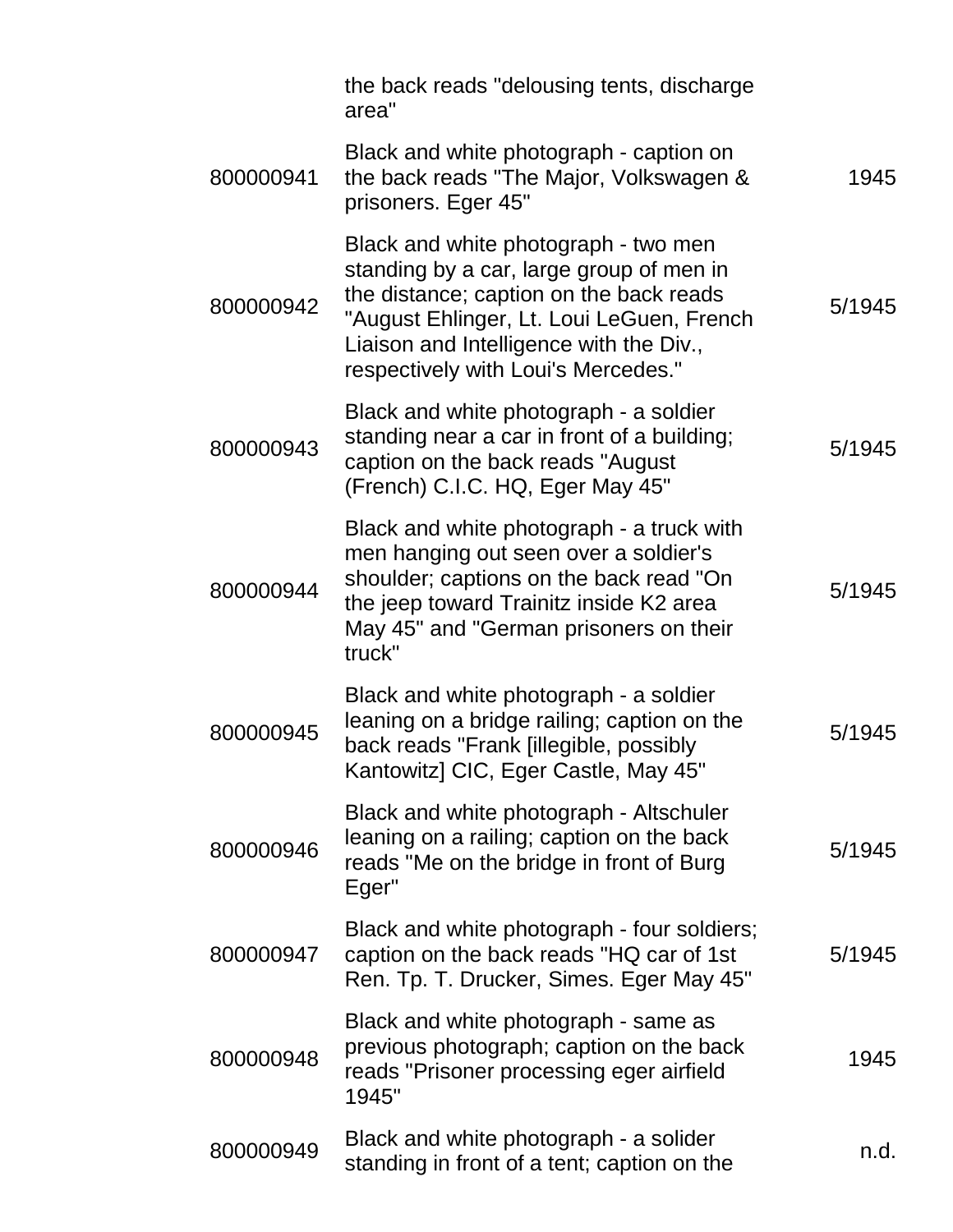|           | the back reads "delousing tents, discharge<br>area"                                                                                                                                                                                                        |        |
|-----------|------------------------------------------------------------------------------------------------------------------------------------------------------------------------------------------------------------------------------------------------------------|--------|
| 800000941 | Black and white photograph - caption on<br>the back reads "The Major, Volkswagen &<br>prisoners. Eger 45"                                                                                                                                                  | 1945   |
| 800000942 | Black and white photograph - two men<br>standing by a car, large group of men in<br>the distance; caption on the back reads<br>"August Ehlinger, Lt. Loui LeGuen, French<br>Liaison and Intelligence with the Div.,<br>respectively with Loui's Mercedes." | 5/1945 |
| 800000943 | Black and white photograph - a soldier<br>standing near a car in front of a building;<br>caption on the back reads "August<br>(French) C.I.C. HQ, Eger May 45"                                                                                             | 5/1945 |
| 800000944 | Black and white photograph - a truck with<br>men hanging out seen over a soldier's<br>shoulder; captions on the back read "On<br>the jeep toward Trainitz inside K2 area<br>May 45" and "German prisoners on their<br>truck"                               | 5/1945 |
| 800000945 | Black and white photograph - a soldier<br>leaning on a bridge railing; caption on the<br>back reads "Frank [illegible, possibly<br>Kantowitz] CIC, Eger Castle, May 45"                                                                                    | 5/1945 |
| 800000946 | Black and white photograph - Altschuler<br>leaning on a railing; caption on the back<br>reads "Me on the bridge in front of Burg<br>Eger"                                                                                                                  | 5/1945 |
| 800000947 | Black and white photograph - four soldiers;<br>caption on the back reads "HQ car of 1st<br>Ren. Tp. T. Drucker, Simes. Eger May 45"                                                                                                                        | 5/1945 |
| 800000948 | Black and white photograph - same as<br>previous photograph; caption on the back<br>reads "Prisoner processing eger airfield<br>1945"                                                                                                                      | 1945   |
| 800000949 | Black and white photograph - a solider<br>standing in front of a tent; caption on the                                                                                                                                                                      | n.d.   |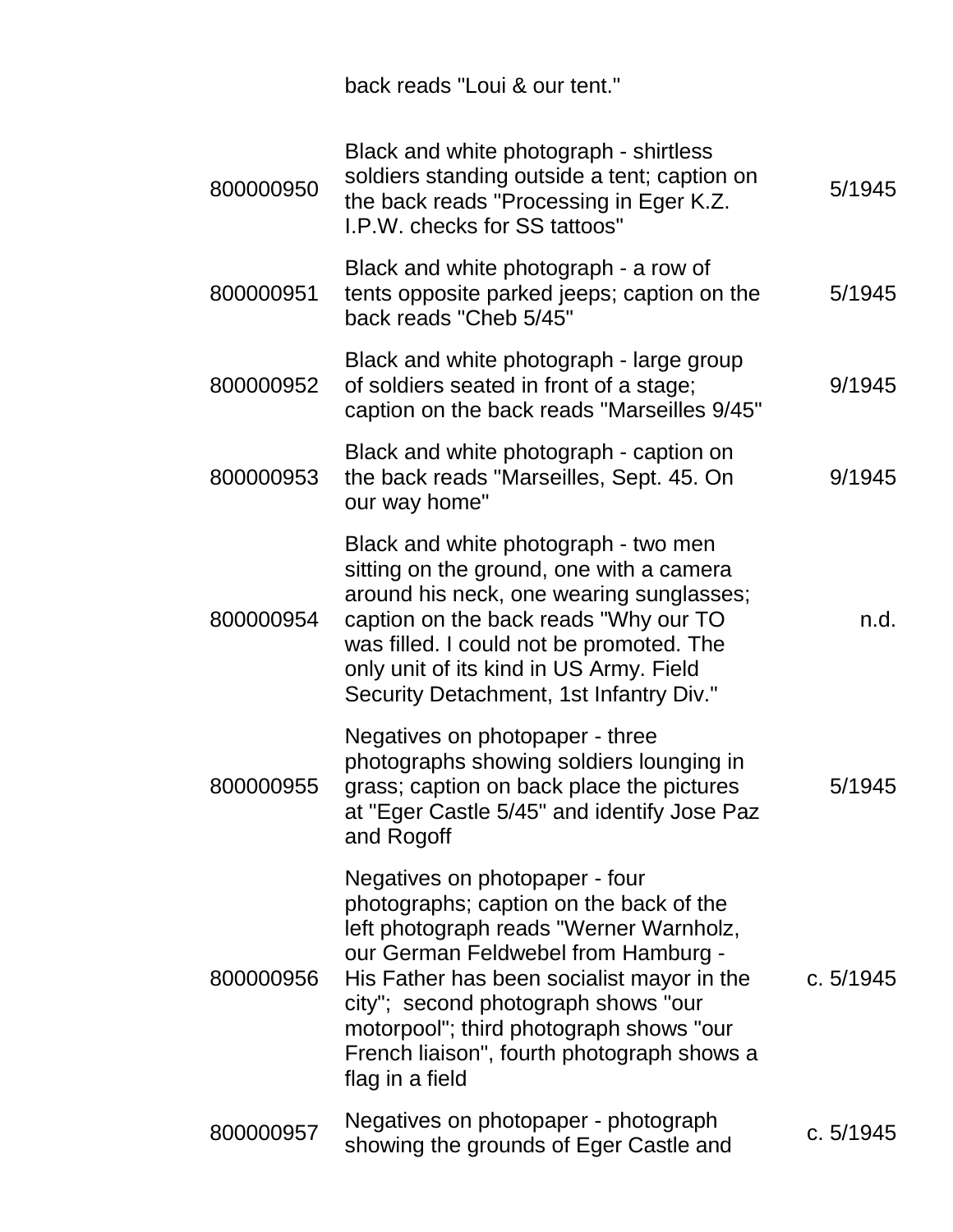back reads "Loui & our tent."

| 800000950 | Black and white photograph - shirtless<br>soldiers standing outside a tent; caption on<br>the back reads "Processing in Eger K.Z.<br>I.P.W. checks for SS tattoos"                                                                                                                                                                                           | 5/1945    |
|-----------|--------------------------------------------------------------------------------------------------------------------------------------------------------------------------------------------------------------------------------------------------------------------------------------------------------------------------------------------------------------|-----------|
| 800000951 | Black and white photograph - a row of<br>tents opposite parked jeeps; caption on the<br>back reads "Cheb 5/45"                                                                                                                                                                                                                                               | 5/1945    |
| 800000952 | Black and white photograph - large group<br>of soldiers seated in front of a stage;<br>caption on the back reads "Marseilles 9/45"                                                                                                                                                                                                                           | 9/1945    |
| 800000953 | Black and white photograph - caption on<br>the back reads "Marseilles, Sept. 45. On<br>our way home"                                                                                                                                                                                                                                                         | 9/1945    |
| 800000954 | Black and white photograph - two men<br>sitting on the ground, one with a camera<br>around his neck, one wearing sunglasses;<br>caption on the back reads "Why our TO<br>was filled. I could not be promoted. The<br>only unit of its kind in US Army. Field<br>Security Detachment, 1st Infantry Div."                                                      | n.d.      |
| 800000955 | Negatives on photopaper - three<br>photographs showing soldiers lounging in<br>grass; caption on back place the pictures<br>at "Eger Castle 5/45" and identify Jose Paz<br>and Rogoff                                                                                                                                                                        | 5/1945    |
| 800000956 | Negatives on photopaper - four<br>photographs; caption on the back of the<br>left photograph reads "Werner Warnholz,<br>our German Feldwebel from Hamburg -<br>His Father has been socialist mayor in the<br>city"; second photograph shows "our<br>motorpool"; third photograph shows "our<br>French liaison", fourth photograph shows a<br>flag in a field | c. 5/1945 |
| 800000957 | Negatives on photopaper - photograph<br>showing the grounds of Eger Castle and                                                                                                                                                                                                                                                                               | c. 5/1945 |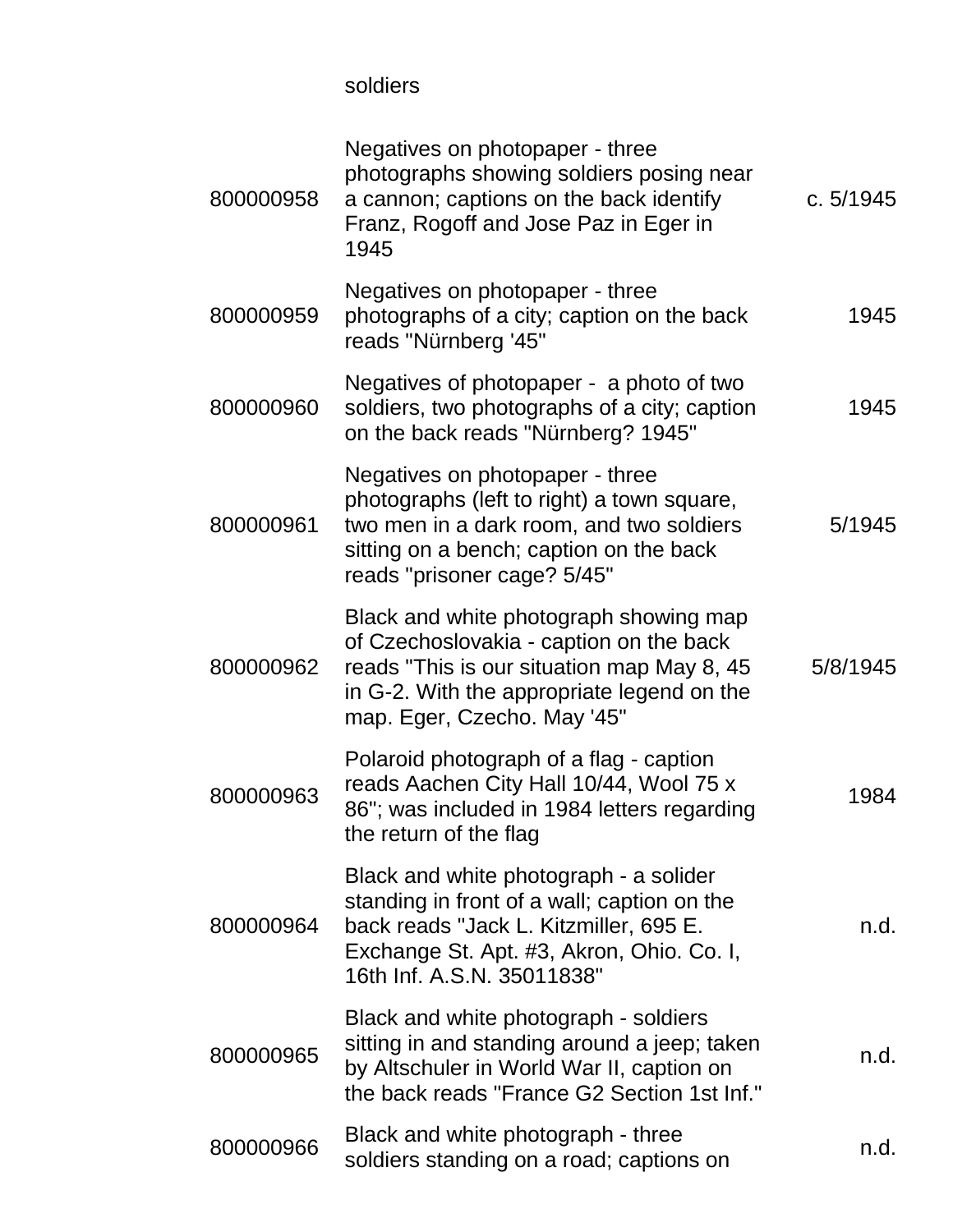soldiers

| 800000958 | Negatives on photopaper - three<br>photographs showing soldiers posing near<br>a cannon; captions on the back identify<br>Franz, Rogoff and Jose Paz in Eger in<br>1945                                      | c. 5/1945 |
|-----------|--------------------------------------------------------------------------------------------------------------------------------------------------------------------------------------------------------------|-----------|
| 800000959 | Negatives on photopaper - three<br>photographs of a city; caption on the back<br>reads "Nürnberg '45"                                                                                                        | 1945      |
| 800000960 | Negatives of photopaper - a photo of two<br>soldiers, two photographs of a city; caption<br>on the back reads "Nürnberg? 1945"                                                                               | 1945      |
| 800000961 | Negatives on photopaper - three<br>photographs (left to right) a town square,<br>two men in a dark room, and two soldiers<br>sitting on a bench; caption on the back<br>reads "prisoner cage? 5/45"          | 5/1945    |
| 800000962 | Black and white photograph showing map<br>of Czechoslovakia - caption on the back<br>reads "This is our situation map May 8, 45<br>in G-2. With the appropriate legend on the<br>map. Eger, Czecho. May '45" | 5/8/1945  |
| 800000963 | Polaroid photograph of a flag - caption<br>reads Aachen City Hall 10/44, Wool 75 x<br>86"; was included in 1984 letters regarding<br>the return of the flag                                                  | 1984      |
| 800000964 | Black and white photograph - a solider<br>standing in front of a wall; caption on the<br>back reads "Jack L. Kitzmiller, 695 E.<br>Exchange St. Apt. #3, Akron, Ohio. Co. I,<br>16th Inf. A.S.N. 35011838"   | n.d.      |
| 800000965 | Black and white photograph - soldiers<br>sitting in and standing around a jeep; taken<br>by Altschuler in World War II, caption on<br>the back reads "France G2 Section 1st Inf."                            | n.d.      |
| 800000966 | Black and white photograph - three<br>soldiers standing on a road; captions on                                                                                                                               | n.d.      |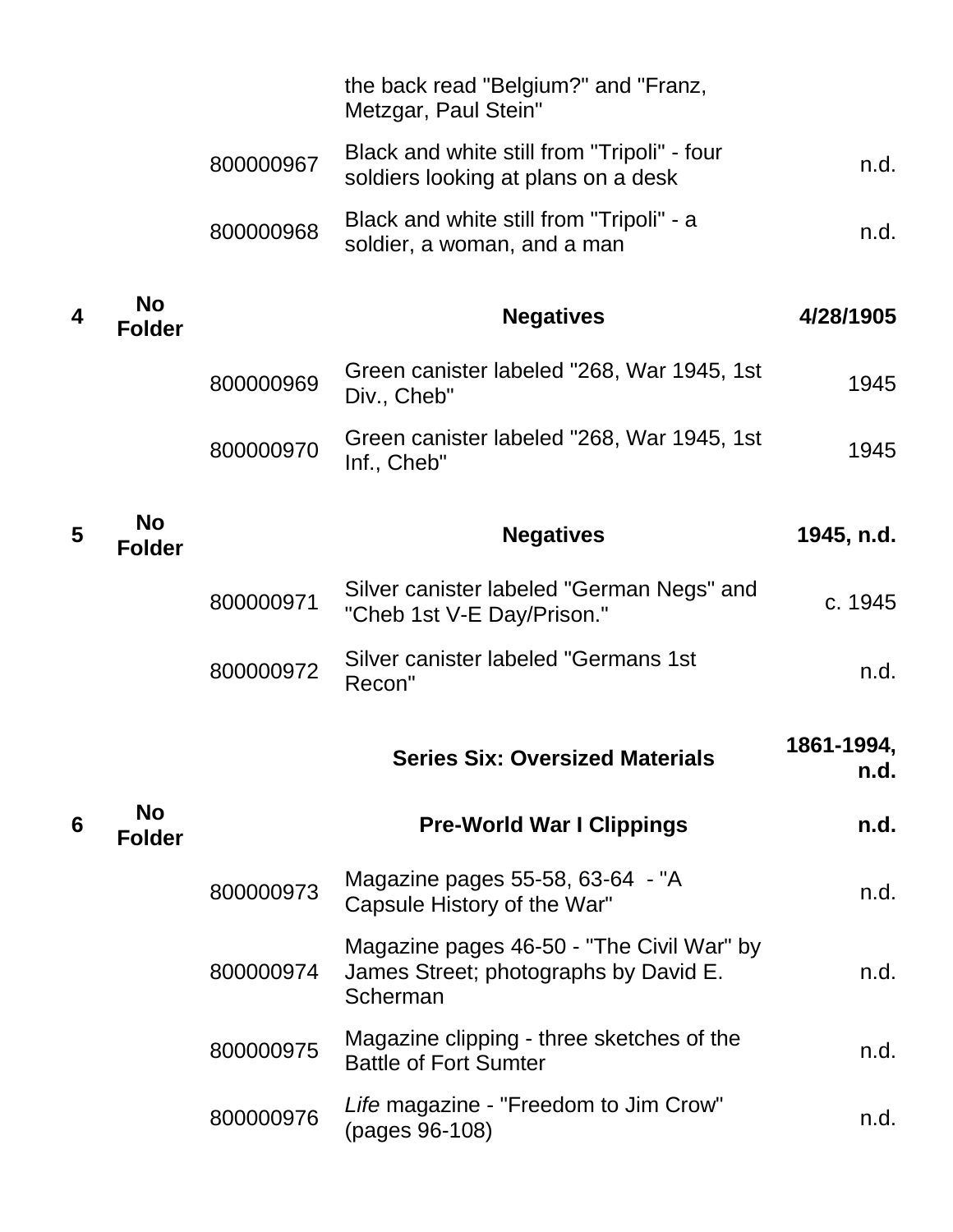|                  |                            |           | the back read "Belgium?" and "Franz,<br>Metzgar, Paul Stein"                                   |                    |
|------------------|----------------------------|-----------|------------------------------------------------------------------------------------------------|--------------------|
|                  |                            | 800000967 | Black and white still from "Tripoli" - four<br>soldiers looking at plans on a desk             | n.d.               |
|                  |                            | 800000968 | Black and white still from "Tripoli" - a<br>soldier, a woman, and a man                        | n.d.               |
| $\boldsymbol{4}$ | <b>No</b><br><b>Folder</b> |           | <b>Negatives</b>                                                                               | 4/28/1905          |
|                  |                            | 800000969 | Green canister labeled "268, War 1945, 1st<br>Div., Cheb"                                      | 1945               |
|                  |                            | 800000970 | Green canister labeled "268, War 1945, 1st<br>Inf., Cheb"                                      | 1945               |
| 5                | <b>No</b><br><b>Folder</b> |           | <b>Negatives</b>                                                                               | 1945, n.d.         |
|                  |                            | 800000971 | Silver canister labeled "German Negs" and<br>"Cheb 1st V-E Day/Prison."                        | c. 1945            |
|                  |                            | 800000972 | Silver canister labeled "Germans 1st<br>Recon"                                                 | n.d.               |
|                  |                            |           | <b>Series Six: Oversized Materials</b>                                                         | 1861-1994,<br>n.d. |
| 6                | <b>No</b><br><b>Folder</b> |           | <b>Pre-World War I Clippings</b>                                                               | n.d.               |
|                  |                            | 800000973 | Magazine pages 55-58, 63-64 - "A<br>Capsule History of the War"                                | n.d.               |
|                  |                            | 800000974 | Magazine pages 46-50 - "The Civil War" by<br>James Street; photographs by David E.<br>Scherman | n.d.               |
|                  |                            | 800000975 | Magazine clipping - three sketches of the<br><b>Battle of Fort Sumter</b>                      | n.d.               |
|                  |                            | 800000976 | Life magazine - "Freedom to Jim Crow"<br>(pages 96-108)                                        | n.d.               |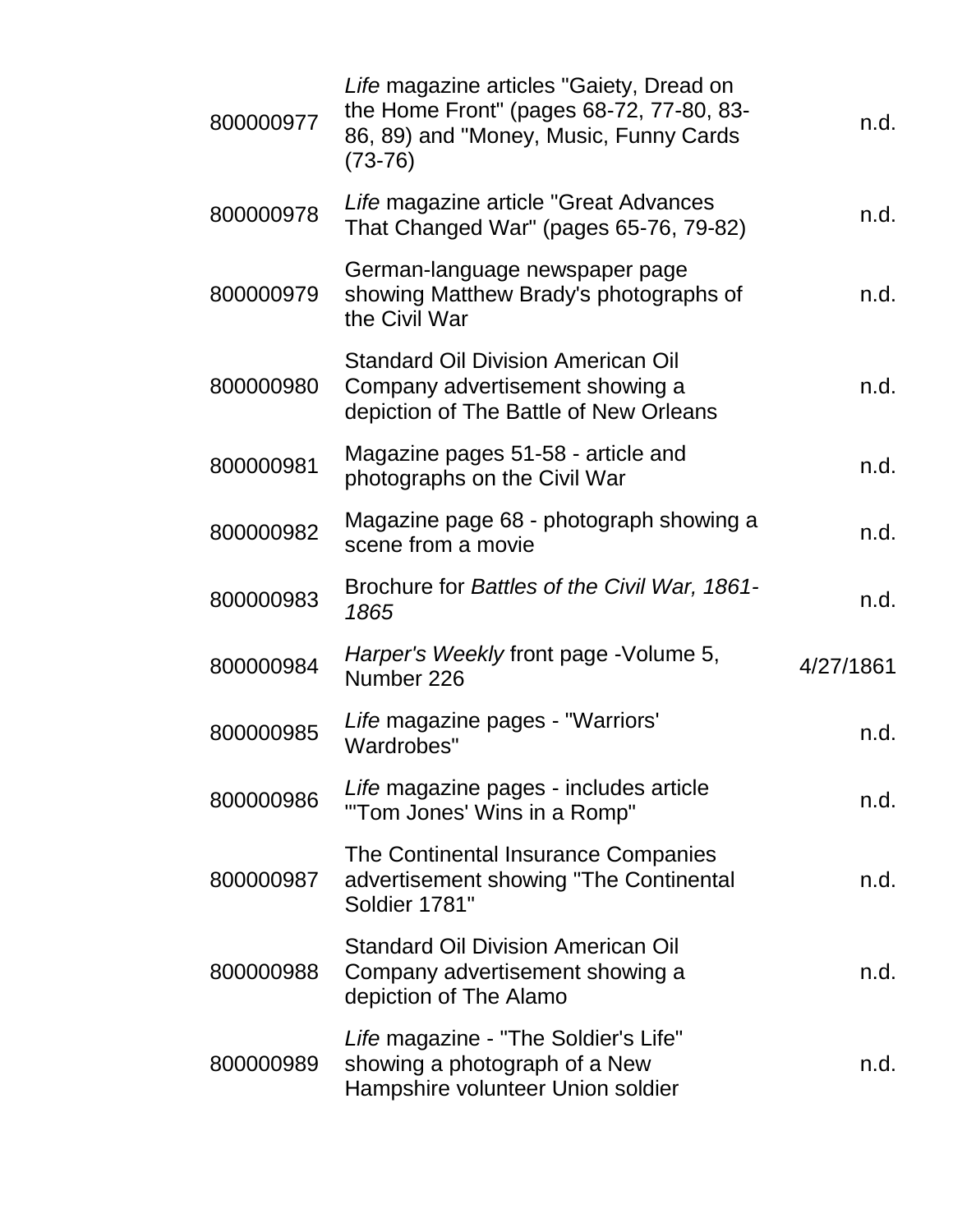| 800000977 | Life magazine articles "Gaiety, Dread on<br>the Home Front" (pages 68-72, 77-80, 83-<br>86, 89) and "Money, Music, Funny Cards<br>$(73-76)$ | n.d.      |
|-----------|---------------------------------------------------------------------------------------------------------------------------------------------|-----------|
| 800000978 | Life magazine article "Great Advances"<br>That Changed War" (pages 65-76, 79-82)                                                            | n.d.      |
| 800000979 | German-language newspaper page<br>showing Matthew Brady's photographs of<br>the Civil War                                                   | n.d.      |
| 800000980 | <b>Standard Oil Division American Oil</b><br>Company advertisement showing a<br>depiction of The Battle of New Orleans                      | n.d.      |
| 800000981 | Magazine pages 51-58 - article and<br>photographs on the Civil War                                                                          | n.d.      |
| 800000982 | Magazine page 68 - photograph showing a<br>scene from a movie                                                                               | n.d.      |
| 800000983 | Brochure for Battles of the Civil War, 1861-<br>1865                                                                                        | n.d.      |
| 800000984 | Harper's Weekly front page - Volume 5,<br>Number 226                                                                                        | 4/27/1861 |
| 800000985 | Life magazine pages - "Warriors'<br>Wardrobes"                                                                                              | n.d.      |
| 800000986 | Life magazine pages - includes article<br>"Tom Jones' Wins in a Romp"                                                                       | n.d.      |
| 800000987 | The Continental Insurance Companies<br>advertisement showing "The Continental<br>Soldier 1781"                                              | n.d.      |
| 800000988 | <b>Standard Oil Division American Oil</b><br>Company advertisement showing a<br>depiction of The Alamo                                      | n.d.      |
| 800000989 | Life magazine - "The Soldier's Life"<br>showing a photograph of a New<br>Hampshire volunteer Union soldier                                  | n.d.      |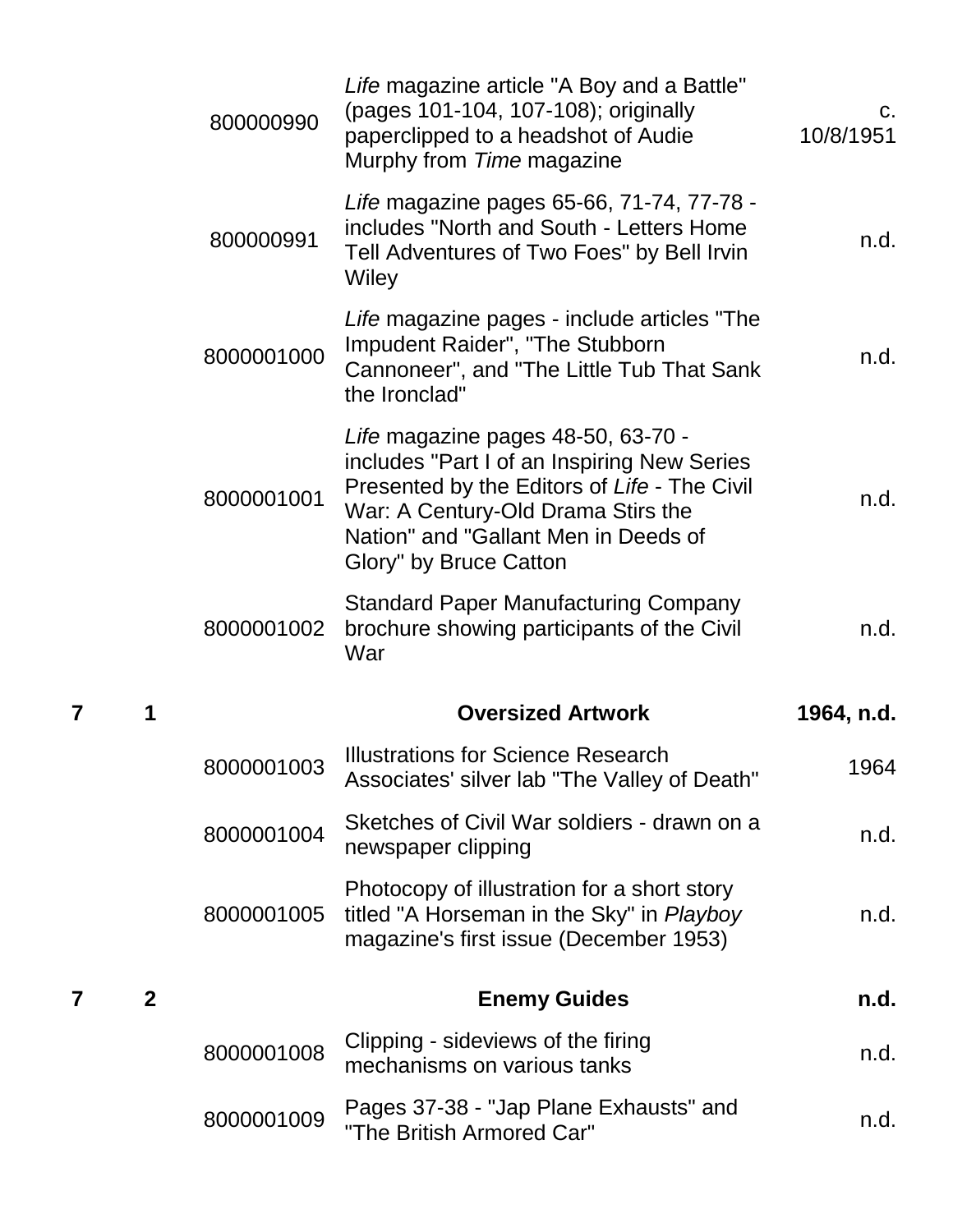|   |              | 800000990  | Life magazine article "A Boy and a Battle"<br>(pages 101-104, 107-108); originally<br>paperclipped to a headshot of Audie<br>Murphy from Time magazine                                                                                    | C.<br>10/8/1951 |
|---|--------------|------------|-------------------------------------------------------------------------------------------------------------------------------------------------------------------------------------------------------------------------------------------|-----------------|
|   |              | 800000991  | Life magazine pages 65-66, 71-74, 77-78 -<br>includes "North and South - Letters Home<br>Tell Adventures of Two Foes" by Bell Irvin<br>Wiley                                                                                              | n.d.            |
|   |              | 8000001000 | Life magazine pages - include articles "The<br>Impudent Raider", "The Stubborn<br>Cannoneer", and "The Little Tub That Sank<br>the Ironclad"                                                                                              | n.d.            |
|   |              | 8000001001 | Life magazine pages 48-50, 63-70 -<br>includes "Part I of an Inspiring New Series<br>Presented by the Editors of Life - The Civil<br>War: A Century-Old Drama Stirs the<br>Nation" and "Gallant Men in Deeds of<br>Glory" by Bruce Catton | n.d.            |
|   |              |            | <b>Standard Paper Manufacturing Company</b>                                                                                                                                                                                               |                 |
|   |              | 8000001002 | brochure showing participants of the Civil<br>War                                                                                                                                                                                         | n.d.            |
| 7 |              |            | <b>Oversized Artwork</b>                                                                                                                                                                                                                  | 1964, n.d.      |
|   |              | 8000001003 | Illustrations for Science Research<br>Associates' silver lab "The Valley of Death"                                                                                                                                                        | 1964            |
|   |              | 8000001004 | Sketches of Civil War soldiers - drawn on a<br>newspaper clipping                                                                                                                                                                         | n.d.            |
|   |              | 8000001005 | Photocopy of illustration for a short story<br>titled "A Horseman in the Sky" in Playboy<br>magazine's first issue (December 1953)                                                                                                        | n.d.            |
| 7 | $\mathbf{2}$ |            | <b>Enemy Guides</b>                                                                                                                                                                                                                       | n.d.            |
|   |              | 8000001008 | Clipping - sideviews of the firing<br>mechanisms on various tanks                                                                                                                                                                         | n.d.            |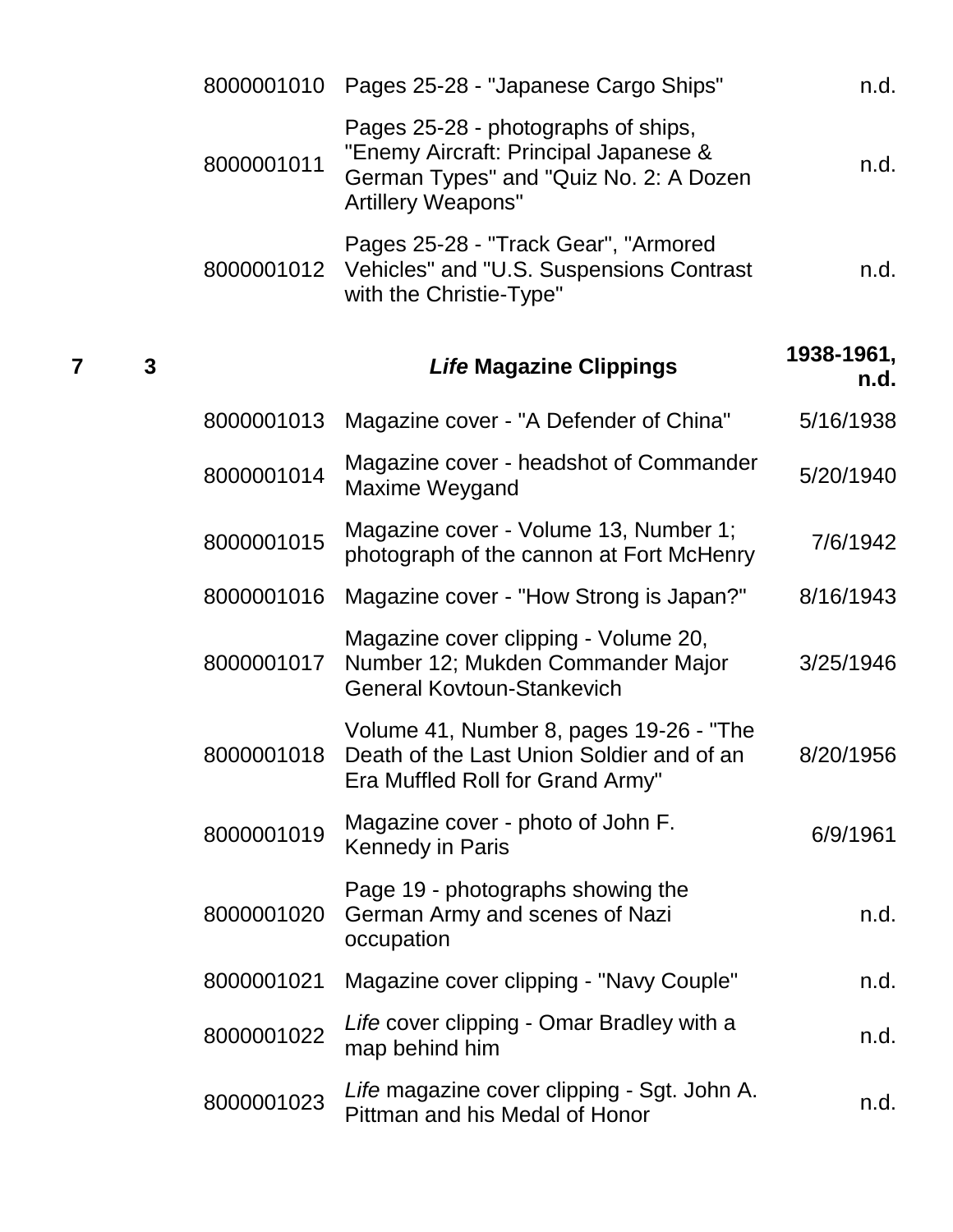|   | 8000001010 |                                                                                                                                                     | n.d.                                 |
|---|------------|-----------------------------------------------------------------------------------------------------------------------------------------------------|--------------------------------------|
|   | 8000001011 | Pages 25-28 - photographs of ships,<br>"Enemy Aircraft: Principal Japanese &<br>German Types" and "Quiz No. 2: A Dozen<br><b>Artillery Weapons"</b> | n.d.                                 |
|   | 8000001012 | Pages 25-28 - "Track Gear", "Armored<br>Vehicles" and "U.S. Suspensions Contrast<br>with the Christie-Type"                                         | n.d.                                 |
| 3 |            | <b>Life Magazine Clippings</b>                                                                                                                      | 1938-1961,<br>n.d.                   |
|   | 8000001013 | Magazine cover - "A Defender of China"                                                                                                              | 5/16/1938                            |
|   | 8000001014 | Magazine cover - headshot of Commander<br>Maxime Weygand                                                                                            | 5/20/1940                            |
|   | 8000001015 | Magazine cover - Volume 13, Number 1;<br>photograph of the cannon at Fort McHenry                                                                   | 7/6/1942                             |
|   | 8000001016 | Magazine cover - "How Strong is Japan?"                                                                                                             | 8/16/1943                            |
|   | 8000001017 | Magazine cover clipping - Volume 20,<br>Number 12; Mukden Commander Major<br><b>General Kovtoun-Stankevich</b>                                      | 3/25/1946                            |
|   | 8000001018 | Volume 41, Number 8, pages 19-26 - "The<br>Death of the Last Union Soldier and of an<br>Era Muffled Roll for Grand Army"                            | 8/20/1956                            |
|   | 8000001019 | Magazine cover - photo of John F.<br><b>Kennedy in Paris</b>                                                                                        | 6/9/1961                             |
|   | 8000001020 | Page 19 - photographs showing the<br>German Army and scenes of Nazi<br>occupation                                                                   | n.d.                                 |
|   | 8000001021 | Magazine cover clipping - "Navy Couple"                                                                                                             | n.d.                                 |
|   | 8000001022 | Life cover clipping - Omar Bradley with a<br>map behind him                                                                                         | n.d.                                 |
|   | 8000001023 | Life magazine cover clipping - Sgt. John A.<br>Pittman and his Medal of Honor                                                                       | n.d.                                 |
|   |            |                                                                                                                                                     | Pages 25-28 - "Japanese Cargo Ships" |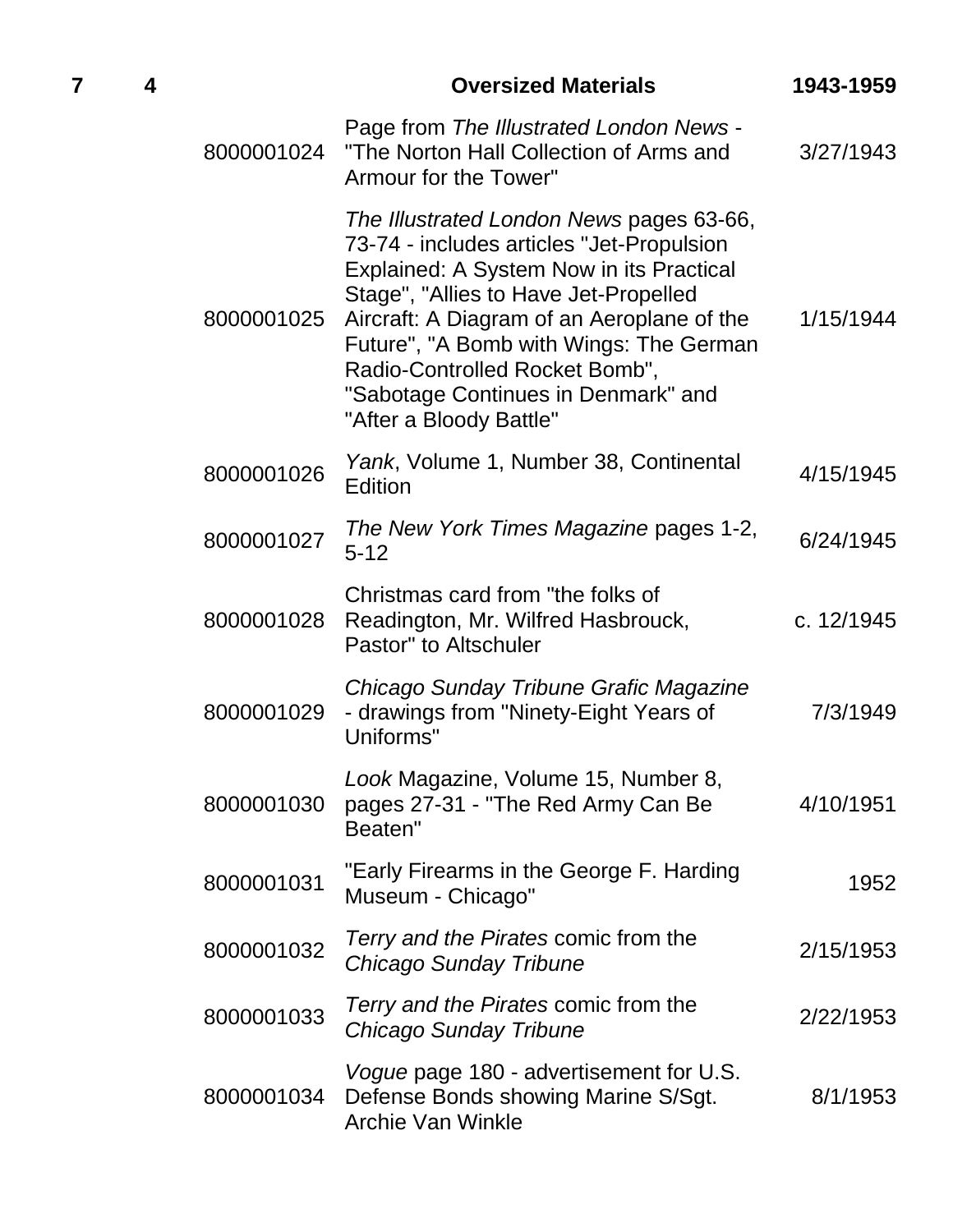|            | <b>Oversized Materials</b>                                                                                                                                                                                                                                                                                                                                              | 1943-1959  |
|------------|-------------------------------------------------------------------------------------------------------------------------------------------------------------------------------------------------------------------------------------------------------------------------------------------------------------------------------------------------------------------------|------------|
| 8000001024 | Page from The Illustrated London News -<br>"The Norton Hall Collection of Arms and<br>Armour for the Tower"                                                                                                                                                                                                                                                             | 3/27/1943  |
| 8000001025 | The Illustrated London News pages 63-66,<br>73-74 - includes articles "Jet-Propulsion<br>Explained: A System Now in its Practical<br>Stage", "Allies to Have Jet-Propelled<br>Aircraft: A Diagram of an Aeroplane of the<br>Future", "A Bomb with Wings: The German<br>Radio-Controlled Rocket Bomb",<br>"Sabotage Continues in Denmark" and<br>"After a Bloody Battle" | 1/15/1944  |
| 8000001026 | Yank, Volume 1, Number 38, Continental<br>Edition                                                                                                                                                                                                                                                                                                                       | 4/15/1945  |
| 8000001027 | The New York Times Magazine pages 1-2,<br>$5 - 12$                                                                                                                                                                                                                                                                                                                      | 6/24/1945  |
| 8000001028 | Christmas card from "the folks of<br>Readington, Mr. Wilfred Hasbrouck,<br>Pastor" to Altschuler                                                                                                                                                                                                                                                                        | c. 12/1945 |
| 8000001029 | Chicago Sunday Tribune Grafic Magazine<br>- drawings from "Ninety-Eight Years of<br>Uniforms"                                                                                                                                                                                                                                                                           | 7/3/1949   |
| 8000001030 | Look Magazine, Volume 15, Number 8,<br>pages 27-31 - "The Red Army Can Be<br>Beaten"                                                                                                                                                                                                                                                                                    | 4/10/1951  |
| 8000001031 | "Early Firearms in the George F. Harding<br>Museum - Chicago"                                                                                                                                                                                                                                                                                                           | 1952       |
| 8000001032 | Terry and the Pirates comic from the<br>Chicago Sunday Tribune                                                                                                                                                                                                                                                                                                          | 2/15/1953  |
| 8000001033 | Terry and the Pirates comic from the<br>Chicago Sunday Tribune                                                                                                                                                                                                                                                                                                          | 2/22/1953  |
| 8000001034 | Vogue page 180 - advertisement for U.S.<br>Defense Bonds showing Marine S/Sgt.<br><b>Archie Van Winkle</b>                                                                                                                                                                                                                                                              | 8/1/1953   |

**7 4 Oversized Materials 1943-1959**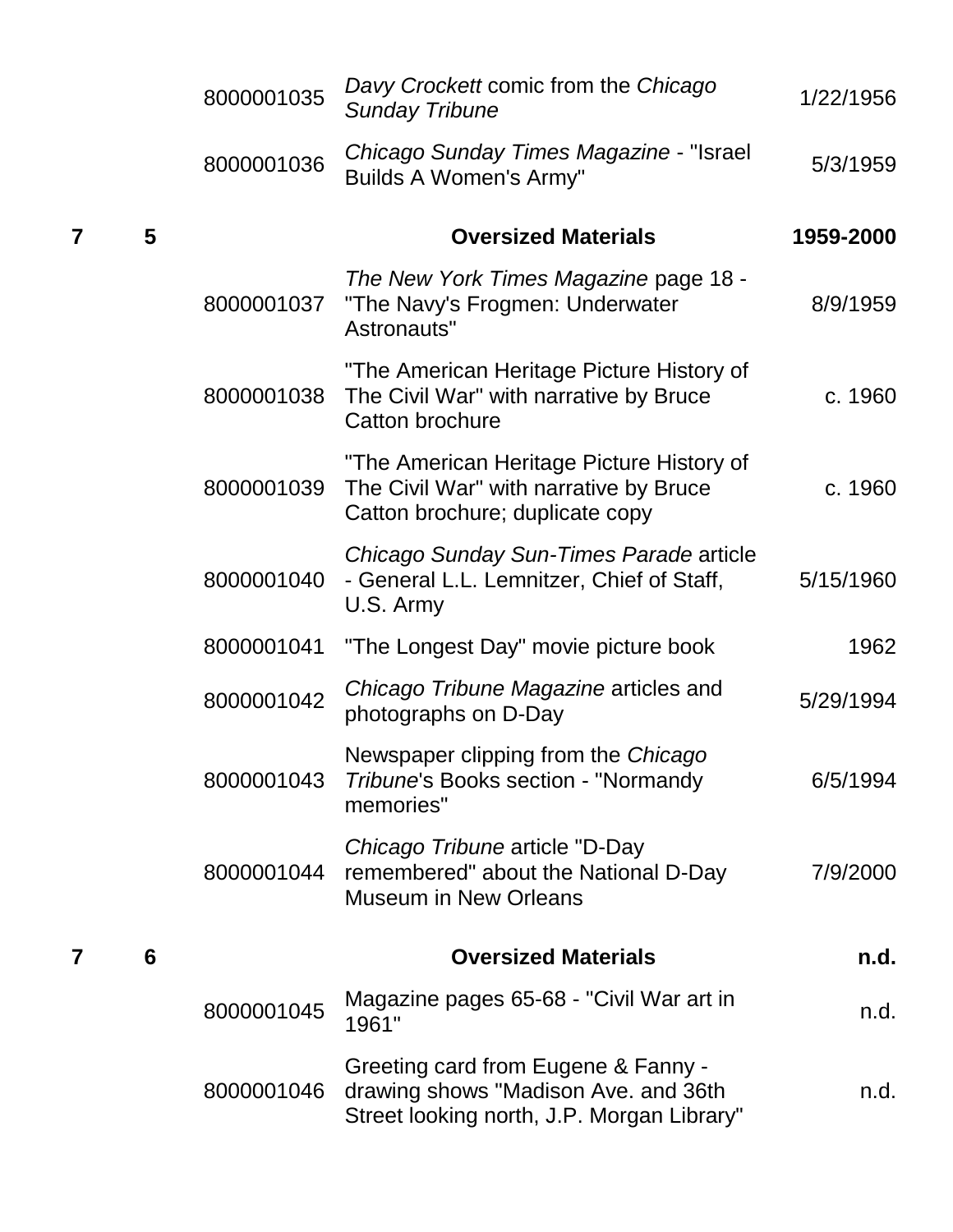|   |   | 8000001035 | Davy Crockett comic from the Chicago<br><b>Sunday Tribune</b>                                                             | 1/22/1956 |
|---|---|------------|---------------------------------------------------------------------------------------------------------------------------|-----------|
|   |   | 8000001036 | Chicago Sunday Times Magazine - "Israel<br><b>Builds A Women's Army"</b>                                                  | 5/3/1959  |
|   | 5 |            | <b>Oversized Materials</b>                                                                                                | 1959-2000 |
|   |   | 8000001037 | The New York Times Magazine page 18 -<br>"The Navy's Frogmen: Underwater<br>Astronauts"                                   | 8/9/1959  |
|   |   | 8000001038 | "The American Heritage Picture History of<br>The Civil War" with narrative by Bruce<br><b>Catton brochure</b>             | c. 1960   |
|   |   | 8000001039 | "The American Heritage Picture History of<br>The Civil War" with narrative by Bruce<br>Catton brochure; duplicate copy    | c. 1960   |
|   |   | 8000001040 | Chicago Sunday Sun-Times Parade article<br>- General L.L. Lemnitzer, Chief of Staff,<br>U.S. Army                         | 5/15/1960 |
|   |   | 8000001041 | "The Longest Day" movie picture book                                                                                      | 1962      |
|   |   | 8000001042 | Chicago Tribune Magazine articles and<br>photographs on D-Day                                                             | 5/29/1994 |
|   |   | 8000001043 | Newspaper clipping from the Chicago<br>Tribune's Books section - "Normandy"<br>memories"                                  | 6/5/1994  |
|   |   | 8000001044 | Chicago Tribune article "D-Day"<br>remembered" about the National D-Day<br><b>Museum in New Orleans</b>                   | 7/9/2000  |
| 7 | 6 |            | <b>Oversized Materials</b>                                                                                                | n.d.      |
|   |   | 8000001045 | Magazine pages 65-68 - "Civil War art in<br>1961"                                                                         | n.d.      |
|   |   | 8000001046 | Greeting card from Eugene & Fanny -<br>drawing shows "Madison Ave. and 36th<br>Street looking north, J.P. Morgan Library" | n.d.      |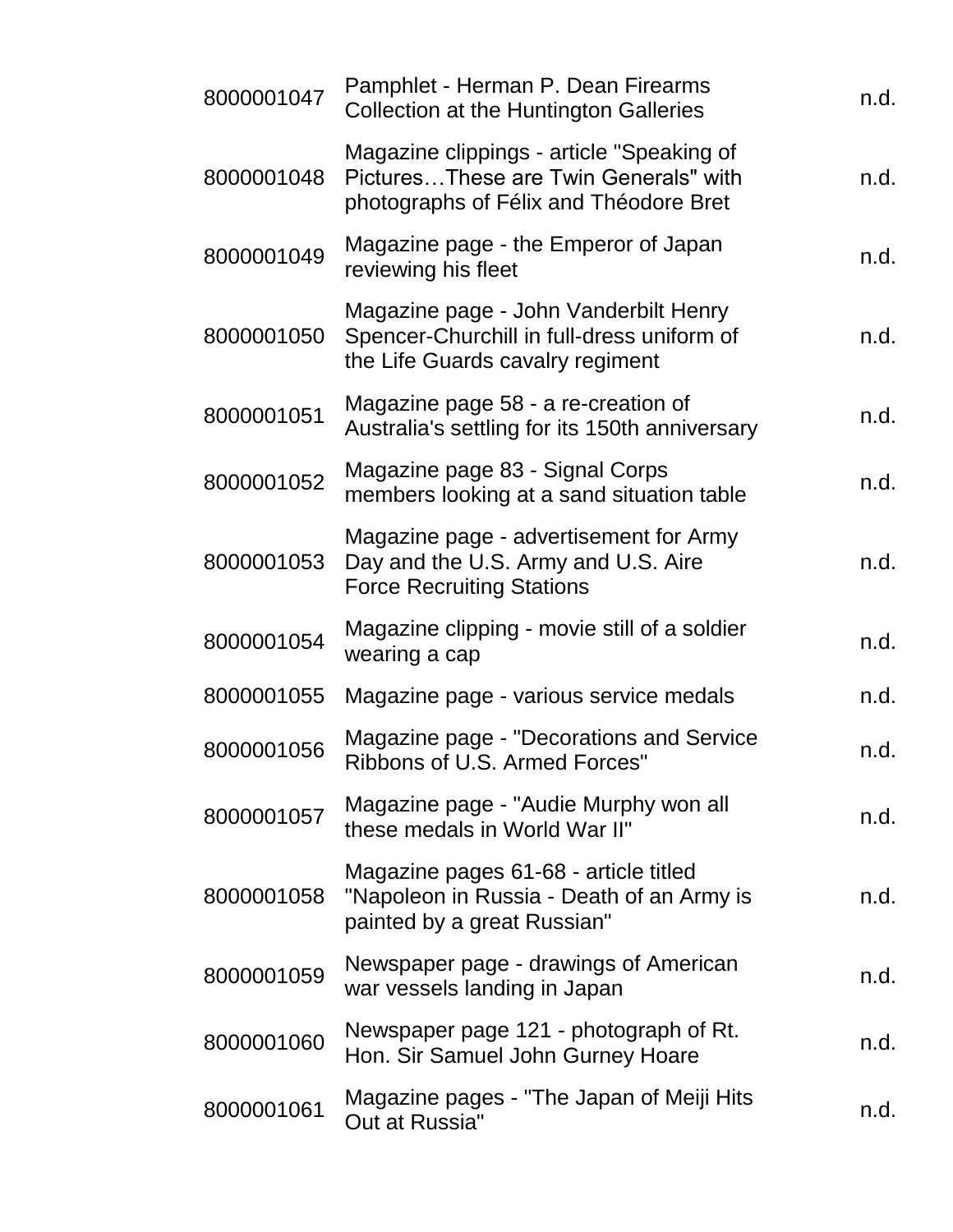| 8000001047 | Pamphlet - Herman P. Dean Firearms<br><b>Collection at the Huntington Galleries</b>                                          | n.d. |
|------------|------------------------------------------------------------------------------------------------------------------------------|------|
| 8000001048 | Magazine clippings - article "Speaking of<br>PicturesThese are Twin Generals" with<br>photographs of Félix and Théodore Bret | n.d. |
| 8000001049 | Magazine page - the Emperor of Japan<br>reviewing his fleet                                                                  | n.d. |
| 8000001050 | Magazine page - John Vanderbilt Henry<br>Spencer-Churchill in full-dress uniform of<br>the Life Guards cavalry regiment      | n.d. |
| 8000001051 | Magazine page 58 - a re-creation of<br>Australia's settling for its 150th anniversary                                        | n.d. |
| 8000001052 | Magazine page 83 - Signal Corps<br>members looking at a sand situation table                                                 | n.d. |
| 8000001053 | Magazine page - advertisement for Army<br>Day and the U.S. Army and U.S. Aire<br><b>Force Recruiting Stations</b>            | n.d. |
| 8000001054 | Magazine clipping - movie still of a soldier<br>wearing a cap                                                                | n.d. |
| 8000001055 | Magazine page - various service medals                                                                                       | n.d. |
| 8000001056 | Magazine page - "Decorations and Service<br>Ribbons of U.S. Armed Forces"                                                    | n.d. |
| 8000001057 | Magazine page - "Audie Murphy won all<br>these medals in World War II"                                                       | n.d. |
| 8000001058 | Magazine pages 61-68 - article titled<br>"Napoleon in Russia - Death of an Army is<br>painted by a great Russian"            | n.d. |
| 8000001059 | Newspaper page - drawings of American<br>war vessels landing in Japan                                                        | n.d. |
| 8000001060 | Newspaper page 121 - photograph of Rt.<br>Hon. Sir Samuel John Gurney Hoare                                                  | n.d. |
| 8000001061 | Magazine pages - "The Japan of Meiji Hits<br>Out at Russia"                                                                  | n.d. |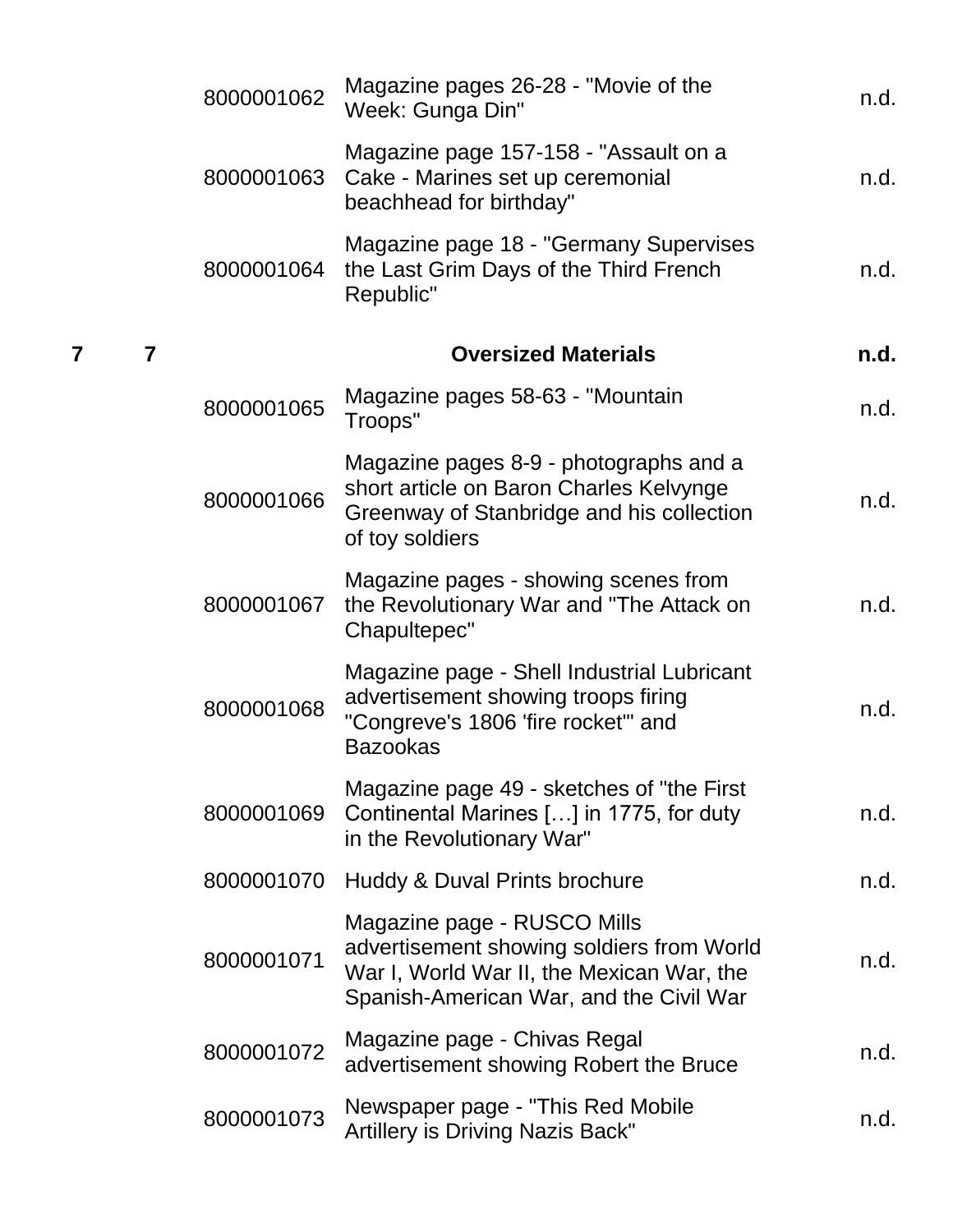|   |                | 8000001062 | Magazine pages 26-28 - "Movie of the<br>Week: Gunga Din"                                                                                                         | n.d. |
|---|----------------|------------|------------------------------------------------------------------------------------------------------------------------------------------------------------------|------|
|   |                | 8000001063 | Magazine page 157-158 - "Assault on a<br>Cake - Marines set up ceremonial<br>beachhead for birthday"                                                             | n.d. |
|   |                | 8000001064 | Magazine page 18 - "Germany Supervises<br>the Last Grim Days of the Third French<br>Republic"                                                                    | n.d. |
| 7 | $\overline{7}$ |            | <b>Oversized Materials</b>                                                                                                                                       | n.d. |
|   |                | 8000001065 | Magazine pages 58-63 - "Mountain"<br>Troops"                                                                                                                     | n.d. |
|   |                | 8000001066 | Magazine pages 8-9 - photographs and a<br>short article on Baron Charles Kelvynge<br>Greenway of Stanbridge and his collection<br>of toy soldiers                | n.d. |
|   |                | 8000001067 | Magazine pages - showing scenes from<br>the Revolutionary War and "The Attack on<br>Chapultepec"                                                                 | n.d. |
|   |                | 8000001068 | Magazine page - Shell Industrial Lubricant<br>advertisement showing troops firing<br>"Congreve's 1806 'fire rocket'" and<br><b>Bazookas</b>                      | n.d. |
|   |                | 8000001069 | Magazine page 49 - sketches of "the First"<br>Continental Marines [] in 1775, for duty<br>in the Revolutionary War"                                              | n.d. |
|   |                | 8000001070 | Huddy & Duval Prints brochure                                                                                                                                    | n.d. |
|   |                | 8000001071 | Magazine page - RUSCO Mills<br>advertisement showing soldiers from World<br>War I, World War II, the Mexican War, the<br>Spanish-American War, and the Civil War | n.d. |
|   |                | 8000001072 | Magazine page - Chivas Regal<br>advertisement showing Robert the Bruce                                                                                           | n.d. |
|   |                | 8000001073 | Newspaper page - "This Red Mobile"<br>Artillery is Driving Nazis Back"                                                                                           | n.d. |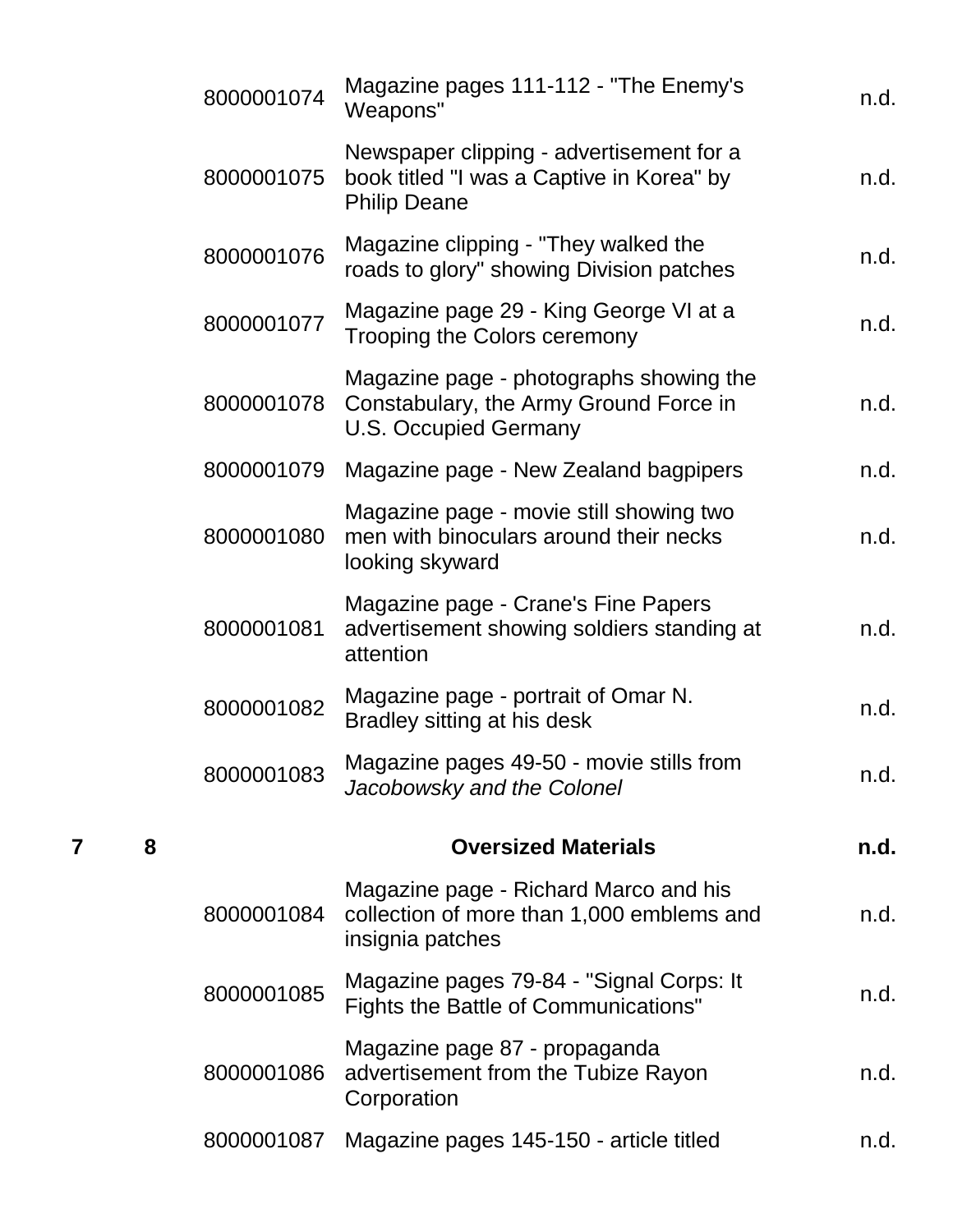|   |   | 8000001074 | Magazine pages 111-112 - "The Enemy's<br>Weapons"                                                                 | n.d. |
|---|---|------------|-------------------------------------------------------------------------------------------------------------------|------|
|   |   | 8000001075 | Newspaper clipping - advertisement for a<br>book titled "I was a Captive in Korea" by<br><b>Philip Deane</b>      | n.d. |
|   |   | 8000001076 | Magazine clipping - "They walked the<br>roads to glory" showing Division patches                                  | n.d. |
|   |   | 8000001077 | Magazine page 29 - King George VI at a<br>Trooping the Colors ceremony                                            | n.d. |
|   |   | 8000001078 | Magazine page - photographs showing the<br>Constabulary, the Army Ground Force in<br><b>U.S. Occupied Germany</b> | n.d. |
|   |   | 8000001079 | Magazine page - New Zealand bagpipers                                                                             | n.d. |
|   |   | 8000001080 | Magazine page - movie still showing two<br>men with binoculars around their necks<br>looking skyward              | n.d. |
|   |   | 8000001081 | Magazine page - Crane's Fine Papers<br>advertisement showing soldiers standing at<br>attention                    | n.d. |
|   |   | 8000001082 | Magazine page - portrait of Omar N.<br>Bradley sitting at his desk                                                | n.d. |
|   |   | 8000001083 | Magazine pages 49-50 - movie stills from<br>Jacobowsky and the Colonel                                            | n.d. |
| 7 | 8 |            | <b>Oversized Materials</b>                                                                                        | n.d. |
|   |   | 8000001084 | Magazine page - Richard Marco and his<br>collection of more than 1,000 emblems and<br>insignia patches            | n.d. |
|   |   | 8000001085 | Magazine pages 79-84 - "Signal Corps: It<br>Fights the Battle of Communications"                                  | n.d. |
|   |   | 8000001086 | Magazine page 87 - propaganda<br>advertisement from the Tubize Rayon<br>Corporation                               | n.d. |
|   |   | 8000001087 | Magazine pages 145-150 - article titled                                                                           | n.d. |
|   |   |            |                                                                                                                   |      |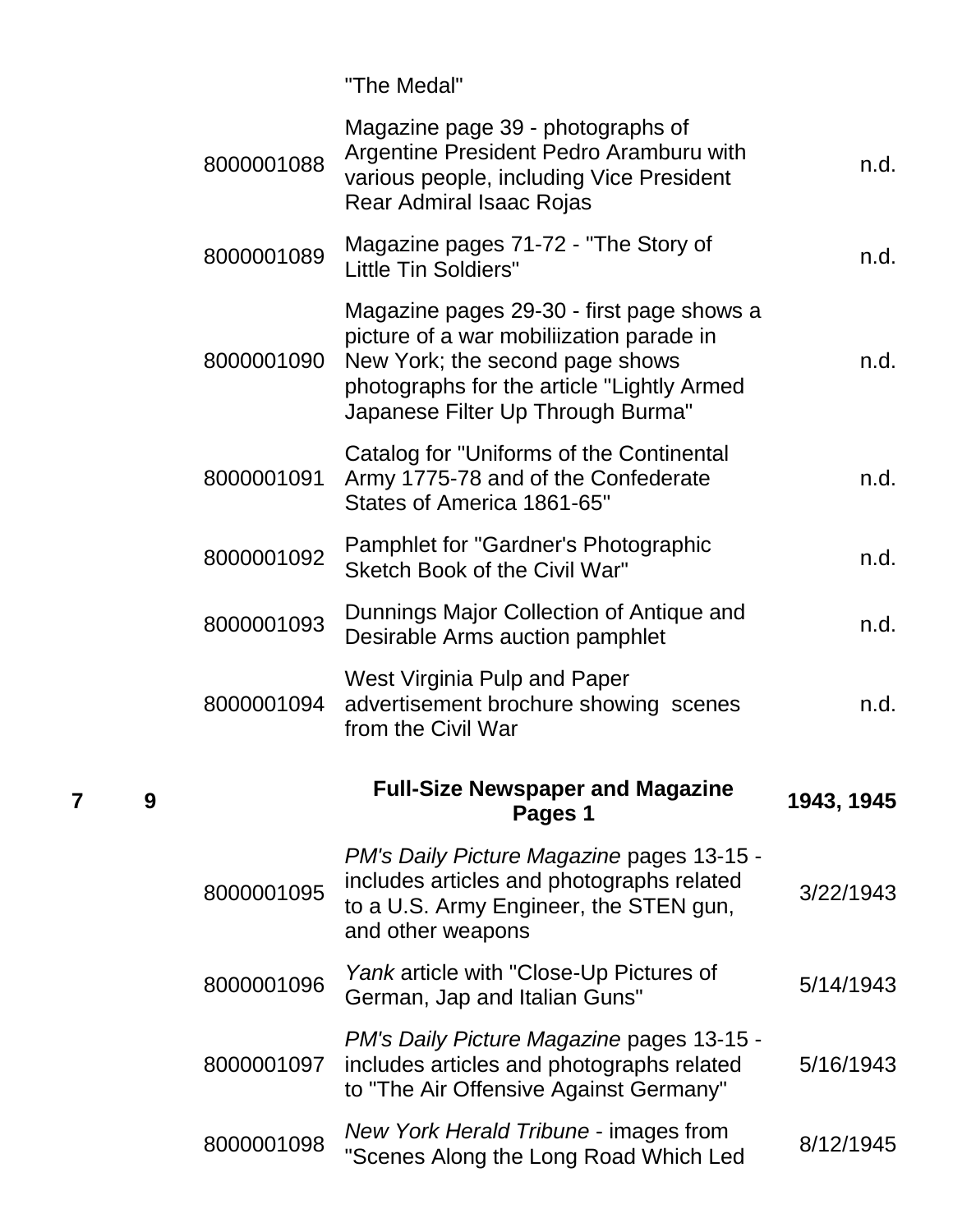"The Medal"

| 8000001088 | Magazine page 39 - photographs of<br>Argentine President Pedro Aramburu with<br>various people, including Vice President<br>Rear Admiral Isaac Rojas                                                        | n.d.       |
|------------|-------------------------------------------------------------------------------------------------------------------------------------------------------------------------------------------------------------|------------|
| 8000001089 | Magazine pages 71-72 - "The Story of<br><b>Little Tin Soldiers"</b>                                                                                                                                         | n.d.       |
| 8000001090 | Magazine pages 29-30 - first page shows a<br>picture of a war mobiliization parade in<br>New York; the second page shows<br>photographs for the article "Lightly Armed<br>Japanese Filter Up Through Burma" | n.d.       |
| 8000001091 | Catalog for "Uniforms of the Continental<br>Army 1775-78 and of the Confederate<br>States of America 1861-65"                                                                                               | n.d.       |
| 8000001092 | Pamphlet for "Gardner's Photographic<br>Sketch Book of the Civil War"                                                                                                                                       | n.d.       |
| 8000001093 | Dunnings Major Collection of Antique and<br>Desirable Arms auction pamphlet                                                                                                                                 | n.d.       |
| 8000001094 | <b>West Virginia Pulp and Paper</b><br>advertisement brochure showing scenes<br>from the Civil War                                                                                                          | n.d.       |
|            | <b>Full-Size Newspaper and Magazine</b><br>Pages 1                                                                                                                                                          | 1943, 1945 |
| 8000001095 | <b>PM's Daily Picture Magazine pages 13-15 -</b><br>includes articles and photographs related<br>to a U.S. Army Engineer, the STEN gun,<br>and other weapons                                                | 3/22/1943  |
| 8000001096 | Yank article with "Close-Up Pictures of<br>German, Jap and Italian Guns"                                                                                                                                    | 5/14/1943  |
| 8000001097 | <b>PM's Daily Picture Magazine pages 13-15 -</b><br>includes articles and photographs related<br>to "The Air Offensive Against Germany"                                                                     | 5/16/1943  |
| 8000001098 | New York Herald Tribune - images from<br>"Scenes Along the Long Road Which Led                                                                                                                              | 8/12/1945  |

**7 9**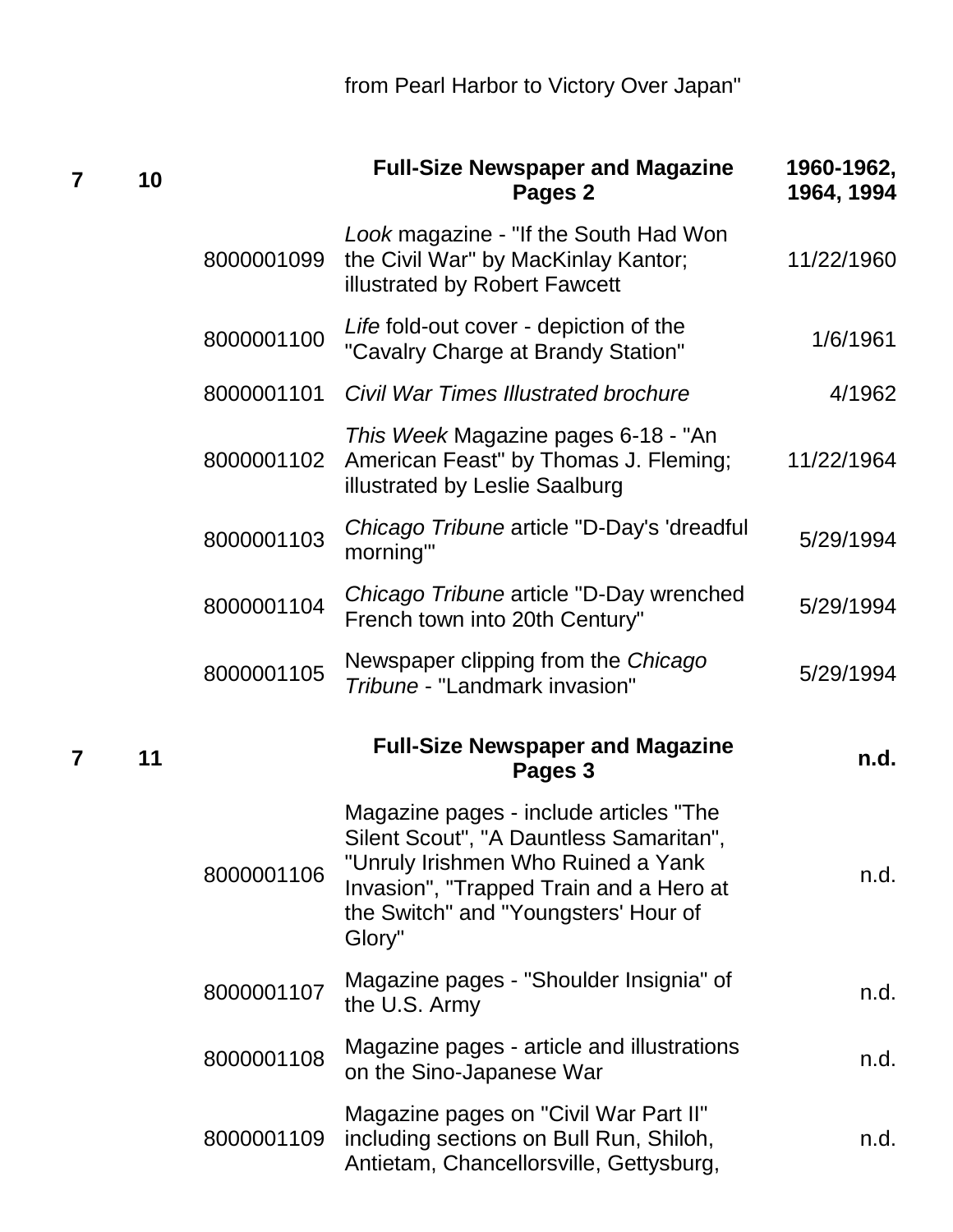| 7 | 10 |            | <b>Full-Size Newspaper and Magazine</b><br>Pages 2                                                                                                                                                                   | 1960-1962,<br>1964, 1994 |
|---|----|------------|----------------------------------------------------------------------------------------------------------------------------------------------------------------------------------------------------------------------|--------------------------|
|   |    | 8000001099 | Look magazine - "If the South Had Won<br>the Civil War" by MacKinlay Kantor;<br>illustrated by Robert Fawcett                                                                                                        | 11/22/1960               |
|   |    | 8000001100 | Life fold-out cover - depiction of the<br>"Cavalry Charge at Brandy Station"                                                                                                                                         | 1/6/1961                 |
|   |    | 8000001101 | <b>Civil War Times Illustrated brochure</b>                                                                                                                                                                          | 4/1962                   |
|   |    | 8000001102 | This Week Magazine pages 6-18 - "An<br>American Feast" by Thomas J. Fleming;<br>illustrated by Leslie Saalburg                                                                                                       | 11/22/1964               |
|   |    | 8000001103 | Chicago Tribune article "D-Day's 'dreadful<br>morning"                                                                                                                                                               | 5/29/1994                |
|   |    | 8000001104 | Chicago Tribune article "D-Day wrenched<br>French town into 20th Century"                                                                                                                                            | 5/29/1994                |
|   |    | 8000001105 | Newspaper clipping from the Chicago<br>Tribune - "Landmark invasion"                                                                                                                                                 | 5/29/1994                |
| 7 | 11 |            | <b>Full-Size Newspaper and Magazine</b><br>Pages 3                                                                                                                                                                   | n.d.                     |
|   |    | 8000001106 | Magazine pages - include articles "The<br>Silent Scout", "A Dauntless Samaritan",<br>"Unruly Irishmen Who Ruined a Yank<br>Invasion", "Trapped Train and a Hero at<br>the Switch" and "Youngsters' Hour of<br>Glory" | n.d.                     |
|   |    | 8000001107 | Magazine pages - "Shoulder Insignia" of<br>the U.S. Army                                                                                                                                                             | n.d.                     |
|   |    | 8000001108 | Magazine pages - article and illustrations<br>on the Sino-Japanese War                                                                                                                                               | n.d.                     |
|   |    | 8000001109 | Magazine pages on "Civil War Part II"<br>including sections on Bull Run, Shiloh,<br>Antietam, Chancellorsville, Gettysburg,                                                                                          | n.d.                     |